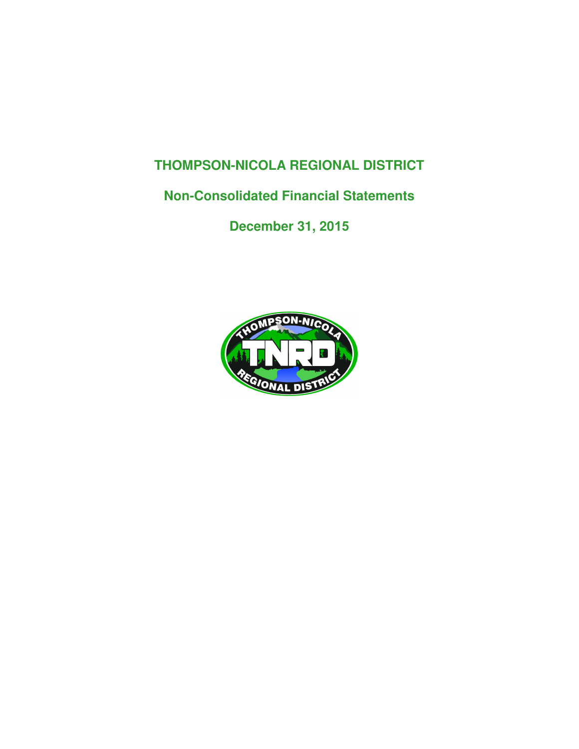## **THOMPSON-NICOLA REGIONAL DISTRICT**

## **Non-Consolidated Financial Statements**

**December 31, 2015**

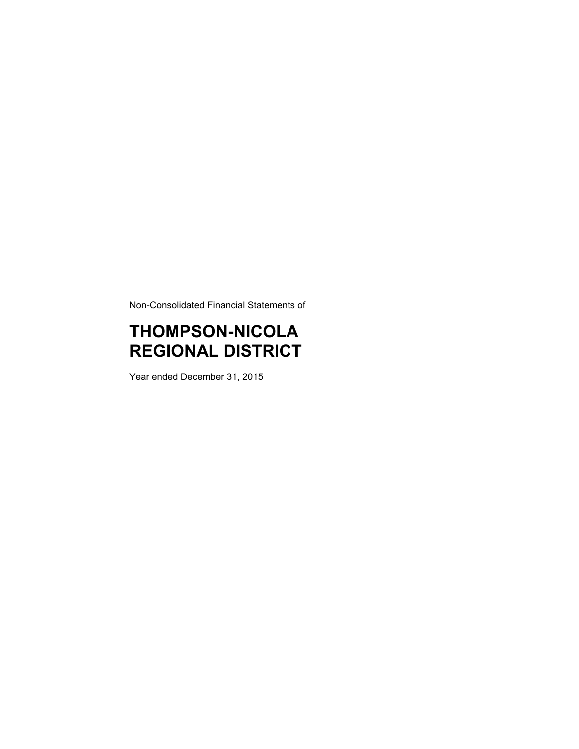Non-Consolidated Financial Statements of

# **THOMPSON-NICOLA REGIONAL DISTRICT**

Year ended December 31, 2015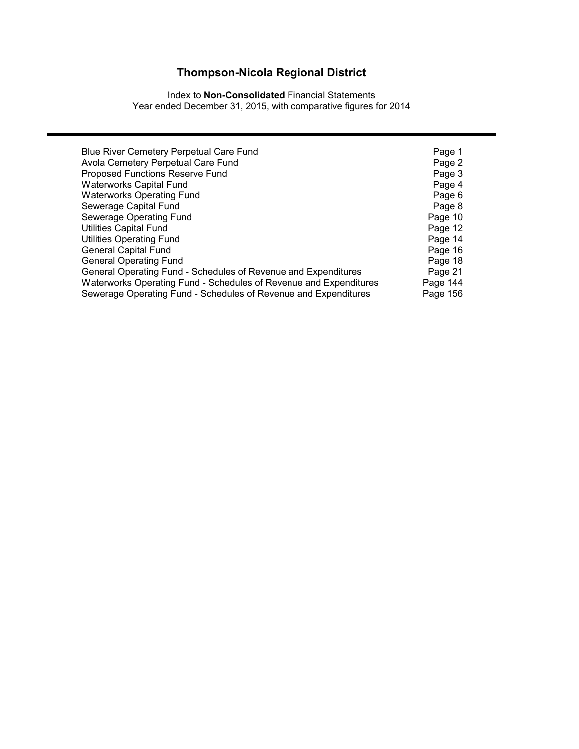Index to **Non-Consolidated** Financial Statements Year ended December 31, 2015, with comparative figures for 2014

| Blue River Cemetery Perpetual Care Fund                           | Page 1   |
|-------------------------------------------------------------------|----------|
| Avola Cemetery Perpetual Care Fund                                | Page 2   |
| Proposed Functions Reserve Fund                                   | Page 3   |
| <b>Waterworks Capital Fund</b>                                    | Page 4   |
| <b>Waterworks Operating Fund</b>                                  | Page 6   |
| Sewerage Capital Fund                                             | Page 8   |
| Sewerage Operating Fund                                           | Page 10  |
| <b>Utilities Capital Fund</b>                                     | Page 12  |
| <b>Utilities Operating Fund</b>                                   | Page 14  |
| <b>General Capital Fund</b>                                       | Page 16  |
| <b>General Operating Fund</b>                                     | Page 18  |
| General Operating Fund - Schedules of Revenue and Expenditures    | Page 21  |
| Waterworks Operating Fund - Schedules of Revenue and Expenditures | Page 144 |
| Sewerage Operating Fund - Schedules of Revenue and Expenditures   | Page 156 |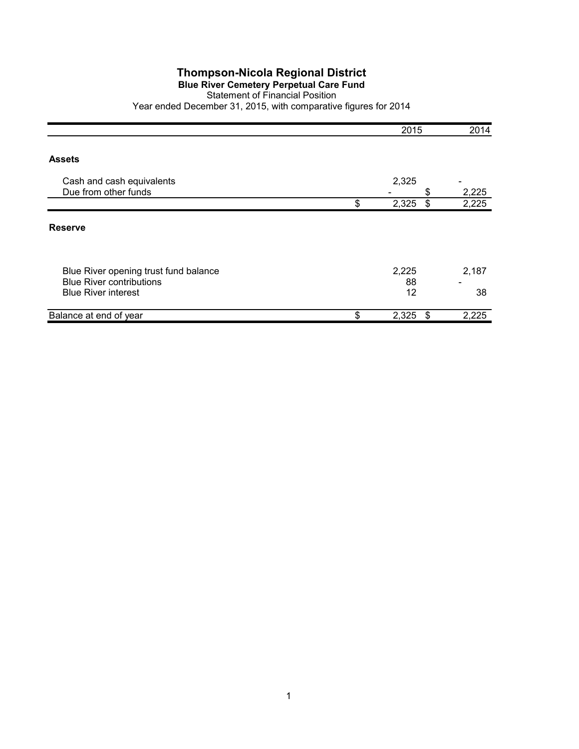#### **Blue River Cemetery Perpetual Care Fund**

Statement of Financial Position

|                                                                          | 2015              | 2014                         |
|--------------------------------------------------------------------------|-------------------|------------------------------|
|                                                                          |                   |                              |
| <b>Assets</b>                                                            |                   |                              |
| Cash and cash equivalents                                                | 2,325             | $\qquad \qquad \blacksquare$ |
| Due from other funds                                                     | \$                | 2,225                        |
|                                                                          | \$<br>2,325<br>\$ | 2,225                        |
| <b>Reserve</b>                                                           |                   |                              |
| Blue River opening trust fund balance<br><b>Blue River contributions</b> | 2,225<br>88       | 2,187                        |
| <b>Blue River interest</b>                                               | 12                | 38                           |
| Balance at end of year                                                   | \$<br>2,325<br>\$ | 2,225                        |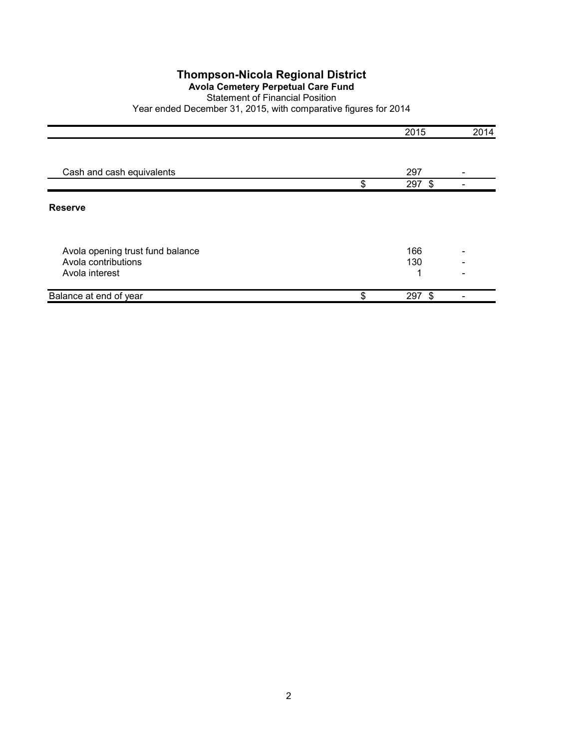## **Avola Cemetery Perpetual Care Fund**

#### Statement of Financial Position

|                                       | 2015            | 2014                     |
|---------------------------------------|-----------------|--------------------------|
|                                       |                 |                          |
| Cash and cash equivalents             | 297             | $\overline{\phantom{0}}$ |
|                                       | \$<br>297 \$    |                          |
| <b>Reserve</b>                        |                 |                          |
| Avola opening trust fund balance      | 166             |                          |
| Avola contributions<br>Avola interest | 130<br>◢        |                          |
| Balance at end of year                | \$<br>297<br>\$ |                          |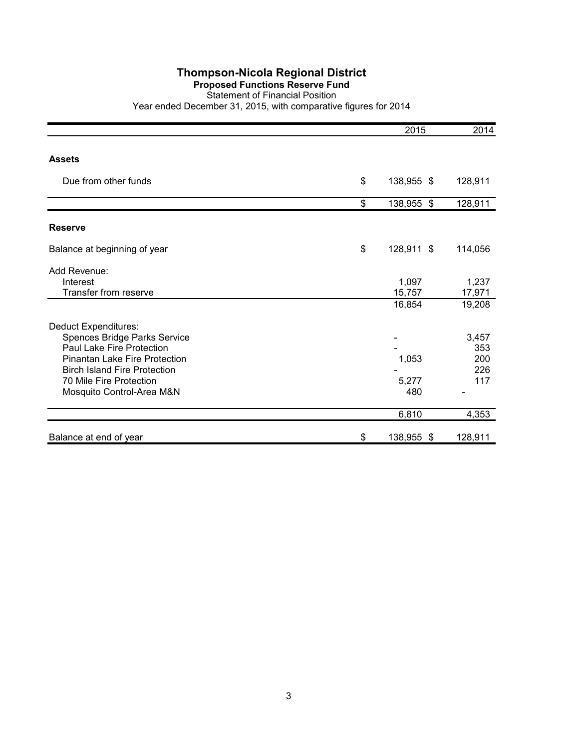#### **Proposed Functions Reserve Fund**

#### Statement of Financial Position

|                                                                                                                                                                                                                          | 2015                      | 2014                              |
|--------------------------------------------------------------------------------------------------------------------------------------------------------------------------------------------------------------------------|---------------------------|-----------------------------------|
|                                                                                                                                                                                                                          |                           |                                   |
| <b>Assets</b>                                                                                                                                                                                                            |                           |                                   |
| Due from other funds                                                                                                                                                                                                     | \$<br>138,955 \$          | 128,911                           |
|                                                                                                                                                                                                                          | \$<br>138,955 \$          | 128,911                           |
| <b>Reserve</b>                                                                                                                                                                                                           |                           |                                   |
| Balance at beginning of year                                                                                                                                                                                             | \$<br>128,911 \$          | 114,056                           |
| Add Revenue:<br>Interest<br>Transfer from reserve                                                                                                                                                                        | 1,097<br>15,757<br>16,854 | 1,237<br>17,971<br>19,208         |
| <b>Deduct Expenditures:</b><br>Spences Bridge Parks Service<br>Paul Lake Fire Protection<br>Pinantan Lake Fire Protection<br><b>Birch Island Fire Protection</b><br>70 Mile Fire Protection<br>Mosquito Control-Area M&N | 1,053<br>5,277<br>480     | 3,457<br>353<br>200<br>226<br>117 |
|                                                                                                                                                                                                                          | 6,810                     | 4,353                             |
| Balance at end of year                                                                                                                                                                                                   | \$<br>138,955 \$          | 128,911                           |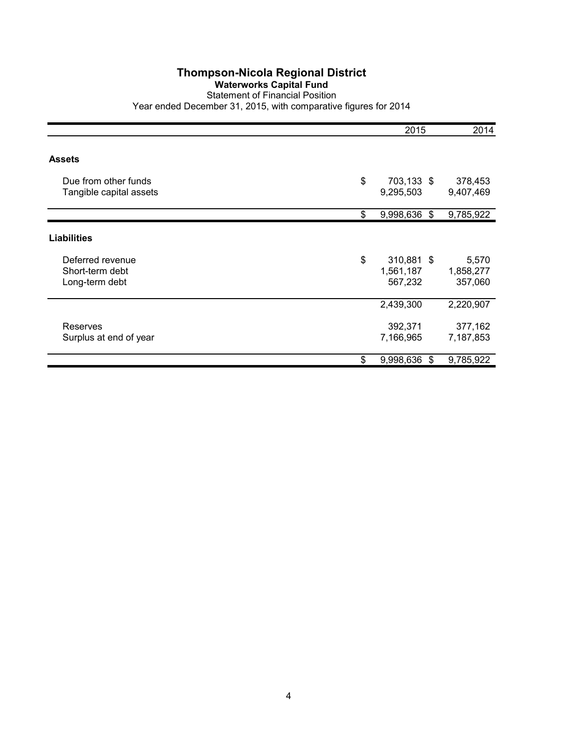#### **Waterworks Capital Fund**

## Statement of Financial Position

|                         | 2015                  | 2014      |
|-------------------------|-----------------------|-----------|
| <b>Assets</b>           |                       |           |
|                         |                       |           |
| Due from other funds    | \$<br>703,133 \$      | 378,453   |
| Tangible capital assets | 9,295,503             | 9,407,469 |
|                         | \$<br>9,998,636<br>\$ | 9,785,922 |
| <b>Liabilities</b>      |                       |           |
| Deferred revenue        | \$<br>310,881 \$      | 5,570     |
| Short-term debt         | 1,561,187             | 1,858,277 |
| Long-term debt          | 567,232               | 357,060   |
|                         | 2,439,300             | 2,220,907 |
| Reserves                | 392,371               | 377,162   |
| Surplus at end of year  | 7,166,965             | 7,187,853 |
|                         | \$<br>9,998,636<br>\$ | 9,785,922 |
|                         |                       |           |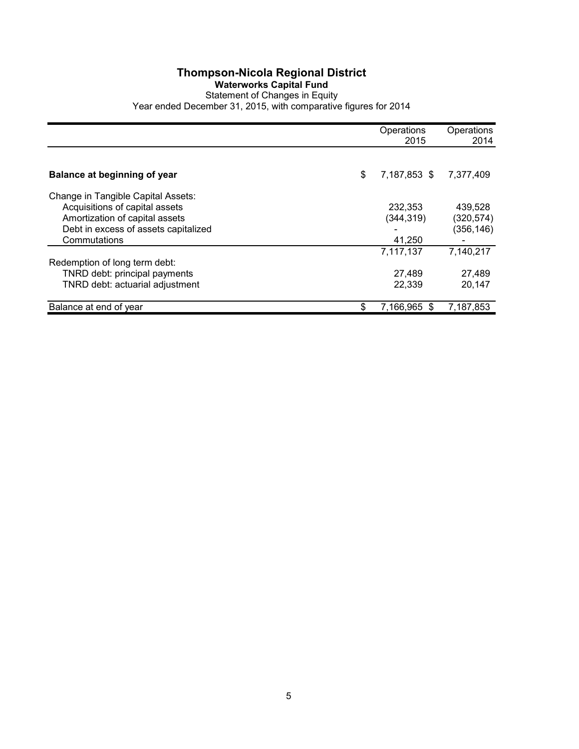### **Thompson-Nicola Regional District Waterworks Capital Fund**

## Statement of Changes in Equity

|                                      |    | Operations<br>2015 | Operations<br>2014 |
|--------------------------------------|----|--------------------|--------------------|
|                                      |    |                    |                    |
| <b>Balance at beginning of year</b>  | \$ | 7,187,853 \$       | 7,377,409          |
| Change in Tangible Capital Assets:   |    |                    |                    |
| Acquisitions of capital assets       |    | 232.353            | 439.528            |
| Amortization of capital assets       |    | (344,319)          | (320, 574)         |
| Debt in excess of assets capitalized |    |                    | (356, 146)         |
| Commutations                         |    | 41,250             |                    |
|                                      |    | 7,117,137          | 7,140,217          |
| Redemption of long term debt:        |    |                    |                    |
| TNRD debt: principal payments        |    | 27,489             | 27,489             |
| TNRD debt: actuarial adjustment      |    | 22,339             | 20,147             |
| Balance at end of year               | S  | 7,166,965 \$       | 7.187.853          |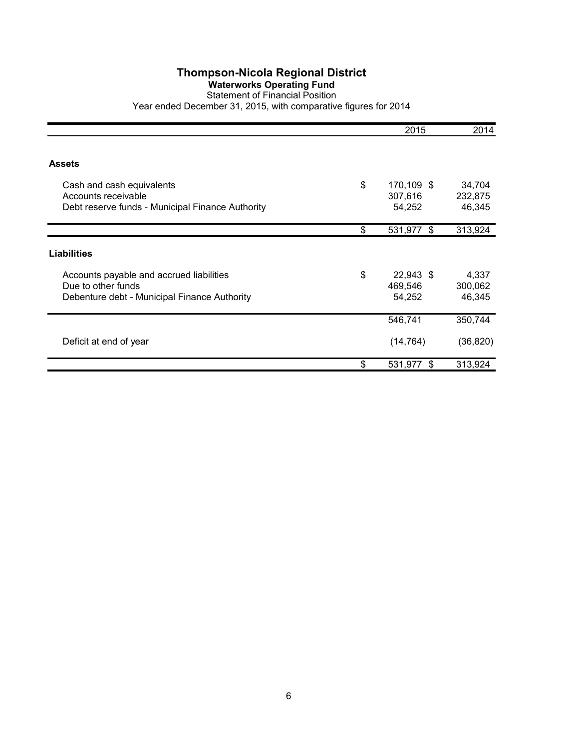### **Waterworks Operating Fund**

Statement of Financial Position Year ended December 31, 2015, with comparative figures for 2014

|                                                                                                                | 2015                                  | 2014                        |
|----------------------------------------------------------------------------------------------------------------|---------------------------------------|-----------------------------|
|                                                                                                                |                                       |                             |
| <b>Assets</b>                                                                                                  |                                       |                             |
| Cash and cash equivalents<br>Accounts receivable<br>Debt reserve funds - Municipal Finance Authority           | \$<br>170,109 \$<br>307,616<br>54,252 | 34,704<br>232,875<br>46,345 |
|                                                                                                                | \$<br>531,977 \$                      | 313,924                     |
| <b>Liabilities</b>                                                                                             |                                       |                             |
| Accounts payable and accrued liabilities<br>Due to other funds<br>Debenture debt - Municipal Finance Authority | \$<br>22,943 \$<br>469,546<br>54,252  | 4,337<br>300,062<br>46,345  |
|                                                                                                                | 546,741                               | 350,744                     |
| Deficit at end of year                                                                                         | (14, 764)                             | (36, 820)                   |
|                                                                                                                | \$<br>531,977<br>\$                   | 313,924                     |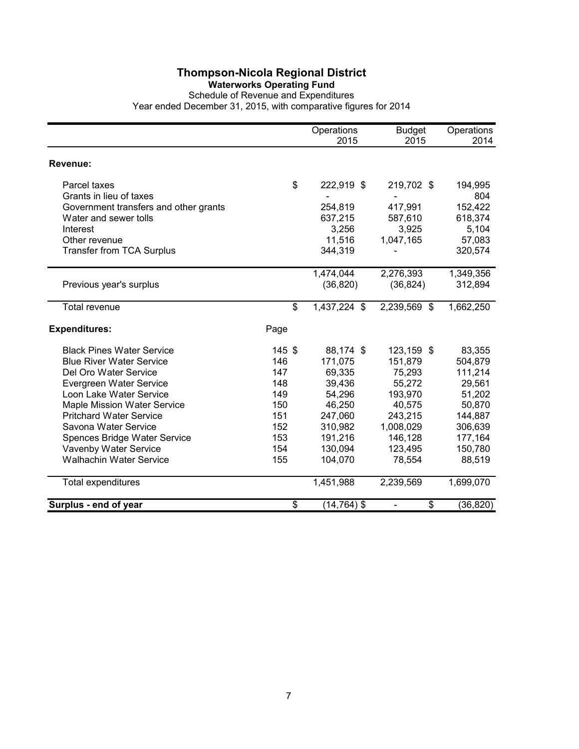#### **Waterworks Operating Fund**

Schedule of Revenue and Expenditures

|                                       |        | Operations     | <b>Budget</b>                  | Operations |
|---------------------------------------|--------|----------------|--------------------------------|------------|
|                                       |        | 2015           | 2015                           | 2014       |
| Revenue:                              |        |                |                                |            |
| Parcel taxes                          | \$     | 222,919 \$     | 219,702 \$                     | 194,995    |
| Grants in lieu of taxes               |        |                |                                | 804        |
| Government transfers and other grants |        | 254,819        | 417,991                        | 152,422    |
| Water and sewer tolls                 |        | 637,215        | 587,610                        | 618,374    |
| Interest                              |        | 3,256          | 3,925                          | 5,104      |
| Other revenue                         |        | 11,516         | 1,047,165                      | 57,083     |
| <b>Transfer from TCA Surplus</b>      |        | 344,319        |                                | 320,574    |
|                                       |        | 1,474,044      | 2,276,393                      | 1,349,356  |
| Previous year's surplus               |        | (36, 820)      | (36, 824)                      | 312,894    |
| <b>Total revenue</b>                  | \$     | 1,437,224 \$   | 2,239,569 \$                   | 1,662,250  |
| <b>Expenditures:</b>                  | Page   |                |                                |            |
| <b>Black Pines Water Service</b>      | 145 \$ | 88,174 \$      | 123,159 \$                     | 83,355     |
| <b>Blue River Water Service</b>       | 146    | 171,075        | 151,879                        | 504,879    |
| Del Oro Water Service                 | 147    | 69,335         | 75,293                         | 111,214    |
| Evergreen Water Service               | 148    | 39,436         | 55,272                         | 29,561     |
| Loon Lake Water Service               | 149    | 54,296         | 193,970                        | 51,202     |
| Maple Mission Water Service           | 150    | 46,250         | 40,575                         | 50,870     |
| <b>Pritchard Water Service</b>        | 151    | 247,060        | 243,215                        | 144,887    |
| Savona Water Service                  | 152    | 310,982        | 1,008,029                      | 306,639    |
| Spences Bridge Water Service          | 153    | 191,216        | 146,128                        | 177,164    |
| Vavenby Water Service                 | 154    | 130,094        | 123,495                        | 150,780    |
| <b>Walhachin Water Service</b>        | 155    | 104,070        | 78,554                         | 88,519     |
| <b>Total expenditures</b>             |        | 1,451,988      | 2,239,569                      | 1,699,070  |
| Surplus - end of year                 | \$     | $(14, 764)$ \$ | \$<br>$\overline{\phantom{0}}$ | (36, 820)  |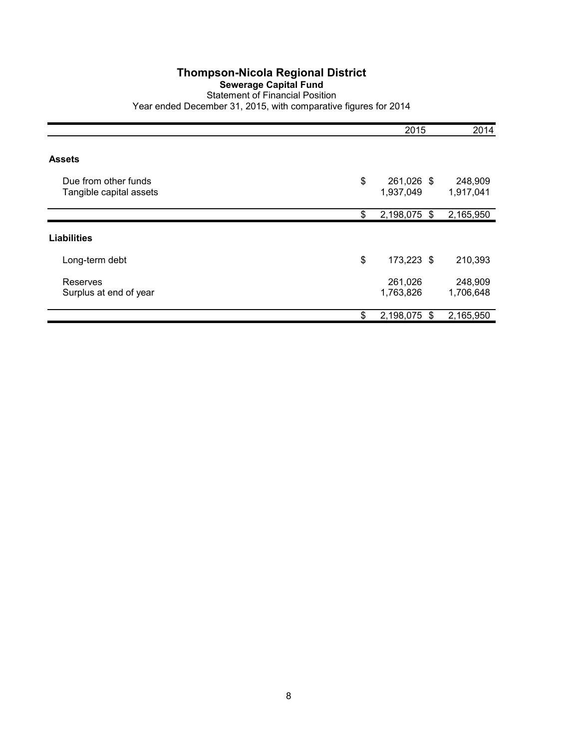### **Sewerage Capital Fund**

Statement of Financial Position Year ended December 31, 2015, with comparative figures for 2014

|                                                 | 2015                          | 2014                 |
|-------------------------------------------------|-------------------------------|----------------------|
|                                                 |                               |                      |
| <b>Assets</b>                                   |                               |                      |
| Due from other funds<br>Tangible capital assets | \$<br>261,026 \$<br>1,937,049 | 248,909<br>1,917,041 |
|                                                 | \$<br>2,198,075 \$            | 2,165,950            |
| <b>Liabilities</b>                              |                               |                      |
| Long-term debt                                  | \$<br>173,223 \$              | 210,393              |
| Reserves<br>Surplus at end of year              | 261,026<br>1,763,826          | 248,909<br>1,706,648 |
|                                                 | \$<br>2,198,075<br>S          | 2,165,950            |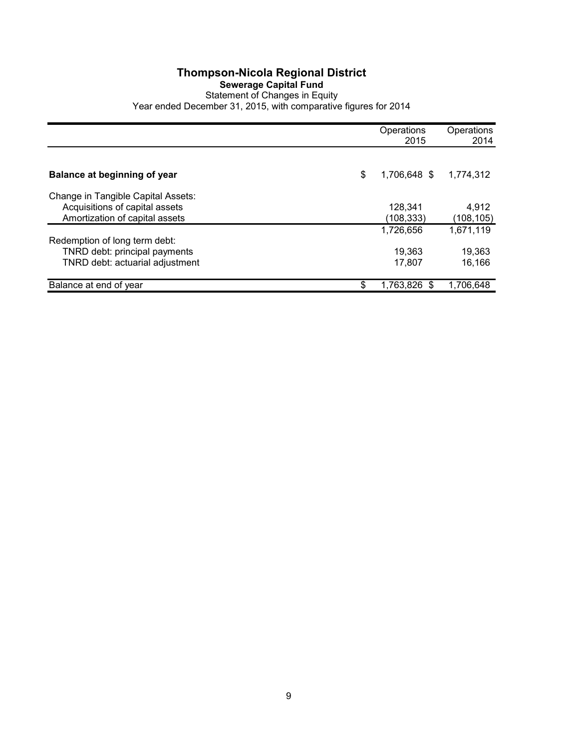#### **Thompson-Nicola Regional District Sewerage Capital Fund** Statement of Changes in Equity Year ended December 31, 2015, with comparative figures for 2014

|                                                                  | Operations<br>2015 | Operations<br>2014 |
|------------------------------------------------------------------|--------------------|--------------------|
|                                                                  |                    |                    |
| <b>Balance at beginning of year</b>                              | \$<br>1,706,648 \$ | 1,774,312          |
| Change in Tangible Capital Assets:                               |                    |                    |
| Acquisitions of capital assets<br>Amortization of capital assets | 128.341            | 4,912              |
|                                                                  | (108,333)          | (108, 105)         |
| Redemption of long term debt:                                    | 1.726.656          | 1,671,119          |
| TNRD debt: principal payments                                    | 19,363             | 19,363             |
| TNRD debt: actuarial adjustment                                  | 17.807             | 16.166             |
| Balance at end of year                                           | \$<br>1,763,826 \$ | 1.706.648          |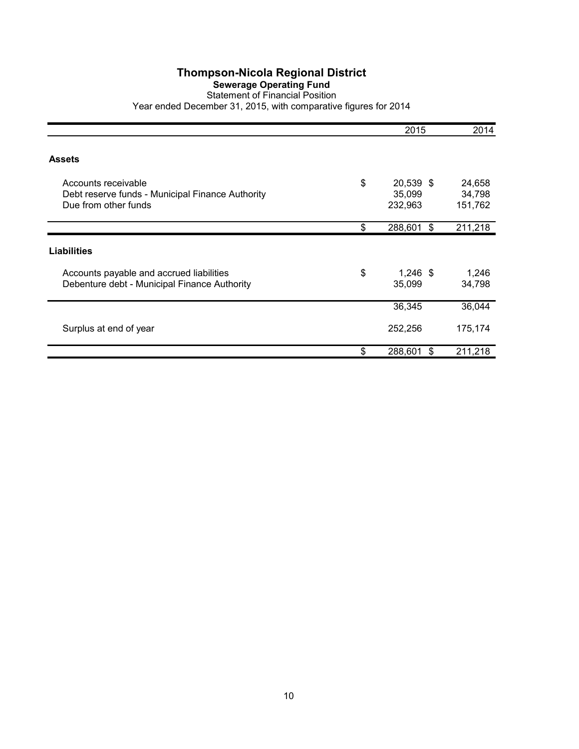#### **Sewerage Operating Fund**

#### Statement of Financial Position Year ended December 31, 2015, with comparative figures for 2014

|                                                                                                 | 2015                                 | 2014                        |
|-------------------------------------------------------------------------------------------------|--------------------------------------|-----------------------------|
| <b>Assets</b>                                                                                   |                                      |                             |
| Accounts receivable<br>Debt reserve funds - Municipal Finance Authority<br>Due from other funds | \$<br>20,539 \$<br>35,099<br>232,963 | 24,658<br>34,798<br>151,762 |
|                                                                                                 | \$<br>288,601<br>\$                  | 211,218                     |
| Liabilities                                                                                     |                                      |                             |
| Accounts payable and accrued liabilities<br>Debenture debt - Municipal Finance Authority        | \$<br>$1,246$ \$<br>35,099           | 1,246<br>34,798             |
|                                                                                                 | 36,345                               | 36,044                      |
| Surplus at end of year                                                                          | 252,256                              | 175,174                     |
|                                                                                                 | \$<br>288,601<br>\$                  | 211,218                     |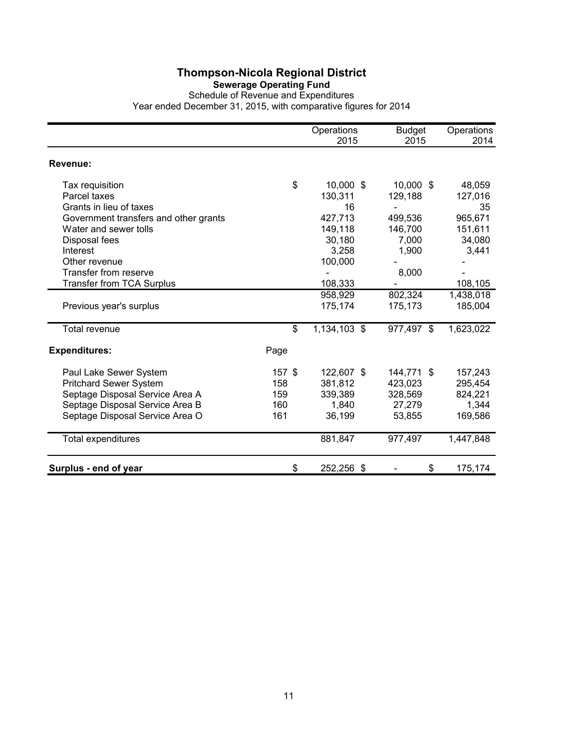#### **Sewerage Operating Fund**

Schedule of Revenue and Expenditures Year ended December 31, 2015, with comparative figures for 2014

|                                                                                                                                                                  |                                      | Operations<br>2015                                                  | <b>Budget</b><br>2015                                        | Operations<br>2014                                               |
|------------------------------------------------------------------------------------------------------------------------------------------------------------------|--------------------------------------|---------------------------------------------------------------------|--------------------------------------------------------------|------------------------------------------------------------------|
| Revenue:                                                                                                                                                         |                                      |                                                                     |                                                              |                                                                  |
| Tax requisition<br>Parcel taxes<br>Grants in lieu of taxes<br>Government transfers and other grants<br>Water and sewer tolls<br>Disposal fees<br>Interest        | \$                                   | 10,000 \$<br>130,311<br>16<br>427,713<br>149,118<br>30,180<br>3,258 | 10,000 \$<br>129,188<br>499,536<br>146,700<br>7,000<br>1,900 | 48,059<br>127,016<br>35<br>965,671<br>151,611<br>34,080<br>3,441 |
| Other revenue<br>Transfer from reserve<br><b>Transfer from TCA Surplus</b>                                                                                       |                                      | 100,000<br>108,333                                                  | 8,000                                                        | 108,105                                                          |
| Previous year's surplus                                                                                                                                          |                                      | 958,929<br>175,174                                                  | 802,324<br>175,173                                           | 1,438,018<br>185,004                                             |
| <b>Total revenue</b>                                                                                                                                             | \$                                   | 1,134,103 \$                                                        | 977,497 \$                                                   | 1,623,022                                                        |
| <b>Expenditures:</b>                                                                                                                                             | Page                                 |                                                                     |                                                              |                                                                  |
| Paul Lake Sewer System<br><b>Pritchard Sewer System</b><br>Septage Disposal Service Area A<br>Septage Disposal Service Area B<br>Septage Disposal Service Area O | $157$ \$<br>158<br>159<br>160<br>161 | 122,607 \$<br>381,812<br>339,389<br>1,840<br>36,199                 | 144,771 \$<br>423,023<br>328,569<br>27,279<br>53,855         | 157,243<br>295,454<br>824,221<br>1,344<br>169,586                |
| Total expenditures                                                                                                                                               |                                      | 881,847                                                             | 977,497                                                      | 1,447,848                                                        |
| Surplus - end of year                                                                                                                                            | \$                                   | 252,256 \$                                                          | \$                                                           | 175,174                                                          |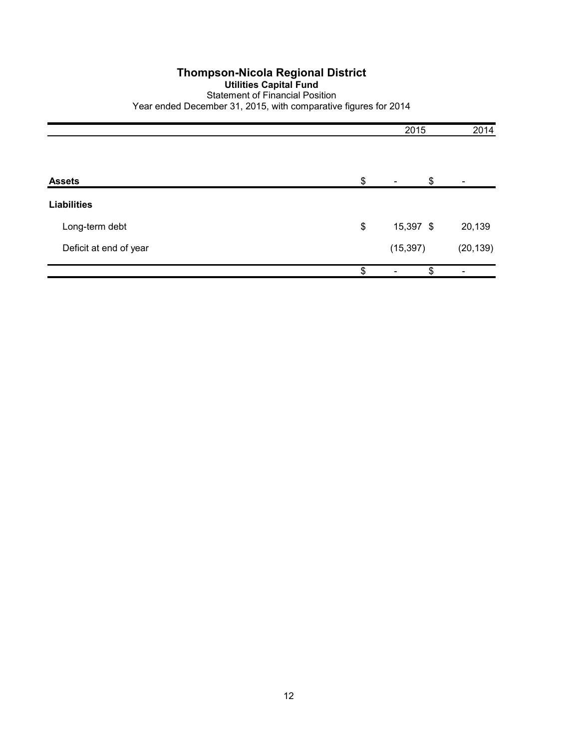#### **Thompson-Nicola Regional District Utilities Capital Fund** Statement of Financial Position Year ended December 31, 2015, with comparative figures for 2014

|                        | 2015            |           |
|------------------------|-----------------|-----------|
|                        |                 |           |
| <b>Assets</b>          | \$<br>\$        |           |
| <b>Liabilities</b>     |                 |           |
| Long-term debt         | \$<br>15,397 \$ | 20,139    |
| Deficit at end of year | (15, 397)       | (20, 139) |
|                        | \$<br>\$        |           |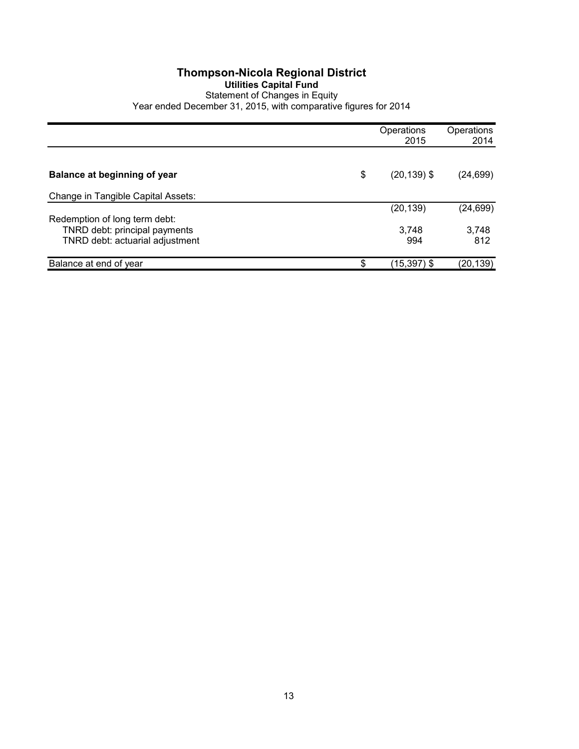#### **Thompson-Nicola Regional District Utilities Capital Fund** Statement of Changes in Equity Year ended December 31, 2015, with comparative figures for 2014

|                                     | Operations<br>2015   | Operations<br>2014 |
|-------------------------------------|----------------------|--------------------|
|                                     |                      |                    |
| <b>Balance at beginning of year</b> | \$<br>$(20, 139)$ \$ | (24, 699)          |
| Change in Tangible Capital Assets:  |                      |                    |
|                                     | (20, 139)            | (24, 699)          |
| Redemption of long term debt:       |                      |                    |
| TNRD debt: principal payments       | 3,748                | 3,748              |
| TNRD debt: actuarial adjustment     | 994                  | 812                |
| Balance at end of year              | \$<br>(15,397) \$    | (20,139)           |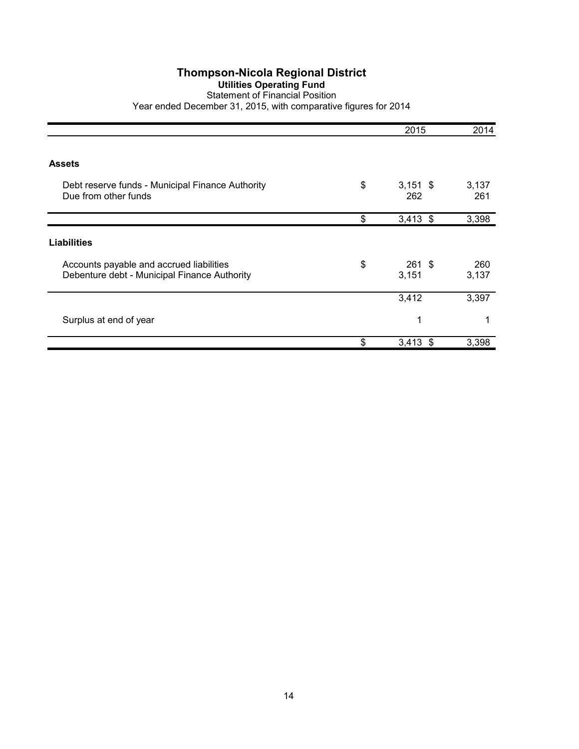## **Utilities Operating Fund**

#### Statement of Financial Position Year ended December 31, 2015, with comparative figures for 2014

|                                                                                          | 2015                    | 2014         |
|------------------------------------------------------------------------------------------|-------------------------|--------------|
| <b>Assets</b>                                                                            |                         |              |
| Debt reserve funds - Municipal Finance Authority<br>Due from other funds                 | \$<br>$3,151$ \$<br>262 | 3,137<br>261 |
|                                                                                          | \$<br>$3,413$ \$        | 3,398        |
| <b>Liabilities</b>                                                                       |                         |              |
| Accounts payable and accrued liabilities<br>Debenture debt - Municipal Finance Authority | \$<br>261S<br>3,151     | 260<br>3,137 |
|                                                                                          | 3,412                   | 3,397        |
| Surplus at end of year                                                                   | 1                       |              |
|                                                                                          | \$<br>$3,413$ \$        | 3,398        |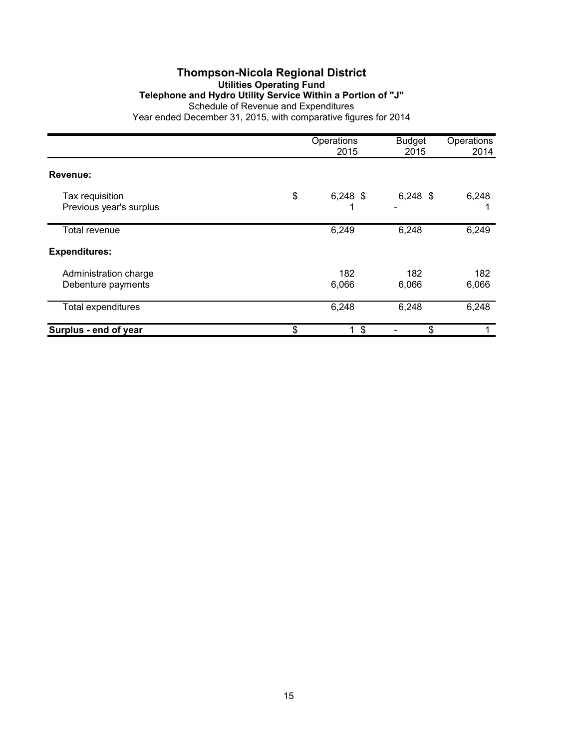#### **Thompson-Nicola Regional District Utilities Operating Fund Telephone and Hydro Utility Service Within a Portion of "J"** Schedule of Revenue and Expenditures Year ended December 31, 2015, with comparative figures for 2014

|                                             | Operations<br>2015                   | <b>Budget</b><br>2015 | Operations<br>2014 |
|---------------------------------------------|--------------------------------------|-----------------------|--------------------|
| Revenue:                                    |                                      |                       |                    |
| Tax requisition<br>Previous year's surplus  | \$<br>$6,248$ \$                     | $6,248$ \$            | 6,248              |
| <b>Total revenue</b>                        | 6,249                                | 6,248                 | 6,249              |
| <b>Expenditures:</b>                        |                                      |                       |                    |
| Administration charge<br>Debenture payments | 182<br>6,066                         | 182<br>6,066          | 182<br>6,066       |
| <b>Total expenditures</b>                   | 6,248                                | 6,248                 | 6,248              |
| Surplus - end of year                       | \$<br>$\boldsymbol{\mathsf{S}}$<br>1 | \$                    |                    |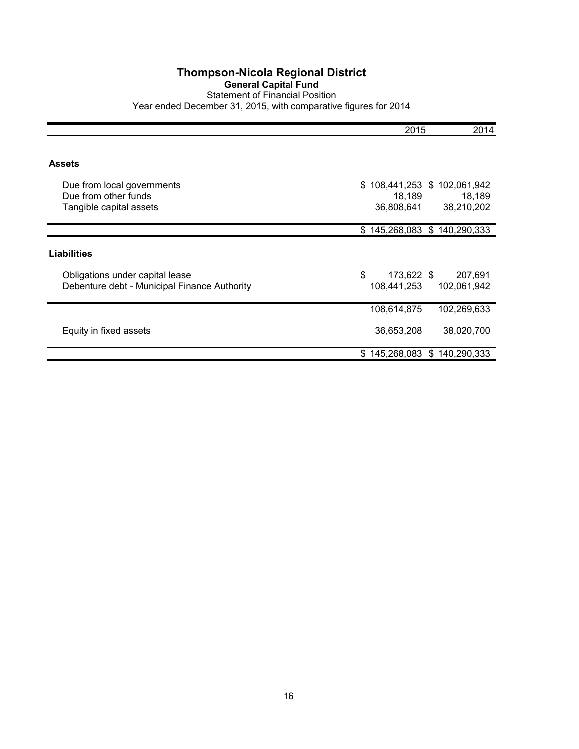#### **Thompson-Nicola Regional District General Capital Fund** Statement of Financial Position Year ended December 31, 2015, with comparative figures for 2014

|                                                                                 | 2015                                                      | 2014                   |
|---------------------------------------------------------------------------------|-----------------------------------------------------------|------------------------|
| Assets                                                                          |                                                           |                        |
| Due from local governments<br>Due from other funds<br>Tangible capital assets   | 108,441,253 \$ 102,061,942<br>\$.<br>18,189<br>36,808,641 | 18,189<br>38,210,202   |
|                                                                                 | \$145,268,083 \$140,290,333                               |                        |
| Liabilities                                                                     |                                                           |                        |
| Obligations under capital lease<br>Debenture debt - Municipal Finance Authority | \$<br>173,622 \$<br>108,441,253                           | 207,691<br>102,061,942 |
|                                                                                 | 108,614,875                                               | 102,269,633            |
| Equity in fixed assets                                                          | 36,653,208                                                | 38,020,700             |
|                                                                                 | \$145,268,083 \$140,290,333                               |                        |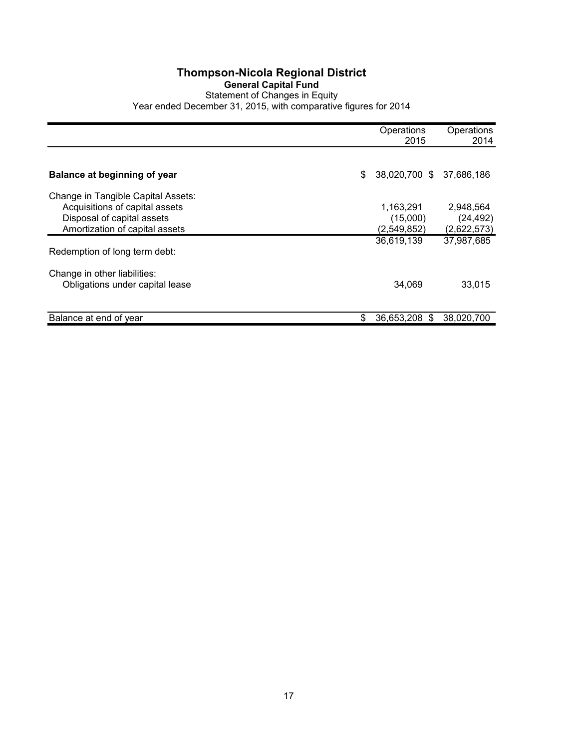#### **Thompson-Nicola Regional District General Capital Fund** Statement of Changes in Equity Year ended December 31, 2015, with comparative figures for 2014

|                                    | Operations<br>2015             | Operations<br>2014 |
|------------------------------------|--------------------------------|--------------------|
|                                    |                                |                    |
| Balance at beginning of year       | \$<br>38,020,700 \$ 37,686,186 |                    |
| Change in Tangible Capital Assets: |                                |                    |
| Acquisitions of capital assets     | 1,163,291                      | 2,948,564          |
| Disposal of capital assets         | (15,000)                       | (24, 492)          |
| Amortization of capital assets     | (2,549,852)                    | (2,622,573)        |
|                                    | 36,619,139                     | 37,987,685         |
| Redemption of long term debt:      |                                |                    |
| Change in other liabilities:       |                                |                    |
| Obligations under capital lease    | 34.069                         | 33,015             |
| Balance at end of year             | \$<br>36,653,208 \$            | 38,020,700         |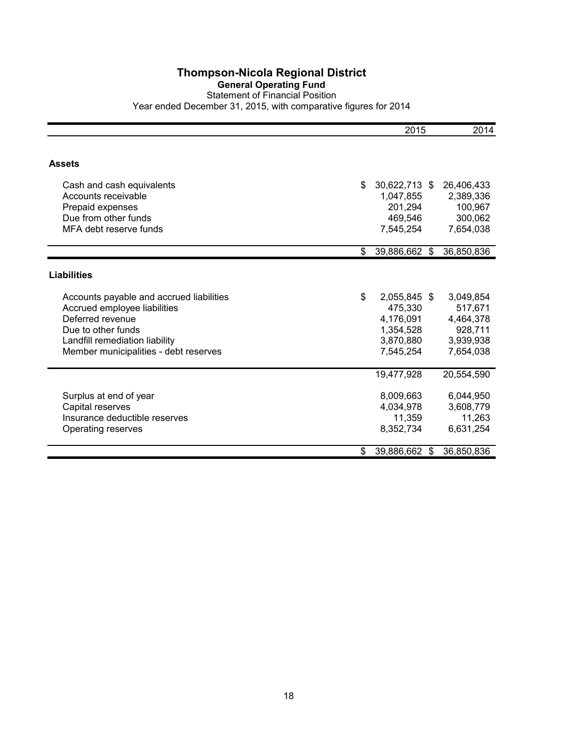#### **General Operating Fund** Statement of Financial Position

|                                          | 2015                   | 2014       |
|------------------------------------------|------------------------|------------|
|                                          |                        |            |
| <b>Assets</b>                            |                        |            |
| Cash and cash equivalents                | \$<br>30,622,713 \$    | 26,406,433 |
| Accounts receivable                      | 1,047,855              | 2,389,336  |
| Prepaid expenses                         | 201,294                | 100,967    |
| Due from other funds                     | 469,546                | 300,062    |
| MFA debt reserve funds                   | 7,545,254              | 7,654,038  |
|                                          | \$<br>39,886,662 \$    | 36,850,836 |
| <b>Liabilities</b>                       |                        |            |
|                                          |                        |            |
| Accounts payable and accrued liabilities | \$<br>2,055,845 \$     | 3,049,854  |
| Accrued employee liabilities             | 475,330                | 517,671    |
| Deferred revenue                         | 4,176,091              | 4,464,378  |
| Due to other funds                       | 1,354,528              | 928,711    |
| Landfill remediation liability           | 3,870,880              | 3,939,938  |
| Member municipalities - debt reserves    | 7,545,254              | 7,654,038  |
|                                          | 19,477,928             | 20,554,590 |
| Surplus at end of year                   | 8,009,663              | 6,044,950  |
| Capital reserves                         | 4,034,978              | 3,608,779  |
| Insurance deductible reserves            | 11,359                 | 11,263     |
| Operating reserves                       | 8,352,734              | 6,631,254  |
|                                          | \$<br>39,886,662<br>\$ | 36,850,836 |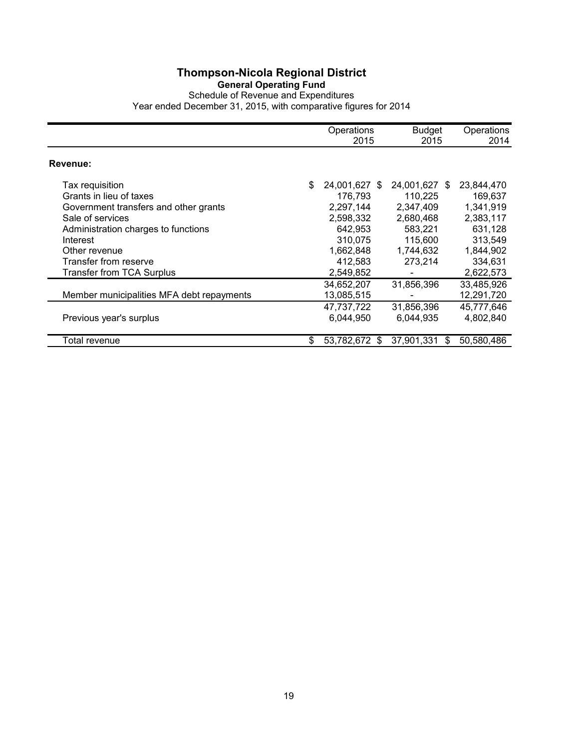#### **General Operating Fund**

Schedule of Revenue and Expenditures Year ended December 31, 2015, with comparative figures for 2014

|                                                                                                                                                                                                                                   | Operations<br>2015                                                                                                  | <b>Budget</b><br>2015                                                                            | Operations<br>2014                                                                                         |
|-----------------------------------------------------------------------------------------------------------------------------------------------------------------------------------------------------------------------------------|---------------------------------------------------------------------------------------------------------------------|--------------------------------------------------------------------------------------------------|------------------------------------------------------------------------------------------------------------|
| Revenue:                                                                                                                                                                                                                          |                                                                                                                     |                                                                                                  |                                                                                                            |
| Tax requisition<br>Grants in lieu of taxes<br>Government transfers and other grants<br>Sale of services<br>Administration charges to functions<br>Interest<br>Other revenue<br>Transfer from reserve<br>Transfer from TCA Surplus | \$<br>24,001,627 \$<br>176,793<br>2,297,144<br>2,598,332<br>642,953<br>310.075<br>1,662,848<br>412,583<br>2,549,852 | 24,001,627 \$<br>110,225<br>2,347,409<br>2,680,468<br>583,221<br>115,600<br>1,744,632<br>273,214 | 23,844,470<br>169,637<br>1,341,919<br>2,383,117<br>631,128<br>313,549<br>1,844,902<br>334,631<br>2,622,573 |
|                                                                                                                                                                                                                                   | 34,652,207                                                                                                          | 31,856,396                                                                                       | 33,485,926                                                                                                 |
| Member municipalities MFA debt repayments<br>Previous year's surplus                                                                                                                                                              | 13,085,515<br>47,737,722<br>6,044,950                                                                               | 31,856,396<br>6,044,935                                                                          | 12,291,720<br>45,777,646<br>4,802,840                                                                      |
| Total revenue                                                                                                                                                                                                                     | \$<br>53,782,672<br>- \$                                                                                            | 37.901.331<br>S                                                                                  | 50.580.486                                                                                                 |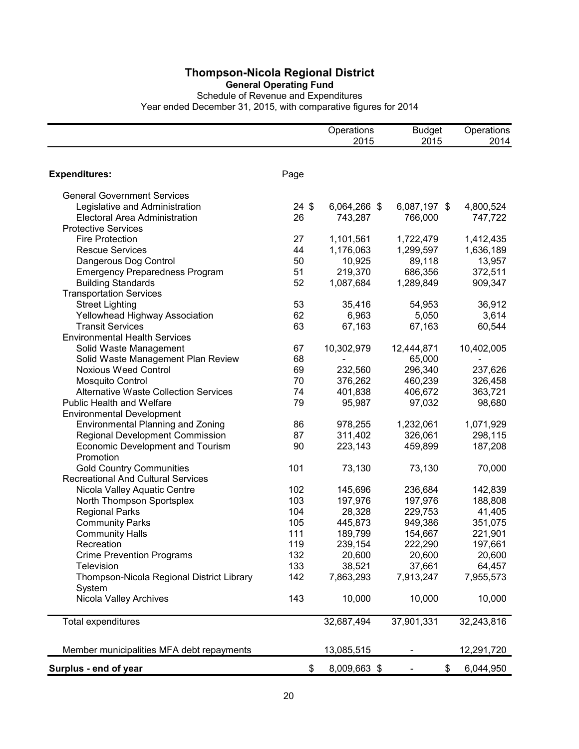**General Operating Fund**

Schedule of Revenue and Expenditures Year ended December 31, 2015, with comparative figures for 2014

|                                              |                 | Operations   | <b>Budget</b> | Operations |
|----------------------------------------------|-----------------|--------------|---------------|------------|
|                                              |                 | 2015         | 2015          | 2014       |
|                                              |                 |              |               |            |
| <b>Expenditures:</b>                         | Page            |              |               |            |
| <b>General Government Services</b>           |                 |              |               |            |
| Legislative and Administration               | $24 \text{ } $$ | 6,064,266 \$ | 6,087,197 \$  | 4,800,524  |
| Electoral Area Administration                | 26              | 743,287      | 766,000       | 747,722    |
| <b>Protective Services</b>                   |                 |              |               |            |
| <b>Fire Protection</b>                       | 27              | 1,101,561    | 1,722,479     | 1,412,435  |
| <b>Rescue Services</b>                       | 44              | 1,176,063    | 1,299,597     | 1,636,189  |
| Dangerous Dog Control                        | 50              | 10,925       | 89,118        | 13,957     |
| <b>Emergency Preparedness Program</b>        | 51              | 219,370      | 686,356       | 372,511    |
| <b>Building Standards</b>                    | 52              | 1,087,684    | 1,289,849     | 909,347    |
| <b>Transportation Services</b>               |                 |              |               |            |
| <b>Street Lighting</b>                       | 53              | 35,416       | 54,953        | 36,912     |
| Yellowhead Highway Association               | 62              | 6,963        | 5,050         | 3,614      |
| <b>Transit Services</b>                      | 63              | 67,163       | 67,163        | 60,544     |
| <b>Environmental Health Services</b>         |                 |              |               |            |
| Solid Waste Management                       | 67              | 10,302,979   | 12,444,871    | 10,402,005 |
| Solid Waste Management Plan Review           | 68              |              | 65,000        |            |
| <b>Noxious Weed Control</b>                  | 69              | 232,560      | 296,340       | 237,626    |
| <b>Mosquito Control</b>                      | 70              | 376,262      | 460,239       | 326,458    |
| <b>Alternative Waste Collection Services</b> | 74              | 401,838      | 406,672       | 363,721    |
| <b>Public Health and Welfare</b>             | 79              | 95,987       | 97,032        | 98,680     |
| <b>Environmental Development</b>             |                 |              |               |            |
| <b>Environmental Planning and Zoning</b>     | 86              | 978,255      | 1,232,061     | 1,071,929  |
| Regional Development Commission              | 87              | 311,402      | 326,061       | 298,115    |
| <b>Economic Development and Tourism</b>      | 90              | 223,143      | 459,899       | 187,208    |
| Promotion                                    |                 |              |               |            |
| <b>Gold Country Communities</b>              | 101             | 73,130       | 73,130        | 70,000     |
| <b>Recreational And Cultural Services</b>    |                 |              |               |            |
| Nicola Valley Aquatic Centre                 | 102             | 145,696      | 236,684       | 142,839    |
| North Thompson Sportsplex                    | 103             | 197,976      | 197,976       | 188,808    |
| <b>Regional Parks</b>                        | 104             | 28,328       | 229,753       | 41,405     |
| <b>Community Parks</b>                       | 105             | 445,873      | 949,386       | 351,075    |
| <b>Community Halls</b>                       | 111             | 189,799      | 154,667       | 221,901    |
| Recreation                                   | 119             | 239,154      | 222,290       | 197,661    |
| <b>Crime Prevention Programs</b>             | 132             | 20,600       | 20,600        | 20,600     |
| <b>Television</b>                            | 133             | 38,521       | 37,661        | 64,457     |
| Thompson-Nicola Regional District Library    | 142             | 7,863,293    | 7,913,247     | 7,955,573  |
| System                                       |                 |              |               |            |
| Nicola Valley Archives                       | 143             | 10,000       | 10,000        | 10,000     |
| Total expenditures                           |                 | 32,687,494   | 37,901,331    | 32,243,816 |
| Member municipalities MFA debt repayments    |                 | 13,085,515   |               | 12,291,720 |
| Surplus - end of year                        | \$              | 8,009,663 \$ | \$            | 6,044,950  |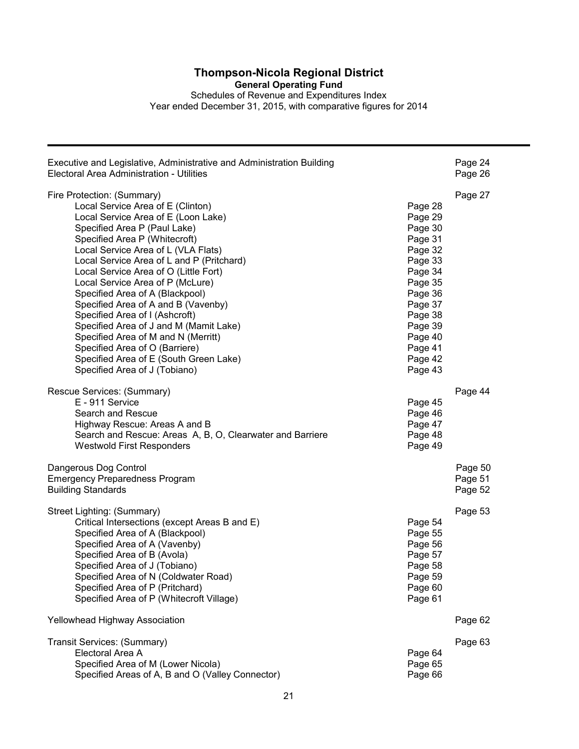**General Operating Fund** Schedules of Revenue and Expenditures Index Year ended December 31, 2015, with comparative figures for 2014

| Executive and Legislative, Administrative and Administration Building | Page 24 |
|-----------------------------------------------------------------------|---------|
| Electoral Area Administration - Utilities                             | Page 26 |
| Fire Protection: (Summary)                                            | Page 27 |
| Local Service Area of E (Clinton)                                     | Page 28 |
| Local Service Area of E (Loon Lake)                                   | Page 29 |
| Specified Area P (Paul Lake)                                          | Page 30 |
| Specified Area P (Whitecroft)                                         | Page 31 |
| Local Service Area of L (VLA Flats)                                   | Page 32 |
| Local Service Area of L and P (Pritchard)                             | Page 33 |
| Local Service Area of O (Little Fort)                                 | Page 34 |
| Local Service Area of P (McLure)                                      | Page 35 |
| Specified Area of A (Blackpool)                                       | Page 36 |
| Specified Area of A and B (Vavenby)                                   | Page 37 |
| Specified Area of I (Ashcroft)                                        | Page 38 |
| Specified Area of J and M (Mamit Lake)                                | Page 39 |
| Specified Area of M and N (Merritt)                                   | Page 40 |
| Specified Area of O (Barriere)                                        | Page 41 |
| Specified Area of E (South Green Lake)                                | Page 42 |
| Specified Area of J (Tobiano)                                         | Page 43 |
| Rescue Services: (Summary)                                            | Page 44 |
| E - 911 Service                                                       | Page 45 |
| Search and Rescue                                                     | Page 46 |
| Highway Rescue: Areas A and B                                         | Page 47 |
| Search and Rescue: Areas A, B, O, Clearwater and Barriere             | Page 48 |
| <b>Westwold First Responders</b>                                      | Page 49 |
| Dangerous Dog Control                                                 | Page 50 |
| <b>Emergency Preparedness Program</b>                                 | Page 51 |
| <b>Building Standards</b>                                             | Page 52 |
| Street Lighting: (Summary)                                            | Page 53 |
| Critical Intersections (except Areas B and E)                         | Page 54 |
| Specified Area of A (Blackpool)                                       | Page 55 |
| Specified Area of A (Vavenby)                                         | Page 56 |
| Specified Area of B (Avola)                                           | Page 57 |
| Specified Area of J (Tobiano)                                         | Page 58 |
| Specified Area of N (Coldwater Road)                                  | Page 59 |
| Specified Area of P (Pritchard)                                       | Page 60 |
| Specified Area of P (Whitecroft Village)                              | Page 61 |
| Yellowhead Highway Association                                        | Page 62 |
| Transit Services: (Summary)                                           | Page 63 |
| Electoral Area A                                                      | Page 64 |
| Specified Area of M (Lower Nicola)                                    | Page 65 |
| Specified Areas of A, B and O (Valley Connector)                      | Page 66 |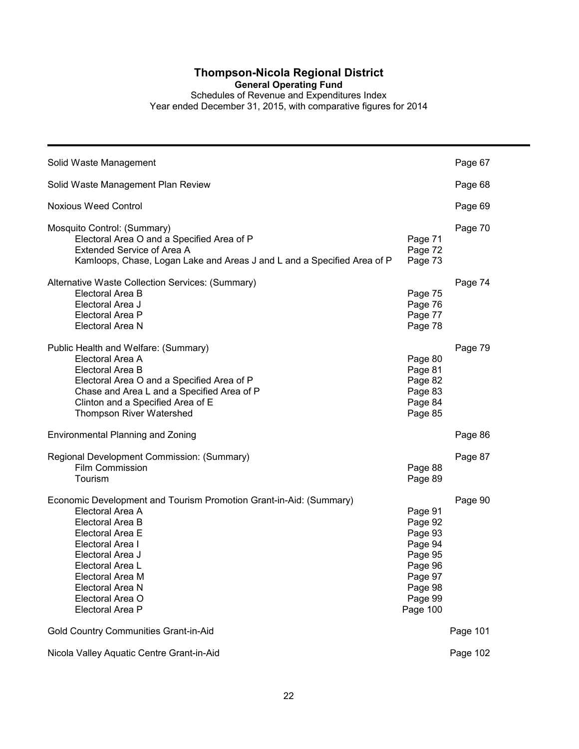**General Operating Fund**

Schedules of Revenue and Expenditures Index

| Solid Waste Management                                                                                                                                                                                                                                                     |                                                                                                             | Page 67  |
|----------------------------------------------------------------------------------------------------------------------------------------------------------------------------------------------------------------------------------------------------------------------------|-------------------------------------------------------------------------------------------------------------|----------|
| Solid Waste Management Plan Review                                                                                                                                                                                                                                         |                                                                                                             | Page 68  |
| <b>Noxious Weed Control</b>                                                                                                                                                                                                                                                |                                                                                                             | Page 69  |
| Mosquito Control: (Summary)<br>Electoral Area O and a Specified Area of P<br>Extended Service of Area A<br>Kamloops, Chase, Logan Lake and Areas J and L and a Specified Area of P                                                                                         | Page 71<br>Page 72<br>Page 73                                                                               | Page 70  |
| Alternative Waste Collection Services: (Summary)<br>Electoral Area B<br>Electoral Area J<br>Electoral Area P<br>Electoral Area N                                                                                                                                           | Page 75<br>Page 76<br>Page 77<br>Page 78                                                                    | Page 74  |
| Public Health and Welfare: (Summary)<br>Electoral Area A<br>Electoral Area B<br>Electoral Area O and a Specified Area of P<br>Chase and Area L and a Specified Area of P<br>Clinton and a Specified Area of E<br>Thompson River Watershed                                  | Page 80<br>Page 81<br>Page 82<br>Page 83<br>Page 84<br>Page 85                                              | Page 79  |
| Environmental Planning and Zoning                                                                                                                                                                                                                                          |                                                                                                             | Page 86  |
| Regional Development Commission: (Summary)<br>Film Commission<br>Tourism                                                                                                                                                                                                   | Page 88<br>Page 89                                                                                          | Page 87  |
| Economic Development and Tourism Promotion Grant-in-Aid: (Summary)<br>Electoral Area A<br>Electoral Area B<br>Electoral Area E<br>Electoral Area I<br>Electoral Area J<br>Electoral Area L<br>Electoral Area M<br>Electoral Area N<br>Electoral Area O<br>Electoral Area P | Page 91<br>Page 92<br>Page 93<br>Page 94<br>Page 95<br>Page 96<br>Page 97<br>Page 98<br>Page 99<br>Page 100 | Page 90  |
| Gold Country Communities Grant-in-Aid                                                                                                                                                                                                                                      |                                                                                                             | Page 101 |
| Nicola Valley Aquatic Centre Grant-in-Aid                                                                                                                                                                                                                                  |                                                                                                             | Page 102 |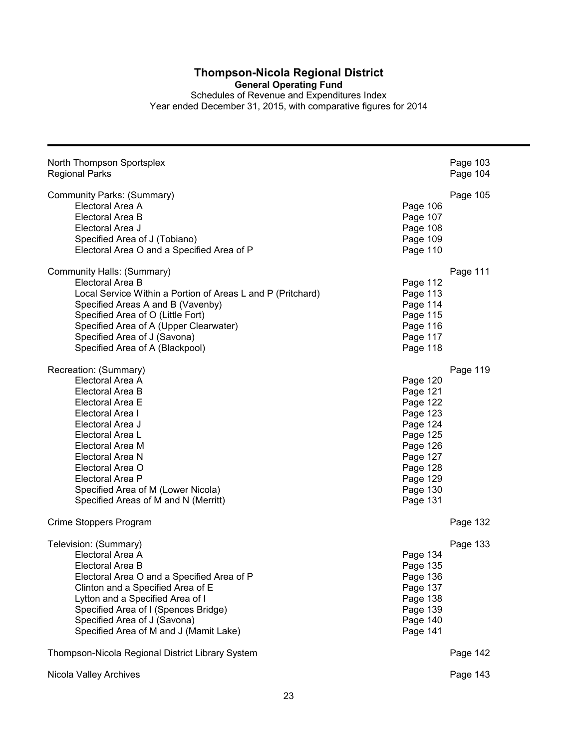**General Operating Fund**

Schedules of Revenue and Expenditures Index Year ended December 31, 2015, with comparative figures for 2014

| North Thompson Sportsplex<br><b>Regional Parks</b>                                                                                                                                                                                                                                                          |                                                                                                                                              | Page 103<br>Page 104 |
|-------------------------------------------------------------------------------------------------------------------------------------------------------------------------------------------------------------------------------------------------------------------------------------------------------------|----------------------------------------------------------------------------------------------------------------------------------------------|----------------------|
| Community Parks: (Summary)<br>Electoral Area A<br>Electoral Area B<br>Electoral Area J<br>Specified Area of J (Tobiano)<br>Electoral Area O and a Specified Area of P                                                                                                                                       | Page 106<br>Page 107<br>Page 108<br>Page 109<br>Page 110                                                                                     | Page 105             |
| Community Halls: (Summary)<br>Electoral Area B<br>Local Service Within a Portion of Areas L and P (Pritchard)<br>Specified Areas A and B (Vavenby)<br>Specified Area of O (Little Fort)<br>Specified Area of A (Upper Clearwater)<br>Specified Area of J (Savona)<br>Specified Area of A (Blackpool)        | Page 112<br>Page 113<br>Page 114<br>Page 115<br>Page 116<br>Page 117<br>Page 118                                                             | Page 111             |
| Recreation: (Summary)<br>Electoral Area A<br>Electoral Area B<br>Electoral Area E<br>Electoral Area I<br>Electoral Area J<br>Electoral Area L<br>Electoral Area M<br>Electoral Area N<br>Electoral Area O<br>Electoral Area P<br>Specified Area of M (Lower Nicola)<br>Specified Areas of M and N (Merritt) | Page 120<br>Page 121<br>Page 122<br>Page 123<br>Page 124<br>Page 125<br>Page 126<br>Page 127<br>Page 128<br>Page 129<br>Page 130<br>Page 131 | Page 119             |
| Crime Stoppers Program                                                                                                                                                                                                                                                                                      |                                                                                                                                              | Page 132             |
| Television: (Summary)<br>Electoral Area A<br>Electoral Area B<br>Electoral Area O and a Specified Area of P<br>Clinton and a Specified Area of E<br>Lytton and a Specified Area of I<br>Specified Area of I (Spences Bridge)<br>Specified Area of J (Savona)<br>Specified Area of M and J (Mamit Lake)      | Page 134<br>Page 135<br>Page 136<br>Page 137<br>Page 138<br>Page 139<br>Page 140<br>Page 141                                                 | Page 133             |
| Thompson-Nicola Regional District Library System                                                                                                                                                                                                                                                            |                                                                                                                                              | Page 142             |
| Nicola Valley Archives                                                                                                                                                                                                                                                                                      |                                                                                                                                              | Page 143             |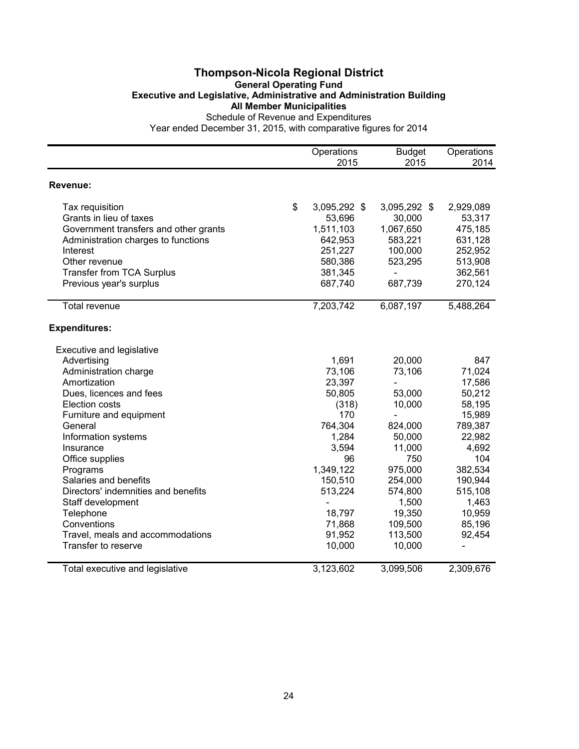#### **Thompson-Nicola Regional District General Operating Fund Executive and Legislative, Administrative and Administration Building All Member Municipalities** Schedule of Revenue and Expenditures

|                                       | Operations<br>2015 | <b>Budget</b><br>2015 | Operations<br>2014 |
|---------------------------------------|--------------------|-----------------------|--------------------|
|                                       |                    |                       |                    |
| Revenue:                              |                    |                       |                    |
| Tax requisition                       | \$<br>3,095,292 \$ | 3,095,292 \$          | 2,929,089          |
| Grants in lieu of taxes               | 53,696             | 30,000                | 53,317             |
| Government transfers and other grants | 1,511,103          | 1,067,650             | 475,185            |
| Administration charges to functions   | 642,953            | 583,221               | 631,128            |
| Interest                              | 251,227            | 100,000               | 252,952            |
| Other revenue                         | 580,386            | 523,295               | 513,908            |
| <b>Transfer from TCA Surplus</b>      | 381,345            | $\blacksquare$        | 362,561            |
| Previous year's surplus               | 687,740            | 687,739               | 270,124            |
| <b>Total revenue</b>                  | 7,203,742          | 6,087,197             | 5,488,264          |
| <b>Expenditures:</b>                  |                    |                       |                    |
| Executive and legislative             |                    |                       |                    |
| Advertising                           | 1,691              | 20,000                | 847                |
| Administration charge                 | 73,106             | 73,106                | 71,024             |
| Amortization                          | 23,397             |                       | 17,586             |
| Dues, licences and fees               | 50,805             | 53,000                | 50,212             |
| <b>Election costs</b>                 | (318)              | 10,000                | 58,195             |
| Furniture and equipment               | 170                |                       | 15,989             |
| General                               | 764,304            | 824,000               | 789,387            |
| Information systems                   | 1,284              | 50,000                | 22,982             |
| Insurance                             | 3,594              | 11,000                | 4,692              |
| Office supplies                       | 96                 | 750                   | 104                |
| Programs                              | 1,349,122          | 975,000               | 382,534            |
| Salaries and benefits                 | 150,510            | 254,000               | 190,944            |
| Directors' indemnities and benefits   | 513,224            | 574,800               | 515,108            |
| Staff development                     |                    | 1,500                 | 1,463              |
| Telephone                             | 18,797             | 19,350                | 10,959             |
| Conventions                           | 71,868             | 109,500               | 85,196             |
| Travel, meals and accommodations      | 91,952             | 113,500               | 92,454             |
| Transfer to reserve                   | 10,000             | 10,000                | ÷,                 |
| Total executive and legislative       | 3,123,602          | 3,099,506             | 2,309,676          |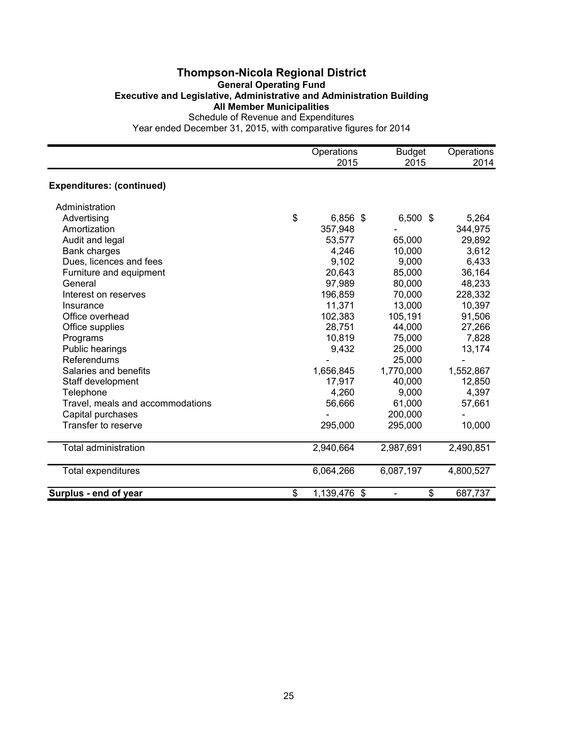#### **Thompson-Nicola Regional District General Operating Fund Executive and Legislative, Administrative and Administration Building All Member Municipalities** Schedule of Revenue and Expenditures

|                                  | Operations<br>2015 | <b>Budget</b><br>2015          | Operations<br>2014 |
|----------------------------------|--------------------|--------------------------------|--------------------|
| <b>Expenditures: (continued)</b> |                    |                                |                    |
| Administration                   |                    |                                |                    |
| Advertising                      | \$<br>6,856 \$     | $6,500$ \$                     | 5,264              |
| Amortization                     | 357,948            |                                | 344,975            |
| Audit and legal                  | 53,577             | 65,000                         | 29,892             |
| Bank charges                     | 4,246              | 10,000                         | 3,612              |
| Dues, licences and fees          | 9,102              | 9,000                          | 6,433              |
| Furniture and equipment          | 20,643             | 85,000                         | 36,164             |
| General                          | 97,989             | 80,000                         | 48,233             |
| Interest on reserves             | 196,859            | 70,000                         | 228,332            |
| Insurance                        | 11,371             | 13,000                         | 10,397             |
| Office overhead                  | 102,383            | 105,191                        | 91,506             |
| Office supplies                  | 28,751             | 44,000                         | 27,266             |
| Programs                         | 10,819             | 75,000                         | 7,828              |
| Public hearings                  | 9,432              | 25,000                         | 13,174             |
| Referendums                      |                    | 25,000                         |                    |
| Salaries and benefits            | 1,656,845          | 1,770,000                      | 1,552,867          |
| Staff development                | 17,917             | 40,000                         | 12,850             |
| Telephone                        | 4,260              | 9,000                          | 4,397              |
| Travel, meals and accommodations | 56,666             | 61,000                         | 57,661             |
| Capital purchases                |                    | 200,000                        |                    |
| Transfer to reserve              | 295,000            | 295,000                        | 10,000             |
| <b>Total administration</b>      | 2,940,664          | 2,987,691                      | 2,490,851          |
| <b>Total expenditures</b>        | 6,064,266          | 6,087,197                      | 4,800,527          |
| Surplus - end of year            | \$<br>1,139,476 \$ | \$<br>$\overline{\phantom{0}}$ | 687,737            |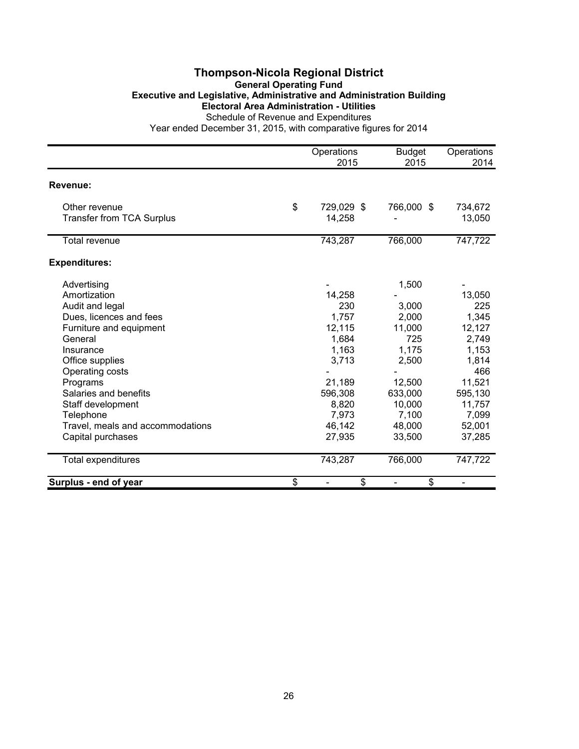#### **Thompson-Nicola Regional District General Operating Fund Executive and Legislative, Administrative and Administration Building Electoral Area Administration - Utilities** Schedule of Revenue and Expenditures

|                                                   | Operations<br>2015         | <b>Budget</b><br>2015 | Operations<br>2014 |
|---------------------------------------------------|----------------------------|-----------------------|--------------------|
|                                                   |                            |                       |                    |
| Revenue:                                          |                            |                       |                    |
| Other revenue<br><b>Transfer from TCA Surplus</b> | \$<br>729,029 \$<br>14,258 | 766,000 \$            | 734,672<br>13,050  |
| <b>Total revenue</b>                              | 743,287                    | 766,000               | 747,722            |
| <b>Expenditures:</b>                              |                            |                       |                    |
| Advertising                                       |                            | 1,500                 |                    |
| Amortization                                      | 14,258                     |                       | 13,050             |
| Audit and legal                                   | 230                        | 3,000                 | 225                |
| Dues, licences and fees                           | 1,757                      | 2,000                 | 1,345              |
| Furniture and equipment                           | 12,115                     | 11,000                | 12,127             |
| General                                           | 1,684                      | 725                   | 2,749              |
| Insurance                                         | 1,163                      | 1,175                 | 1,153              |
| Office supplies                                   | 3,713                      | 2,500                 | 1,814              |
| Operating costs                                   |                            |                       | 466                |
| Programs                                          | 21,189                     | 12,500                | 11,521             |
| Salaries and benefits                             | 596,308                    | 633,000               | 595,130            |
| Staff development                                 | 8,820                      | 10,000                | 11,757             |
| Telephone                                         | 7,973                      | 7,100                 | 7,099              |
| Travel, meals and accommodations                  | 46,142                     | 48,000                | 52,001             |
| Capital purchases                                 | 27,935                     | 33,500                | 37,285             |
| Total expenditures                                | 743,287                    | 766,000               | 747,722            |
| Surplus - end of year                             | \$<br>\$                   | \$<br>$\overline{a}$  | $\blacksquare$     |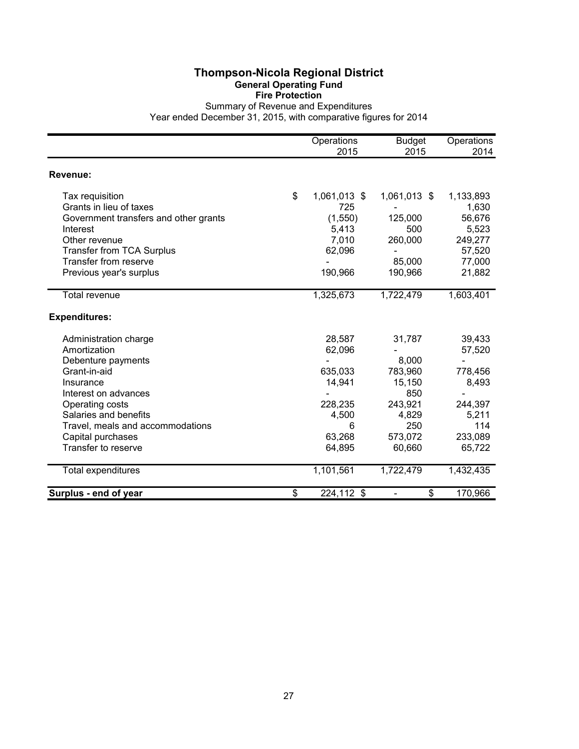#### **Thompson-Nicola Regional District General Operating Fund Fire Protection**

Summary of Revenue and Expenditures Year ended December 31, 2015, with comparative figures for 2014

|                                       | Operations<br>2015 | <b>Budget</b><br>2015 | Operations<br>2014 |
|---------------------------------------|--------------------|-----------------------|--------------------|
| Revenue:                              |                    |                       |                    |
| Tax requisition                       | \$<br>1,061,013 \$ | 1,061,013 \$          | 1,133,893          |
| Grants in lieu of taxes               | 725                |                       | 1,630              |
| Government transfers and other grants | (1,550)            | 125,000               | 56,676             |
| Interest                              | 5,413              | 500                   | 5,523              |
| Other revenue                         | 7,010              | 260,000               | 249,277            |
| <b>Transfer from TCA Surplus</b>      | 62,096             |                       | 57,520             |
| Transfer from reserve                 |                    | 85,000                | 77,000             |
| Previous year's surplus               | 190,966            | 190,966               | 21,882             |
| <b>Total revenue</b>                  | 1,325,673          | 1,722,479             | 1,603,401          |
| <b>Expenditures:</b>                  |                    |                       |                    |
| Administration charge                 | 28,587             | 31,787                | 39,433             |
| Amortization                          | 62,096             |                       | 57,520             |
| Debenture payments                    |                    | 8,000                 |                    |
| Grant-in-aid                          | 635,033            | 783,960               | 778,456            |
| Insurance                             | 14,941             | 15,150                | 8,493              |
| Interest on advances                  |                    | 850                   |                    |
| Operating costs                       | 228,235            | 243,921               | 244,397            |
| Salaries and benefits                 | 4,500              | 4,829                 | 5,211              |
| Travel, meals and accommodations      | 6                  | 250                   | 114                |
| Capital purchases                     | 63,268             | 573,072               | 233,089            |
| Transfer to reserve                   | 64,895             | 60,660                | 65,722             |
| Total expenditures                    | 1,101,561          | 1,722,479             | 1,432,435          |
| Surplus - end of year                 | \$<br>224,112 \$   | \$                    | 170,966            |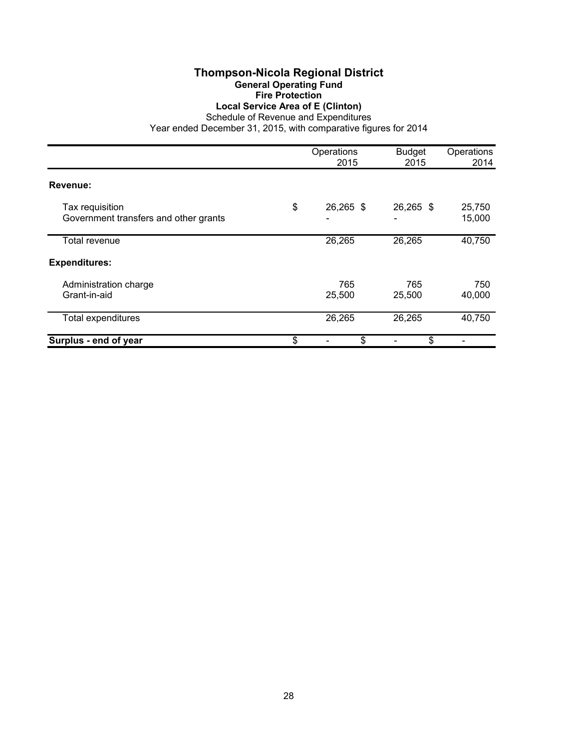#### **Thompson-Nicola Regional District General Operating Fund Fire Protection Local Service Area of E (Clinton)**

Schedule of Revenue and Expenditures

|                                                          | Operations<br>2015   | <b>Budget</b><br>2015 | Operations<br>2014 |
|----------------------------------------------------------|----------------------|-----------------------|--------------------|
| Revenue:                                                 |                      |                       |                    |
| Tax requisition<br>Government transfers and other grants | \$<br>26,265 \$<br>۰ | 26,265 \$             | 25,750<br>15,000   |
| Total revenue                                            | 26,265               | 26,265                | 40,750             |
| <b>Expenditures:</b>                                     |                      |                       |                    |
| Administration charge<br>Grant-in-aid                    | 765<br>25,500        | 765<br>25,500         | 750<br>40,000      |
| <b>Total expenditures</b>                                | 26,265               | 26,265                | 40,750             |
| Surplus - end of year                                    | \$<br>\$             | \$                    |                    |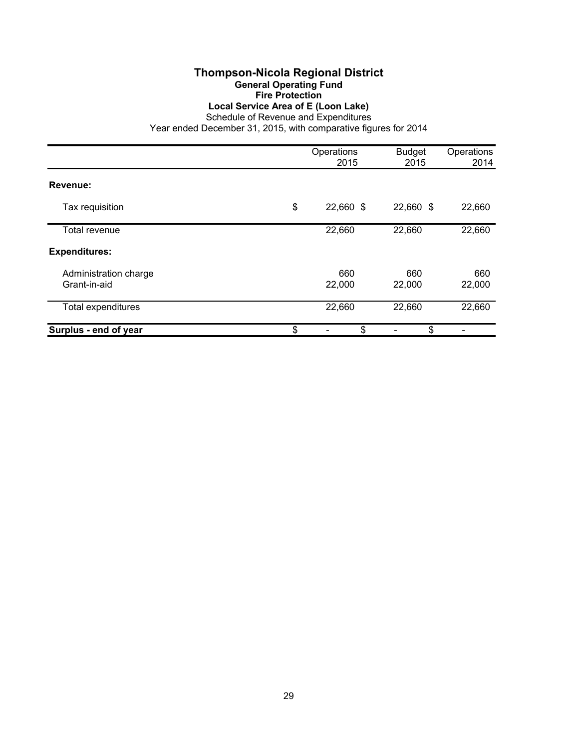#### **Thompson-Nicola Regional District General Operating Fund Fire Protection Local Service Area of E (Loon Lake)**

Schedule of Revenue and Expenditures

|                                       | Operations<br>2015 | <b>Budget</b><br>2015 | Operations<br>2014 |
|---------------------------------------|--------------------|-----------------------|--------------------|
| Revenue:                              |                    |                       |                    |
| Tax requisition                       | \$<br>22,660 \$    | 22,660 \$             | 22,660             |
| Total revenue                         | 22,660             | 22,660                | 22,660             |
| <b>Expenditures:</b>                  |                    |                       |                    |
| Administration charge<br>Grant-in-aid | 660<br>22,000      | 660<br>22,000         | 660<br>22,000      |
| Total expenditures                    | 22,660             | 22,660                | 22,660             |
| Surplus - end of year                 | \$<br>\$           | \$                    |                    |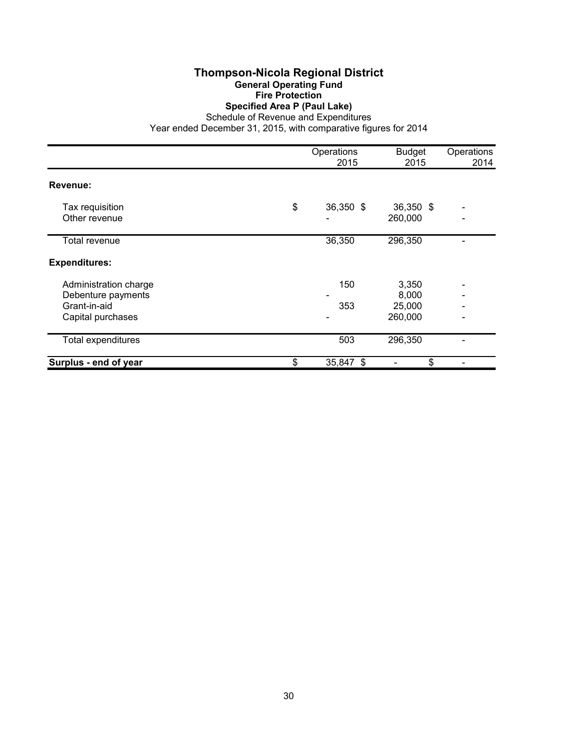#### **Thompson-Nicola Regional District General Operating Fund Fire Protection Specified Area P (Paul Lake)**

Schedule of Revenue and Expenditures

|                                                                                  | Operations<br>2015 | <b>Budget</b><br>2015               | Operations<br>2014 |
|----------------------------------------------------------------------------------|--------------------|-------------------------------------|--------------------|
| Revenue:                                                                         |                    |                                     |                    |
| Tax requisition<br>Other revenue                                                 | \$<br>36,350 \$    | 36,350 \$<br>260,000                |                    |
| Total revenue                                                                    | 36,350             | 296,350                             |                    |
| <b>Expenditures:</b>                                                             |                    |                                     |                    |
| Administration charge<br>Debenture payments<br>Grant-in-aid<br>Capital purchases | 150<br>353         | 3,350<br>8,000<br>25,000<br>260,000 |                    |
| Total expenditures                                                               | 503                | 296,350                             |                    |
| Surplus - end of year                                                            | \$<br>35,847 \$    | \$                                  |                    |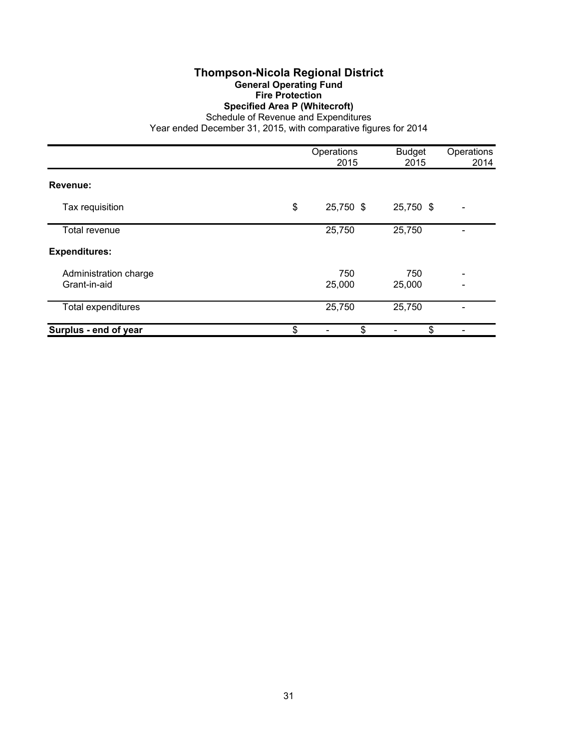#### **Thompson-Nicola Regional District General Operating Fund Fire Protection Specified Area P (Whitecroft)**

Schedule of Revenue and Expenditures

|                                       | Operations<br>2015 | <b>Budget</b><br>2015 | Operations<br>2014 |
|---------------------------------------|--------------------|-----------------------|--------------------|
| Revenue:                              |                    |                       |                    |
| Tax requisition                       | \$<br>25,750 \$    | 25,750 \$             |                    |
| Total revenue                         | 25,750             | 25,750                |                    |
| <b>Expenditures:</b>                  |                    |                       |                    |
| Administration charge<br>Grant-in-aid | 750<br>25,000      | 750<br>25,000         |                    |
| Total expenditures                    | 25,750             | 25,750                |                    |
| Surplus - end of year                 | \$<br>\$           | \$                    |                    |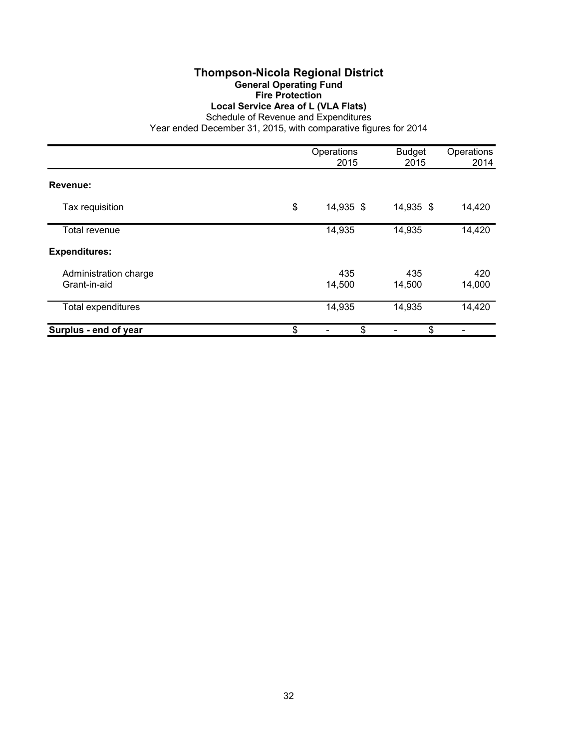#### **Thompson-Nicola Regional District General Operating Fund Fire Protection Local Service Area of L (VLA Flats)**

Schedule of Revenue and Expenditures

|                                       | Operations<br>2015 | <b>Budget</b><br>2015 | Operations<br>2014 |
|---------------------------------------|--------------------|-----------------------|--------------------|
| Revenue:                              |                    |                       |                    |
| Tax requisition                       | \$<br>14,935 \$    | 14,935 \$             | 14,420             |
| Total revenue                         | 14,935             | 14,935                | 14,420             |
| <b>Expenditures:</b>                  |                    |                       |                    |
| Administration charge<br>Grant-in-aid | 435<br>14,500      | 435<br>14,500         | 420<br>14,000      |
| Total expenditures                    | 14,935             | 14,935                | 14,420             |
| Surplus - end of year                 | \$<br>\$           | \$                    |                    |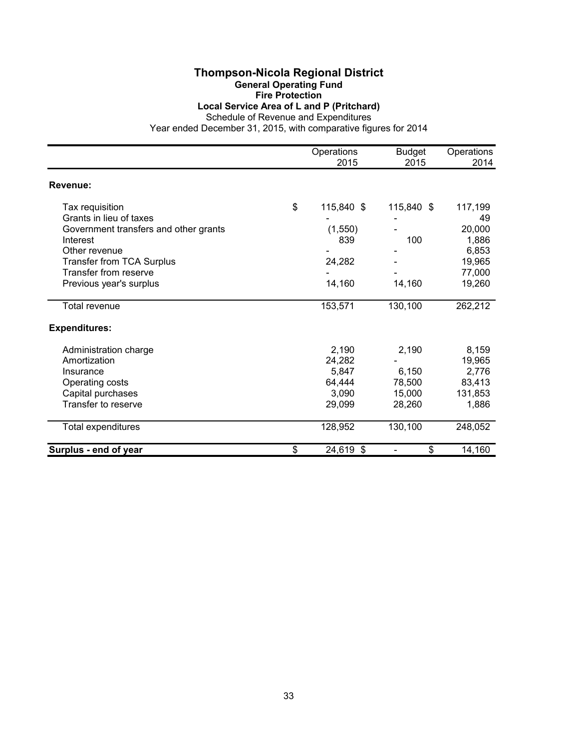#### **Thompson-Nicola Regional District General Operating Fund Fire Protection**

**Local Service Area of L and P (Pritchard)**

Schedule of Revenue and Expenditures

|                                       | Operations<br>2015 | <b>Budget</b><br>2015 | Operations<br>2014 |
|---------------------------------------|--------------------|-----------------------|--------------------|
|                                       |                    |                       |                    |
| Revenue:                              |                    |                       |                    |
| Tax requisition                       | \$<br>115,840 \$   | 115,840 \$            | 117,199            |
| Grants in lieu of taxes               |                    |                       | 49                 |
| Government transfers and other grants | (1,550)            |                       | 20,000             |
| Interest                              | 839                | 100                   | 1,886              |
| Other revenue                         |                    |                       | 6,853              |
| Transfer from TCA Surplus             | 24,282             |                       | 19,965             |
| Transfer from reserve                 |                    |                       | 77,000             |
| Previous year's surplus               | 14,160             | 14,160                | 19,260             |
| Total revenue                         | 153,571            | 130,100               | 262,212            |
| <b>Expenditures:</b>                  |                    |                       |                    |
| Administration charge                 | 2,190              | 2,190                 | 8,159              |
| Amortization                          | 24,282             |                       | 19,965             |
| Insurance                             | 5,847              | 6.150                 | 2,776              |
| Operating costs                       | 64,444             | 78,500                | 83,413             |
| Capital purchases                     | 3,090              | 15,000                | 131,853            |
| Transfer to reserve                   | 29,099             | 28,260                | 1,886              |
| Total expenditures                    | 128,952            | 130,100               | 248,052            |
| Surplus - end of year                 | \$<br>24,619 \$    | \$                    | 14,160             |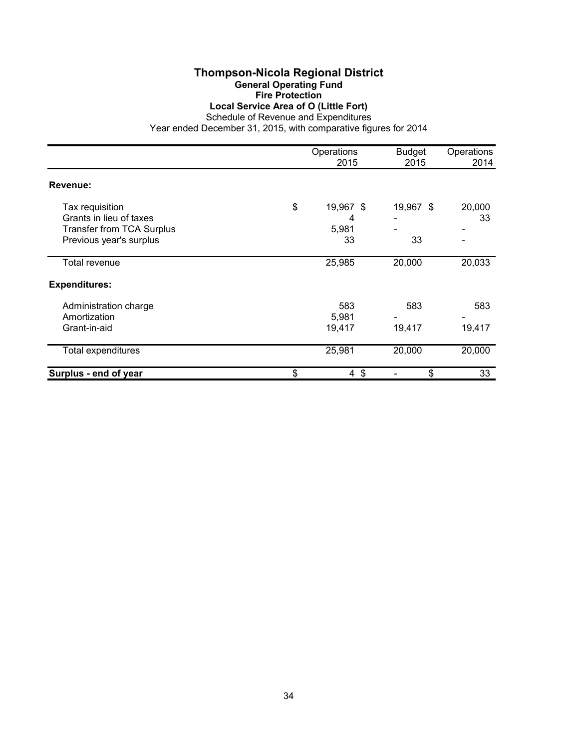### **Thompson-Nicola Regional District General Operating Fund Fire Protection Local Service Area of O (Little Fort)**

Schedule of Revenue and Expenditures

|                                                                                                           | Operations<br>2015                  | <b>Budget</b><br>2015 | Operations<br>2014 |
|-----------------------------------------------------------------------------------------------------------|-------------------------------------|-----------------------|--------------------|
| Revenue:                                                                                                  |                                     |                       |                    |
| Tax requisition<br>Grants in lieu of taxes<br><b>Transfer from TCA Surplus</b><br>Previous year's surplus | \$<br>19,967 \$<br>4<br>5,981<br>33 | 19,967 \$<br>33       | 20,000<br>33<br>-  |
| <b>Total revenue</b>                                                                                      | 25,985                              | 20,000                | 20,033             |
| <b>Expenditures:</b>                                                                                      |                                     |                       |                    |
| Administration charge<br>Amortization<br>Grant-in-aid                                                     | 583<br>5,981<br>19,417              | 583<br>19,417         | 583<br>19,417      |
| Total expenditures                                                                                        | 25,981                              | 20,000                | 20,000             |
| Surplus - end of year                                                                                     | \$<br>$4 \text{ } $$                | \$                    | 33                 |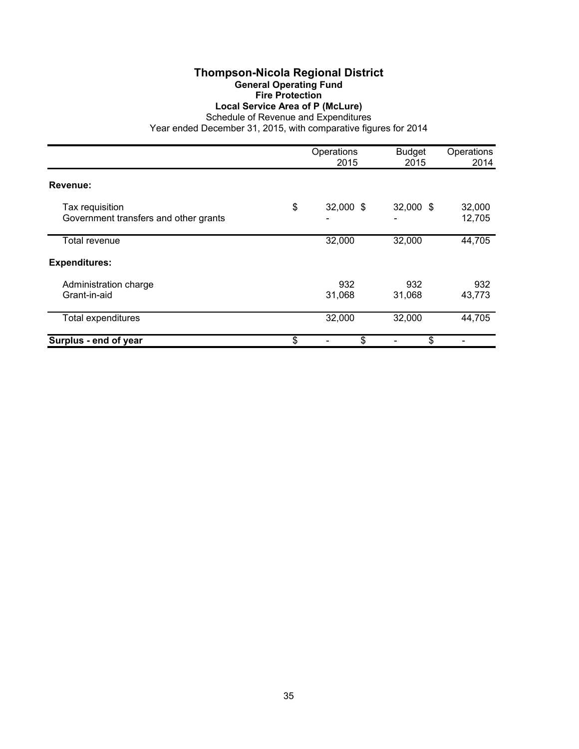## **Thompson-Nicola Regional District General Operating Fund Fire Protection Local Service Area of P (McLure)**

Schedule of Revenue and Expenditures

|                                                          | Operations<br>2015   | <b>Budget</b><br>2015 | Operations<br>2014 |
|----------------------------------------------------------|----------------------|-----------------------|--------------------|
| Revenue:                                                 |                      |                       |                    |
| Tax requisition<br>Government transfers and other grants | \$<br>32,000 \$<br>٠ | 32,000 \$             | 32,000<br>12,705   |
| Total revenue                                            | 32,000               | 32,000                | 44,705             |
| <b>Expenditures:</b>                                     |                      |                       |                    |
| Administration charge<br>Grant-in-aid                    | 932<br>31,068        | 932<br>31,068         | 932<br>43,773      |
| <b>Total expenditures</b>                                | 32,000               | 32,000                | 44,705             |
| Surplus - end of year                                    | \$<br>\$             | \$                    |                    |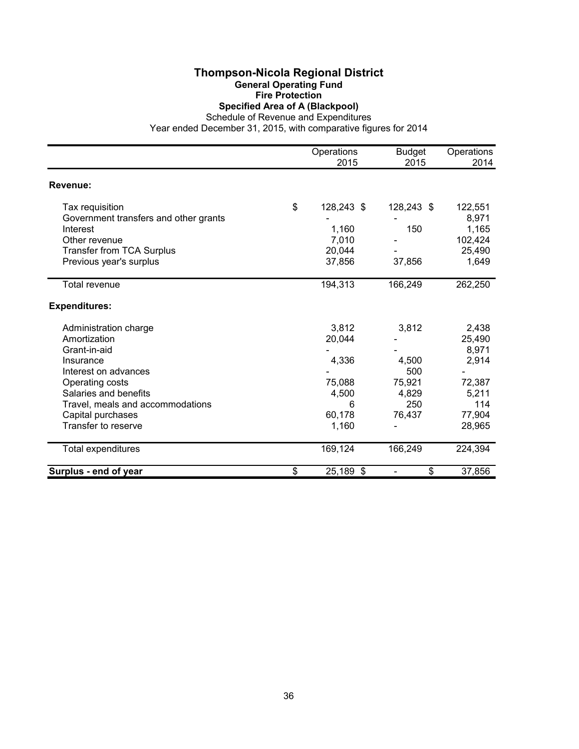### **Thompson-Nicola Regional District General Operating Fund Fire Protection Specified Area of A (Blackpool)**

Schedule of Revenue and Expenditures

|                                       | Operations        | <b>Budget</b> | Operations |
|---------------------------------------|-------------------|---------------|------------|
|                                       | 2015              | 2015          | 2014       |
| Revenue:                              |                   |               |            |
| Tax requisition                       | \$<br>128,243 \$  | 128,243 \$    | 122,551    |
| Government transfers and other grants |                   |               | 8,971      |
| Interest                              | 1,160             | 150           | 1,165      |
| Other revenue                         | 7,010             |               | 102,424    |
| <b>Transfer from TCA Surplus</b>      | 20,044            |               | 25,490     |
| Previous year's surplus               | 37,856            | 37,856        | 1,649      |
| Total revenue                         | 194,313           | 166,249       | 262,250    |
| <b>Expenditures:</b>                  |                   |               |            |
| Administration charge                 | 3,812             | 3,812         | 2,438      |
| Amortization                          | 20,044            |               | 25,490     |
| Grant-in-aid                          |                   |               | 8,971      |
| Insurance                             | 4,336             | 4,500         | 2,914      |
| Interest on advances                  |                   | 500           |            |
| Operating costs                       | 75,088            | 75,921        | 72,387     |
| Salaries and benefits                 | 4,500             | 4,829         | 5,211      |
| Travel, meals and accommodations      | 6                 | 250           | 114        |
| Capital purchases                     | 60,178            | 76,437        | 77,904     |
| Transfer to reserve                   | 1,160             |               | 28,965     |
| Total expenditures                    | 169,124           | 166,249       | 224,394    |
| Surplus - end of year                 | \$<br>$25,189$ \$ | \$            | 37,856     |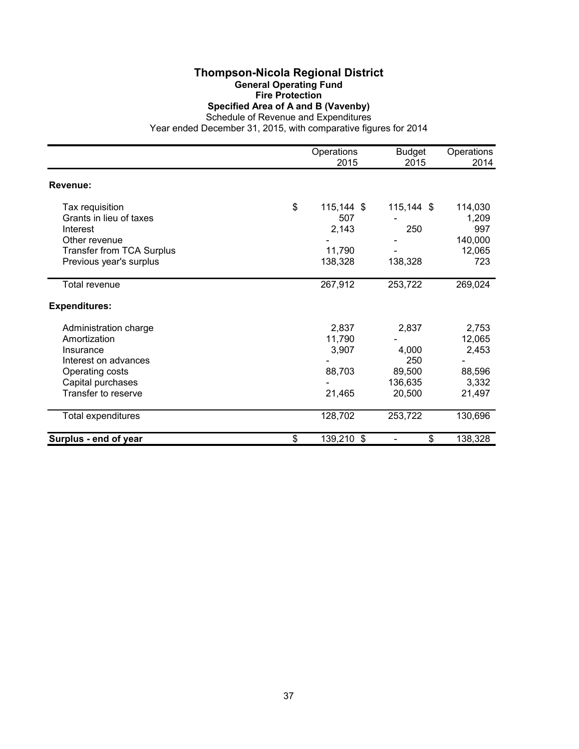# **Thompson-Nicola Regional District General Operating Fund Fire Protection Specified Area of A and B (Vavenby)**

Schedule of Revenue and Expenditures Year ended December 31, 2015, with comparative figures for 2014

|                                  | Operations       | <b>Budget</b> | Operations |
|----------------------------------|------------------|---------------|------------|
|                                  | 2015             | 2015          | 2014       |
| Revenue:                         |                  |               |            |
| Tax requisition                  | \$<br>115,144 \$ | 115,144 \$    | 114,030    |
| Grants in lieu of taxes          | 507              |               | 1,209      |
| Interest                         | 2,143            | 250           | 997        |
| Other revenue                    |                  |               | 140,000    |
| <b>Transfer from TCA Surplus</b> | 11,790           |               | 12,065     |
| Previous year's surplus          | 138,328          | 138,328       | 723        |
| Total revenue                    | 267,912          | 253,722       | 269,024    |
| <b>Expenditures:</b>             |                  |               |            |
| Administration charge            | 2,837            | 2,837         | 2,753      |
| Amortization                     | 11,790           |               | 12,065     |
| Insurance                        | 3,907            | 4,000         | 2,453      |
| Interest on advances             |                  | 250           |            |
| Operating costs                  | 88,703           | 89,500        | 88,596     |
| Capital purchases                |                  | 136,635       | 3,332      |
| Transfer to reserve              | 21,465           | 20,500        | 21,497     |
| Total expenditures               | 128,702          | 253,722       | 130,696    |
| Surplus - end of year            | \$<br>139,210 \$ | \$            | 138,328    |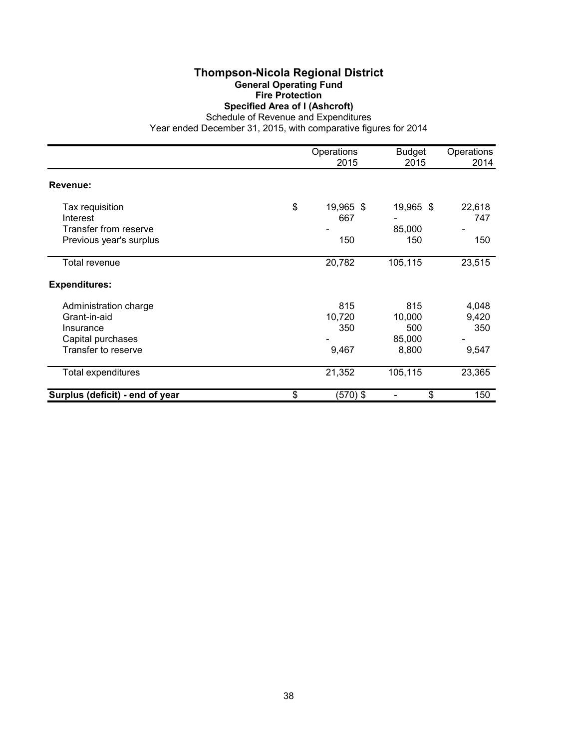### **Thompson-Nicola Regional District General Operating Fund Fire Protection Specified Area of I (Ashcroft)**

Schedule of Revenue and Expenditures

|                                 | Operations<br>2015 | <b>Budget</b><br>2015 | Operations<br>2014 |
|---------------------------------|--------------------|-----------------------|--------------------|
| Revenue:                        |                    |                       |                    |
| Tax requisition                 | \$<br>19,965 \$    | 19,965 \$             | 22,618             |
| Interest                        | 667                |                       | 747                |
| Transfer from reserve           |                    | 85,000                |                    |
| Previous year's surplus         | 150                | 150                   | 150                |
| Total revenue                   | 20,782             | 105,115               | 23,515             |
| <b>Expenditures:</b>            |                    |                       |                    |
| Administration charge           | 815                | 815                   | 4,048              |
| Grant-in-aid                    | 10,720             | 10,000                | 9,420              |
| Insurance                       | 350                | 500                   | 350                |
| Capital purchases               |                    | 85,000                |                    |
| Transfer to reserve             | 9,467              | 8,800                 | 9,547              |
| Total expenditures              | 21,352             | 105,115               | 23,365             |
| Surplus (deficit) - end of year | \$<br>$(570)$ \$   | \$                    | 150                |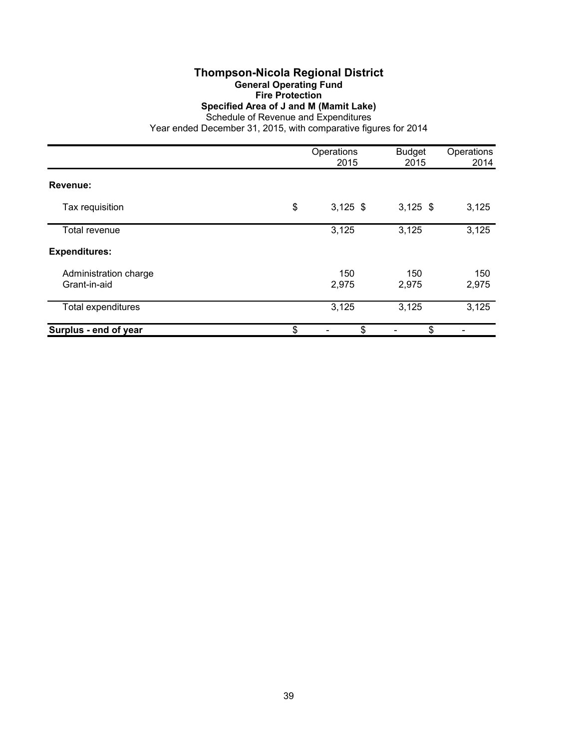### **Thompson-Nicola Regional District General Operating Fund Fire Protection Specified Area of J and M (Mamit Lake)** Schedule of Revenue and Expenditures

|                                       | Operations<br>2015 | <b>Budget</b><br>2015 | Operations<br>2014 |
|---------------------------------------|--------------------|-----------------------|--------------------|
| Revenue:                              |                    |                       |                    |
| Tax requisition                       | \$<br>$3,125$ \$   | $3,125$ \$            | 3,125              |
| Total revenue                         | 3,125              | 3,125                 | 3,125              |
| <b>Expenditures:</b>                  |                    |                       |                    |
| Administration charge<br>Grant-in-aid | 150<br>2,975       | 150<br>2,975          | 150<br>2,975       |
| Total expenditures                    | 3,125              | 3,125                 | 3,125              |
| Surplus - end of year                 | \$<br>\$           | \$                    |                    |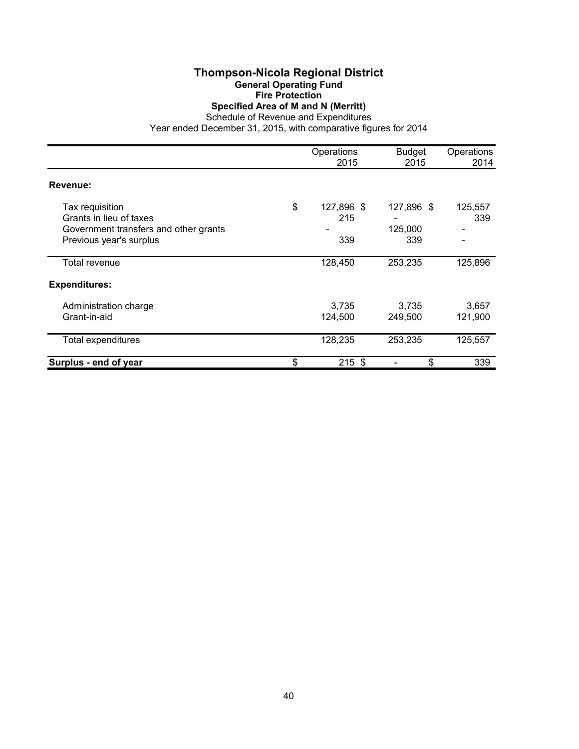### **Thompson-Nicola Regional District General Operating Fund Fire Protection Specified Area of M and N (Merritt)**

Schedule of Revenue and Expenditures

|                                                                                                                | Operations<br>2015             | <b>Budget</b><br>2015        | Operations<br>2014 |
|----------------------------------------------------------------------------------------------------------------|--------------------------------|------------------------------|--------------------|
| Revenue:                                                                                                       |                                |                              |                    |
| Tax requisition<br>Grants in lieu of taxes<br>Government transfers and other grants<br>Previous year's surplus | \$<br>127,896 \$<br>215<br>339 | 127,896 \$<br>125,000<br>339 | 125,557<br>339     |
| Total revenue                                                                                                  | 128,450                        | 253,235                      | 125,896            |
| <b>Expenditures:</b>                                                                                           |                                |                              |                    |
| Administration charge<br>Grant-in-aid                                                                          | 3,735<br>124,500               | 3,735<br>249,500             | 3,657<br>121,900   |
| <b>Total expenditures</b>                                                                                      | 128,235                        | 253,235                      | 125,557            |
| Surplus - end of year                                                                                          | \$<br>$215$ \$                 | \$                           | 339                |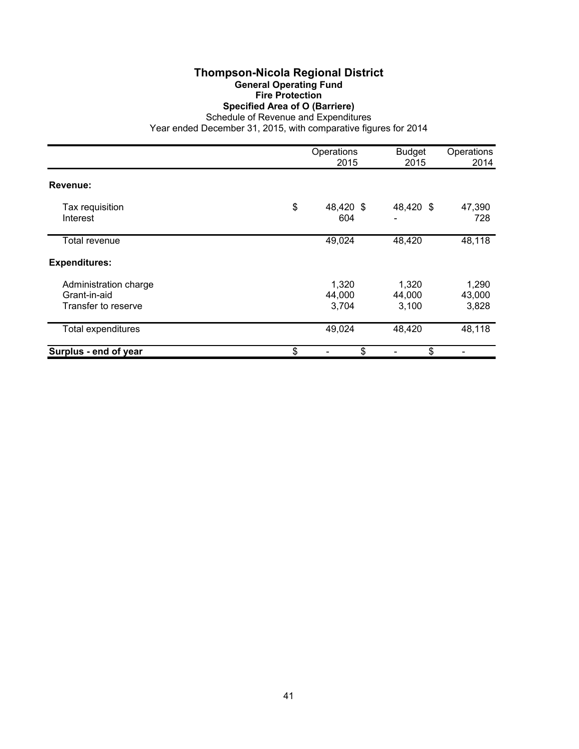# **Thompson-Nicola Regional District General Operating Fund Fire Protection Specified Area of O (Barriere)**

Schedule of Revenue and Expenditures

|                                                              | Operations<br>2015       | <b>Budget</b><br>2015    | Operations<br>2014       |
|--------------------------------------------------------------|--------------------------|--------------------------|--------------------------|
| Revenue:                                                     |                          |                          |                          |
| Tax requisition<br>Interest                                  | \$<br>48,420 \$<br>604   | 48,420 \$                | 47,390<br>728            |
| Total revenue                                                | 49,024                   | 48,420                   | 48,118                   |
| <b>Expenditures:</b>                                         |                          |                          |                          |
| Administration charge<br>Grant-in-aid<br>Transfer to reserve | 1,320<br>44,000<br>3,704 | 1,320<br>44,000<br>3,100 | 1,290<br>43,000<br>3,828 |
| <b>Total expenditures</b>                                    | 49,024                   | 48,420                   | 48,118                   |
| Surplus - end of year                                        | \$<br>\$                 | \$                       |                          |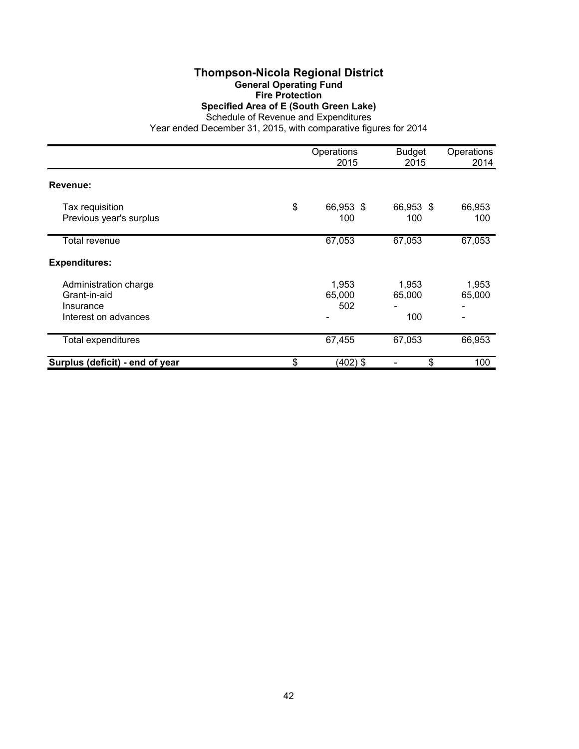### **Thompson-Nicola Regional District General Operating Fund Fire Protection Specified Area of E (South Green Lake)** Schedule of Revenue and Expenditures

|                                 | Operations<br>2015 | <b>Budget</b><br>2015 | Operations<br>2014 |
|---------------------------------|--------------------|-----------------------|--------------------|
| Revenue:                        |                    |                       |                    |
|                                 |                    |                       |                    |
| Tax requisition                 | \$<br>66,953 \$    | 66,953 \$             | 66,953             |
| Previous year's surplus         | 100                | 100                   | 100                |
| <b>Total revenue</b>            | 67,053             | 67,053                | 67,053             |
| <b>Expenditures:</b>            |                    |                       |                    |
| Administration charge           | 1,953              | 1,953                 | 1,953              |
| Grant-in-aid                    | 65,000             | 65,000                | 65,000             |
| Insurance                       | 502                |                       |                    |
| Interest on advances            |                    | 100                   |                    |
| Total expenditures              | 67,455             | 67,053                | 66,953             |
| Surplus (deficit) - end of year | \$<br>$(402)$ \$   | \$                    | 100                |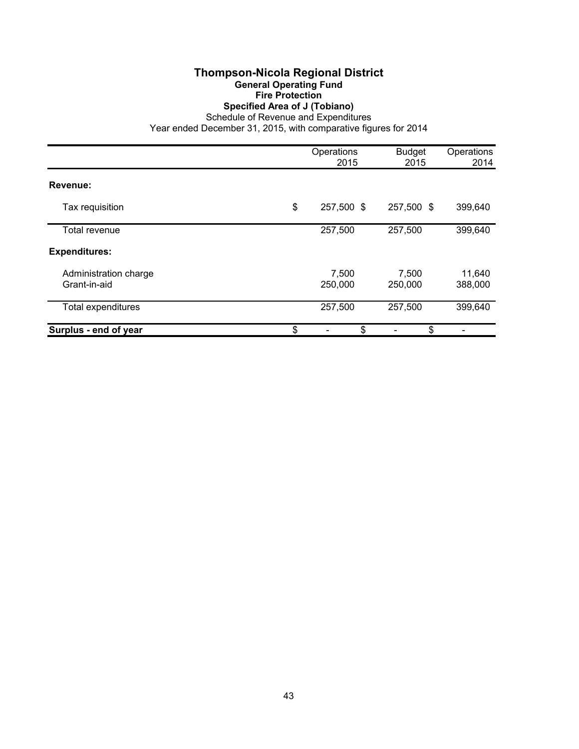## **Thompson-Nicola Regional District General Operating Fund Fire Protection Specified Area of J (Tobiano)**

Schedule of Revenue and Expenditures

|                                       | Operations<br>2015 | <b>Budget</b><br>2015 | Operations<br>2014 |
|---------------------------------------|--------------------|-----------------------|--------------------|
| Revenue:                              |                    |                       |                    |
| Tax requisition                       | \$<br>257,500 \$   | 257,500 \$            | 399,640            |
| Total revenue                         | 257,500            | 257,500               | 399,640            |
| <b>Expenditures:</b>                  |                    |                       |                    |
| Administration charge<br>Grant-in-aid | 7,500<br>250,000   | 7,500<br>250,000      | 11,640<br>388,000  |
| Total expenditures                    | 257,500            | 257,500               | 399,640            |
| Surplus - end of year                 | \$<br>\$           | \$                    |                    |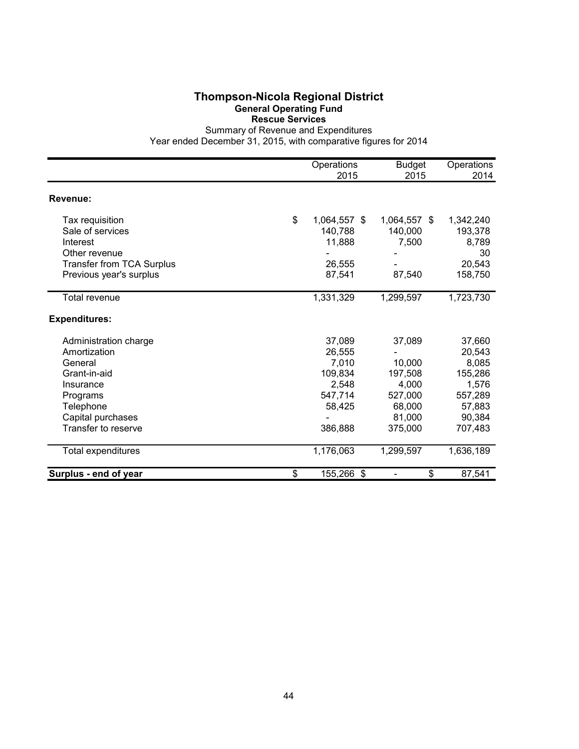#### **Thompson-Nicola Regional District General Operating Fund Rescue Services**

Summary of Revenue and Expenditures

|                                  | Operations<br>2015 | <b>Budget</b><br>2015 | Operations<br>2014 |
|----------------------------------|--------------------|-----------------------|--------------------|
| Revenue:                         |                    |                       |                    |
| Tax requisition                  | \$<br>1,064,557 \$ | 1,064,557 \$          | 1,342,240          |
| Sale of services                 | 140,788            | 140,000               | 193,378            |
| Interest                         | 11,888             | 7,500                 | 8,789              |
| Other revenue                    |                    |                       | 30                 |
| <b>Transfer from TCA Surplus</b> | 26,555             |                       | 20,543             |
| Previous year's surplus          | 87,541             | 87,540                | 158,750            |
| Total revenue                    | 1,331,329          | 1,299,597             | 1,723,730          |
| <b>Expenditures:</b>             |                    |                       |                    |
| Administration charge            | 37,089             | 37,089                | 37,660             |
| Amortization                     | 26,555             |                       | 20,543             |
| General                          | 7,010              | 10,000                | 8,085              |
| Grant-in-aid                     | 109,834            | 197,508               | 155,286            |
| Insurance                        | 2,548              | 4,000                 | 1,576              |
| Programs                         | 547,714            | 527,000               | 557,289            |
| Telephone                        | 58,425             | 68,000                | 57,883             |
| Capital purchases                |                    | 81,000                | 90,384             |
| Transfer to reserve              | 386,888            | 375,000               | 707,483            |
| Total expenditures               | 1,176,063          | 1,299,597             | 1,636,189          |
| Surplus - end of year            | \$<br>155,266 \$   | \$                    | 87,541             |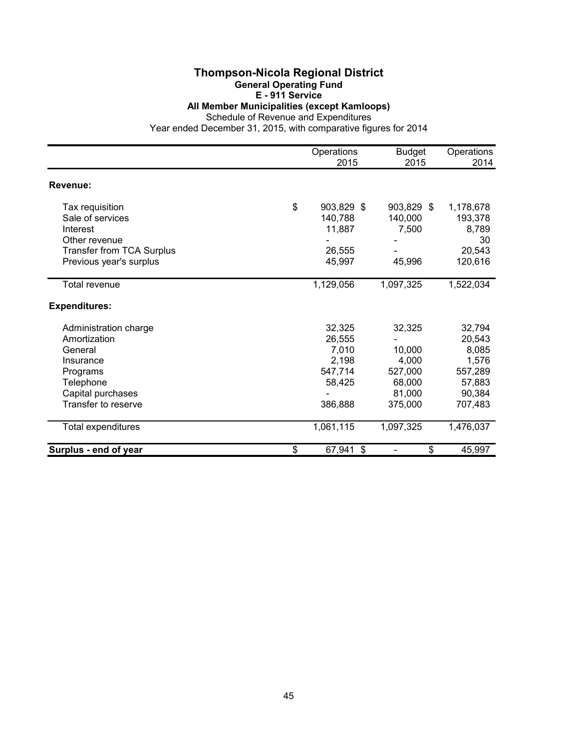### **Thompson-Nicola Regional District General Operating Fund E - 911 Service**

**All Member Municipalities (except Kamloops)**

Schedule of Revenue and Expenditures

|                                  | Operations<br>2015 | <b>Budget</b><br>2015 | Operations<br>2014 |
|----------------------------------|--------------------|-----------------------|--------------------|
| Revenue:                         |                    |                       |                    |
| Tax requisition                  | \$<br>903,829 \$   | 903,829 \$            | 1,178,678          |
| Sale of services                 | 140,788            | 140,000               | 193,378            |
| Interest                         | 11,887             | 7,500                 | 8,789              |
| Other revenue                    |                    |                       | 30                 |
| <b>Transfer from TCA Surplus</b> | 26,555             |                       | 20,543             |
| Previous year's surplus          | 45,997             | 45,996                | 120,616            |
| <b>Total revenue</b>             | 1,129,056          | 1,097,325             | 1,522,034          |
| <b>Expenditures:</b>             |                    |                       |                    |
| Administration charge            | 32,325             | 32,325                | 32,794             |
| Amortization                     | 26,555             |                       | 20,543             |
| General                          | 7,010              | 10,000                | 8,085              |
| Insurance                        | 2,198              | 4,000                 | 1,576              |
| Programs                         | 547,714            | 527,000               | 557,289            |
| Telephone                        | 58,425             | 68,000                | 57,883             |
| Capital purchases                |                    | 81,000                | 90,384             |
| Transfer to reserve              | 386,888            | 375,000               | 707,483            |
| Total expenditures               | 1,061,115          | 1,097,325             | 1,476,037          |
| Surplus - end of year            | \$<br>67,941 \$    | \$                    | 45,997             |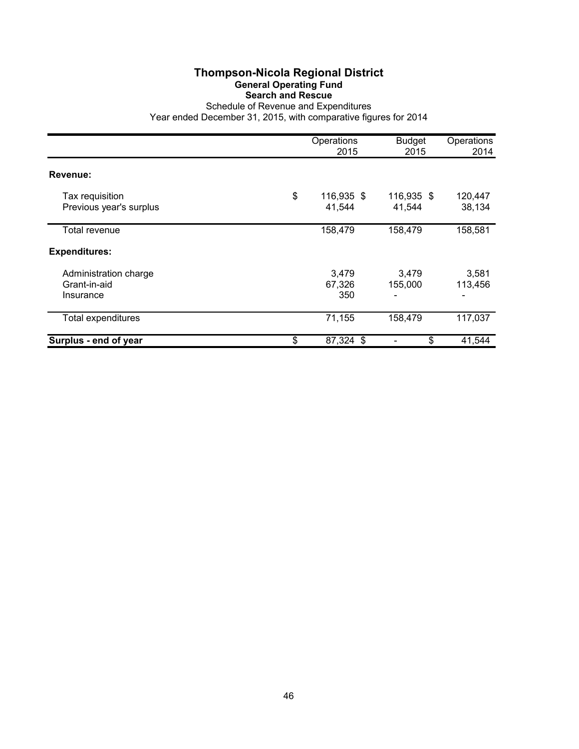# **Thompson-Nicola Regional District General Operating Fund Search and Rescue**

Schedule of Revenue and Expenditures Year ended December 31, 2015, with comparative figures for 2014

|                                                    | Operations<br>2015         | <b>Budget</b><br>2015 | Operations<br>2014 |
|----------------------------------------------------|----------------------------|-----------------------|--------------------|
| Revenue:                                           |                            |                       |                    |
| Tax requisition<br>Previous year's surplus         | \$<br>116,935 \$<br>41,544 | 116,935 \$<br>41,544  | 120,447<br>38,134  |
| Total revenue                                      | 158,479                    | 158,479               | 158,581            |
| <b>Expenditures:</b>                               |                            |                       |                    |
| Administration charge<br>Grant-in-aid<br>Insurance | 3,479<br>67,326<br>350     | 3,479<br>155,000      | 3,581<br>113,456   |
| Total expenditures                                 | 71,155                     | 158,479               | 117,037            |
| Surplus - end of year                              | \$<br>87,324 \$            | \$                    | 41,544             |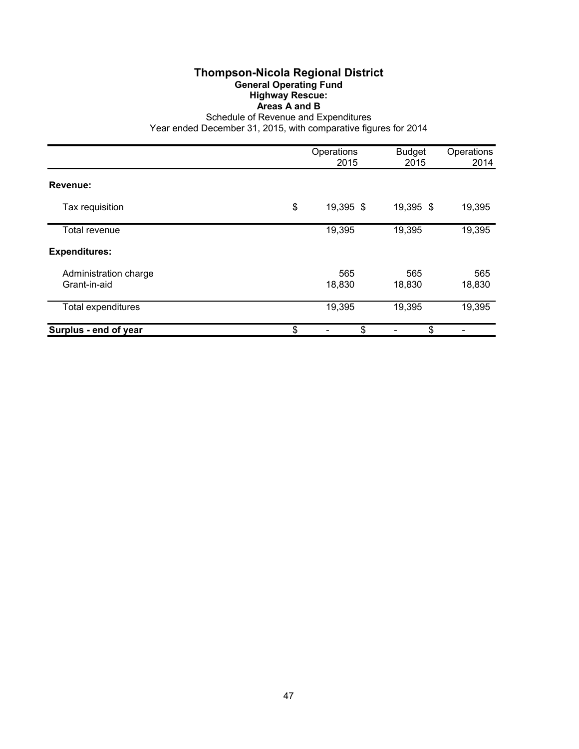### **Thompson-Nicola Regional District General Operating Fund Highway Rescue: Areas A and B**

Schedule of Revenue and Expenditures

|                                       | Operations<br>2015 | <b>Budget</b><br>2015 | Operations<br>2014 |
|---------------------------------------|--------------------|-----------------------|--------------------|
| Revenue:                              |                    |                       |                    |
| Tax requisition                       | \$<br>19,395 \$    | 19,395 \$             | 19,395             |
| Total revenue                         | 19,395             | 19,395                | 19,395             |
| <b>Expenditures:</b>                  |                    |                       |                    |
| Administration charge<br>Grant-in-aid | 565<br>18,830      | 565<br>18,830         | 565<br>18,830      |
| Total expenditures                    | 19,395             | 19,395                | 19,395             |
| Surplus - end of year                 | \$<br>\$           | \$                    |                    |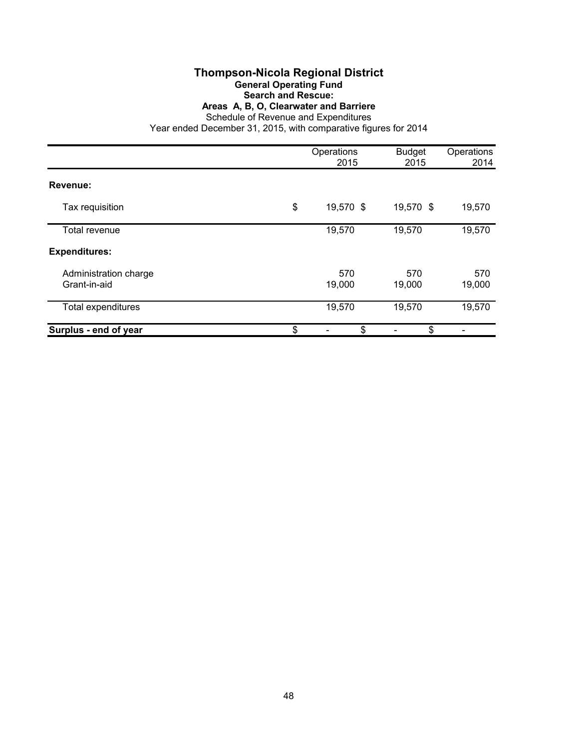## **Thompson-Nicola Regional District General Operating Fund**

# **Search and Rescue:**

**Areas A, B, O, Clearwater and Barriere**

Schedule of Revenue and Expenditures

|                                       | Operations<br>2015 | <b>Budget</b><br>2015 | Operations<br>2014 |
|---------------------------------------|--------------------|-----------------------|--------------------|
| Revenue:                              |                    |                       |                    |
| Tax requisition                       | \$<br>19,570 \$    | 19,570 \$             | 19,570             |
| Total revenue                         | 19,570             | 19,570                | 19,570             |
| <b>Expenditures:</b>                  |                    |                       |                    |
| Administration charge<br>Grant-in-aid | 570<br>19,000      | 570<br>19,000         | 570<br>19,000      |
| Total expenditures                    | 19,570             | 19,570                | 19,570             |
| Surplus - end of year                 | \$<br>\$           | \$                    |                    |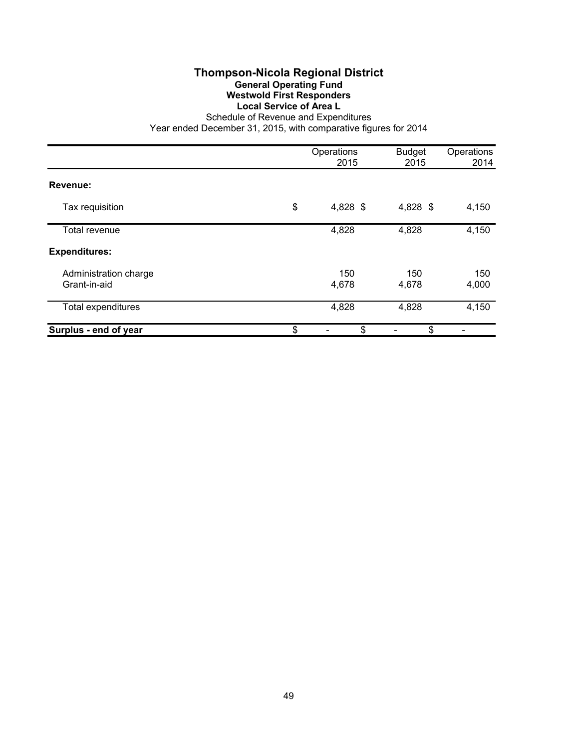# **Thompson-Nicola Regional District General Operating Fund Westwold First Responders Local Service of Area L**

Schedule of Revenue and Expenditures Year ended December 31, 2015, with comparative figures for 2014

|                                       | Operations<br>2015 | <b>Budget</b><br>2015 | Operations<br>2014 |
|---------------------------------------|--------------------|-----------------------|--------------------|
| Revenue:                              |                    |                       |                    |
| Tax requisition                       | \$<br>4,828 \$     | 4,828 \$              | 4,150              |
| Total revenue                         | 4,828              | 4,828                 | 4,150              |
| <b>Expenditures:</b>                  |                    |                       |                    |
| Administration charge<br>Grant-in-aid | 150<br>4,678       | 150<br>4,678          | 150<br>4,000       |
| Total expenditures                    | 4,828              | 4,828                 | 4,150              |
| Surplus - end of year                 | \$<br>\$           | \$                    |                    |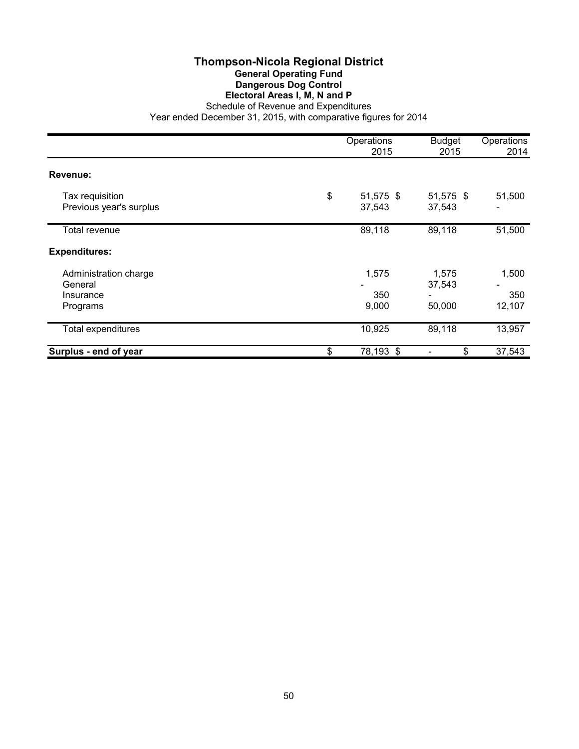### **Thompson-Nicola Regional District General Operating Fund Dangerous Dog Control Electoral Areas I, M, N and P** Schedule of Revenue and Expenditures

|                                                           | Operations<br>2015        | <b>Budget</b><br>2015     | Operations<br>2014     |
|-----------------------------------------------------------|---------------------------|---------------------------|------------------------|
| Revenue:                                                  |                           |                           |                        |
| Tax requisition<br>Previous year's surplus                | \$<br>51,575 \$<br>37,543 | 51,575 \$<br>37,543       | 51,500                 |
| Total revenue                                             | 89,118                    | 89,118                    | 51,500                 |
| <b>Expenditures:</b>                                      |                           |                           |                        |
| Administration charge<br>General<br>Insurance<br>Programs | 1,575<br>350<br>9,000     | 1,575<br>37,543<br>50,000 | 1,500<br>350<br>12,107 |
| Total expenditures                                        | 10,925                    | 89,118                    | 13,957                 |
| Surplus - end of year                                     | \$<br>78,193 \$           | \$                        | 37,543                 |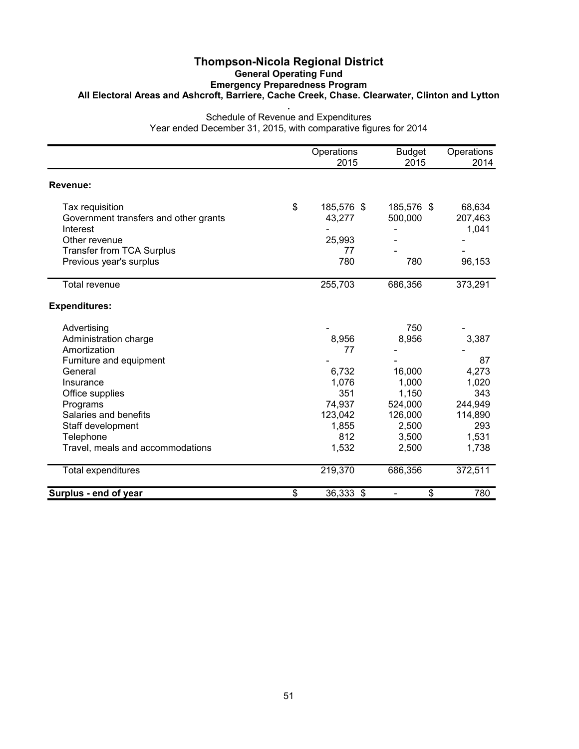### **Thompson-Nicola Regional District General Operating Fund Emergency Preparedness Program All Electoral Areas and Ashcroft, Barriere, Cache Creek, Chase. Clearwater, Clinton and Lytton .**

Schedule of Revenue and Expenditures Year ended December 31, 2015, with comparative figures for 2014

|                                       | Operations<br>2015 | <b>Budget</b><br>2015          | Operations<br>2014 |
|---------------------------------------|--------------------|--------------------------------|--------------------|
| Revenue:                              |                    |                                |                    |
| Tax requisition                       | \$<br>185,576 \$   | 185,576 \$                     | 68,634             |
| Government transfers and other grants | 43,277             | 500,000                        | 207,463            |
| Interest                              |                    |                                | 1,041              |
| Other revenue                         | 25,993             |                                |                    |
| <b>Transfer from TCA Surplus</b>      | 77                 |                                |                    |
| Previous year's surplus               | 780                | 780                            | 96,153             |
| <b>Total revenue</b>                  | 255,703            | 686,356                        | 373,291            |
| <b>Expenditures:</b>                  |                    |                                |                    |
| Advertising                           |                    | 750                            |                    |
| Administration charge                 | 8,956              | 8,956                          | 3,387              |
| Amortization                          | 77                 |                                |                    |
| Furniture and equipment               |                    |                                | 87                 |
| General                               | 6,732              | 16,000                         | 4,273              |
| Insurance                             | 1,076              | 1,000                          | 1,020              |
| Office supplies                       | 351                | 1,150                          | 343                |
| Programs                              | 74,937             | 524,000                        | 244,949            |
| Salaries and benefits                 | 123,042            | 126,000                        | 114,890            |
| Staff development                     | 1,855              | 2,500                          | 293                |
| Telephone                             | 812                | 3,500                          | 1,531              |
| Travel, meals and accommodations      | 1,532              | 2,500                          | 1,738              |
| Total expenditures                    | 219,370            | 686,356                        | 372,511            |
| Surplus - end of year                 | \$<br>36,333 \$    | \$<br>$\overline{\phantom{a}}$ | 780                |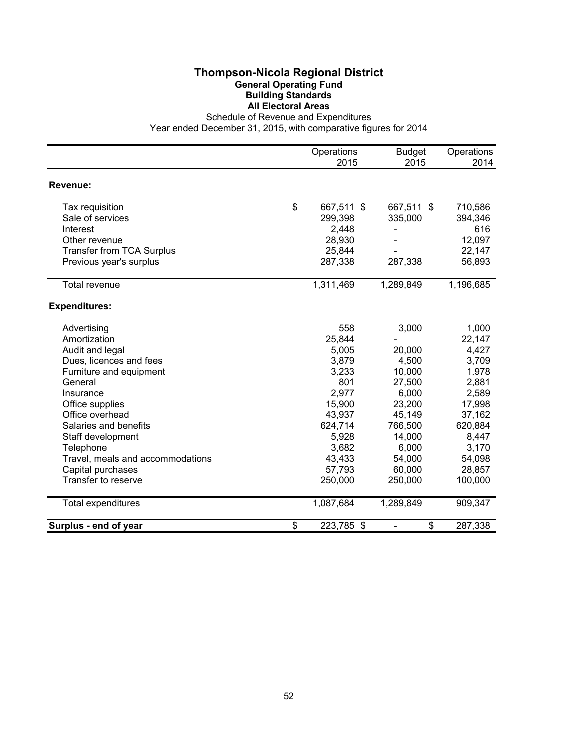## **Thompson-Nicola Regional District General Operating Fund Building Standards All Electoral Areas**

Schedule of Revenue and Expenditures

|                                  | Operations<br>2015 | <b>Budget</b><br>2015          | Operations<br>2014 |
|----------------------------------|--------------------|--------------------------------|--------------------|
| Revenue:                         |                    |                                |                    |
|                                  |                    |                                |                    |
| Tax requisition                  | \$<br>667,511 \$   | 667,511 \$                     | 710,586            |
| Sale of services                 | 299,398            | 335,000                        | 394,346            |
| Interest                         | 2,448              |                                | 616                |
| Other revenue                    | 28,930             |                                | 12,097             |
| <b>Transfer from TCA Surplus</b> | 25,844             |                                | 22,147             |
| Previous year's surplus          | 287,338            | 287,338                        | 56,893             |
| Total revenue                    | 1,311,469          | 1,289,849                      | 1,196,685          |
| <b>Expenditures:</b>             |                    |                                |                    |
| Advertising                      | 558                | 3,000                          | 1,000              |
| Amortization                     | 25,844             |                                | 22,147             |
| Audit and legal                  | 5,005              | 20,000                         | 4,427              |
| Dues, licences and fees          | 3,879              | 4,500                          | 3,709              |
| Furniture and equipment          | 3,233              | 10,000                         | 1,978              |
| General                          | 801                | 27,500                         | 2,881              |
| Insurance                        | 2,977              | 6,000                          | 2,589              |
| Office supplies                  | 15,900             | 23,200                         | 17,998             |
| Office overhead                  | 43,937             | 45,149                         | 37,162             |
| Salaries and benefits            | 624,714            | 766,500                        | 620,884            |
| Staff development                | 5,928              | 14,000                         | 8,447              |
| Telephone                        | 3,682              | 6,000                          | 3,170              |
| Travel, meals and accommodations | 43,433             | 54,000                         | 54,098             |
| Capital purchases                | 57,793             | 60,000                         | 28,857             |
| Transfer to reserve              | 250,000            | 250,000                        | 100,000            |
| Total expenditures               | 1,087,684          | 1,289,849                      | 909,347            |
| Surplus - end of year            | \$<br>223,785 \$   | \$<br>$\overline{\phantom{a}}$ | 287,338            |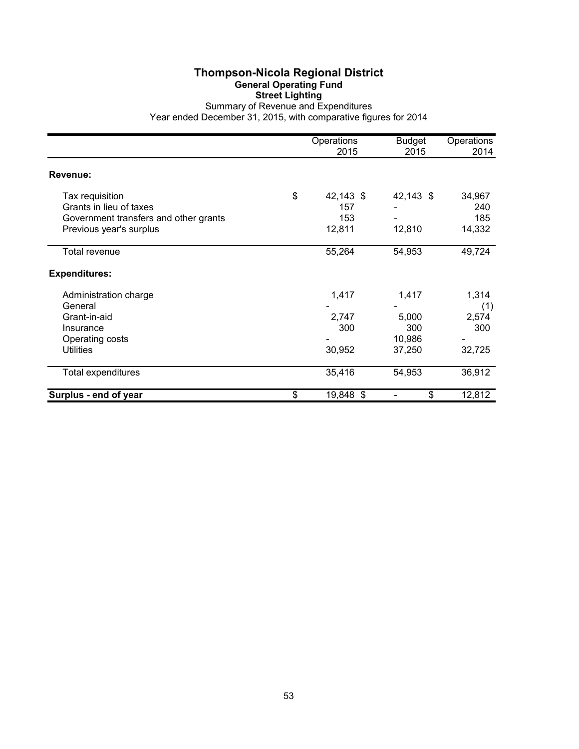# **Thompson-Nicola Regional District General Operating Fund Street Lighting**

Summary of Revenue and Expenditures Year ended December 31, 2015, with comparative figures for 2014

|                                                                                     | Operations<br>2015            | <b>Budget</b><br>2015 | Operations<br>2014   |
|-------------------------------------------------------------------------------------|-------------------------------|-----------------------|----------------------|
| Revenue:                                                                            |                               |                       |                      |
| Tax requisition<br>Grants in lieu of taxes<br>Government transfers and other grants | \$<br>42,143 \$<br>157<br>153 | 42,143 \$             | 34,967<br>240<br>185 |
| Previous year's surplus                                                             | 12,811                        | 12,810                | 14,332               |
| Total revenue                                                                       | 55,264                        | 54,953                | 49,724               |
| <b>Expenditures:</b>                                                                |                               |                       |                      |
| Administration charge<br>General                                                    | 1,417                         | 1,417                 | 1,314<br>(1)         |
| Grant-in-aid                                                                        | 2,747                         | 5,000                 | 2,574                |
| Insurance                                                                           | 300                           | 300                   | 300                  |
| Operating costs<br><b>Utilities</b>                                                 | 30,952                        | 10,986<br>37,250      | 32,725               |
| Total expenditures                                                                  | 35,416                        | 54,953                | 36,912               |
| Surplus - end of year                                                               | \$<br>19,848 \$               | \$                    | 12,812               |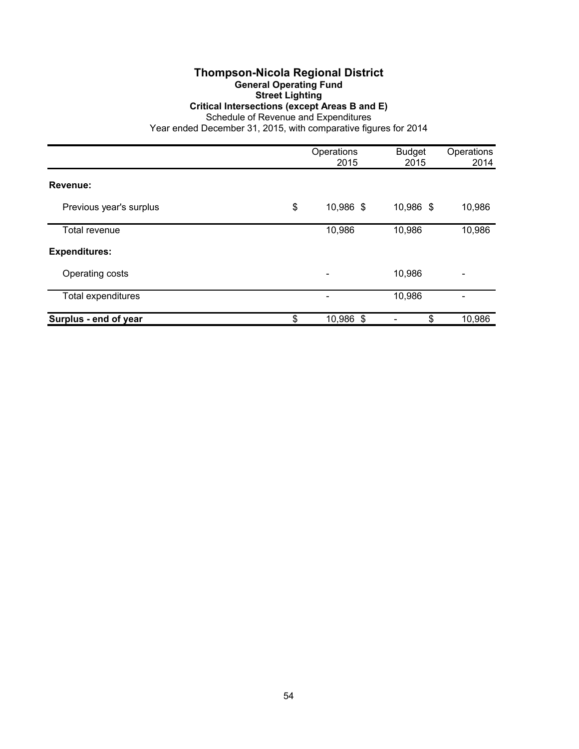### **Thompson-Nicola Regional District General Operating Fund Street Lighting Critical Intersections (except Areas B and E)**

Schedule of Revenue and Expenditures

|                         | Operations<br>2015       | <b>Budget</b><br>2015 | Operations<br>2014 |
|-------------------------|--------------------------|-----------------------|--------------------|
| Revenue:                |                          |                       |                    |
| Previous year's surplus | \$<br>10,986 \$          | 10,986 \$             | 10,986             |
| Total revenue           | 10,986                   | 10,986                | 10,986             |
| <b>Expenditures:</b>    |                          |                       |                    |
| Operating costs         | $\overline{\phantom{0}}$ | 10,986                |                    |
| Total expenditures      |                          | 10,986                |                    |
| Surplus - end of year   | \$<br>10,986 \$          | \$                    | 10,986             |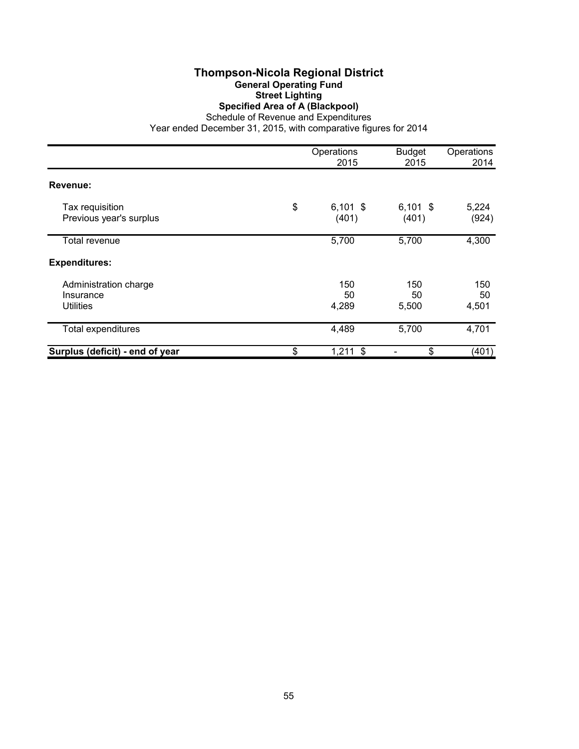# **Thompson-Nicola Regional District General Operating Fund Street Lighting Specified Area of A (Blackpool)**

Schedule of Revenue and Expenditures

|                                                        | Operations<br>2015        | <b>Budget</b><br>2015 | Operations<br>2014 |
|--------------------------------------------------------|---------------------------|-----------------------|--------------------|
| Revenue:                                               |                           |                       |                    |
| Tax requisition<br>Previous year's surplus             | \$<br>$6,101$ \$<br>(401) | $6,101$ \$<br>(401)   | 5,224<br>(924)     |
| Total revenue                                          | 5,700                     | 5,700                 | 4,300              |
| <b>Expenditures:</b>                                   |                           |                       |                    |
| Administration charge<br>Insurance<br><b>Utilities</b> | 150<br>50<br>4,289        | 150<br>50<br>5,500    | 150<br>50<br>4,501 |
| <b>Total expenditures</b>                              | 4,489                     | 5,700                 | 4,701              |
| Surplus (deficit) - end of year                        | \$<br>$1,211$ \$          | \$                    | (401)              |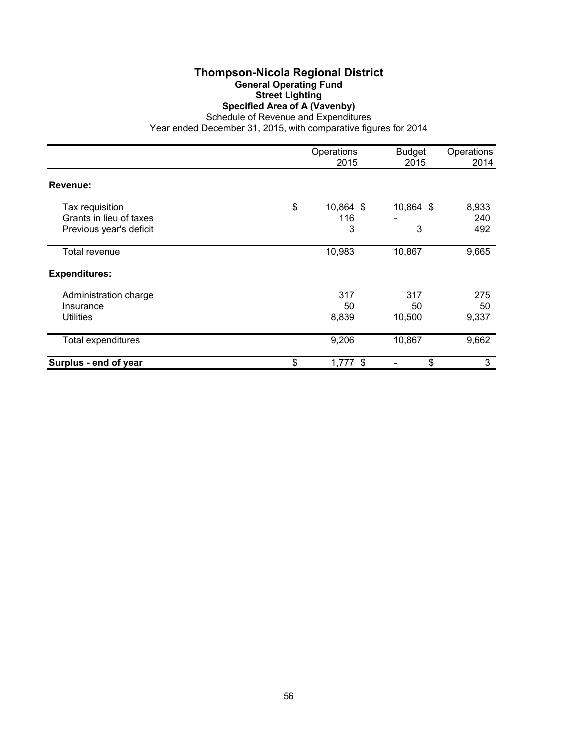# **Thompson-Nicola Regional District General Operating Fund Street Lighting Specified Area of A (Vavenby)**

Schedule of Revenue and Expenditures

|                                                                       | Operations<br>2015          | <b>Budget</b><br>2015 | Operations<br>2014  |
|-----------------------------------------------------------------------|-----------------------------|-----------------------|---------------------|
| Revenue:                                                              |                             |                       |                     |
| Tax requisition<br>Grants in lieu of taxes<br>Previous year's deficit | \$<br>10,864 \$<br>116<br>3 | 10,864 \$<br>3        | 8,933<br>240<br>492 |
| Total revenue                                                         | 10,983                      | 10,867                | 9,665               |
| <b>Expenditures:</b>                                                  |                             |                       |                     |
| Administration charge<br>Insurance<br><b>Utilities</b>                | 317<br>50<br>8,839          | 317<br>50<br>10,500   | 275<br>50<br>9,337  |
| <b>Total expenditures</b>                                             | 9,206                       | 10,867                | 9,662               |
| Surplus - end of year                                                 | \$<br>$1,777$ \$            | \$                    | 3                   |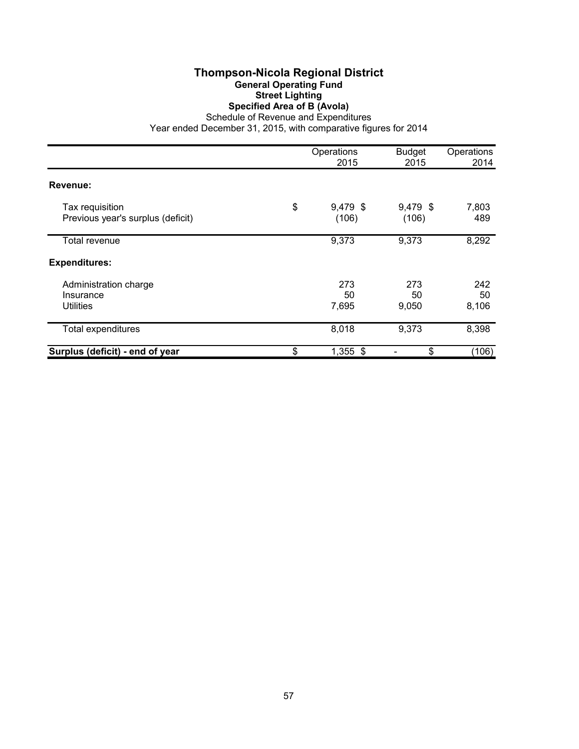# **Thompson-Nicola Regional District General Operating Fund Street Lighting Specified Area of B (Avola)**

Schedule of Revenue and Expenditures

|                                                        | Operations<br>2015      | <b>Budget</b><br>2015 | Operations<br>2014 |
|--------------------------------------------------------|-------------------------|-----------------------|--------------------|
| Revenue:                                               |                         |                       |                    |
| Tax requisition<br>Previous year's surplus (deficit)   | \$<br>9,479 \$<br>(106) | 9,479 \$<br>(106)     | 7,803<br>489       |
| Total revenue                                          | 9,373                   | 9,373                 | 8,292              |
| <b>Expenditures:</b>                                   |                         |                       |                    |
| Administration charge<br>Insurance<br><b>Utilities</b> | 273<br>50<br>7,695      | 273<br>50<br>9,050    | 242<br>50<br>8,106 |
| <b>Total expenditures</b>                              | 8,018                   | 9,373                 | 8,398              |
| Surplus (deficit) - end of year                        | \$<br>1,355 \$          | \$                    | (106)              |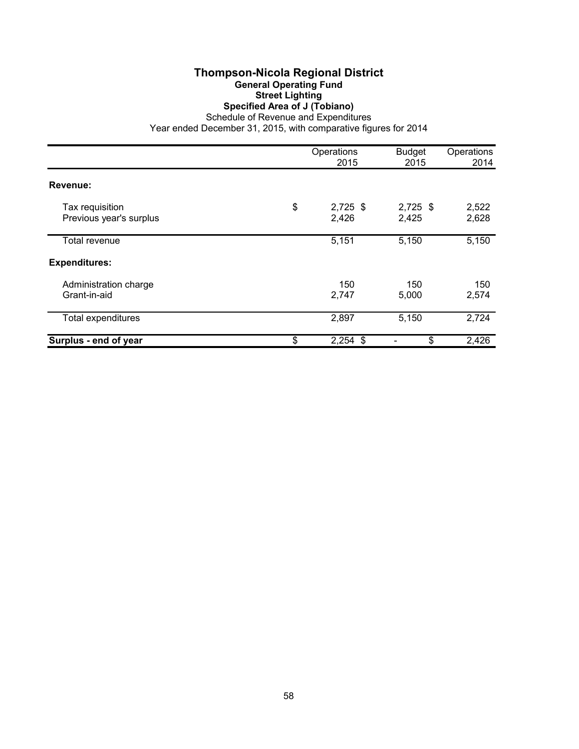# **Thompson-Nicola Regional District General Operating Fund Street Lighting Specified Area of J (Tobiano)**

Schedule of Revenue and Expenditures

|                                            | Operations<br>2015        | <b>Budget</b><br>2015 | Operations<br>2014 |
|--------------------------------------------|---------------------------|-----------------------|--------------------|
| Revenue:                                   |                           |                       |                    |
| Tax requisition<br>Previous year's surplus | \$<br>$2,725$ \$<br>2,426 | $2,725$ \$<br>2,425   | 2,522<br>2,628     |
| Total revenue                              | 5,151                     | 5,150                 | 5,150              |
| <b>Expenditures:</b>                       |                           |                       |                    |
| Administration charge<br>Grant-in-aid      | 150<br>2,747              | 150<br>5,000          | 150<br>2,574       |
| Total expenditures                         | 2,897                     | 5,150                 | 2,724              |
| Surplus - end of year                      | \$<br>$2,254$ \$          | \$                    | 2,426              |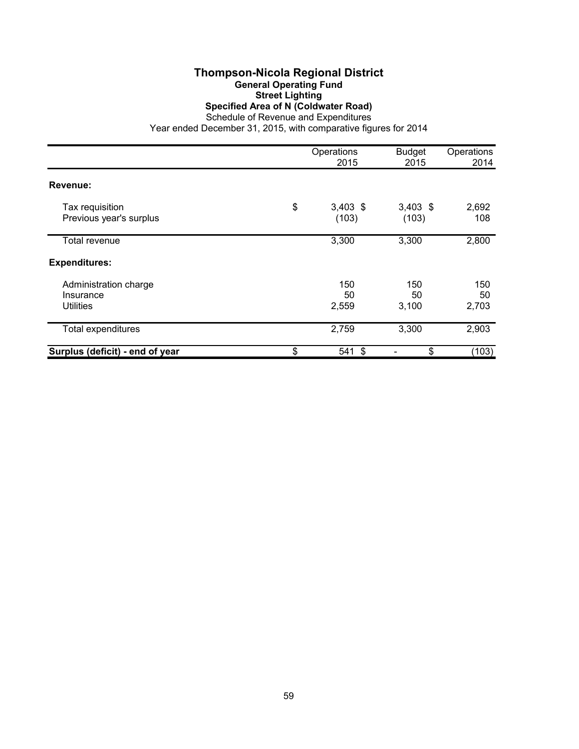### **Thompson-Nicola Regional District General Operating Fund Street Lighting Specified Area of N (Coldwater Road)** Schedule of Revenue and Expenditures

|                                                        | Operations<br>2015        | <b>Budget</b><br>2015 | Operations<br>2014 |
|--------------------------------------------------------|---------------------------|-----------------------|--------------------|
| Revenue:                                               |                           |                       |                    |
| Tax requisition<br>Previous year's surplus             | \$<br>$3,403$ \$<br>(103) | $3,403$ \$<br>(103)   | 2,692<br>108       |
| Total revenue                                          | 3,300                     | 3,300                 | 2,800              |
| <b>Expenditures:</b>                                   |                           |                       |                    |
| Administration charge<br>Insurance<br><b>Utilities</b> | 150<br>50<br>2,559        | 150<br>50<br>3,100    | 150<br>50<br>2,703 |
| Total expenditures                                     | 2,759                     | 3,300                 | 2,903              |
| Surplus (deficit) - end of year                        | \$<br>541 \$              | \$                    | (103)              |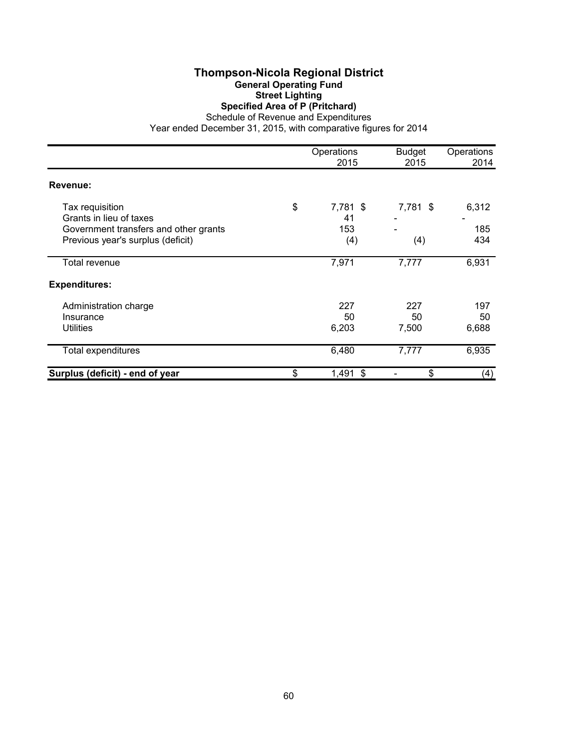## **Thompson-Nicola Regional District General Operating Fund Street Lighting Specified Area of P (Pritchard)**

Schedule of Revenue and Expenditures

|                                                                                                                          | Operations<br>2015                 | <b>Budget</b><br>2015 | Operations<br>2014  |
|--------------------------------------------------------------------------------------------------------------------------|------------------------------------|-----------------------|---------------------|
| Revenue:                                                                                                                 |                                    |                       |                     |
| Tax requisition<br>Grants in lieu of taxes<br>Government transfers and other grants<br>Previous year's surplus (deficit) | \$<br>7,781 \$<br>41<br>153<br>(4) | 7,781 \$<br>(4)       | 6,312<br>185<br>434 |
| Total revenue                                                                                                            | 7,971                              | 7,777                 | 6,931               |
| <b>Expenditures:</b>                                                                                                     |                                    |                       |                     |
| Administration charge<br>Insurance<br>Utilities                                                                          | 227<br>50<br>6,203                 | 227<br>50<br>7,500    | 197<br>50<br>6,688  |
| <b>Total expenditures</b>                                                                                                | 6,480                              | 7,777                 | 6,935               |
| Surplus (deficit) - end of year                                                                                          | \$<br>1,491 \$                     | \$                    | (4)                 |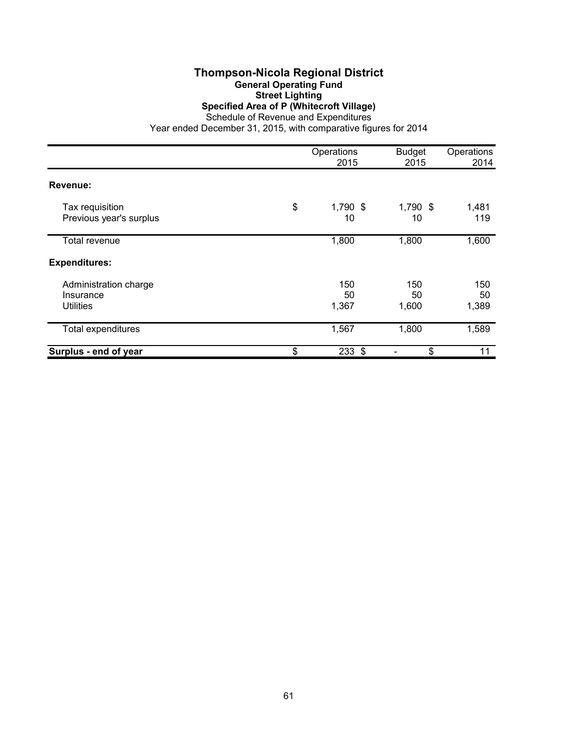### **Thompson-Nicola Regional District General Operating Fund Street Lighting Specified Area of P (Whitecroft Village)** Schedule of Revenue and Expenditures

|                                                        | Operations<br>2015   | <b>Budget</b><br>2015 | Operations<br>2014 |
|--------------------------------------------------------|----------------------|-----------------------|--------------------|
| Revenue:                                               |                      |                       |                    |
| Tax requisition<br>Previous year's surplus             | \$<br>1,790 \$<br>10 | 1,790 \$<br>10        | 1,481<br>119       |
| Total revenue                                          | 1,800                | 1,800                 | 1,600              |
| <b>Expenditures:</b>                                   |                      |                       |                    |
| Administration charge<br>Insurance<br><b>Utilities</b> | 150<br>50<br>1,367   | 150<br>50<br>1,600    | 150<br>50<br>1,389 |
| <b>Total expenditures</b>                              | 1,567                | 1,800                 | 1,589              |
| Surplus - end of year                                  | \$<br>$233$ \$       | \$                    | 11                 |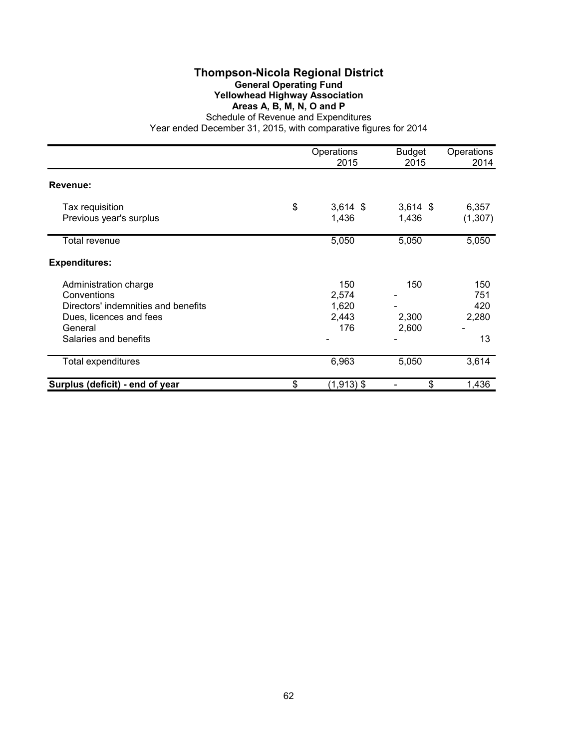### **Thompson-Nicola Regional District General Operating Fund Yellowhead Highway Association Areas A, B, M, N, O and P**

Schedule of Revenue and Expenditures Year ended December 31, 2015, with comparative figures for 2014

|                                     | Operations<br>2015 | <b>Budget</b><br>2015 | Operations<br>2014 |
|-------------------------------------|--------------------|-----------------------|--------------------|
| Revenue:                            |                    |                       |                    |
| Tax requisition                     | \$<br>$3,614$ \$   | $3,614$ \$            | 6,357              |
| Previous year's surplus             | 1,436              | 1,436                 | (1,307)            |
| Total revenue                       | 5,050              | 5,050                 | 5,050              |
| <b>Expenditures:</b>                |                    |                       |                    |
| Administration charge               | 150                | 150                   | 150                |
| Conventions                         | 2,574              |                       | 751                |
| Directors' indemnities and benefits | 1,620              |                       | 420                |
| Dues, licences and fees             | 2,443              | 2,300                 | 2,280              |
| General                             | 176                | 2,600                 |                    |
| Salaries and benefits               |                    |                       | 13                 |
| <b>Total expenditures</b>           | 6,963              | 5,050                 | 3,614              |
| Surplus (deficit) - end of year     | \$<br>$(1,913)$ \$ | \$                    | 1,436              |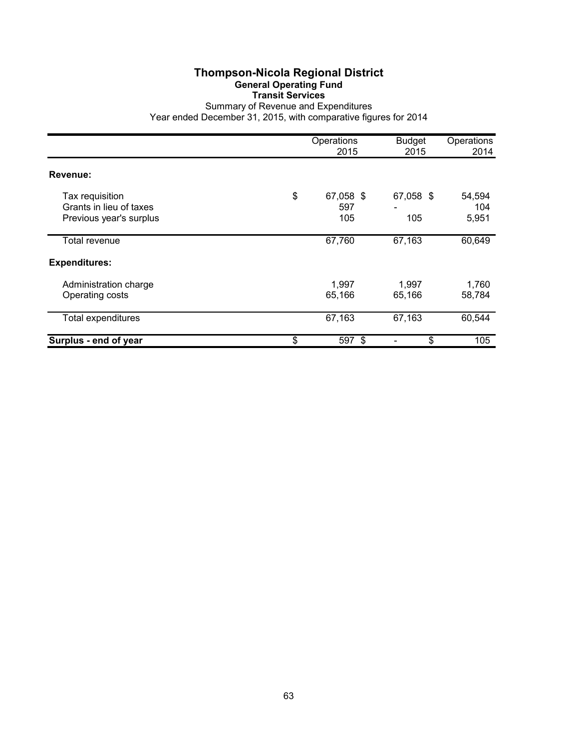# **Thompson-Nicola Regional District General Operating Fund Transit Services**

Summary of Revenue and Expenditures Year ended December 31, 2015, with comparative figures for 2014

|                                                                       | Operations<br>2015            | <b>Budget</b><br>2015 | Operations<br>2014     |
|-----------------------------------------------------------------------|-------------------------------|-----------------------|------------------------|
| Revenue:                                                              |                               |                       |                        |
| Tax requisition<br>Grants in lieu of taxes<br>Previous year's surplus | \$<br>67,058 \$<br>597<br>105 | 67,058 \$<br>105      | 54,594<br>104<br>5,951 |
| Total revenue                                                         | 67,760                        | 67,163                | 60,649                 |
| <b>Expenditures:</b>                                                  |                               |                       |                        |
| Administration charge<br>Operating costs                              | 1,997<br>65,166               | 1,997<br>65,166       | 1,760<br>58,784        |
| Total expenditures                                                    | 67,163                        | 67,163                | 60,544                 |
| Surplus - end of year                                                 | \$<br>597 \$                  | \$                    | 105                    |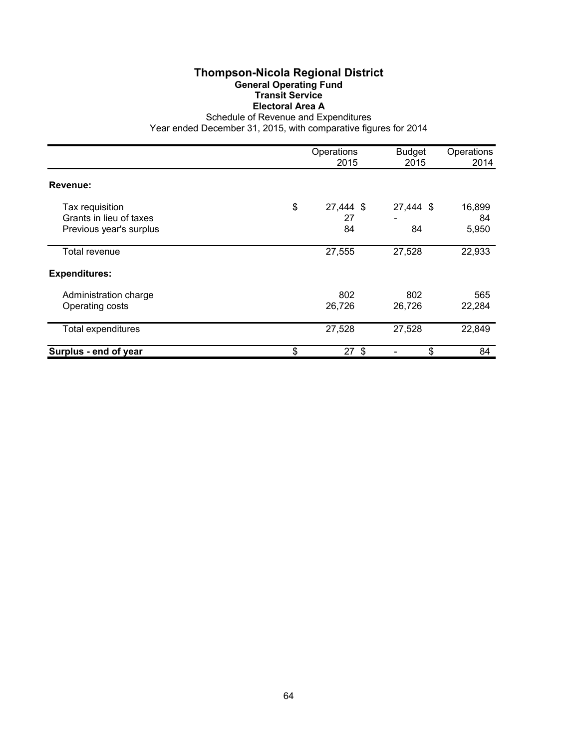# **Thompson-Nicola Regional District General Operating Fund Transit Service Electoral Area A**

Schedule of Revenue and Expenditures

|                                                                       | Operations<br>2015          | <b>Budget</b><br>2015 | Operations<br>2014    |
|-----------------------------------------------------------------------|-----------------------------|-----------------------|-----------------------|
| Revenue:                                                              |                             |                       |                       |
| Tax requisition<br>Grants in lieu of taxes<br>Previous year's surplus | \$<br>27,444 \$<br>27<br>84 | 27,444 \$<br>84       | 16,899<br>84<br>5,950 |
| Total revenue                                                         | 27,555                      | 27,528                | 22,933                |
| <b>Expenditures:</b>                                                  |                             |                       |                       |
| Administration charge<br>Operating costs                              | 802<br>26,726               | 802<br>26,726         | 565<br>22,284         |
| <b>Total expenditures</b>                                             | 27,528                      | 27,528                | 22,849                |
| Surplus - end of year                                                 | \$<br>$27$ \$               | \$                    | 84                    |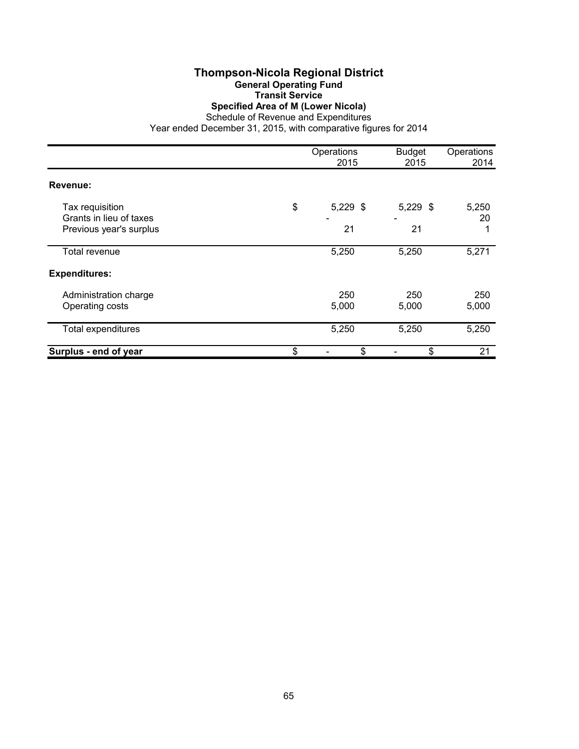# **Thompson-Nicola Regional District General Operating Fund Transit Service Specified Area of M (Lower Nicola)**

Schedule of Revenue and Expenditures

|                                            | Operations<br>2015 | <b>Budget</b><br>2015 | Operations<br>2014 |
|--------------------------------------------|--------------------|-----------------------|--------------------|
| Revenue:                                   |                    |                       |                    |
| Tax requisition<br>Grants in lieu of taxes | \$<br>$5,229$ \$   | $5,229$ \$            | 5,250<br>20        |
| Previous year's surplus                    | 21                 | 21                    |                    |
| Total revenue                              | 5,250              | 5,250                 | 5,271              |
| <b>Expenditures:</b>                       |                    |                       |                    |
| Administration charge<br>Operating costs   | 250<br>5,000       | 250<br>5,000          | 250<br>5,000       |
| <b>Total expenditures</b>                  | 5,250              | 5,250                 | 5,250              |
| Surplus - end of year                      | \$<br>\$           | \$                    | 21                 |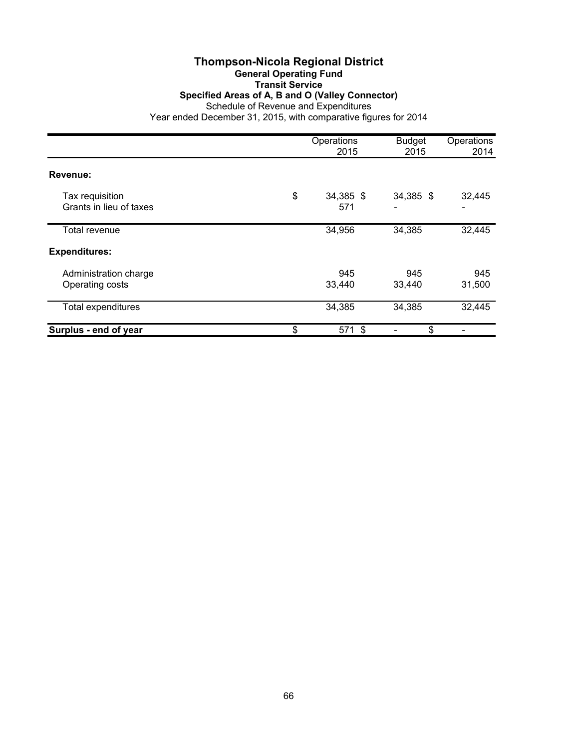### **Thompson-Nicola Regional District General Operating Fund Transit Service Specified Areas of A, B and O (Valley Connector)** Schedule of Revenue and Expenditures Year ended December 31, 2015, with comparative figures for 2014

|                                            | Operations<br>2015     | <b>Budget</b><br>2015 | Operations<br>2014                 |
|--------------------------------------------|------------------------|-----------------------|------------------------------------|
| Revenue:                                   |                        |                       |                                    |
| Tax requisition<br>Grants in lieu of taxes | \$<br>34,385 \$<br>571 | 34,385 \$             | 32,445<br>$\overline{\phantom{a}}$ |
| <b>Total revenue</b>                       | 34,956                 | 34,385                | 32,445                             |
| <b>Expenditures:</b>                       |                        |                       |                                    |
| Administration charge<br>Operating costs   | 945<br>33,440          | 945<br>33,440         | 945<br>31,500                      |
| <b>Total expenditures</b>                  | 34,385                 | 34,385                | 32,445                             |
| Surplus - end of year                      | \$<br>571 \$           | \$                    |                                    |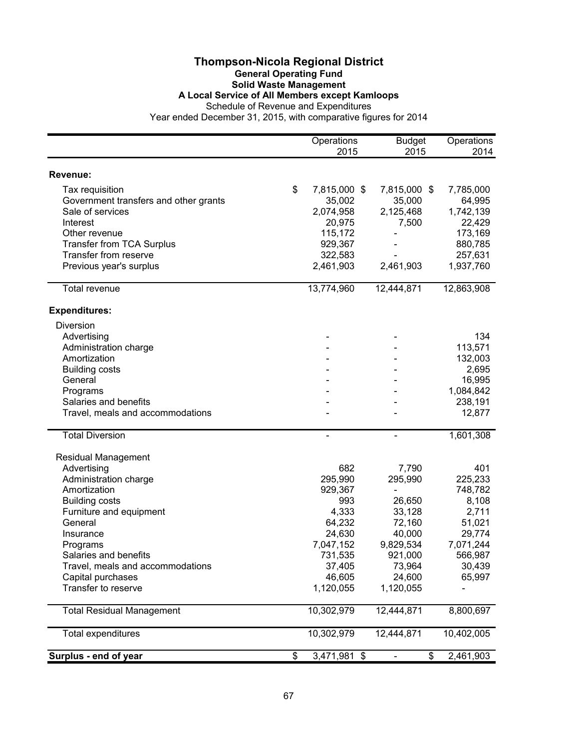## **Thompson-Nicola Regional District General Operating Fund Solid Waste Management A Local Service of All Members except Kamloops**

Schedule of Revenue and Expenditures Year ended December 31, 2015, with comparative figures for 2014

|                                       | Operations<br>2015 | <b>Budget</b><br>2015 | Operations<br>2014 |
|---------------------------------------|--------------------|-----------------------|--------------------|
|                                       |                    |                       |                    |
| Revenue:                              |                    |                       |                    |
| Tax requisition                       | \$<br>7,815,000 \$ | 7,815,000 \$          | 7,785,000          |
| Government transfers and other grants | 35,002             | 35,000                | 64,995             |
| Sale of services                      | 2,074,958          | 2,125,468             | 1,742,139          |
| Interest                              | 20,975             | 7,500                 | 22,429             |
| Other revenue                         | 115,172            |                       | 173,169            |
| <b>Transfer from TCA Surplus</b>      | 929,367            |                       | 880,785            |
| Transfer from reserve                 | 322,583            |                       | 257,631            |
| Previous year's surplus               | 2,461,903          | 2,461,903             | 1,937,760          |
| <b>Total revenue</b>                  | 13,774,960         | 12,444,871            | 12,863,908         |
| <b>Expenditures:</b>                  |                    |                       |                    |
| Diversion                             |                    |                       |                    |
| Advertising                           |                    |                       | 134                |
| Administration charge                 |                    |                       | 113,571            |
| Amortization                          |                    |                       | 132,003            |
| <b>Building costs</b>                 |                    |                       | 2,695              |
| General                               |                    |                       | 16,995             |
| Programs                              |                    |                       | 1,084,842          |
| Salaries and benefits                 |                    |                       | 238,191            |
| Travel, meals and accommodations      |                    |                       | 12,877             |
| <b>Total Diversion</b>                |                    |                       | 1,601,308          |
| <b>Residual Management</b>            |                    |                       |                    |
| Advertising                           | 682                | 7,790                 | 401                |
| Administration charge                 | 295,990            | 295,990               | 225,233            |

| <b>OUICLICVEIIUS</b><br>Transfer from TCA Surplus | 113, 112<br>929,367 |                | 179,109<br>880,785 |
|---------------------------------------------------|---------------------|----------------|--------------------|
| Transfer from reserve                             | 322,583             |                | 257,631            |
| Previous year's surplus                           | 2,461,903           | 2,461,903      | 1,937,760          |
| Total revenue                                     | 13,774,960          | 12,444,871     | 12,863,908         |
| <b>Expenditures:</b>                              |                     |                |                    |
| <b>Diversion</b>                                  |                     |                |                    |
| Advertising                                       |                     |                | 134                |
| Administration charge                             |                     |                | 113,571            |
| Amortization                                      |                     |                | 132,003            |
| <b>Building costs</b>                             |                     |                | 2,695              |
| General                                           |                     |                | 16,995             |
| Programs                                          |                     |                | 1,084,842          |
| Salaries and benefits                             |                     |                | 238,191            |
| Travel, meals and accommodations                  |                     |                | 12,877             |
| <b>Total Diversion</b>                            | $\blacksquare$      |                | 1,601,308          |
| <b>Residual Management</b>                        |                     |                |                    |
| Advertising                                       | 682                 | 7,790          | 401                |
| Administration charge                             | 295,990             | 295,990        | 225,233            |
| Amortization                                      | 929,367             | $\blacksquare$ | 748,782            |
| <b>Building costs</b>                             | 993                 | 26,650         | 8,108              |
| Furniture and equipment                           | 4,333               | 33,128         | 2,711              |
| General                                           | 64,232              | 72,160         | 51,021             |
| Insurance                                         | 24,630              | 40,000         | 29,774             |
| Programs                                          | 7,047,152           | 9,829,534      | 7,071,244          |
| Salaries and benefits                             | 731,535             | 921,000        | 566,987            |
| Travel, meals and accommodations                  | 37,405              | 73,964         | 30,439             |
| Capital purchases                                 | 46,605              | 24,600         | 65,997             |
| Transfer to reserve                               | 1,120,055           | 1,120,055      |                    |
| <b>Total Residual Management</b>                  | 10,302,979          | 12,444,871     | 8,800,697          |
| <b>Total expenditures</b>                         | 10,302,979          | 12,444,871     | 10,402,005         |
| Surplus - end of year                             | \$<br>3,471,981 \$  | \$             | 2,461,903          |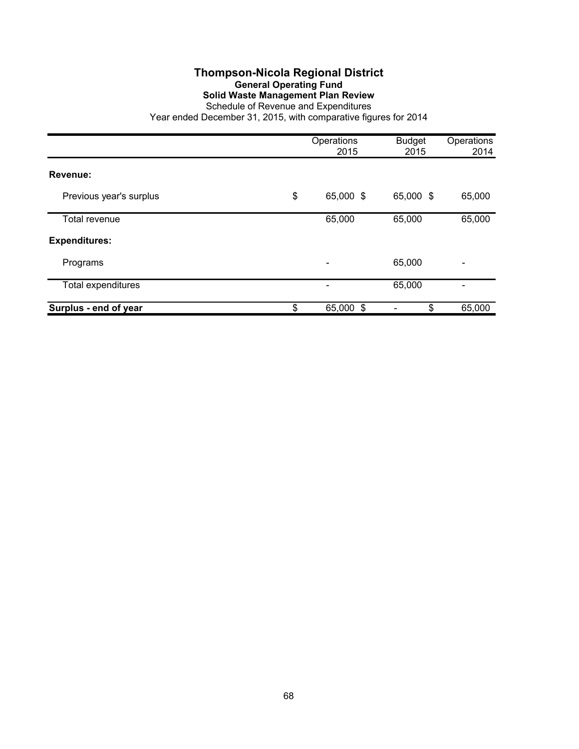## **Thompson-Nicola Regional District General Operating Fund Solid Waste Management Plan Review**

Schedule of Revenue and Expenditures Year ended December 31, 2015, with comparative figures for 2014

|                           | Operations<br>2015 | <b>Budget</b><br>2015 | Operations<br>2014 |
|---------------------------|--------------------|-----------------------|--------------------|
| Revenue:                  |                    |                       |                    |
|                           |                    |                       |                    |
| Previous year's surplus   | \$<br>65,000 \$    | 65,000 \$             | 65,000             |
| Total revenue             | 65,000             | 65,000                | 65,000             |
| <b>Expenditures:</b>      |                    |                       |                    |
| Programs                  |                    | 65,000                |                    |
| <b>Total expenditures</b> |                    | 65,000                |                    |
| Surplus - end of year     | \$<br>65,000 \$    | \$                    | 65,000             |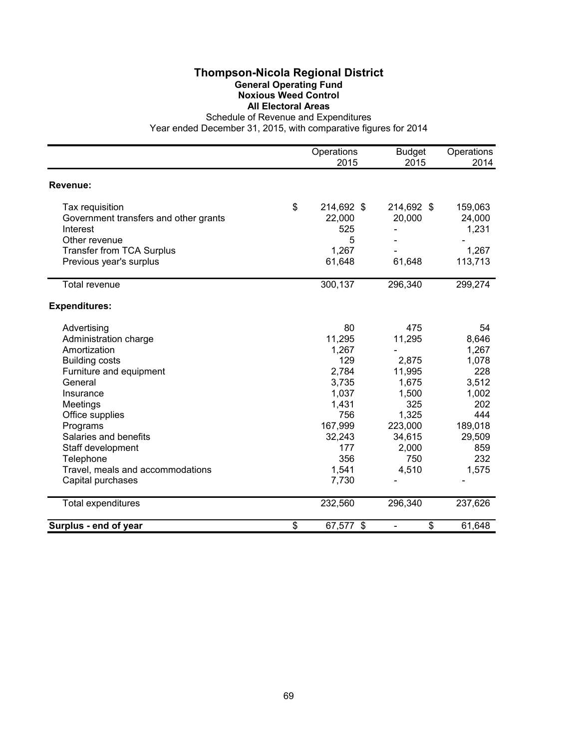## **Thompson-Nicola Regional District General Operating Fund Noxious Weed Control All Electoral Areas**

Schedule of Revenue and Expenditures

|                                       | Operations<br>2015 | <b>Budget</b><br>2015          | Operations<br>2014 |
|---------------------------------------|--------------------|--------------------------------|--------------------|
| Revenue:                              |                    |                                |                    |
| Tax requisition                       | \$<br>214,692 \$   | 214,692 \$                     | 159,063            |
| Government transfers and other grants | 22,000             | 20,000                         | 24,000             |
| Interest                              | 525                |                                | 1,231              |
| Other revenue                         | 5                  |                                |                    |
| <b>Transfer from TCA Surplus</b>      | 1,267              |                                | 1,267              |
| Previous year's surplus               | 61,648             | 61,648                         | 113,713            |
| Total revenue                         | 300,137            | 296,340                        | 299,274            |
| <b>Expenditures:</b>                  |                    |                                |                    |
| Advertising                           | 80                 | 475                            | 54                 |
| Administration charge                 | 11,295             | 11,295                         | 8,646              |
| Amortization                          | 1,267              |                                | 1,267              |
| <b>Building costs</b>                 | 129                | 2,875                          | 1,078              |
| Furniture and equipment               | 2,784              | 11,995                         | 228                |
| General                               | 3,735              | 1,675                          | 3,512              |
| Insurance                             | 1,037              | 1,500                          | 1,002              |
| Meetings                              | 1,431              | 325                            | 202                |
| Office supplies                       | 756                | 1,325                          | 444                |
| Programs                              | 167,999            | 223,000                        | 189,018            |
| Salaries and benefits                 | 32,243             | 34,615                         | 29,509             |
| Staff development                     | 177                | 2,000                          | 859                |
| Telephone                             | 356                | 750                            | 232                |
| Travel, meals and accommodations      | 1,541              | 4,510                          | 1,575              |
| Capital purchases                     | 7,730              |                                |                    |
| <b>Total expenditures</b>             | 232,560            | 296,340                        | 237,626            |
| Surplus - end of year                 | \$<br>67,577 \$    | \$<br>$\overline{\phantom{a}}$ | 61,648             |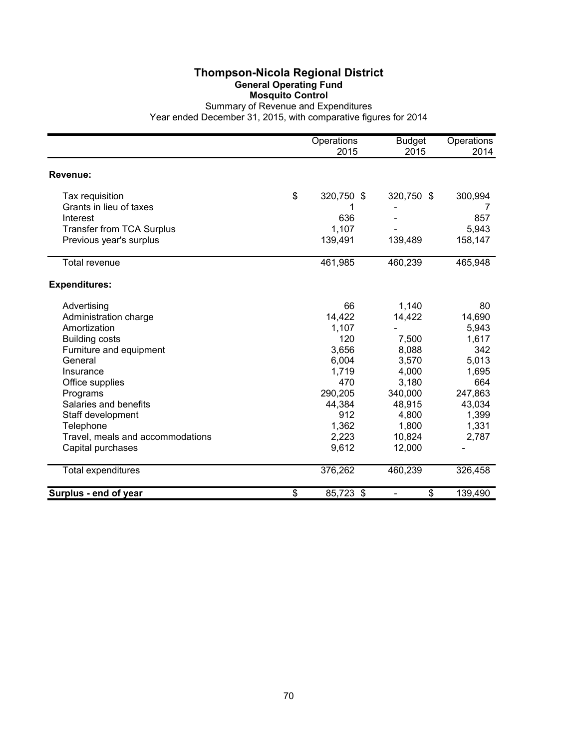# **Thompson-Nicola Regional District General Operating Fund Mosquito Control**

|                                  | Operations<br>2015 | <b>Budget</b><br>2015          | Operations<br>2014 |
|----------------------------------|--------------------|--------------------------------|--------------------|
| Revenue:                         |                    |                                |                    |
| Tax requisition                  | \$<br>320,750 \$   | 320,750 \$                     | 300,994            |
| Grants in lieu of taxes          |                    |                                |                    |
| Interest                         | 636                |                                | 857                |
| <b>Transfer from TCA Surplus</b> | 1,107              |                                | 5,943              |
| Previous year's surplus          | 139,491            | 139,489                        | 158,147            |
| Total revenue                    | 461,985            | 460,239                        | 465,948            |
| <b>Expenditures:</b>             |                    |                                |                    |
| Advertising                      | 66                 | 1,140                          | 80                 |
| Administration charge            | 14,422             | 14,422                         | 14,690             |
| Amortization                     | 1,107              |                                | 5,943              |
| <b>Building costs</b>            | 120                | 7,500                          | 1,617              |
| Furniture and equipment          | 3,656              | 8,088                          | 342                |
| General                          | 6,004              | 3,570                          | 5,013              |
| Insurance                        | 1,719              | 4,000                          | 1,695              |
| Office supplies                  | 470                | 3,180                          | 664                |
| Programs                         | 290,205            | 340,000                        | 247,863            |
| Salaries and benefits            | 44,384             | 48,915                         | 43,034             |
| Staff development                | 912                | 4,800                          | 1,399              |
| Telephone                        | 1,362              | 1,800                          | 1,331              |
| Travel, meals and accommodations | 2,223              | 10,824                         | 2,787              |
| Capital purchases                | 9,612              | 12,000                         |                    |
| Total expenditures               | 376,262            | 460,239                        | 326,458            |
| Surplus - end of year            | \$<br>85,723 \$    | \$<br>$\overline{\phantom{0}}$ | 139,490            |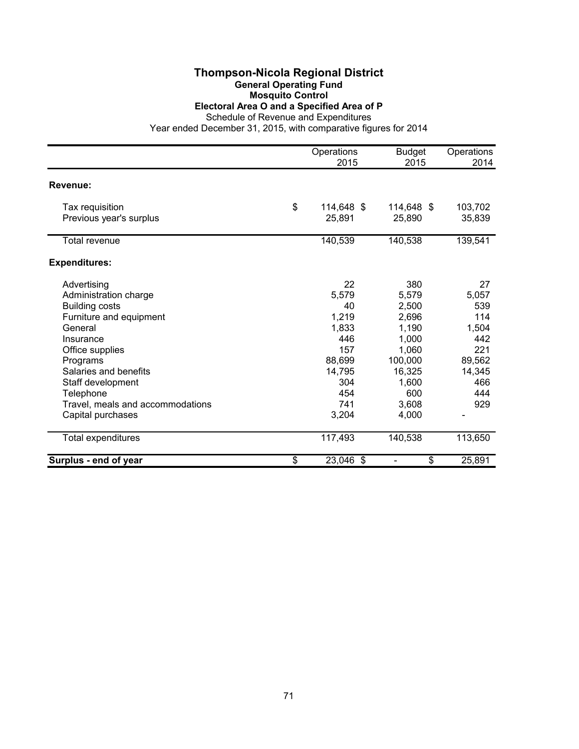### **Thompson-Nicola Regional District General Operating Fund Mosquito Control Electoral Area O and a Specified Area of P**

Schedule of Revenue and Expenditures

|                                  | Operations<br>2015 | <b>Budget</b><br>2015 | Operations<br>2014 |
|----------------------------------|--------------------|-----------------------|--------------------|
|                                  |                    |                       |                    |
| Revenue:                         |                    |                       |                    |
| Tax requisition                  | \$<br>114,648 \$   | 114,648 \$            | 103,702            |
| Previous year's surplus          | 25,891             | 25,890                | 35,839             |
| Total revenue                    | 140,539            | 140,538               | 139,541            |
| <b>Expenditures:</b>             |                    |                       |                    |
| Advertising                      | 22                 | 380                   | 27                 |
| Administration charge            | 5,579              | 5,579                 | 5,057              |
| <b>Building costs</b>            | 40                 | 2,500                 | 539                |
| Furniture and equipment          | 1,219              | 2,696                 | 114                |
| General                          | 1,833              | 1,190                 | 1,504              |
| Insurance                        | 446                | 1,000                 | 442                |
| Office supplies                  | 157                | 1,060                 | 221                |
| Programs                         | 88,699             | 100,000               | 89,562             |
| Salaries and benefits            | 14,795             | 16,325                | 14,345             |
| Staff development                | 304                | 1,600                 | 466                |
| Telephone                        | 454                | 600                   | 444                |
| Travel, meals and accommodations | 741                | 3,608                 | 929                |
| Capital purchases                | 3,204              | 4,000                 |                    |
| <b>Total expenditures</b>        | 117,493            | 140,538               | 113,650            |
| Surplus - end of year            | \$<br>23,046 \$    | \$                    | 25,891             |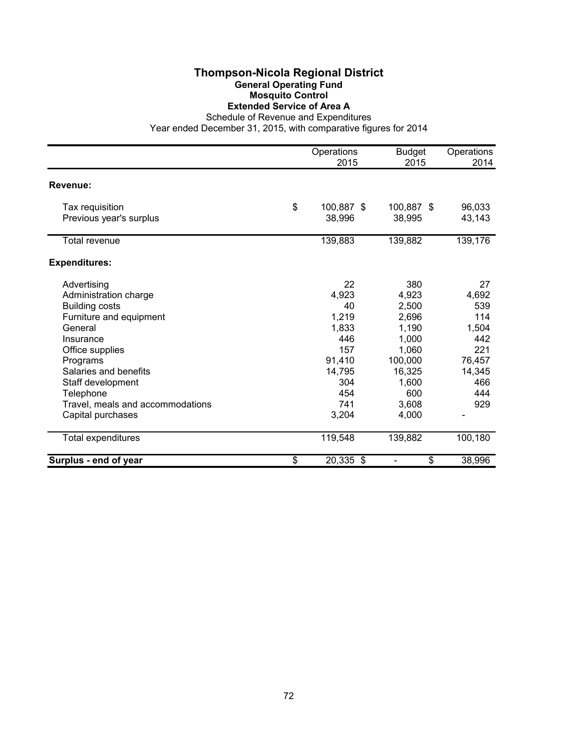### **Thompson-Nicola Regional District General Operating Fund Mosquito Control Extended Service of Area A**

Schedule of Revenue and Expenditures

|                                  | Operations       | <b>Budget</b> | Operations |
|----------------------------------|------------------|---------------|------------|
|                                  | 2015             | 2015          | 2014       |
| Revenue:                         |                  |               |            |
| Tax requisition                  | \$<br>100,887 \$ | 100,887 \$    | 96,033     |
| Previous year's surplus          | 38,996           | 38,995        | 43,143     |
| <b>Total revenue</b>             | 139,883          | 139,882       | 139,176    |
| <b>Expenditures:</b>             |                  |               |            |
| Advertising                      | 22               | 380           | 27         |
| Administration charge            | 4,923            | 4,923         | 4,692      |
| <b>Building costs</b>            | 40               | 2,500         | 539        |
| Furniture and equipment          | 1,219            | 2,696         | 114        |
| General                          | 1,833            | 1,190         | 1,504      |
| Insurance                        | 446              | 1,000         | 442        |
| Office supplies                  | 157              | 1,060         | 221        |
| Programs                         | 91,410           | 100,000       | 76,457     |
| Salaries and benefits            | 14,795           | 16,325        | 14,345     |
| Staff development                | 304              | 1,600         | 466        |
| Telephone                        | 454              | 600           | 444        |
| Travel, meals and accommodations | 741              | 3,608         | 929        |
| Capital purchases                | 3,204            | 4,000         |            |
| Total expenditures               | 119,548          | 139,882       | 100,180    |
| Surplus - end of year            | \$<br>20,335 \$  | \$            | 38,996     |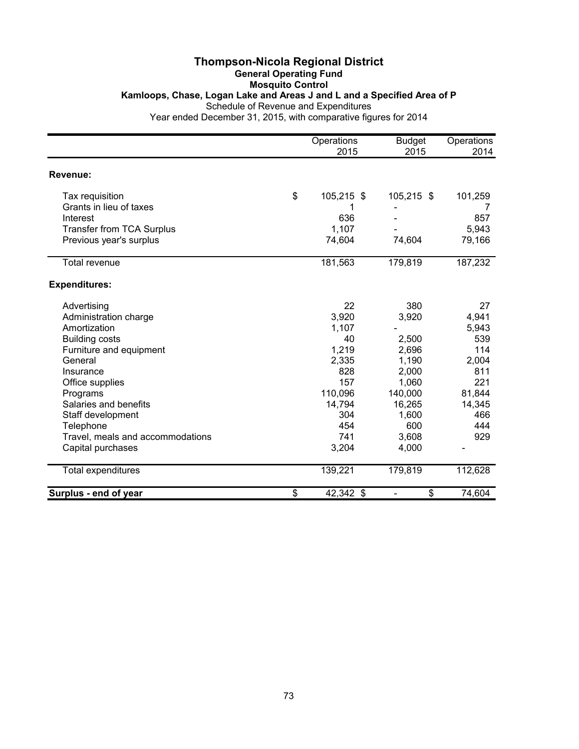### **Thompson-Nicola Regional District General Operating Fund Mosquito Control Kamloops, Chase, Logan Lake and Areas J and L and a Specified Area of P** Schedule of Revenue and Expenditures

|                                  | Operations<br>2015 | <b>Budget</b><br>2015 | Operations<br>2014 |
|----------------------------------|--------------------|-----------------------|--------------------|
| Revenue:                         |                    |                       |                    |
| Tax requisition                  | \$<br>105,215 \$   | 105,215 \$            | 101,259            |
| Grants in lieu of taxes          |                    |                       | 7                  |
| Interest                         | 636                |                       | 857                |
| <b>Transfer from TCA Surplus</b> | 1,107              |                       | 5,943              |
| Previous year's surplus          | 74,604             | 74,604                | 79,166             |
| <b>Total revenue</b>             | 181,563            | 179,819               | 187,232            |
| <b>Expenditures:</b>             |                    |                       |                    |
| Advertising                      | 22                 | 380                   | 27                 |
| Administration charge            | 3,920              | 3,920                 | 4,941              |
| Amortization                     | 1,107              |                       | 5,943              |
| <b>Building costs</b>            | 40                 | 2,500                 | 539                |
| Furniture and equipment          | 1,219              | 2,696                 | 114                |
| General                          | 2,335              | 1,190                 | 2,004              |
| Insurance                        | 828                | 2,000                 | 811                |
| Office supplies                  | 157                | 1,060                 | 221                |
| Programs                         | 110,096            | 140,000               | 81,844             |
| Salaries and benefits            | 14,794             | 16,265                | 14,345             |
| Staff development                | 304                | 1,600                 | 466                |
| Telephone                        | 454                | 600                   | 444                |
| Travel, meals and accommodations | 741                | 3,608                 | 929                |
| Capital purchases                | 3,204              | 4,000                 |                    |
| <b>Total expenditures</b>        | 139,221            | 179,819               | 112,628            |
| Surplus - end of year            | \$<br>42,342 \$    | \$<br>$\blacksquare$  | 74,604             |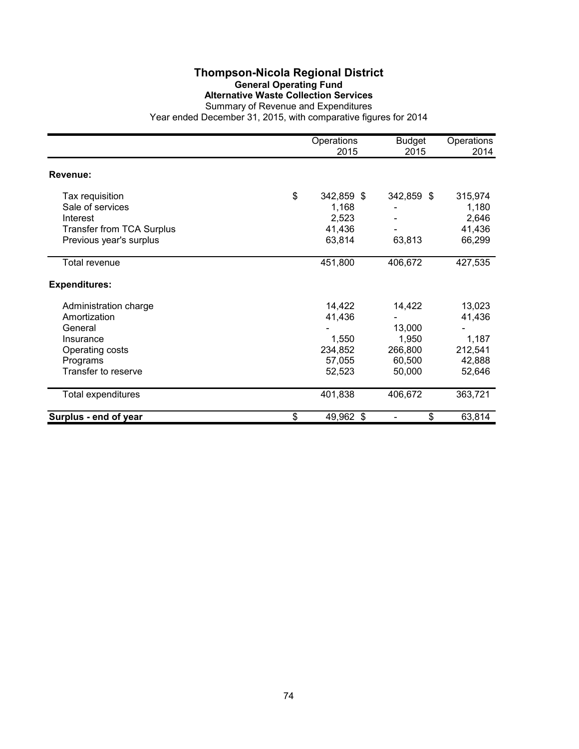# **Thompson-Nicola Regional District General Operating Fund Alternative Waste Collection Services**

|                                  | Operations<br>2015 | <b>Budget</b><br>2015 | Operations<br>2014 |
|----------------------------------|--------------------|-----------------------|--------------------|
| Revenue:                         |                    |                       |                    |
| Tax requisition                  | \$<br>342,859 \$   | 342,859 \$            | 315,974            |
| Sale of services                 | 1,168              |                       | 1,180              |
| Interest                         | 2,523              |                       | 2,646              |
| <b>Transfer from TCA Surplus</b> | 41,436             |                       | 41,436             |
| Previous year's surplus          | 63,814             | 63,813                | 66,299             |
| Total revenue                    | 451,800            | 406,672               | 427,535            |
| <b>Expenditures:</b>             |                    |                       |                    |
| Administration charge            | 14,422             | 14,422                | 13,023             |
| Amortization                     | 41,436             |                       | 41,436             |
| General                          |                    | 13,000                |                    |
| Insurance                        | 1,550              | 1,950                 | 1,187              |
| Operating costs                  | 234,852            | 266,800               | 212,541            |
| Programs                         | 57,055             | 60,500                | 42,888             |
| Transfer to reserve              | 52,523             | 50,000                | 52,646             |
| Total expenditures               | 401,838            | 406,672               | 363,721            |
| Surplus - end of year            | \$<br>49,962 \$    | \$                    | 63,814             |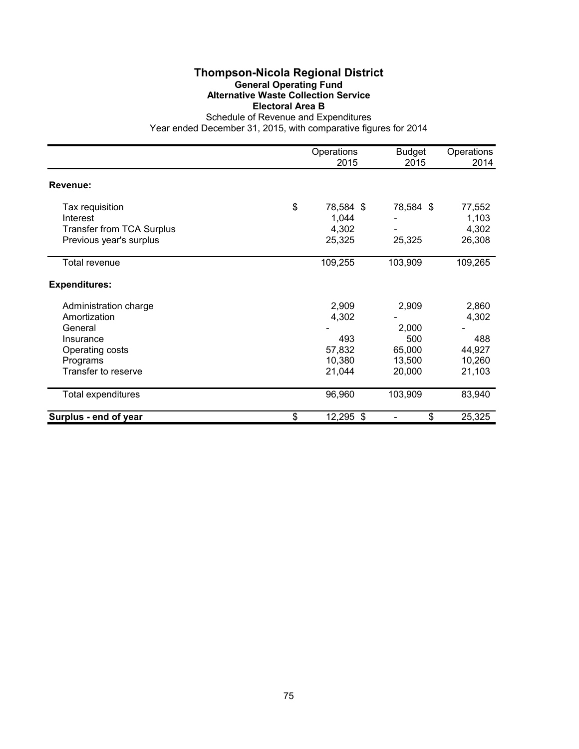# **Thompson-Nicola Regional District General Operating Fund Alternative Waste Collection Service Electoral Area B**

|                                  | Operations<br>2015 | <b>Budget</b><br>2015 | Operations<br>2014 |
|----------------------------------|--------------------|-----------------------|--------------------|
| Revenue:                         |                    |                       |                    |
| Tax requisition                  | \$<br>78,584 \$    | 78,584 \$             | 77,552             |
| Interest                         | 1,044              |                       | 1,103              |
| <b>Transfer from TCA Surplus</b> | 4,302              |                       | 4,302              |
| Previous year's surplus          | 25,325             | 25,325                | 26,308             |
| Total revenue                    | 109,255            | 103,909               | 109,265            |
| <b>Expenditures:</b>             |                    |                       |                    |
| Administration charge            | 2,909              | 2,909                 | 2,860              |
| Amortization                     | 4,302              |                       | 4,302              |
| General                          |                    | 2,000                 |                    |
| Insurance                        | 493                | 500                   | 488                |
| Operating costs                  | 57,832             | 65,000                | 44,927             |
| Programs                         | 10,380             | 13,500                | 10,260             |
| Transfer to reserve              | 21,044             | 20,000                | 21,103             |
| Total expenditures               | 96,960             | 103,909               | 83,940             |
| Surplus - end of year            | \$<br>12,295 \$    | \$                    | 25,325             |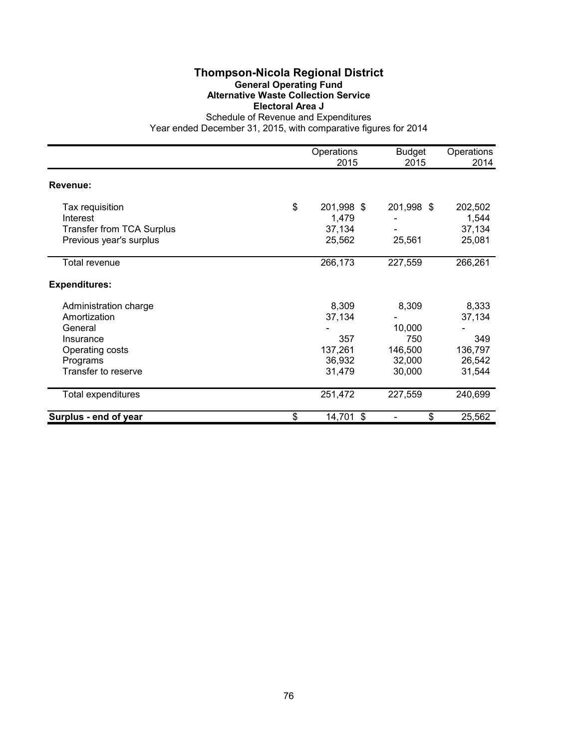### **Thompson-Nicola Regional District General Operating Fund Alternative Waste Collection Service Electoral Area J**

|                                  | Operations<br>2015 | <b>Budget</b><br>2015 | Operations<br>2014 |
|----------------------------------|--------------------|-----------------------|--------------------|
| Revenue:                         |                    |                       |                    |
| Tax requisition                  | \$<br>201,998 \$   | 201,998 \$            | 202,502            |
| Interest                         | 1,479              |                       | 1,544              |
| <b>Transfer from TCA Surplus</b> | 37,134             |                       | 37,134             |
| Previous year's surplus          | 25,562             | 25,561                | 25,081             |
| Total revenue                    | 266,173            | 227,559               | 266,261            |
| <b>Expenditures:</b>             |                    |                       |                    |
| Administration charge            | 8,309              | 8,309                 | 8,333              |
| Amortization                     | 37,134             |                       | 37,134             |
| General                          |                    | 10,000                |                    |
| Insurance                        | 357                | 750                   | 349                |
| Operating costs                  | 137,261            | 146,500               | 136,797            |
| Programs                         | 36,932             | 32,000                | 26,542             |
| Transfer to reserve              | 31,479             | 30,000                | 31,544             |
| Total expenditures               | 251,472            | 227,559               | 240,699            |
| Surplus - end of year            | \$<br>14,701 \$    | \$                    | 25,562             |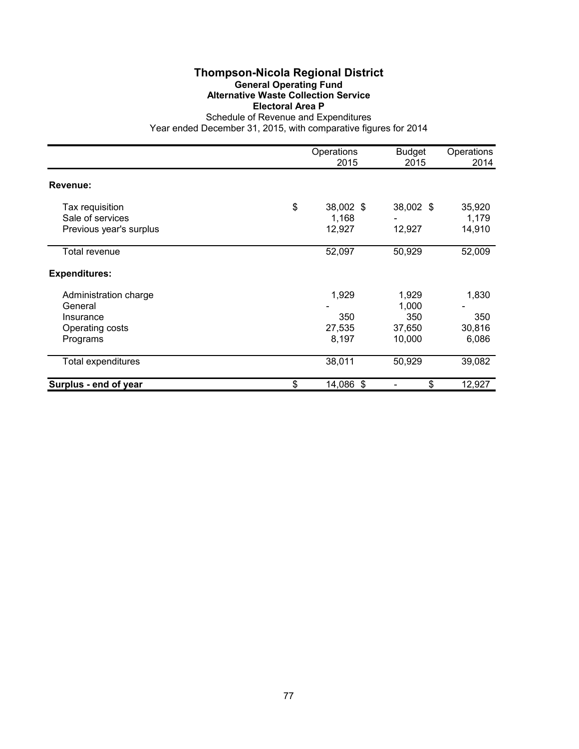# **Thompson-Nicola Regional District General Operating Fund Alternative Waste Collection Service Electoral Area P**

|                                                                              | Operations<br>2015                 | <b>Budget</b><br>2015                     | Operations<br>2014              |
|------------------------------------------------------------------------------|------------------------------------|-------------------------------------------|---------------------------------|
| Revenue:                                                                     |                                    |                                           |                                 |
| Tax requisition<br>Sale of services<br>Previous year's surplus               | \$<br>38,002 \$<br>1,168<br>12,927 | 38,002 \$<br>12,927                       | 35,920<br>1,179<br>14,910       |
| Total revenue                                                                | 52,097                             | 50,929                                    | 52,009                          |
| <b>Expenditures:</b>                                                         |                                    |                                           |                                 |
| Administration charge<br>General<br>Insurance<br>Operating costs<br>Programs | 1,929<br>350<br>27,535<br>8,197    | 1,929<br>1,000<br>350<br>37,650<br>10,000 | 1,830<br>350<br>30,816<br>6,086 |
| <b>Total expenditures</b>                                                    | 38,011                             | 50,929                                    | 39,082                          |
| Surplus - end of year                                                        | \$<br>14,086 \$                    | \$                                        | 12,927                          |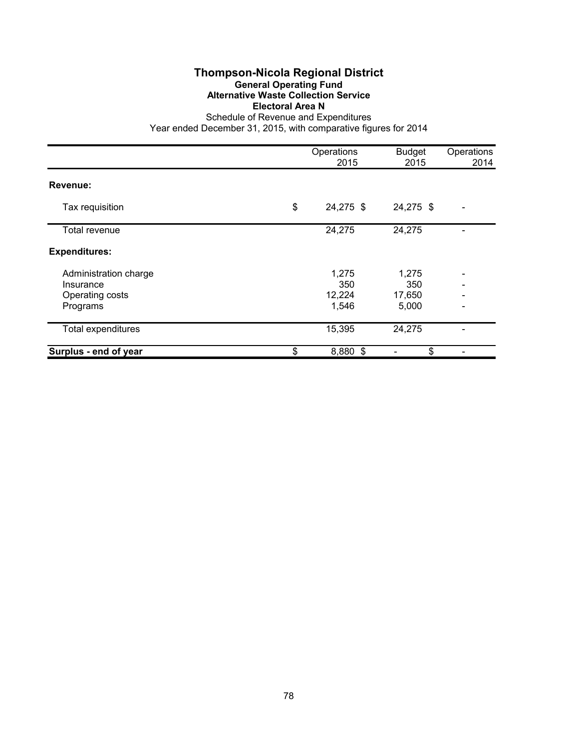# **Thompson-Nicola Regional District General Operating Fund Alternative Waste Collection Service Electoral Area N**

|                       | Operations<br>2015 | <b>Budget</b><br>2015 | Operations<br>2014 |
|-----------------------|--------------------|-----------------------|--------------------|
| Revenue:              |                    |                       |                    |
| Tax requisition       | \$<br>24,275 \$    | 24,275 \$             |                    |
| Total revenue         | 24,275             | 24,275                |                    |
| <b>Expenditures:</b>  |                    |                       |                    |
| Administration charge | 1,275              | 1,275                 |                    |
| Insurance             | 350                | 350                   |                    |
| Operating costs       | 12,224             | 17,650                |                    |
| Programs              | 1,546              | 5,000                 |                    |
| Total expenditures    | 15,395             | 24,275                |                    |
| Surplus - end of year | \$<br>8,880 \$     | \$                    |                    |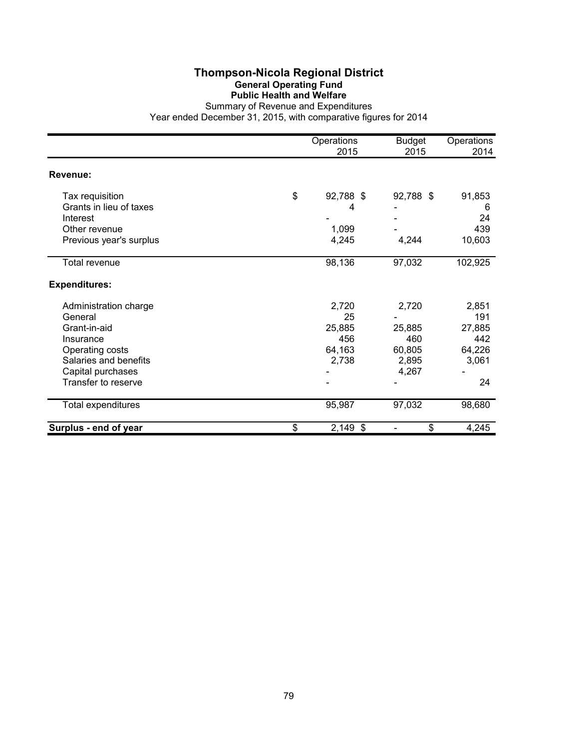### **Thompson-Nicola Regional District General Operating Fund Public Health and Welfare**

|                                                        | Operations<br>2015   | <b>Budget</b><br>2015 | Operations<br>2014 |
|--------------------------------------------------------|----------------------|-----------------------|--------------------|
| Revenue:                                               |                      |                       |                    |
| Tax requisition<br>Grants in lieu of taxes<br>Interest | \$<br>92,788 \$<br>4 | 92,788 \$             | 91,853<br>6<br>24  |
| Other revenue                                          | 1,099                |                       | 439                |
| Previous year's surplus                                | 4,245                | 4,244                 | 10,603             |
| Total revenue                                          | 98,136               | 97,032                | 102,925            |
| <b>Expenditures:</b>                                   |                      |                       |                    |
| Administration charge<br>General                       | 2,720<br>25          | 2,720                 | 2,851<br>191       |
| Grant-in-aid                                           | 25,885               | 25,885                | 27,885             |
| Insurance                                              | 456                  | 460                   | 442                |
| Operating costs                                        | 64,163               | 60,805                | 64,226             |
| Salaries and benefits                                  | 2,738                | 2,895                 | 3,061              |
| Capital purchases                                      |                      | 4,267                 |                    |
| Transfer to reserve                                    |                      |                       | 24                 |
| Total expenditures                                     | 95,987               | 97,032                | 98,680             |
| Surplus - end of year                                  | \$<br>$2,149$ \$     | \$                    | 4,245              |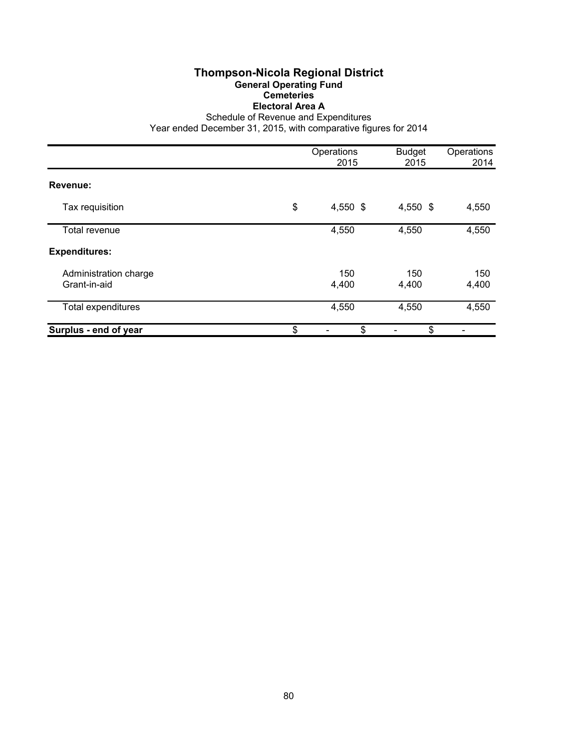### **Thompson-Nicola Regional District General Operating Fund Cemeteries Electoral Area A**

Schedule of Revenue and Expenditures

|                                       | Operations<br>2015 | <b>Budget</b><br>2015 | Operations<br>2014 |
|---------------------------------------|--------------------|-----------------------|--------------------|
| Revenue:                              |                    |                       |                    |
| Tax requisition                       | \$<br>4,550 \$     | 4,550 \$              | 4,550              |
| <b>Total revenue</b>                  | 4,550              | 4,550                 | 4,550              |
| <b>Expenditures:</b>                  |                    |                       |                    |
| Administration charge<br>Grant-in-aid | 150<br>4,400       | 150<br>4,400          | 150<br>4,400       |
| Total expenditures                    | 4,550              | 4,550                 | 4,550              |
| Surplus - end of year                 | \$<br>\$           | \$                    |                    |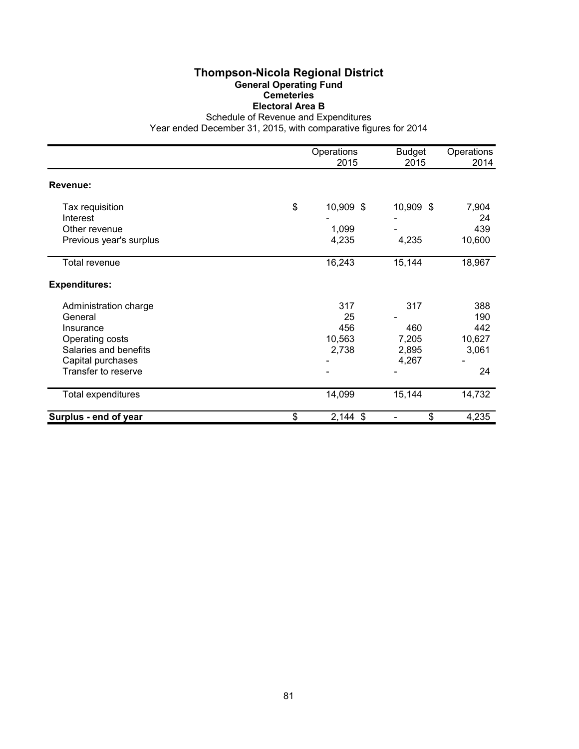### **Thompson-Nicola Regional District General Operating Fund Cemeteries Electoral Area B**

Schedule of Revenue and Expenditures

|                         | Operations<br>2015 | <b>Budget</b><br>2015 | Operations<br>2014 |
|-------------------------|--------------------|-----------------------|--------------------|
| Revenue:                |                    |                       |                    |
| Tax requisition         | \$<br>10,909 \$    | 10,909 \$             | 7,904              |
| Interest                |                    |                       | 24                 |
| Other revenue           | 1,099              |                       | 439                |
| Previous year's surplus | 4,235              | 4,235                 | 10,600             |
| Total revenue           | 16,243             | 15,144                | 18,967             |
| <b>Expenditures:</b>    |                    |                       |                    |
| Administration charge   | 317                | 317                   | 388                |
| General                 | 25                 |                       | 190                |
| Insurance               | 456                | 460                   | 442                |
| Operating costs         | 10,563             | 7,205                 | 10,627             |
| Salaries and benefits   | 2,738              | 2,895                 | 3,061              |
| Capital purchases       |                    | 4,267                 |                    |
| Transfer to reserve     |                    |                       | 24                 |
| Total expenditures      | 14,099             | 15,144                | 14,732             |
| Surplus - end of year   | \$<br>$2,144$ \$   | \$                    | 4,235              |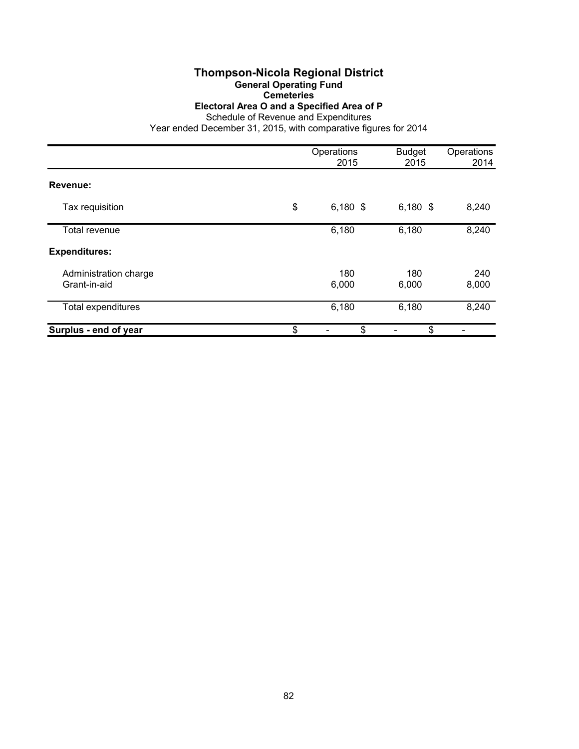# **Thompson-Nicola Regional District**

**General Operating Fund**

**Cemeteries**

**Electoral Area O and a Specified Area of P**

|                                       | Operations<br>2015 | <b>Budget</b><br>2015 | Operations<br>2014 |
|---------------------------------------|--------------------|-----------------------|--------------------|
| Revenue:                              |                    |                       |                    |
| Tax requisition                       | \$<br>$6,180$ \$   | $6,180$ \$            | 8,240              |
| Total revenue                         | 6,180              | 6,180                 | 8,240              |
| <b>Expenditures:</b>                  |                    |                       |                    |
| Administration charge<br>Grant-in-aid | 180<br>6,000       | 180<br>6,000          | 240<br>8,000       |
| Total expenditures                    | 6,180              | 6,180                 | 8,240              |
| Surplus - end of year                 | \$<br>\$           | \$                    |                    |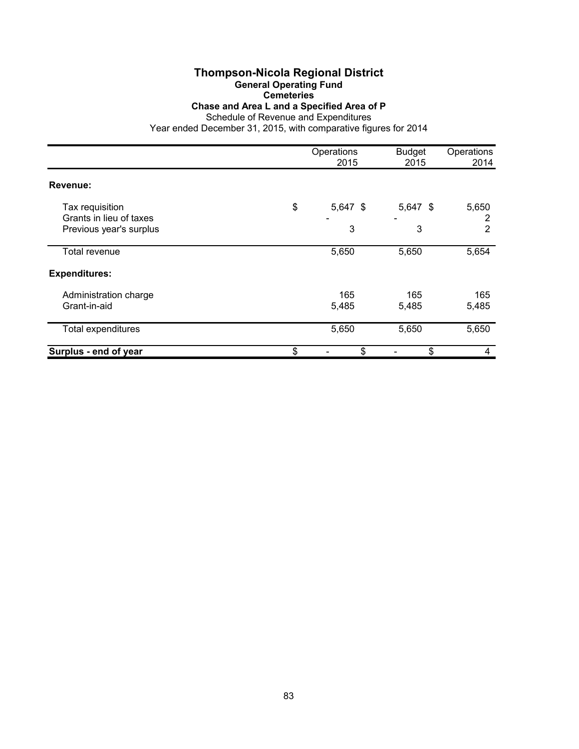### **Thompson-Nicola Regional District General Operating Fund**

**Cemeteries**

**Chase and Area L and a Specified Area of P**

Schedule of Revenue and Expenditures

|                                            | Operations<br>2015 | <b>Budget</b><br>2015 | Operations<br>2014 |
|--------------------------------------------|--------------------|-----------------------|--------------------|
| Revenue:                                   |                    |                       |                    |
| Tax requisition<br>Grants in lieu of taxes | \$<br>$5,647$ \$   | 5,647 \$              | 5,650<br>2         |
| Previous year's surplus                    | 3                  | 3                     | 2                  |
| Total revenue                              | 5,650              | 5,650                 | 5,654              |
| <b>Expenditures:</b>                       |                    |                       |                    |
| Administration charge<br>Grant-in-aid      | 165<br>5,485       | 165<br>5,485          | 165<br>5,485       |
| <b>Total expenditures</b>                  | 5,650              | 5,650                 | 5,650              |
| Surplus - end of year                      | \$<br>\$           | \$                    | 4                  |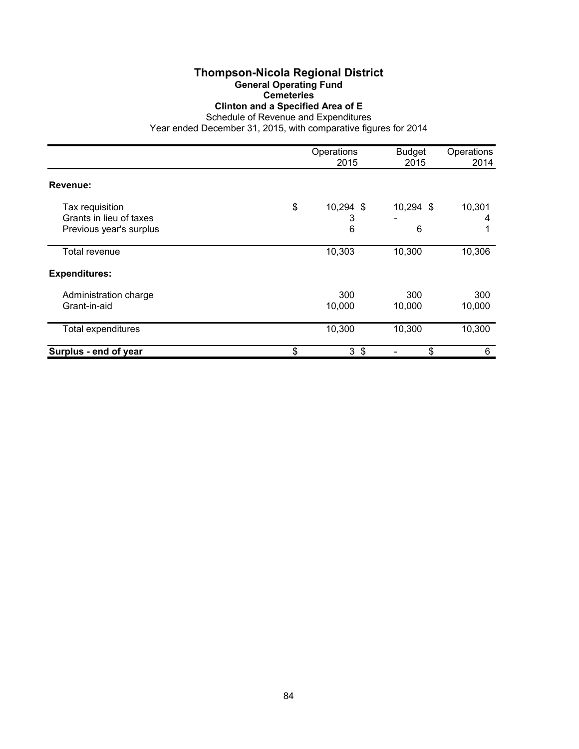### **Thompson-Nicola Regional District General Operating Fund Cemeteries Clinton and a Specified Area of E**

|                                                                       | Operations<br>2015        | <b>Budget</b><br>2015 | Operations<br>2014 |
|-----------------------------------------------------------------------|---------------------------|-----------------------|--------------------|
| Revenue:                                                              |                           |                       |                    |
| Tax requisition<br>Grants in lieu of taxes<br>Previous year's surplus | \$<br>10,294 \$<br>3<br>6 | 10,294 \$<br>6        | 10,301<br>4        |
| <b>Total revenue</b>                                                  | 10,303                    | 10,300                | 10,306             |
| <b>Expenditures:</b>                                                  |                           |                       |                    |
| Administration charge<br>Grant-in-aid                                 | 300<br>10,000             | 300<br>10,000         | 300<br>10,000      |
| Total expenditures                                                    | 10,300                    | 10,300                | 10,300             |
| Surplus - end of year                                                 | \$<br>3 <sup>5</sup>      | \$                    | 6                  |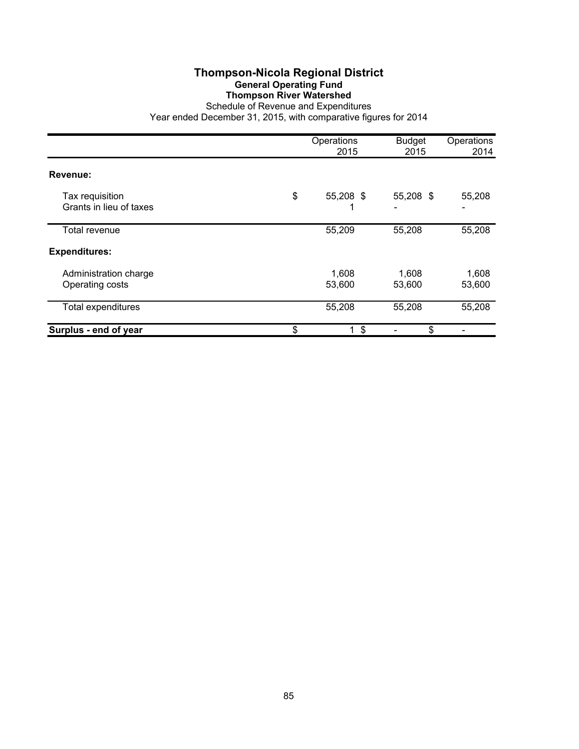### **Thompson-Nicola Regional District General Operating Fund Thompson River Watershed**

|                                            | Operations<br>2015                   | <b>Budget</b><br>2015 | Operations<br>2014 |
|--------------------------------------------|--------------------------------------|-----------------------|--------------------|
| Revenue:                                   |                                      |                       |                    |
| Tax requisition<br>Grants in lieu of taxes | \$<br>55,208 \$                      | 55,208 \$             | 55,208             |
| Total revenue                              | 55,209                               | 55,208                | 55,208             |
| <b>Expenditures:</b>                       |                                      |                       |                    |
| Administration charge<br>Operating costs   | 1,608<br>53,600                      | 1,608<br>53,600       | 1,608<br>53,600    |
| <b>Total expenditures</b>                  | 55,208                               | 55,208                | 55,208             |
| Surplus - end of year                      | \$<br>$\boldsymbol{\mathsf{S}}$<br>1 | \$                    |                    |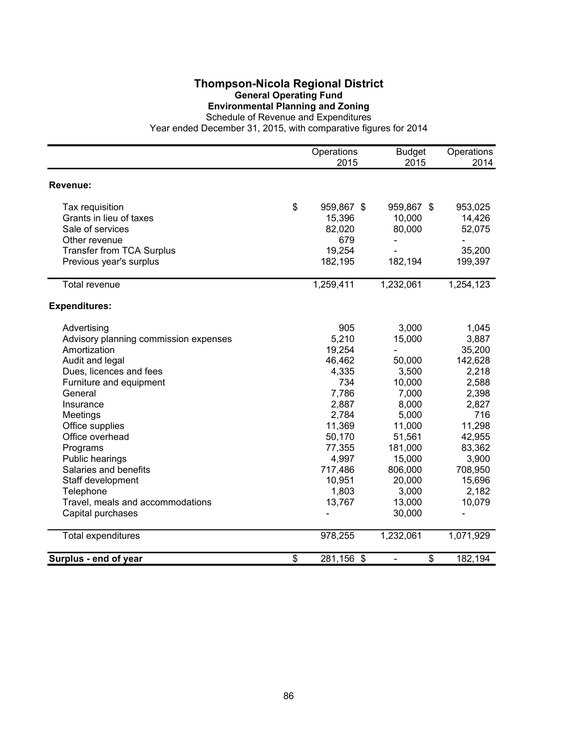### **Thompson-Nicola Regional District General Operating Fund Environmental Planning and Zoning**

Schedule of Revenue and Expenditures

|                                       | Operations<br>2015 | <b>Budget</b><br>2015          | Operations<br>2014       |
|---------------------------------------|--------------------|--------------------------------|--------------------------|
|                                       |                    |                                |                          |
| Revenue:                              |                    |                                |                          |
| Tax requisition                       | \$<br>959,867 \$   | 959,867 \$                     | 953,025                  |
| Grants in lieu of taxes               | 15,396             | 10,000                         | 14,426                   |
| Sale of services                      | 82,020             | 80,000                         | 52,075                   |
| Other revenue                         | 679                |                                |                          |
| <b>Transfer from TCA Surplus</b>      | 19,254             |                                | 35,200                   |
| Previous year's surplus               | 182,195            | 182,194                        | 199,397                  |
| Total revenue                         | 1,259,411          | 1,232,061                      | 1,254,123                |
| <b>Expenditures:</b>                  |                    |                                |                          |
| Advertising                           | 905                | 3,000                          | 1,045                    |
| Advisory planning commission expenses | 5,210              | 15,000                         | 3,887                    |
| Amortization                          | 19,254             | $\overline{\phantom{0}}$       | 35,200                   |
| Audit and legal                       | 46,462             | 50,000                         | 142,628                  |
| Dues, licences and fees               | 4,335              | 3,500                          | 2,218                    |
| Furniture and equipment               | 734                | 10,000                         | 2,588                    |
| General                               | 7,786              | 7,000                          | 2,398                    |
| Insurance                             | 2,887              | 8,000                          | 2,827                    |
| Meetings                              | 2,784              | 5,000                          | 716                      |
| Office supplies                       | 11,369             | 11,000                         | 11,298                   |
| Office overhead                       | 50,170             | 51,561                         | 42,955                   |
| Programs                              | 77,355             | 181,000                        | 83,362                   |
| Public hearings                       | 4,997              | 15,000                         | 3,900                    |
| Salaries and benefits                 | 717,486            | 806,000                        | 708,950                  |
| Staff development                     | 10,951             | 20,000                         | 15,696                   |
| Telephone                             | 1,803              | 3,000                          | 2,182                    |
| Travel, meals and accommodations      | 13,767             | 13,000                         | 10,079                   |
| Capital purchases                     |                    | 30,000                         | $\overline{\phantom{0}}$ |
| <b>Total expenditures</b>             | 978,255            | 1,232,061                      | 1,071,929                |
| Surplus - end of year                 | \$<br>281,156 \$   | \$<br>$\overline{\phantom{a}}$ | 182,194                  |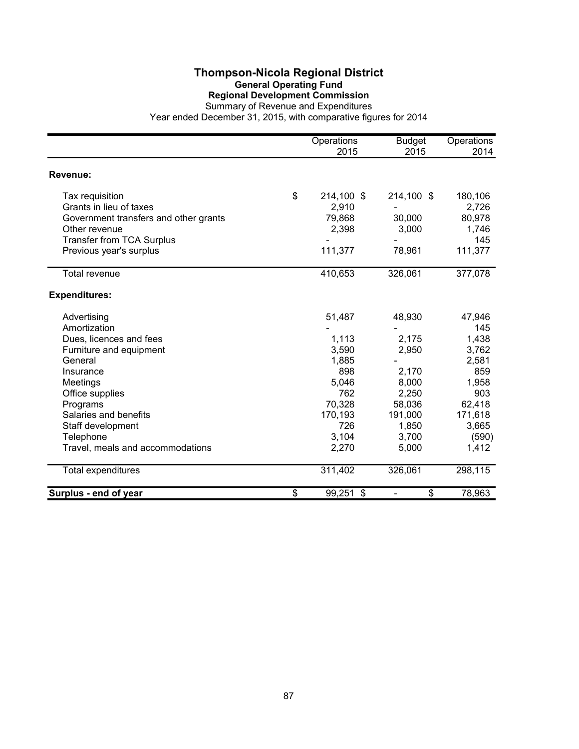### **Thompson-Nicola Regional District General Operating Fund Regional Development Commission**

|                                                                                                                                                                                                                                                     | Operations<br>2015                                                                                     | <b>Budget</b><br>2015                                                                               | Operations<br>2014                                                                                              |
|-----------------------------------------------------------------------------------------------------------------------------------------------------------------------------------------------------------------------------------------------------|--------------------------------------------------------------------------------------------------------|-----------------------------------------------------------------------------------------------------|-----------------------------------------------------------------------------------------------------------------|
| Revenue:                                                                                                                                                                                                                                            |                                                                                                        |                                                                                                     |                                                                                                                 |
| Tax requisition<br>Grants in lieu of taxes<br>Government transfers and other grants<br>Other revenue<br><b>Transfer from TCA Surplus</b><br>Previous year's surplus                                                                                 | \$<br>214,100 \$<br>2,910<br>79,868<br>2,398<br>111,377                                                | 214,100 \$<br>30,000<br>3,000<br>78,961                                                             | 180,106<br>2,726<br>80,978<br>1,746<br>145<br>111,377                                                           |
| <b>Total revenue</b>                                                                                                                                                                                                                                | 410,653                                                                                                | 326,061                                                                                             | 377,078                                                                                                         |
| <b>Expenditures:</b>                                                                                                                                                                                                                                |                                                                                                        |                                                                                                     |                                                                                                                 |
| Advertising<br>Amortization<br>Dues, licences and fees<br>Furniture and equipment<br>General<br>Insurance<br>Meetings<br>Office supplies<br>Programs<br>Salaries and benefits<br>Staff development<br>Telephone<br>Travel, meals and accommodations | 51,487<br>1,113<br>3,590<br>1,885<br>898<br>5,046<br>762<br>70,328<br>170,193<br>726<br>3,104<br>2,270 | 48,930<br>2,175<br>2,950<br>2,170<br>8,000<br>2,250<br>58,036<br>191,000<br>1,850<br>3,700<br>5,000 | 47,946<br>145<br>1,438<br>3,762<br>2,581<br>859<br>1,958<br>903<br>62,418<br>171,618<br>3,665<br>(590)<br>1,412 |
| <b>Total expenditures</b>                                                                                                                                                                                                                           | 311,402                                                                                                | 326,061                                                                                             | 298,115                                                                                                         |
| Surplus - end of year                                                                                                                                                                                                                               | \$<br>99,251 \$                                                                                        | \$                                                                                                  | 78,963                                                                                                          |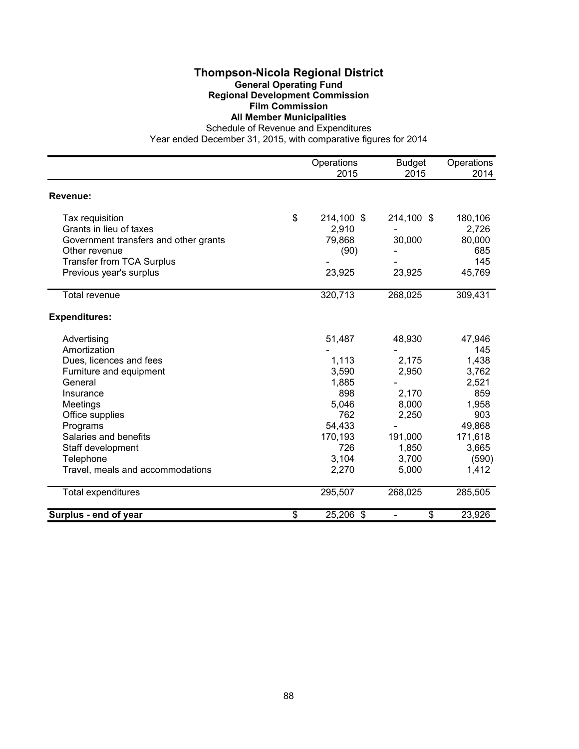### **Thompson-Nicola Regional District General Operating Fund Regional Development Commission Film Commission**

**All Member Municipalities**

Schedule of Revenue and Expenditures

|                                       | Operations       | <b>Budget</b> | Operations |
|---------------------------------------|------------------|---------------|------------|
|                                       | 2015             | 2015          | 2014       |
| Revenue:                              |                  |               |            |
| Tax requisition                       | \$<br>214,100 \$ | 214,100 \$    | 180,106    |
| Grants in lieu of taxes               | 2,910            |               | 2,726      |
| Government transfers and other grants | 79,868           | 30,000        | 80,000     |
| Other revenue                         | (90)             |               | 685        |
| <b>Transfer from TCA Surplus</b>      |                  |               | 145        |
| Previous year's surplus               | 23,925           | 23,925        | 45,769     |
| Total revenue                         | 320,713          | 268,025       | 309,431    |
|                                       |                  |               |            |
| <b>Expenditures:</b>                  |                  |               |            |
| Advertising                           | 51,487           | 48,930        | 47,946     |
| Amortization                          |                  |               | 145        |
| Dues, licences and fees               | 1,113            | 2,175         | 1,438      |
| Furniture and equipment               | 3,590            | 2,950         | 3,762      |
| General                               | 1,885            |               | 2,521      |
| Insurance                             | 898              | 2,170         | 859        |
| Meetings                              | 5,046            | 8,000         | 1,958      |
| Office supplies                       | 762              | 2,250         | 903        |
| Programs                              | 54,433           |               | 49,868     |
| Salaries and benefits                 | 170,193          | 191,000       | 171,618    |
| Staff development                     | 726              | 1,850         | 3,665      |
| Telephone                             | 3,104            | 3,700         | (590)      |
| Travel, meals and accommodations      | 2,270            | 5,000         | 1,412      |
| <b>Total expenditures</b>             | 295,507          | 268,025       | 285,505    |
| Surplus - end of year                 | \$<br>25,206 \$  | \$            | 23,926     |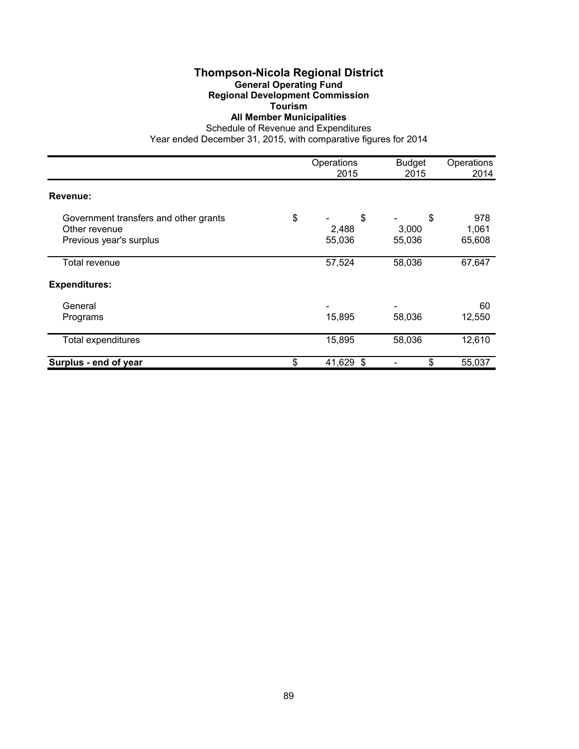# **Thompson-Nicola Regional District**

#### **General Operating Fund Regional Development Commission**

**Tourism**

### **All Member Municipalities**

Schedule of Revenue and Expenditures

|                                                                                   | Operations<br>2015          | <b>Budget</b><br>2015 | Operations<br>2014     |
|-----------------------------------------------------------------------------------|-----------------------------|-----------------------|------------------------|
| Revenue:                                                                          |                             |                       |                        |
| Government transfers and other grants<br>Other revenue<br>Previous year's surplus | \$<br>\$<br>2,488<br>55,036 | \$<br>3,000<br>55,036 | 978<br>1,061<br>65,608 |
| Total revenue                                                                     | 57,524                      | 58,036                | 67,647                 |
| <b>Expenditures:</b>                                                              |                             |                       |                        |
| General<br>Programs                                                               | 15,895                      | 58,036                | 60<br>12,550           |
| Total expenditures                                                                | 15,895                      | 58,036                | 12,610                 |
| Surplus - end of year                                                             | \$<br>41,629 \$             | \$                    | 55,037                 |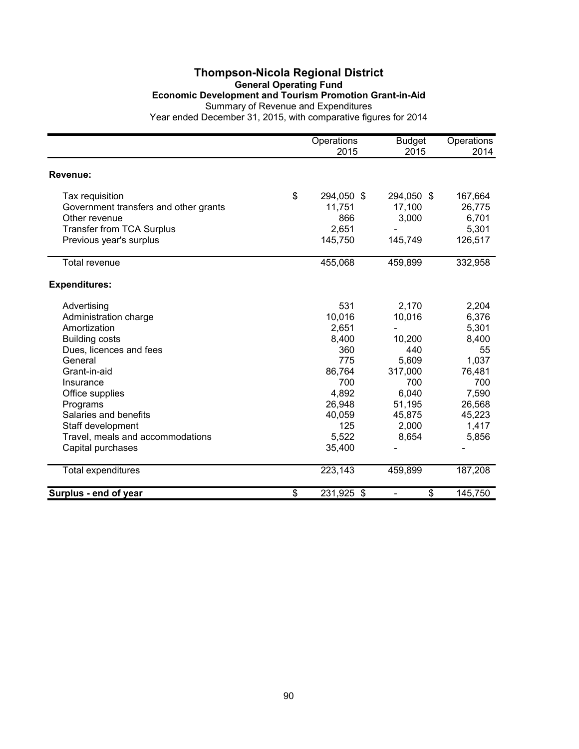# **Thompson-Nicola Regional District General Operating Fund Economic Development and Tourism Promotion Grant-in-Aid** Summary of Revenue and Expenditures

|                                       | Operations<br>2015 | <b>Budget</b><br>2015 | Operations<br>2014 |
|---------------------------------------|--------------------|-----------------------|--------------------|
| Revenue:                              |                    |                       |                    |
|                                       |                    |                       |                    |
| Tax requisition                       | \$<br>294,050 \$   | 294,050 \$            | 167,664            |
| Government transfers and other grants | 11,751             | 17,100                | 26,775             |
| Other revenue                         | 866                | 3,000                 | 6,701              |
| <b>Transfer from TCA Surplus</b>      | 2,651              |                       | 5,301              |
| Previous year's surplus               | 145,750            | 145,749               | 126,517            |
| <b>Total revenue</b>                  | 455,068            | 459,899               | 332,958            |
| <b>Expenditures:</b>                  |                    |                       |                    |
| Advertising                           | 531                | 2,170                 | 2,204              |
| Administration charge                 | 10,016             | 10,016                | 6,376              |
| Amortization                          | 2,651              |                       | 5,301              |
| <b>Building costs</b>                 | 8,400              | 10,200                | 8,400              |
| Dues, licences and fees               | 360                | 440                   | 55                 |
| General                               | 775                | 5,609                 | 1,037              |
| Grant-in-aid                          | 86,764             | 317,000               | 76,481             |
| Insurance                             | 700                | 700                   | 700                |
| Office supplies                       | 4,892              | 6,040                 | 7,590              |
| Programs                              | 26,948             | 51,195                | 26,568             |
| Salaries and benefits                 | 40,059             | 45,875                | 45,223             |
| Staff development                     | 125                | 2,000                 | 1,417              |
| Travel, meals and accommodations      | 5,522              | 8,654                 | 5,856              |
| Capital purchases                     | 35,400             |                       |                    |
| <b>Total expenditures</b>             | 223,143            | 459,899               | 187,208            |
| Surplus - end of year                 | \$<br>231,925 \$   | \$                    | 145,750            |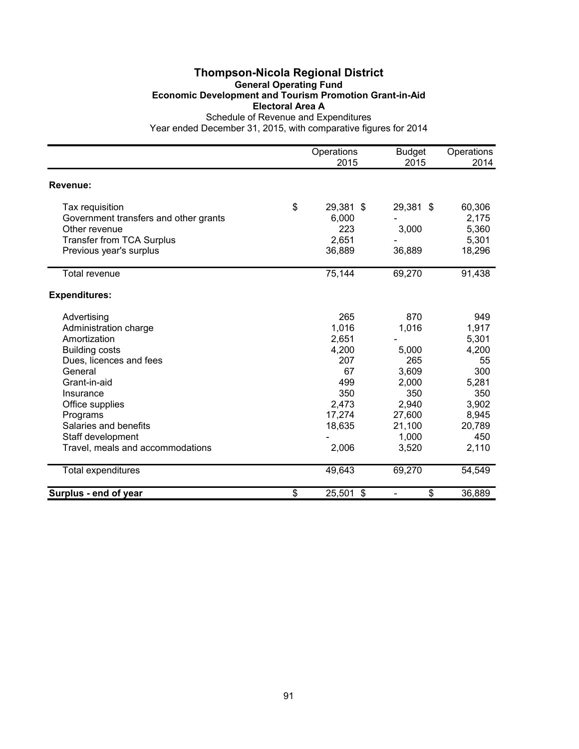# **Thompson-Nicola Regional District General Operating Fund Economic Development and Tourism Promotion Grant-in-Aid Electoral Area A**

|                                       | Operations      | <b>Budget</b>                      | Operations |
|---------------------------------------|-----------------|------------------------------------|------------|
|                                       | 2015            | 2015                               | 2014       |
| Revenue:                              |                 |                                    |            |
| Tax requisition                       | \$<br>29,381 \$ | 29,381 \$                          | 60,306     |
| Government transfers and other grants | 6,000           |                                    | 2,175      |
| Other revenue                         | 223             | 3,000                              | 5,360      |
| <b>Transfer from TCA Surplus</b>      | 2,651           |                                    | 5,301      |
| Previous year's surplus               | 36,889          | 36,889                             | 18,296     |
| Total revenue                         | 75,144          | 69,270                             | 91,438     |
| <b>Expenditures:</b>                  |                 |                                    |            |
| Advertising                           | 265             | 870                                | 949        |
| Administration charge                 | 1,016           | 1,016                              | 1,917      |
| Amortization                          | 2,651           |                                    | 5,301      |
| <b>Building costs</b>                 | 4,200           | 5,000                              | 4,200      |
| Dues, licences and fees               | 207             | 265                                | 55         |
| General                               | 67              | 3,609                              | 300        |
| Grant-in-aid                          | 499             | 2,000                              | 5,281      |
| Insurance                             | 350             | 350                                | 350        |
| Office supplies                       | 2,473           | 2,940                              | 3,902      |
| Programs                              | 17,274          | 27,600                             | 8,945      |
| Salaries and benefits                 | 18,635          | 21,100                             | 20,789     |
| Staff development                     |                 | 1,000                              | 450        |
| Travel, meals and accommodations      | 2,006           | 3,520                              | 2,110      |
| <b>Total expenditures</b>             | 49,643          | 69,270                             | 54,549     |
| Surplus - end of year                 | \$<br>25,501 \$ | \$<br>$\qquad \qquad \blacksquare$ | 36,889     |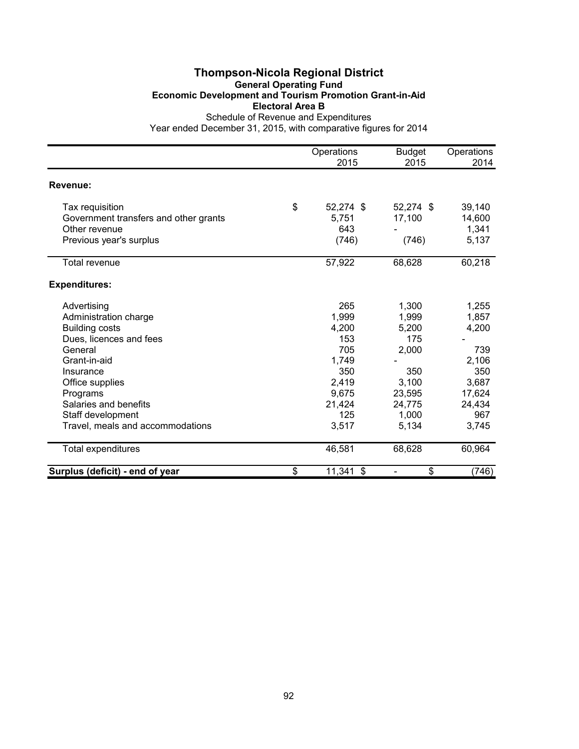# **Thompson-Nicola Regional District General Operating Fund Economic Development and Tourism Promotion Grant-in-Aid Electoral Area B**

|                                       | Operations      | <b>Budget</b> | Operations |
|---------------------------------------|-----------------|---------------|------------|
|                                       | 2015            | 2015          | 2014       |
| Revenue:                              |                 |               |            |
| Tax requisition                       | \$<br>52,274 \$ | 52,274 \$     | 39,140     |
| Government transfers and other grants | 5,751           | 17,100        | 14,600     |
| Other revenue                         | 643             |               | 1,341      |
| Previous year's surplus               | (746)           | (746)         | 5,137      |
| <b>Total revenue</b>                  | 57,922          | 68,628        | 60,218     |
| <b>Expenditures:</b>                  |                 |               |            |
| Advertising                           | 265             | 1,300         | 1,255      |
| Administration charge                 | 1,999           | 1,999         | 1,857      |
| <b>Building costs</b>                 | 4,200           | 5,200         | 4,200      |
| Dues, licences and fees               | 153             | 175           |            |
| General                               | 705             | 2,000         | 739        |
| Grant-in-aid                          | 1,749           |               | 2,106      |
| Insurance                             | 350             | 350           | 350        |
| Office supplies                       | 2,419           | 3,100         | 3,687      |
| Programs                              | 9,675           | 23,595        | 17,624     |
| Salaries and benefits                 | 21,424          | 24,775        | 24,434     |
| Staff development                     | 125             | 1,000         | 967        |
| Travel, meals and accommodations      | 3,517           | 5,134         | 3,745      |
| <b>Total expenditures</b>             | 46,581          | 68,628        | 60,964     |
| Surplus (deficit) - end of year       | \$<br>11,341 \$ | \$            | (746)      |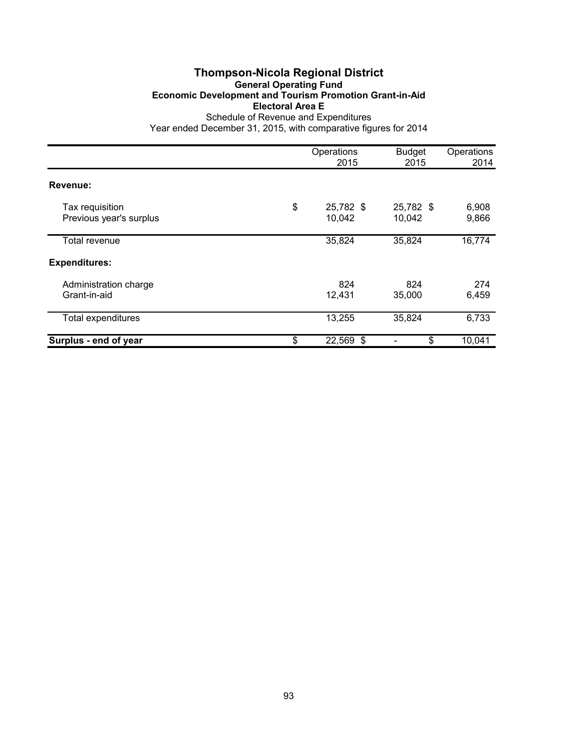# **Thompson-Nicola Regional District General Operating Fund Economic Development and Tourism Promotion Grant-in-Aid Electoral Area E**

|                                            | Operations<br>2015        | <b>Budget</b><br>2015 | Operations<br>2014 |
|--------------------------------------------|---------------------------|-----------------------|--------------------|
| Revenue:                                   |                           |                       |                    |
| Tax requisition<br>Previous year's surplus | \$<br>25,782 \$<br>10,042 | 25,782 \$<br>10,042   | 6,908<br>9,866     |
| Total revenue                              | 35,824                    | 35,824                | 16,774             |
| <b>Expenditures:</b>                       |                           |                       |                    |
| Administration charge<br>Grant-in-aid      | 824<br>12,431             | 824<br>35,000         | 274<br>6,459       |
| <b>Total expenditures</b>                  | 13,255                    | 35,824                | 6,733              |
| Surplus - end of year                      | \$<br>22,569 \$           | \$                    | 10,041             |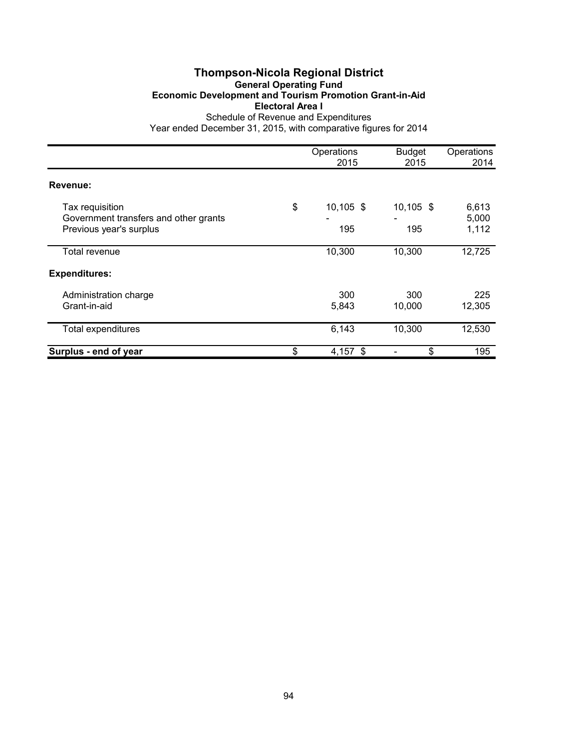### **Thompson-Nicola Regional District General Operating Fund Economic Development and Tourism Promotion Grant-in-Aid Electoral Area I** Schedule of Revenue and Expenditures

|                                                                                     | Operations<br>2015       | <b>Budget</b><br>2015 | Operations<br>2014      |
|-------------------------------------------------------------------------------------|--------------------------|-----------------------|-------------------------|
| Revenue:                                                                            |                          |                       |                         |
| Tax requisition<br>Government transfers and other grants<br>Previous year's surplus | \$<br>$10,105$ \$<br>195 | $10,105$ \$<br>195    | 6,613<br>5,000<br>1,112 |
| Total revenue                                                                       | 10,300                   | 10,300                | 12,725                  |
| <b>Expenditures:</b>                                                                |                          |                       |                         |
| Administration charge<br>Grant-in-aid                                               | 300<br>5,843             | 300<br>10,000         | 225<br>12,305           |
| Total expenditures                                                                  | 6,143                    | 10,300                | 12,530                  |
| Surplus - end of year                                                               | \$<br>$4,157$ \$         | \$                    | 195                     |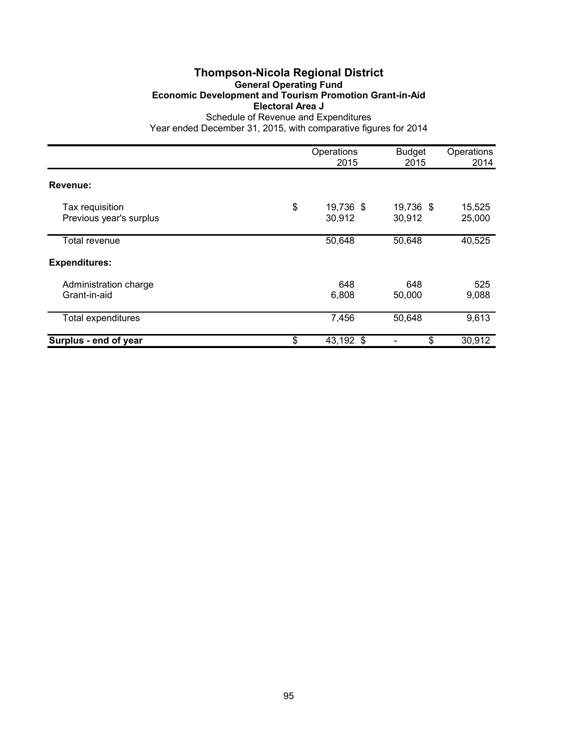### **Thompson-Nicola Regional District General Operating Fund Economic Development and Tourism Promotion Grant-in-Aid Electoral Area J** Schedule of Revenue and Expenditures

|                                            | Operations<br>2015        | <b>Budget</b><br>2015 | Operations<br>2014 |
|--------------------------------------------|---------------------------|-----------------------|--------------------|
| Revenue:                                   |                           |                       |                    |
| Tax requisition<br>Previous year's surplus | \$<br>19,736 \$<br>30,912 | 19,736 \$<br>30,912   | 15,525<br>25,000   |
| Total revenue                              | 50,648                    | 50,648                | 40,525             |
| <b>Expenditures:</b>                       |                           |                       |                    |
| Administration charge<br>Grant-in-aid      | 648<br>6,808              | 648<br>50,000         | 525<br>9,088       |
| <b>Total expenditures</b>                  | 7,456                     | 50,648                | 9,613              |
| Surplus - end of year                      | \$<br>43,192 \$           | \$                    | 30,912             |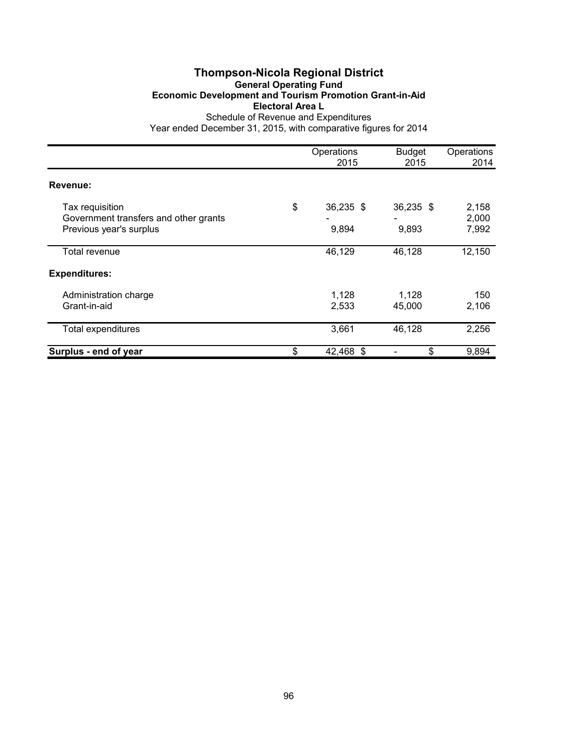### **Thompson-Nicola Regional District General Operating Fund Economic Development and Tourism Promotion Grant-in-Aid Electoral Area L** Schedule of Revenue and Expenditures

|                                                                                     | Operations<br>2015       | <b>Budget</b><br>2015 | Operations<br>2014      |
|-------------------------------------------------------------------------------------|--------------------------|-----------------------|-------------------------|
| Revenue:                                                                            |                          |                       |                         |
| Tax requisition<br>Government transfers and other grants<br>Previous year's surplus | \$<br>36,235 \$<br>9,894 | 36,235 \$<br>9,893    | 2,158<br>2,000<br>7,992 |
| Total revenue                                                                       | 46,129                   | 46,128                | 12,150                  |
| <b>Expenditures:</b>                                                                |                          |                       |                         |
| Administration charge<br>Grant-in-aid                                               | 1,128<br>2,533           | 1,128<br>45,000       | 150<br>2,106            |
| <b>Total expenditures</b>                                                           | 3,661                    | 46,128                | 2,256                   |
| Surplus - end of year                                                               | \$<br>42,468 \$          | \$                    | 9,894                   |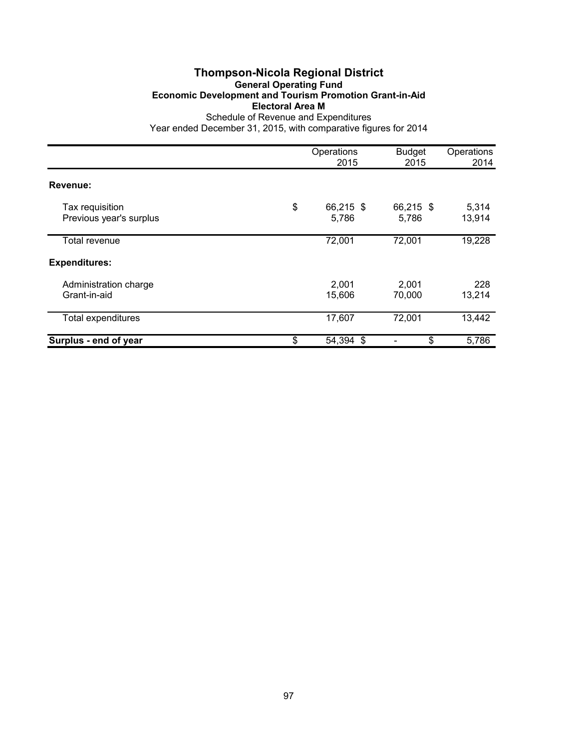# **Thompson-Nicola Regional District General Operating Fund Economic Development and Tourism Promotion Grant-in-Aid Electoral Area M**

|                                            | Operations<br>2015       | <b>Budget</b><br>2015 | Operations<br>2014 |
|--------------------------------------------|--------------------------|-----------------------|--------------------|
| Revenue:                                   |                          |                       |                    |
| Tax requisition<br>Previous year's surplus | \$<br>66,215 \$<br>5,786 | 66,215 \$<br>5,786    | 5,314<br>13,914    |
| Total revenue                              | 72,001                   | 72,001                | 19,228             |
| <b>Expenditures:</b>                       |                          |                       |                    |
| Administration charge<br>Grant-in-aid      | 2,001<br>15,606          | 2,001<br>70,000       | 228<br>13,214      |
| <b>Total expenditures</b>                  | 17,607                   | 72,001                | 13,442             |
| Surplus - end of year                      | \$<br>54,394 \$          | \$                    | 5,786              |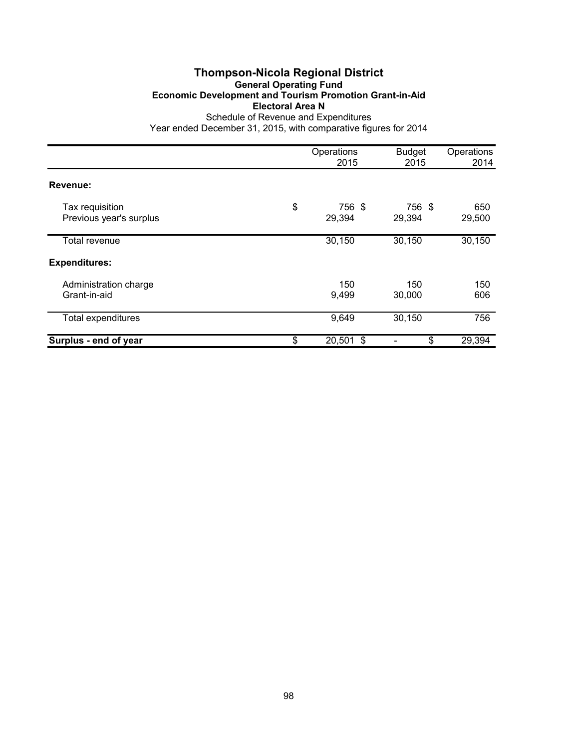# **Thompson-Nicola Regional District General Operating Fund Economic Development and Tourism Promotion Grant-in-Aid Electoral Area N**

|                                            | Operations<br>2015     | <b>Budget</b><br>2015 | Operations<br>2014 |
|--------------------------------------------|------------------------|-----------------------|--------------------|
| Revenue:                                   |                        |                       |                    |
| Tax requisition<br>Previous year's surplus | \$<br>756 \$<br>29,394 | 756 \$<br>29,394      | 650<br>29,500      |
| Total revenue                              | 30,150                 | 30,150                | 30,150             |
| <b>Expenditures:</b>                       |                        |                       |                    |
| Administration charge<br>Grant-in-aid      | 150<br>9,499           | 150<br>30,000         | 150<br>606         |
| <b>Total expenditures</b>                  | 9,649                  | 30,150                | 756                |
| Surplus - end of year                      | \$<br>20,501 \$        | \$                    | 29,394             |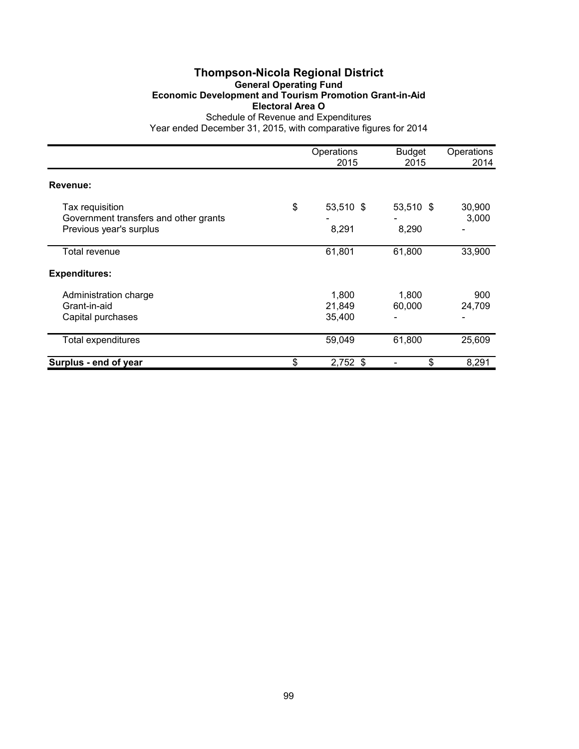### **Thompson-Nicola Regional District General Operating Fund Economic Development and Tourism Promotion Grant-in-Aid Electoral Area O** Schedule of Revenue and Expenditures

|                                                                                     | Operations<br>2015        | <b>Budget</b><br>2015 | Operations<br>2014 |
|-------------------------------------------------------------------------------------|---------------------------|-----------------------|--------------------|
| Revenue:                                                                            |                           |                       |                    |
| Tax requisition<br>Government transfers and other grants<br>Previous year's surplus | \$<br>53,510 \$<br>8,291  | 53,510 \$<br>8,290    | 30,900<br>3,000    |
| Total revenue                                                                       | 61,801                    | 61,800                | 33,900             |
| <b>Expenditures:</b>                                                                |                           |                       |                    |
| Administration charge<br>Grant-in-aid<br>Capital purchases                          | 1,800<br>21,849<br>35,400 | 1,800<br>60,000       | 900<br>24,709      |
| <b>Total expenditures</b>                                                           | 59,049                    | 61,800                | 25,609             |
| Surplus - end of year                                                               | \$<br>$2,752$ \$          | \$                    | 8,291              |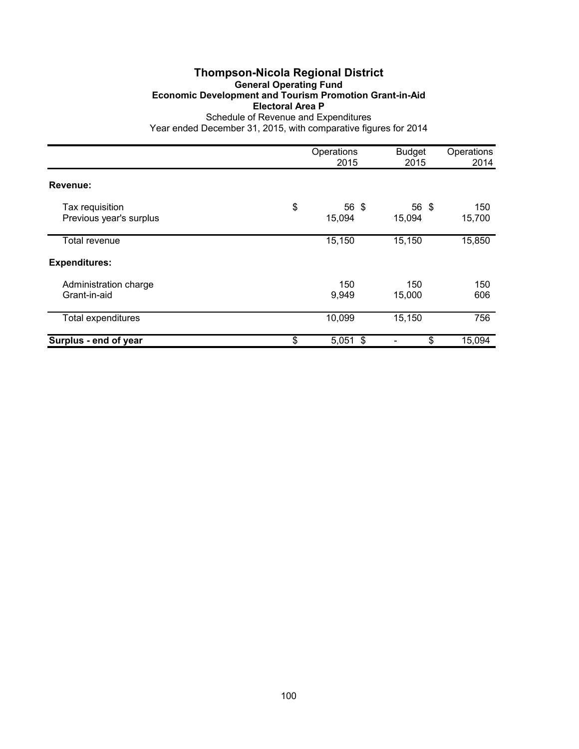# **Thompson-Nicola Regional District General Operating Fund Economic Development and Tourism Promotion Grant-in-Aid Electoral Area P**

|                                            | Operations<br>2015    | <b>Budget</b><br>2015 | Operations<br>2014 |
|--------------------------------------------|-----------------------|-----------------------|--------------------|
| Revenue:                                   |                       |                       |                    |
| Tax requisition<br>Previous year's surplus | \$<br>56 \$<br>15,094 | 56 \$<br>15,094       | 150<br>15,700      |
| Total revenue                              | 15,150                | 15,150                | 15,850             |
| <b>Expenditures:</b>                       |                       |                       |                    |
| Administration charge<br>Grant-in-aid      | 150<br>9,949          | 150<br>15,000         | 150<br>606         |
| <b>Total expenditures</b>                  | 10,099                | 15,150                | 756                |
| Surplus - end of year                      | \$<br>$5,051$ \$      | \$                    | 15,094             |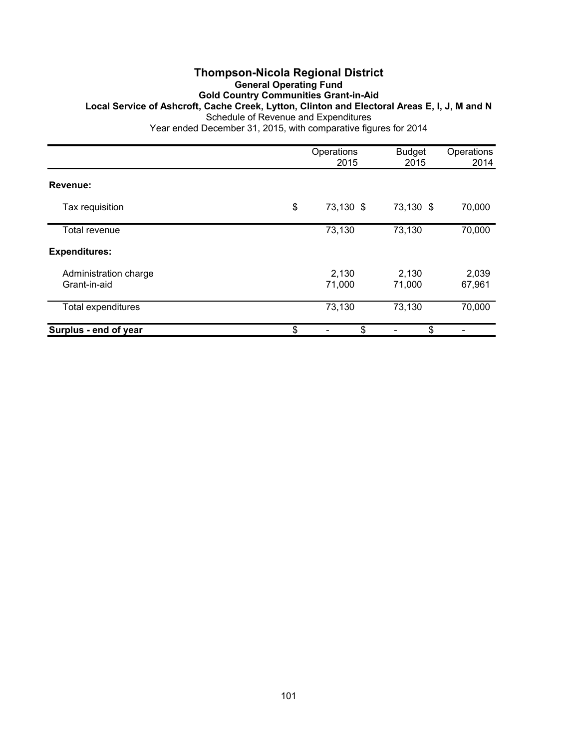### **Thompson-Nicola Regional District General Operating Fund Gold Country Communities Grant-in-Aid Local Service of Ashcroft, Cache Creek, Lytton, Clinton and Electoral Areas E, I, J, M and N** Schedule of Revenue and Expenditures Year ended December 31, 2015, with comparative figures for 2014

|                                       | Operations<br>2015 | <b>Budget</b><br>2015 | Operations<br>2014 |
|---------------------------------------|--------------------|-----------------------|--------------------|
| Revenue:                              |                    |                       |                    |
| Tax requisition                       | \$<br>73,130 \$    | 73,130 \$             | 70,000             |
| Total revenue                         | 73,130             | 73,130                | 70,000             |
| <b>Expenditures:</b>                  |                    |                       |                    |
| Administration charge<br>Grant-in-aid | 2,130<br>71,000    | 2,130<br>71,000       | 2,039<br>67,961    |
| <b>Total expenditures</b>             | 73,130             | 73,130                | 70,000             |
| Surplus - end of year                 | \$<br>\$           | \$                    |                    |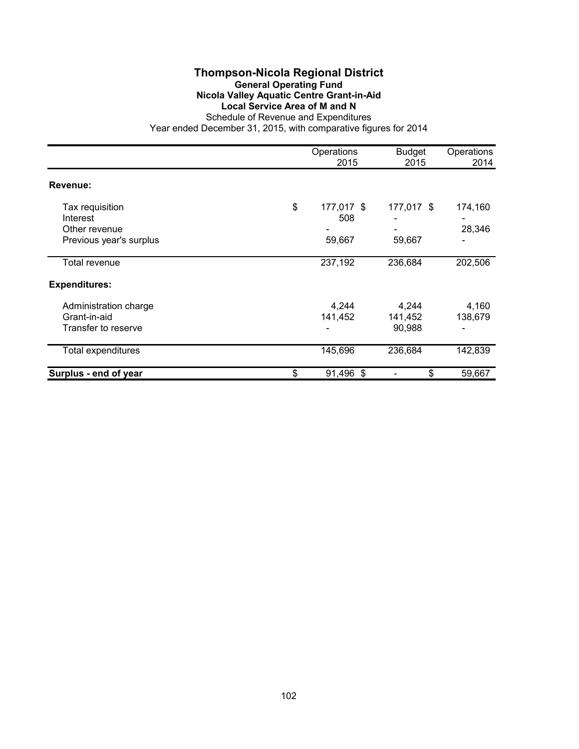### **Thompson-Nicola Regional District General Operating Fund Nicola Valley Aquatic Centre Grant-in-Aid Local Service Area of M and N** Schedule of Revenue and Expenditures

|                                                                         | Operations<br>2015                | <b>Budget</b><br>2015      | Operations<br>2014 |
|-------------------------------------------------------------------------|-----------------------------------|----------------------------|--------------------|
| Revenue:                                                                |                                   |                            |                    |
| Tax requisition<br>Interest<br>Other revenue<br>Previous year's surplus | \$<br>177,017 \$<br>508<br>59,667 | 177,017 \$<br>59,667       | 174,160<br>28,346  |
| Total revenue                                                           | 237,192                           | 236,684                    | 202,506            |
| <b>Expenditures:</b>                                                    |                                   |                            |                    |
| Administration charge<br>Grant-in-aid<br>Transfer to reserve            | 4,244<br>141,452                  | 4,244<br>141,452<br>90,988 | 4,160<br>138,679   |
| Total expenditures                                                      | 145,696                           | 236,684                    | 142,839            |
| Surplus - end of year                                                   | \$<br>91,496 \$                   | \$                         | 59,667             |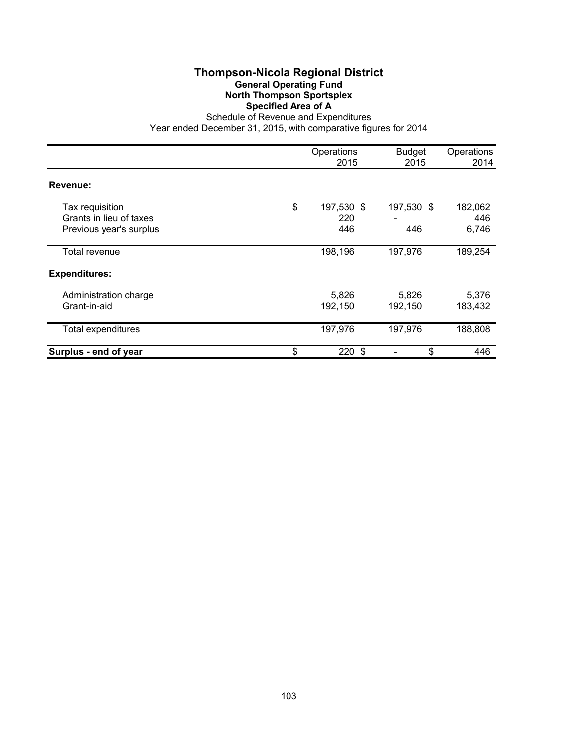### **Thompson-Nicola Regional District General Operating Fund North Thompson Sportsplex Specified Area of A**

|                                                                       | Operations<br>2015             | <b>Budget</b><br>2015 | Operations<br>2014      |
|-----------------------------------------------------------------------|--------------------------------|-----------------------|-------------------------|
| Revenue:                                                              |                                |                       |                         |
| Tax requisition<br>Grants in lieu of taxes<br>Previous year's surplus | \$<br>197,530 \$<br>220<br>446 | 197,530 \$<br>446     | 182,062<br>446<br>6,746 |
| Total revenue                                                         | 198,196                        | 197,976               | 189,254                 |
| <b>Expenditures:</b>                                                  |                                |                       |                         |
| Administration charge<br>Grant-in-aid                                 | 5,826<br>192,150               | 5,826<br>192,150      | 5,376<br>183,432        |
| <b>Total expenditures</b>                                             | 197,976                        | 197,976               | 188,808                 |
| Surplus - end of year                                                 | \$<br>220 \$                   | \$                    | 446                     |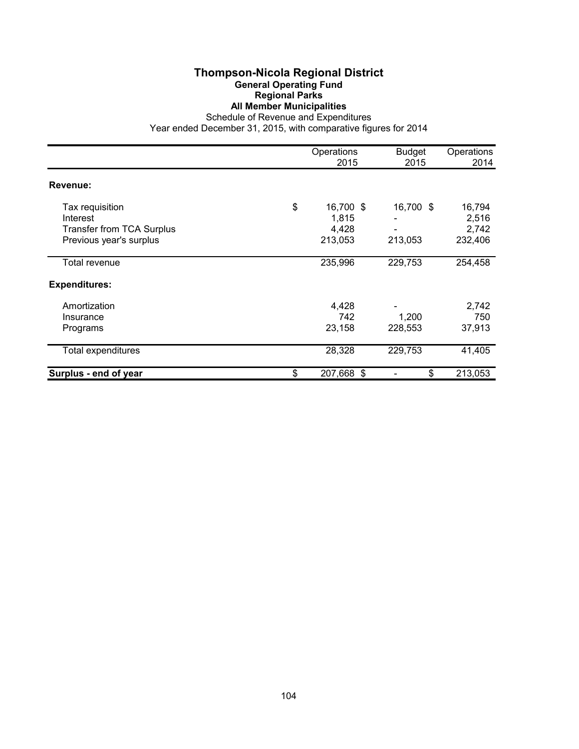### **Thompson-Nicola Regional District General Operating Fund Regional Parks All Member Municipalities**

Schedule of Revenue and Expenditures

|                                                                                            | Operations<br>2015                           | <b>Budget</b><br>2015 | Operations<br>2014                  |
|--------------------------------------------------------------------------------------------|----------------------------------------------|-----------------------|-------------------------------------|
| Revenue:                                                                                   |                                              |                       |                                     |
| Tax requisition<br>Interest<br><b>Transfer from TCA Surplus</b><br>Previous year's surplus | \$<br>16,700 \$<br>1,815<br>4,428<br>213,053 | 16,700 \$<br>213,053  | 16,794<br>2,516<br>2,742<br>232,406 |
| Total revenue                                                                              | 235,996                                      | 229,753               | 254,458                             |
| <b>Expenditures:</b>                                                                       |                                              |                       |                                     |
| Amortization<br>Insurance<br>Programs                                                      | 4,428<br>742<br>23,158                       | 1,200<br>228,553      | 2,742<br>750<br>37,913              |
| Total expenditures                                                                         | 28,328                                       | 229,753               | 41,405                              |
| Surplus - end of year                                                                      | \$<br>207,668 \$                             | \$                    | 213,053                             |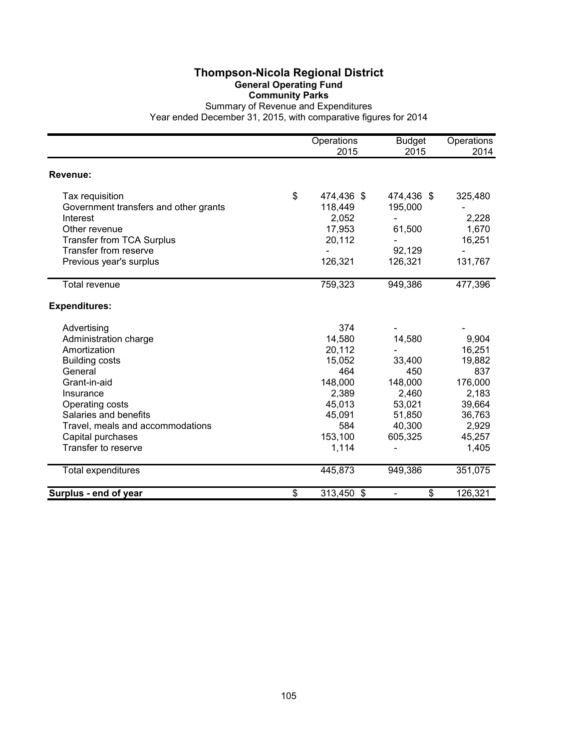### **Thompson-Nicola Regional District General Operating Fund Community Parks**

|                                       | Operations<br>2015 | <b>Budget</b><br>2015          | Operations<br>2014 |
|---------------------------------------|--------------------|--------------------------------|--------------------|
| Revenue:                              |                    |                                |                    |
| Tax requisition                       | \$<br>474,436 \$   | 474,436 \$                     | 325,480            |
| Government transfers and other grants | 118,449            | 195,000                        |                    |
| Interest                              | 2,052              | $\overline{\phantom{0}}$       | 2,228              |
| Other revenue                         | 17,953             | 61,500                         | 1,670              |
| Transfer from TCA Surplus             | 20,112             |                                | 16,251             |
| Transfer from reserve                 |                    | 92,129                         |                    |
| Previous year's surplus               | 126,321            | 126,321                        | 131,767            |
| <b>Total revenue</b>                  | 759,323            | 949,386                        | 477,396            |
| <b>Expenditures:</b>                  |                    |                                |                    |
| Advertising                           | 374                |                                |                    |
| Administration charge                 | 14,580             | 14,580                         | 9,904              |
| Amortization                          | 20,112             |                                | 16,251             |
| <b>Building costs</b>                 | 15,052             | 33,400                         | 19,882             |
| General                               | 464                | 450                            | 837                |
| Grant-in-aid                          | 148,000            | 148,000                        | 176,000            |
| Insurance                             | 2,389              | 2,460                          | 2,183              |
| Operating costs                       | 45,013             | 53,021                         | 39,664             |
| Salaries and benefits                 | 45,091             | 51,850                         | 36,763             |
| Travel, meals and accommodations      | 584                | 40,300                         | 2,929              |
| Capital purchases                     | 153,100            | 605,325                        | 45,257             |
| Transfer to reserve                   | 1,114              |                                | 1,405              |
| <b>Total expenditures</b>             | 445,873            | 949,386                        | 351,075            |
| Surplus - end of year                 | \$<br>313,450 \$   | \$<br>$\overline{\phantom{a}}$ | 126,321            |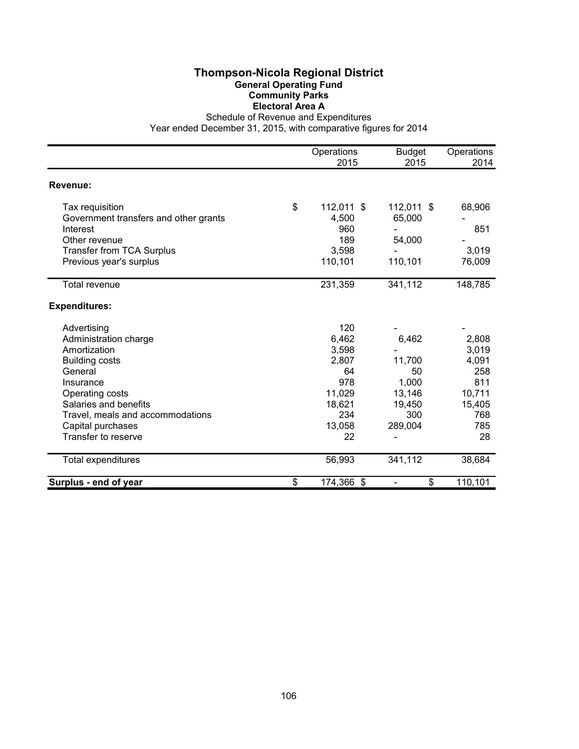# **Thompson-Nicola Regional District General Operating Fund Community Parks Electoral Area A**

Schedule of Revenue and Expenditures

|                                       | Operations       | <b>Budget</b> | Operations |
|---------------------------------------|------------------|---------------|------------|
|                                       | 2015             | 2015          | 2014       |
| Revenue:                              |                  |               |            |
| Tax requisition                       | \$<br>112,011 \$ | 112,011 \$    | 68,906     |
| Government transfers and other grants | 4,500            | 65,000        |            |
| Interest                              | 960              |               | 851        |
| Other revenue                         | 189              | 54,000        |            |
| <b>Transfer from TCA Surplus</b>      | 3,598            |               | 3,019      |
| Previous year's surplus               | 110,101          | 110,101       | 76,009     |
| Total revenue                         | 231,359          | 341,112       | 148,785    |
| <b>Expenditures:</b>                  |                  |               |            |
| Advertising                           | 120              |               |            |
| Administration charge                 | 6,462            | 6,462         | 2,808      |
| Amortization                          | 3,598            |               | 3,019      |
| <b>Building costs</b>                 | 2,807            | 11,700        | 4,091      |
| General                               | 64               | 50            | 258        |
| Insurance                             | 978              | 1,000         | 811        |
| Operating costs                       | 11,029           | 13,146        | 10,711     |
| Salaries and benefits                 | 18,621           | 19,450        | 15,405     |
| Travel, meals and accommodations      | 234              | 300           | 768        |
| Capital purchases                     | 13,058           | 289,004       | 785        |
| Transfer to reserve                   | 22               |               | 28         |
| Total expenditures                    | 56,993           | 341,112       | 38,684     |
| Surplus - end of year                 | \$<br>174,366 \$ | \$            | 110,101    |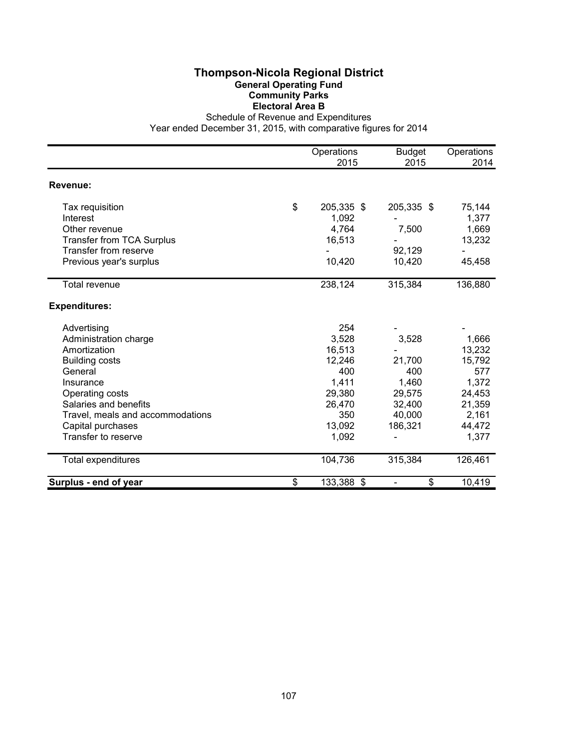# **Thompson-Nicola Regional District General Operating Fund Community Parks Electoral Area B**

Schedule of Revenue and Expenditures

|                                  | Operations       | <b>Budget</b> | Operations |
|----------------------------------|------------------|---------------|------------|
|                                  | 2015             | 2015          | 2014       |
| Revenue:                         |                  |               |            |
| Tax requisition                  | \$<br>205,335 \$ | 205,335 \$    | 75,144     |
| Interest                         | 1,092            |               | 1,377      |
| Other revenue                    | 4,764            | 7,500         | 1,669      |
| <b>Transfer from TCA Surplus</b> | 16,513           |               | 13,232     |
| Transfer from reserve            |                  | 92,129        |            |
| Previous year's surplus          | 10,420           | 10,420        | 45,458     |
| <b>Total revenue</b>             | 238,124          | 315,384       | 136,880    |
| <b>Expenditures:</b>             |                  |               |            |
| Advertising                      | 254              |               |            |
| Administration charge            | 3,528            | 3,528         | 1,666      |
| Amortization                     | 16,513           |               | 13,232     |
| <b>Building costs</b>            | 12,246           | 21,700        | 15,792     |
| General                          | 400              | 400           | 577        |
| Insurance                        | 1,411            | 1,460         | 1,372      |
| Operating costs                  | 29,380           | 29,575        | 24,453     |
| Salaries and benefits            | 26,470           | 32,400        | 21,359     |
| Travel, meals and accommodations | 350              | 40,000        | 2,161      |
| Capital purchases                | 13,092           | 186,321       | 44,472     |
| Transfer to reserve              | 1,092            |               | 1,377      |
| Total expenditures               | 104,736          | 315,384       | 126,461    |
| Surplus - end of year            | \$<br>133,388 \$ | \$            | 10,419     |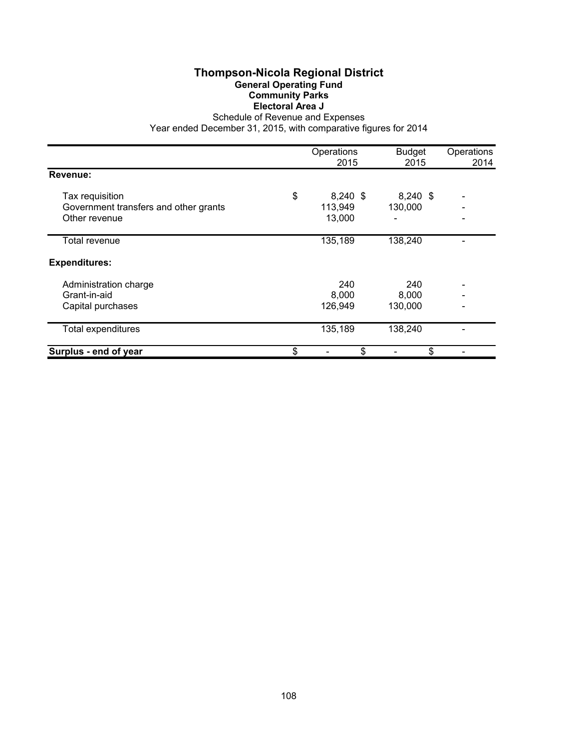# **Thompson-Nicola Regional District General Operating Fund Community Parks Electoral Area J**

Schedule of Revenue and Expenses

|                                       | Operations<br>2015 | <b>Budget</b><br>2015 | Operations<br>2014 |
|---------------------------------------|--------------------|-----------------------|--------------------|
| Revenue:                              |                    |                       |                    |
| Tax requisition                       | \$<br>8,240 \$     | $8,240$ \$            |                    |
| Government transfers and other grants | 113,949            | 130,000               |                    |
| Other revenue                         | 13,000             |                       |                    |
| <b>Total revenue</b>                  | 135,189            | 138,240               |                    |
| <b>Expenditures:</b>                  |                    |                       |                    |
| Administration charge                 | 240                | 240                   |                    |
| Grant-in-aid                          | 8,000              | 8,000                 |                    |
| Capital purchases                     | 126,949            | 130,000               |                    |
| <b>Total expenditures</b>             | 135,189            | 138,240               |                    |
| Surplus - end of year                 | \$<br>\$           | \$                    |                    |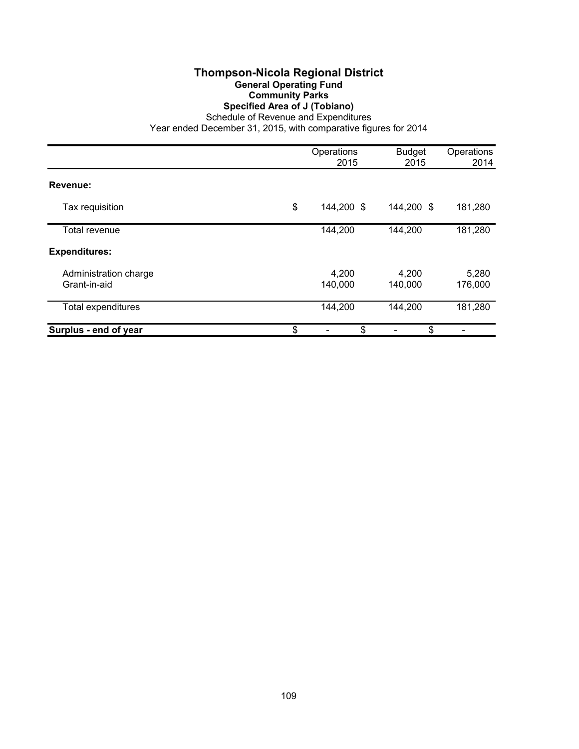# **Thompson-Nicola Regional District General Operating Fund Community Parks Specified Area of J (Tobiano)**

Schedule of Revenue and Expenditures

|                                       | Operations<br>2015 | <b>Budget</b><br>2015 | Operations<br>2014 |
|---------------------------------------|--------------------|-----------------------|--------------------|
| Revenue:                              |                    |                       |                    |
| Tax requisition                       | \$<br>144,200 \$   | 144,200 \$            | 181,280            |
| Total revenue                         | 144,200            | 144,200               | 181,280            |
| <b>Expenditures:</b>                  |                    |                       |                    |
| Administration charge<br>Grant-in-aid | 4,200<br>140,000   | 4,200<br>140,000      | 5,280<br>176,000   |
| <b>Total expenditures</b>             | 144,200            | 144,200               | 181,280            |
| Surplus - end of year                 | \$<br>\$           | \$                    |                    |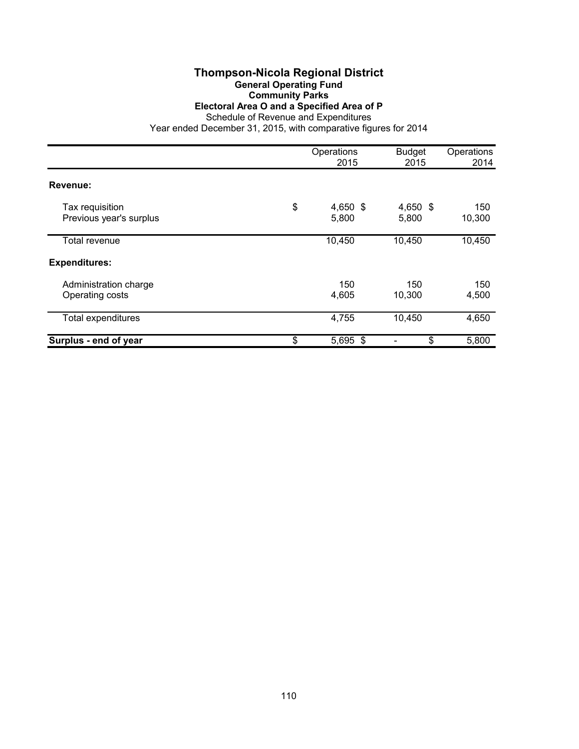#### **Thompson-Nicola Regional District General Operating Fund Community Parks Electoral Area O and a Specified Area of P**

Schedule of Revenue and Expenditures

|                                            | Operations<br>2015      | <b>Budget</b><br>2015 | Operations<br>2014 |
|--------------------------------------------|-------------------------|-----------------------|--------------------|
| Revenue:                                   |                         |                       |                    |
| Tax requisition<br>Previous year's surplus | \$<br>4,650 \$<br>5,800 | 4,650 \$<br>5,800     | 150<br>10,300      |
| Total revenue                              | 10,450                  | 10,450                | 10,450             |
| <b>Expenditures:</b>                       |                         |                       |                    |
| Administration charge<br>Operating costs   | 150<br>4,605            | 150<br>10,300         | 150<br>4,500       |
| <b>Total expenditures</b>                  | 4,755                   | 10,450                | 4,650              |
| Surplus - end of year                      | \$<br>5,695 \$          | \$                    | 5,800              |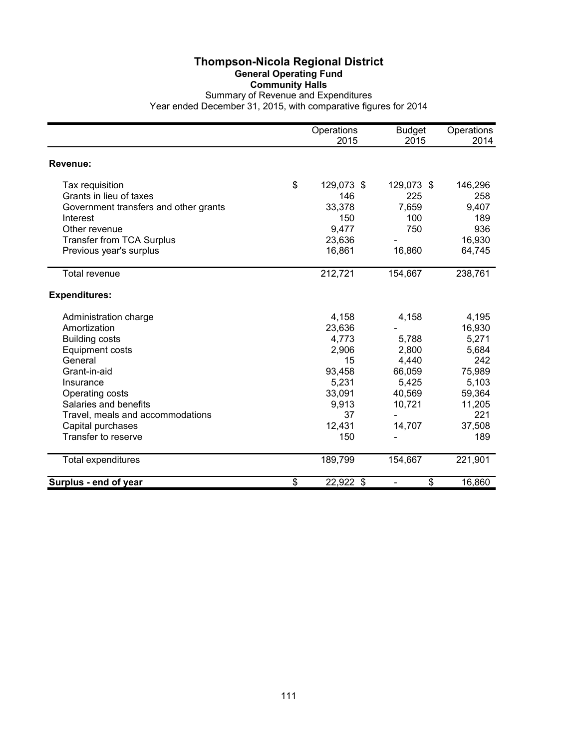#### **Thompson-Nicola Regional District General Operating Fund Community Halls** Summary of Revenue and Expenditures Year ended December 31, 2015, with comparative figures for 2014

|                                       | Operations<br>2015 | <b>Budget</b><br>2015 | Operations<br>2014 |
|---------------------------------------|--------------------|-----------------------|--------------------|
| Revenue:                              |                    |                       |                    |
| Tax requisition                       | \$<br>129,073 \$   | 129,073 \$            | 146,296            |
| Grants in lieu of taxes               | 146                | 225                   | 258                |
| Government transfers and other grants | 33,378             | 7,659                 | 9,407              |
| Interest                              | 150                | 100                   | 189                |
| Other revenue                         | 9,477              | 750                   | 936                |
| <b>Transfer from TCA Surplus</b>      | 23,636             |                       | 16,930             |
| Previous year's surplus               | 16,861             | 16,860                | 64,745             |
| Total revenue                         | 212,721            | 154,667               | 238,761            |
|                                       |                    |                       |                    |
| <b>Expenditures:</b>                  |                    |                       |                    |
| Administration charge                 | 4,158              | 4,158                 | 4,195              |
| Amortization                          | 23,636             |                       | 16,930             |
| <b>Building costs</b>                 | 4,773              | 5,788                 | 5,271              |
| <b>Equipment costs</b>                | 2,906              | 2,800                 | 5,684              |
| General                               | 15                 | 4,440                 | 242                |
| Grant-in-aid                          | 93,458             | 66,059                | 75,989             |
| Insurance                             | 5,231              | 5,425                 | 5,103              |
| Operating costs                       | 33,091             | 40,569                | 59,364             |
| Salaries and benefits                 | 9,913              | 10,721                | 11,205             |
| Travel, meals and accommodations      | 37                 |                       | 221                |
| Capital purchases                     | 12,431             | 14,707                | 37,508             |
| Transfer to reserve                   | 150                |                       | 189                |
| Total expenditures                    | 189,799            | 154,667               | 221,901            |
| Surplus - end of year                 | \$<br>22,922 \$    | \$                    | 16,860             |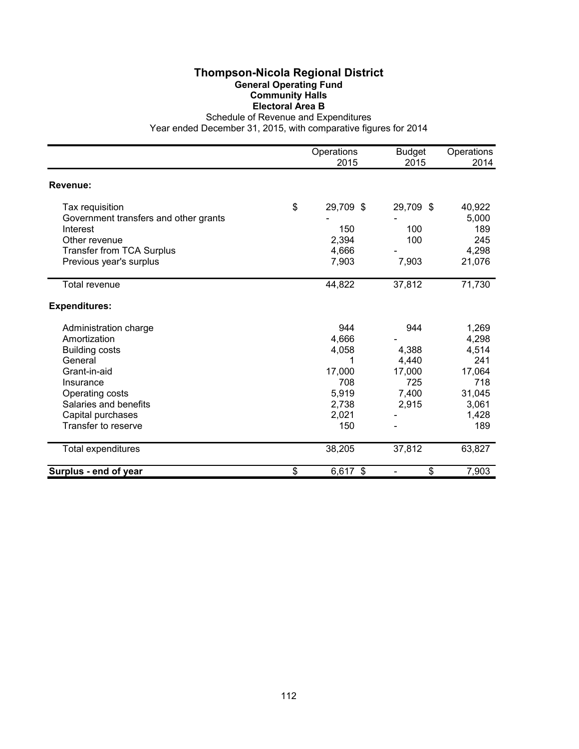# **Thompson-Nicola Regional District General Operating Fund Community Halls Electoral Area B**

Schedule of Revenue and Expenditures

|                                       | Operations<br>2015 | <b>Budget</b><br>2015 | Operations<br>2014 |
|---------------------------------------|--------------------|-----------------------|--------------------|
|                                       |                    |                       |                    |
| Revenue:                              |                    |                       |                    |
| Tax requisition                       | \$<br>29,709 \$    | 29,709 \$             | 40,922             |
| Government transfers and other grants |                    |                       | 5,000              |
| Interest                              | 150                | 100                   | 189                |
| Other revenue                         | 2,394              | 100                   | 245                |
| <b>Transfer from TCA Surplus</b>      | 4,666              |                       | 4,298              |
| Previous year's surplus               | 7,903              | 7,903                 | 21,076             |
| <b>Total revenue</b>                  | 44,822             | 37,812                | 71,730             |
| <b>Expenditures:</b>                  |                    |                       |                    |
| Administration charge                 | 944                | 944                   | 1,269              |
| Amortization                          | 4,666              |                       | 4,298              |
| <b>Building costs</b>                 | 4,058              | 4,388                 | 4,514              |
| General                               | 1                  | 4,440                 | 241                |
| Grant-in-aid                          | 17,000             | 17,000                | 17,064             |
| Insurance                             | 708                | 725                   | 718                |
| Operating costs                       | 5,919              | 7,400                 | 31,045             |
| Salaries and benefits                 | 2,738              | 2,915                 | 3,061              |
| Capital purchases                     | 2,021              |                       | 1,428              |
| Transfer to reserve                   | 150                |                       | 189                |
| Total expenditures                    | 38,205             | 37,812                | 63,827             |
| Surplus - end of year                 | \$<br>6,617 \$     | \$                    | 7,903              |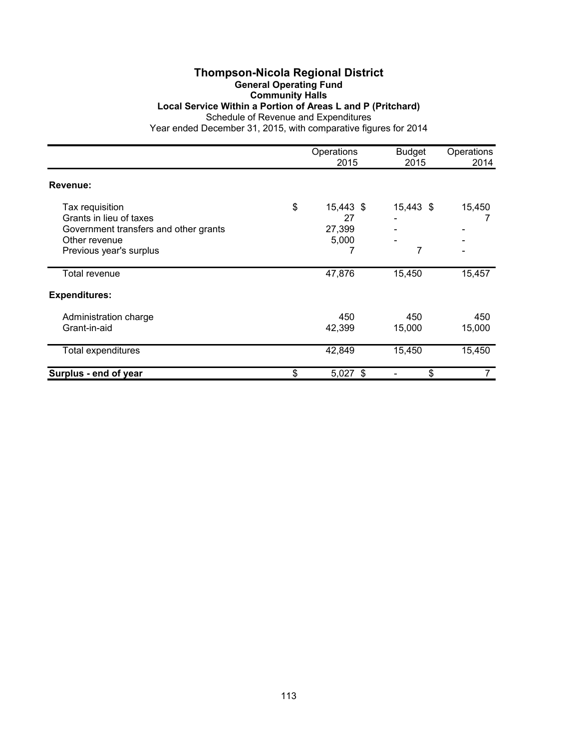## **Thompson-Nicola Regional District General Operating Fund Community Halls Local Service Within a Portion of Areas L and P (Pritchard)**

Schedule of Revenue and Expenditures

|                                            | Operations<br>2015    | <b>Budget</b><br>2015 | Operations<br>2014 |
|--------------------------------------------|-----------------------|-----------------------|--------------------|
| Revenue:                                   |                       |                       |                    |
| Tax requisition<br>Grants in lieu of taxes | \$<br>15,443 \$<br>27 | 15,443 \$             | 15,450             |
| Government transfers and other grants      | 27,399                |                       |                    |
| Other revenue                              | 5,000                 |                       |                    |
| Previous year's surplus                    |                       | 7                     |                    |
| Total revenue                              | 47,876                | 15,450                | 15,457             |
| <b>Expenditures:</b>                       |                       |                       |                    |
| Administration charge                      | 450                   | 450                   | 450                |
| Grant-in-aid                               | 42,399                | 15,000                | 15,000             |
| Total expenditures                         | 42,849                | 15,450                | 15,450             |
| Surplus - end of year                      | \$<br>$5,027$ \$      | \$                    |                    |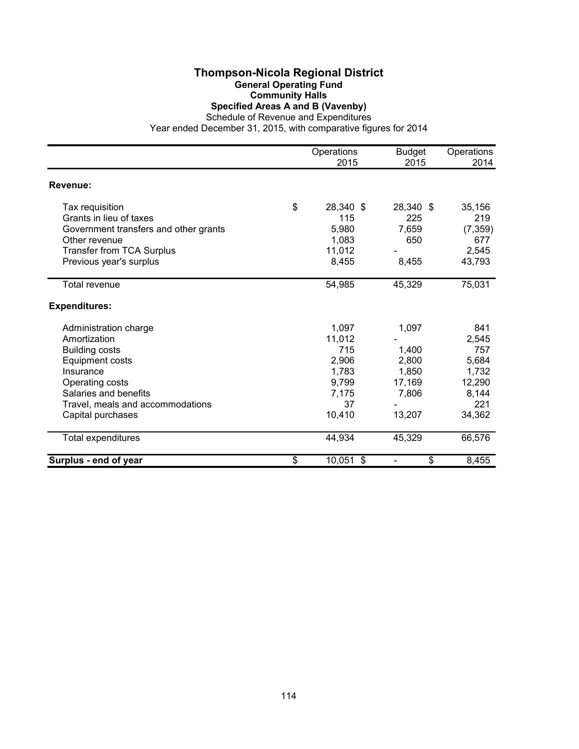#### **Thompson-Nicola Regional District General Operating Fund Community Halls Specified Areas A and B (Vavenby)**

Schedule of Revenue and Expenditures

|                                       | Operations      | <b>Budget</b>                  | Operations |
|---------------------------------------|-----------------|--------------------------------|------------|
|                                       | 2015            | 2015                           | 2014       |
| Revenue:                              |                 |                                |            |
| Tax requisition                       | \$<br>28,340 \$ | 28,340 \$                      | 35,156     |
| Grants in lieu of taxes               | 115             | 225                            | 219        |
| Government transfers and other grants | 5,980           | 7,659                          | (7, 359)   |
| Other revenue                         | 1,083           | 650                            | 677        |
| <b>Transfer from TCA Surplus</b>      | 11,012          |                                | 2,545      |
| Previous year's surplus               | 8,455           | 8,455                          | 43,793     |
| <b>Total revenue</b>                  | 54,985          | 45,329                         | 75,031     |
| <b>Expenditures:</b>                  |                 |                                |            |
| Administration charge                 | 1,097           | 1,097                          | 841        |
| Amortization                          | 11,012          |                                | 2,545      |
| <b>Building costs</b>                 | 715             | 1,400                          | 757        |
| Equipment costs                       | 2,906           | 2,800                          | 5,684      |
| Insurance                             | 1,783           | 1,850                          | 1,732      |
| Operating costs                       | 9,799           | 17,169                         | 12,290     |
| Salaries and benefits                 | 7,175           | 7,806                          | 8,144      |
| Travel, meals and accommodations      | 37              |                                | 221        |
| Capital purchases                     | 10,410          | 13,207                         | 34,362     |
| Total expenditures                    | 44,934          | 45,329                         | 66,576     |
| Surplus - end of year                 | \$<br>10,051 \$ | \$<br>$\overline{\phantom{a}}$ | 8,455      |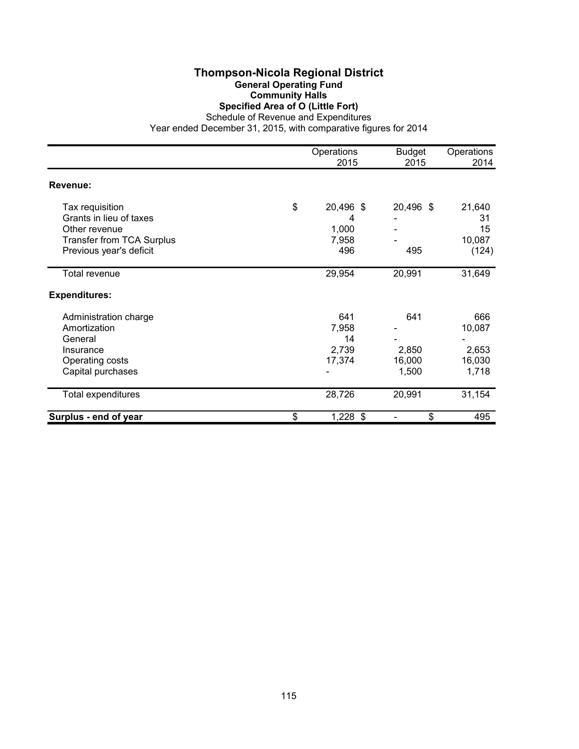#### **Thompson-Nicola Regional District General Operating Fund Community Halls Specified Area of O (Little Fort)**

Schedule of Revenue and Expenditures

|                                  | Operations<br>2015 | <b>Budget</b><br>2015 | Operations<br>2014 |
|----------------------------------|--------------------|-----------------------|--------------------|
| Revenue:                         |                    |                       |                    |
| Tax requisition                  | \$<br>20,496 \$    | 20,496 \$             | 21,640             |
| Grants in lieu of taxes          | 4                  |                       | 31                 |
| Other revenue                    | 1,000              |                       | 15                 |
| <b>Transfer from TCA Surplus</b> | 7,958              |                       | 10,087             |
| Previous year's deficit          | 496                | 495                   | (124)              |
| Total revenue                    | 29,954             | 20,991                | 31,649             |
| <b>Expenditures:</b>             |                    |                       |                    |
| Administration charge            | 641                | 641                   | 666                |
| Amortization                     | 7,958              |                       | 10,087             |
| General                          | 14                 |                       |                    |
| Insurance                        | 2,739              | 2,850                 | 2,653              |
| Operating costs                  | 17,374             | 16,000                | 16,030             |
| Capital purchases                |                    | 1,500                 | 1,718              |
| Total expenditures               | 28,726             | 20,991                | 31,154             |
| Surplus - end of year            | \$<br>1,228 \$     | \$                    | 495                |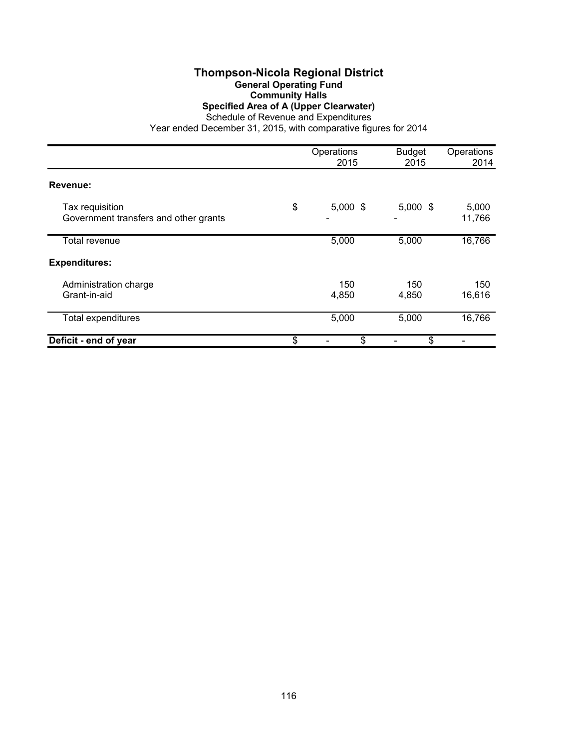### **Thompson-Nicola Regional District General Operating Fund Community Halls Specified Area of A (Upper Clearwater)**

Schedule of Revenue and Expenditures

|                                                          | Operations<br>2015 | <b>Budget</b><br>2015 | Operations<br>2014 |
|----------------------------------------------------------|--------------------|-----------------------|--------------------|
| Revenue:                                                 |                    |                       |                    |
| Tax requisition<br>Government transfers and other grants | \$<br>$5,000$ \$   | $5,000$ \$            | 5,000<br>11,766    |
| Total revenue                                            | 5,000              | 5,000                 | 16,766             |
| <b>Expenditures:</b>                                     |                    |                       |                    |
| Administration charge<br>Grant-in-aid                    | 150<br>4,850       | 150<br>4,850          | 150<br>16,616      |
| <b>Total expenditures</b>                                | 5,000              | 5,000                 | 16,766             |
| Deficit - end of year                                    | \$<br>\$           | \$                    |                    |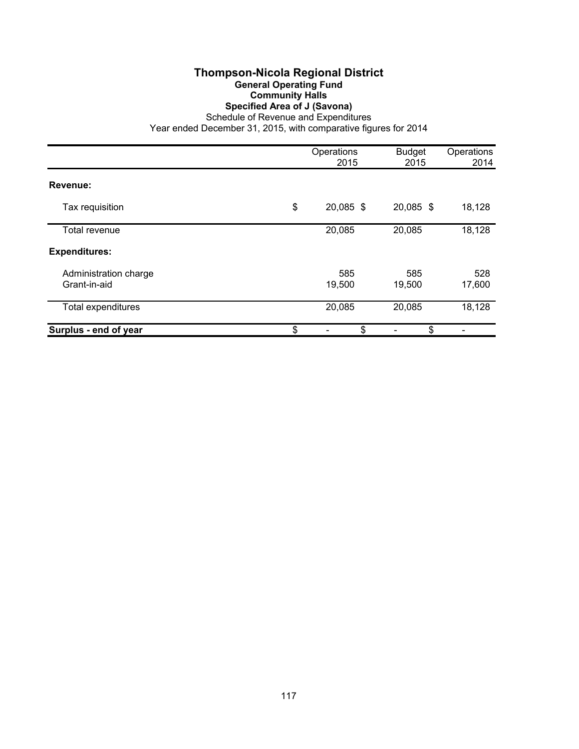# **Thompson-Nicola Regional District General Operating Fund Community Halls Specified Area of J (Savona)**

Schedule of Revenue and Expenditures

|                                       | Operations<br>2015 | <b>Budget</b><br>2015 | Operations<br>2014 |
|---------------------------------------|--------------------|-----------------------|--------------------|
| Revenue:                              |                    |                       |                    |
| Tax requisition                       | \$<br>20,085 \$    | 20,085 \$             | 18,128             |
| Total revenue                         | 20,085             | 20,085                | 18,128             |
| <b>Expenditures:</b>                  |                    |                       |                    |
| Administration charge<br>Grant-in-aid | 585<br>19,500      | 585<br>19,500         | 528<br>17,600      |
| Total expenditures                    | 20,085             | 20,085                | 18,128             |
| Surplus - end of year                 | \$<br>\$           | \$                    |                    |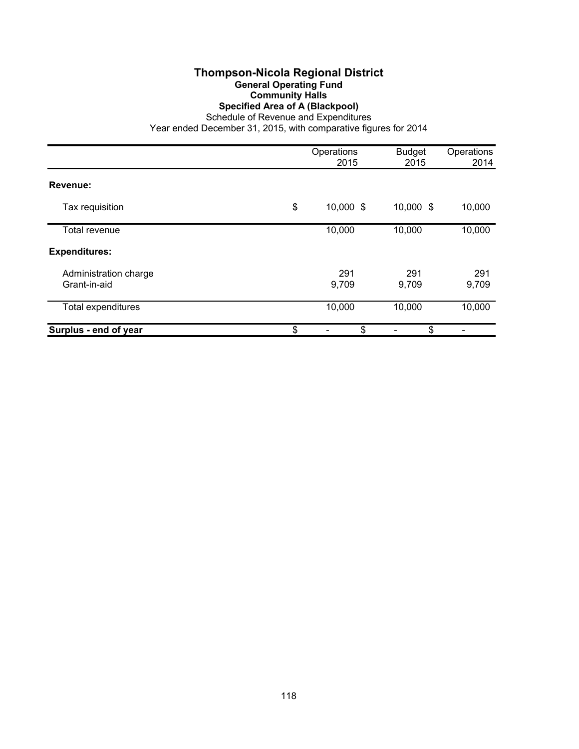### **Thompson-Nicola Regional District General Operating Fund Community Halls Specified Area of A (Blackpool)**

Schedule of Revenue and Expenditures

|                                       | Operations<br>2015 | <b>Budget</b><br>2015 | Operations<br>2014 |
|---------------------------------------|--------------------|-----------------------|--------------------|
| Revenue:                              |                    |                       |                    |
| Tax requisition                       | \$<br>10,000 \$    | 10,000 \$             | 10,000             |
| Total revenue                         | 10,000             | 10,000                | 10,000             |
| <b>Expenditures:</b>                  |                    |                       |                    |
| Administration charge<br>Grant-in-aid | 291<br>9,709       | 291<br>9,709          | 291<br>9,709       |
| <b>Total expenditures</b>             | 10,000             | 10,000                | 10,000             |
| Surplus - end of year                 | \$<br>\$           | \$                    |                    |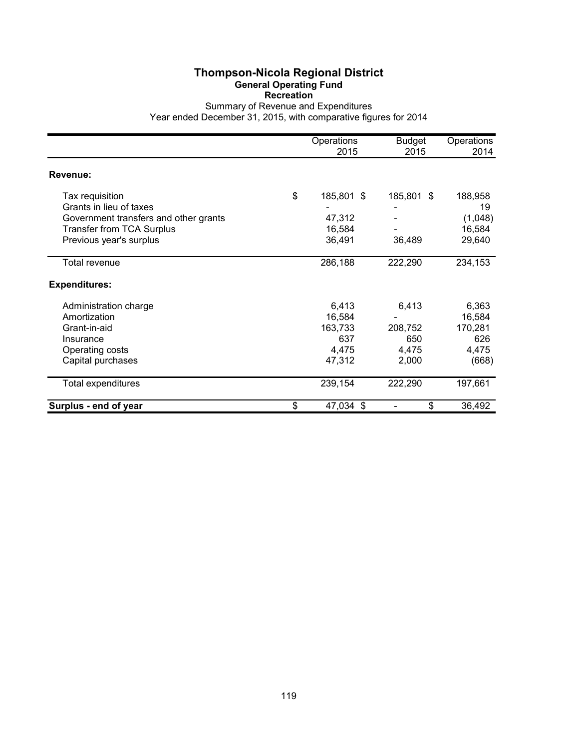#### **Thompson-Nicola Regional District General Operating Fund Recreation**

Summary of Revenue and Expenditures Year ended December 31, 2015, with comparative figures for 2014

Operations Budget Operations 2015 2015 2014 **Revenue:** Tax requisition **188,958 185,801** \$ 185,801 \$ 188,958 Grants in lieu of taxes<br>
Government transfers and other grants<br>
Government transfers and other grants<br>
Government transfers and other grants<br>  $47,312$ Government transfers and other grants Transfer from TCA Surplus 16,584 16,584 - 16,584 Previous year's surplus 36,491 36,489 29,640 Total revenue 286,188 222,290 234,153 **Expenditures:** Administration charge 6,413 6,413 6,363 Amortization 16,584 - 16,584 16,584 - 16,584 16,584 16,584 16,584 16,584 16,584 16,584 170,281 Grant-in-aid 163,733 208,752 170,281 Insurance 637 650 626 Operating costs 4,475 4,475 4,475 4,475 4,475 4,475 4,475 4,475 4,475 4,475 4,475 4,475 4,475 4,475 4,475 4,475 Capital purchases 668) Total expenditures 239,154 222,290 197,661 **Surplus - end of year \$** 47,034 \$ - \$ 36,492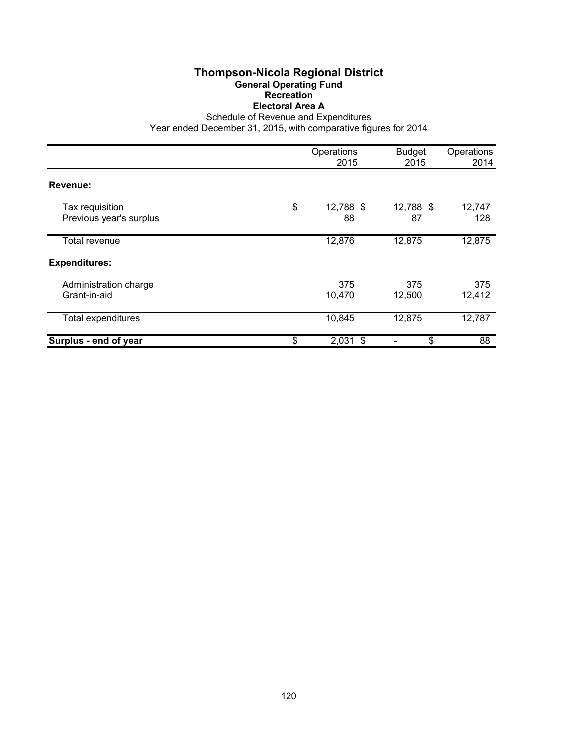# **Thompson-Nicola Regional District General Operating Fund Recreation Electoral Area A**

Schedule of Revenue and Expenditures

|                                            | Operations<br>2015    | <b>Budget</b><br>2015 | Operations<br>2014 |
|--------------------------------------------|-----------------------|-----------------------|--------------------|
| Revenue:                                   |                       |                       |                    |
| Tax requisition<br>Previous year's surplus | \$<br>12,788 \$<br>88 | 12,788 \$<br>87       | 12,747<br>128      |
| Total revenue                              | 12,876                | 12,875                | 12,875             |
| <b>Expenditures:</b>                       |                       |                       |                    |
| Administration charge<br>Grant-in-aid      | 375<br>10,470         | 375<br>12,500         | 375<br>12,412      |
| <b>Total expenditures</b>                  | 10,845                | 12,875                | 12,787             |
| Surplus - end of year                      | \$<br>$2,031$ \$      | \$                    | 88                 |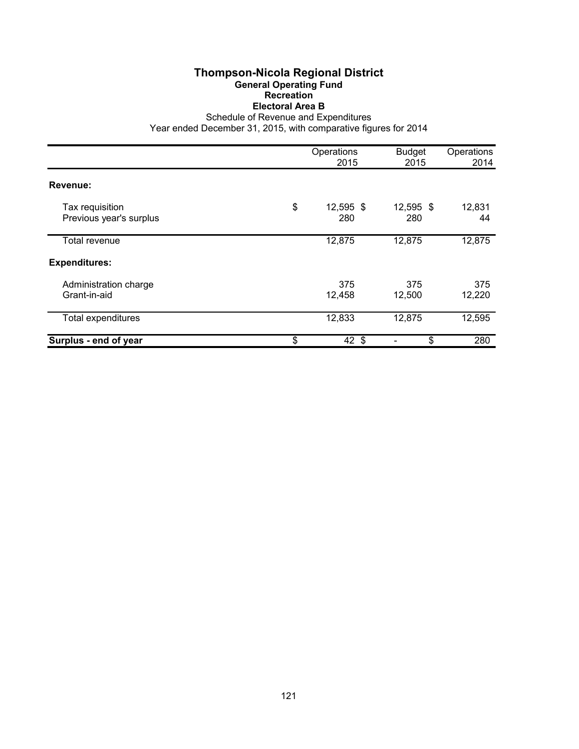# **Thompson-Nicola Regional District General Operating Fund Recreation Electoral Area B**

Schedule of Revenue and Expenditures

|                                            | Operations<br>2015     | <b>Budget</b><br>2015 | Operations<br>2014 |
|--------------------------------------------|------------------------|-----------------------|--------------------|
| Revenue:                                   |                        |                       |                    |
| Tax requisition<br>Previous year's surplus | \$<br>12,595 \$<br>280 | 12,595 \$<br>280      | 12,831<br>44       |
| Total revenue                              | 12,875                 | 12,875                | 12,875             |
| <b>Expenditures:</b>                       |                        |                       |                    |
| Administration charge<br>Grant-in-aid      | 375<br>12,458          | 375<br>12,500         | 375<br>12,220      |
| <b>Total expenditures</b>                  | 12,833                 | 12,875                | 12,595             |
| Surplus - end of year                      | \$<br>$42 \;$ \$       | \$                    | 280                |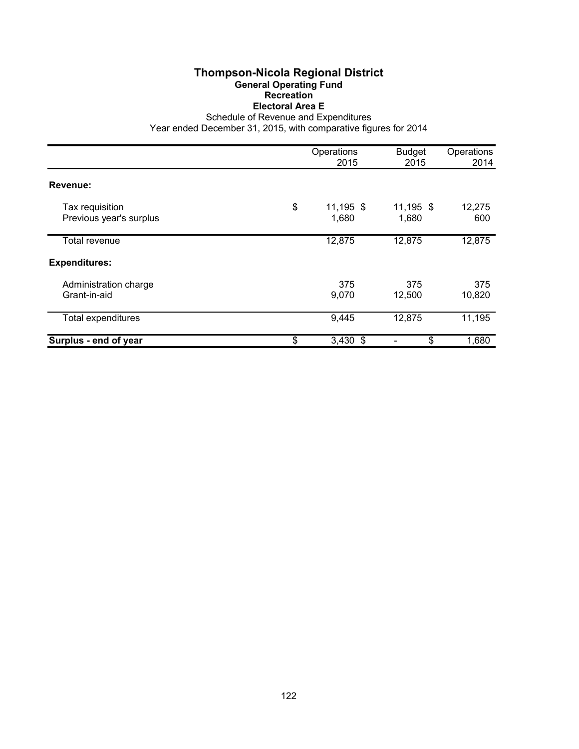# **Thompson-Nicola Regional District General Operating Fund Recreation Electoral Area E**

Schedule of Revenue and Expenditures

|                                            | Operations<br>2015       | <b>Budget</b><br>2015 | Operations<br>2014 |
|--------------------------------------------|--------------------------|-----------------------|--------------------|
| Revenue:                                   |                          |                       |                    |
| Tax requisition<br>Previous year's surplus | \$<br>11,195 \$<br>1,680 | 11,195 \$<br>1,680    | 12,275<br>600      |
| Total revenue                              | 12,875                   | 12,875                | 12,875             |
| <b>Expenditures:</b>                       |                          |                       |                    |
| Administration charge<br>Grant-in-aid      | 375<br>9,070             | 375<br>12,500         | 375<br>10,820      |
| <b>Total expenditures</b>                  | 9,445                    | 12,875                | 11,195             |
| Surplus - end of year                      | \$<br>$3,430$ \$         | \$                    | 1,680              |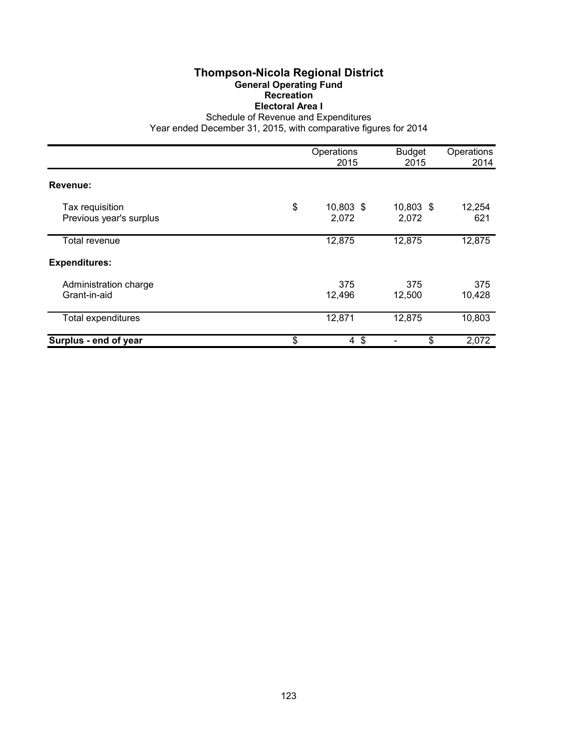# **Thompson-Nicola Regional District General Operating Fund Recreation Electoral Area I**

Schedule of Revenue and Expenditures

|                                            | Operations<br>2015       | <b>Budget</b><br>2015 | Operations<br>2014 |
|--------------------------------------------|--------------------------|-----------------------|--------------------|
| Revenue:                                   |                          |                       |                    |
| Tax requisition<br>Previous year's surplus | \$<br>10,803 \$<br>2,072 | 10,803 \$<br>2,072    | 12,254<br>621      |
| Total revenue                              | 12,875                   | 12,875                | 12,875             |
| <b>Expenditures:</b>                       |                          |                       |                    |
| Administration charge<br>Grant-in-aid      | 375<br>12,496            | 375<br>12,500         | 375<br>10,428      |
| <b>Total expenditures</b>                  | 12,871                   | 12,875                | 10,803             |
| Surplus - end of year                      | \$<br>$4 \text{ } $$     | \$                    | 2,072              |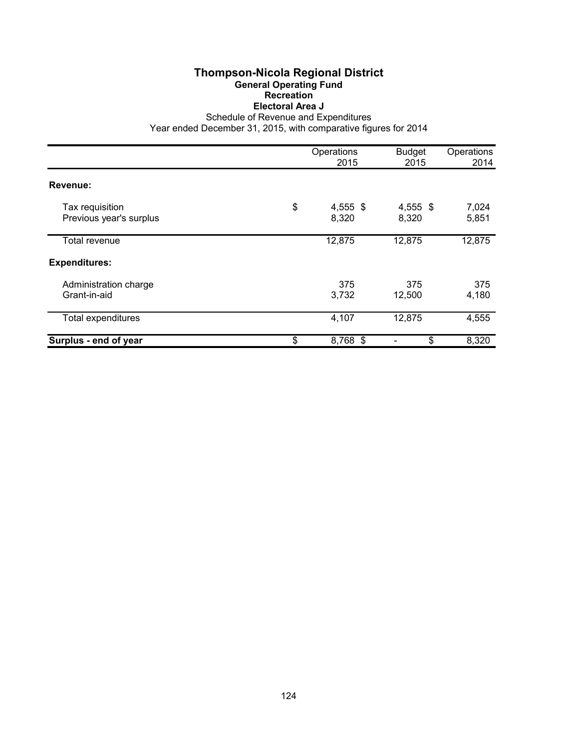# **Thompson-Nicola Regional District General Operating Fund Recreation Electoral Area J**

Schedule of Revenue and Expenditures

|                                            | Operations<br>2015      | <b>Budget</b><br>2015 | Operations<br>2014 |
|--------------------------------------------|-------------------------|-----------------------|--------------------|
| Revenue:                                   |                         |                       |                    |
| Tax requisition<br>Previous year's surplus | \$<br>4,555 \$<br>8,320 | 4,555 \$<br>8,320     | 7,024<br>5,851     |
| Total revenue                              | 12,875                  | 12,875                | 12,875             |
| <b>Expenditures:</b>                       |                         |                       |                    |
| Administration charge<br>Grant-in-aid      | 375<br>3,732            | 375<br>12,500         | 375<br>4,180       |
| Total expenditures                         | 4,107                   | 12,875                | 4,555              |
| Surplus - end of year                      | \$<br>8,768 \$          | \$                    | 8,320              |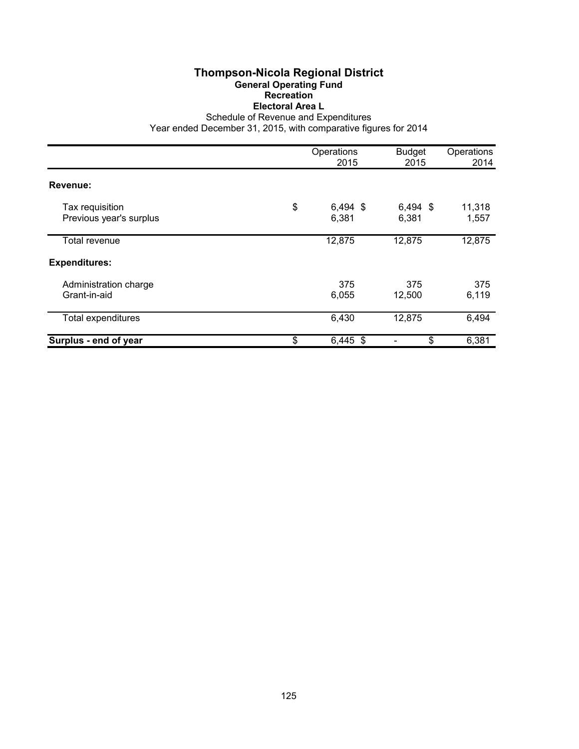# **Thompson-Nicola Regional District General Operating Fund Recreation Electoral Area L**

Schedule of Revenue and Expenditures

|                                            | Operations<br>2015        | <b>Budget</b><br>2015 | Operations<br>2014 |
|--------------------------------------------|---------------------------|-----------------------|--------------------|
| Revenue:                                   |                           |                       |                    |
| Tax requisition<br>Previous year's surplus | \$<br>$6,494$ \$<br>6,381 | 6,494 \$<br>6,381     | 11,318<br>1,557    |
| Total revenue                              | 12,875                    | 12,875                | 12,875             |
| <b>Expenditures:</b>                       |                           |                       |                    |
| Administration charge<br>Grant-in-aid      | 375<br>6,055              | 375<br>12,500         | 375<br>6,119       |
| <b>Total expenditures</b>                  | 6,430                     | 12,875                | 6,494              |
| Surplus - end of year                      | \$<br>$6,445$ \$          | \$                    | 6,381              |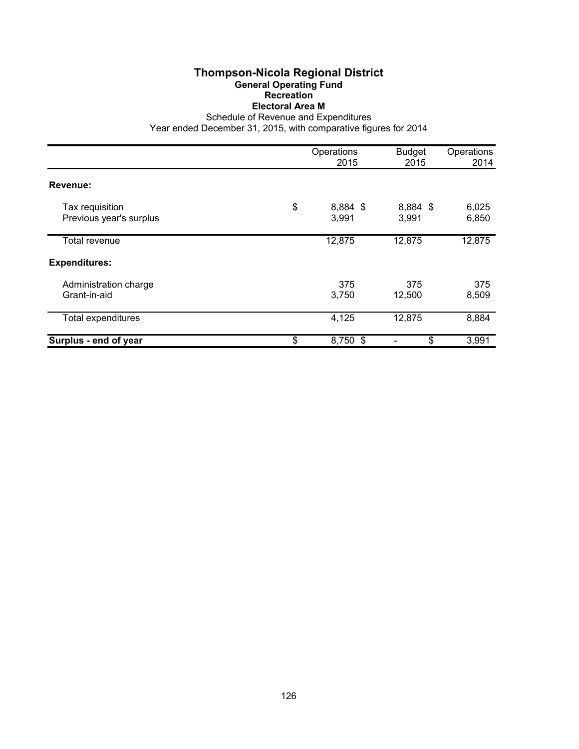## **Thompson-Nicola Regional District General Operating Fund Recreation Electoral Area M**

Schedule of Revenue and Expenditures

|                                            | Operations<br>2015      | <b>Budget</b><br>2015 | Operations<br>2014 |
|--------------------------------------------|-------------------------|-----------------------|--------------------|
| Revenue:                                   |                         |                       |                    |
| Tax requisition<br>Previous year's surplus | \$<br>8,884 \$<br>3,991 | 8,884 \$<br>3,991     | 6,025<br>6,850     |
| Total revenue                              | 12,875                  | 12,875                | 12,875             |
| <b>Expenditures:</b>                       |                         |                       |                    |
| Administration charge<br>Grant-in-aid      | 375<br>3,750            | 375<br>12,500         | 375<br>8,509       |
| <b>Total expenditures</b>                  | 4,125                   | 12,875                | 8,884              |
| Surplus - end of year                      | \$<br>8,750 \$          | \$                    | 3,991              |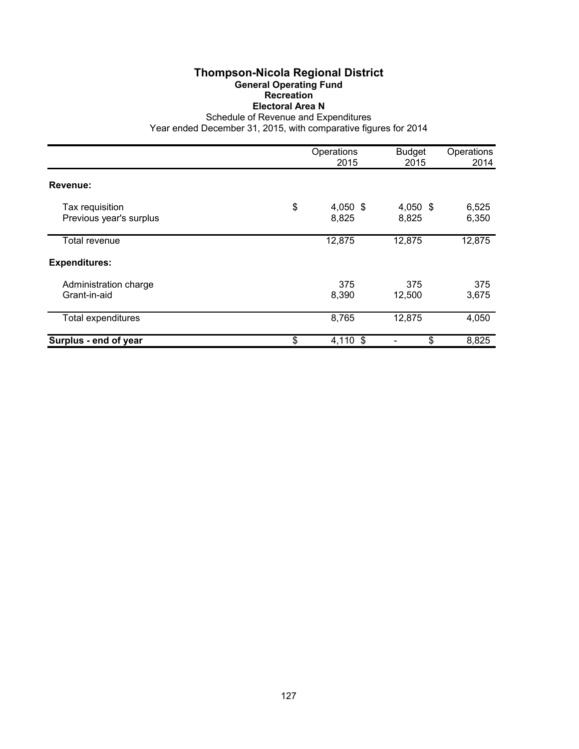# **Thompson-Nicola Regional District General Operating Fund Recreation Electoral Area N**

Schedule of Revenue and Expenditures

|                                            | Operations<br>2015        | <b>Budget</b><br>2015 | Operations<br>2014 |
|--------------------------------------------|---------------------------|-----------------------|--------------------|
| Revenue:                                   |                           |                       |                    |
| Tax requisition<br>Previous year's surplus | \$<br>$4,050$ \$<br>8,825 | 4,050 \$<br>8,825     | 6,525<br>6,350     |
| Total revenue                              | 12,875                    | 12,875                | 12,875             |
| <b>Expenditures:</b>                       |                           |                       |                    |
| Administration charge<br>Grant-in-aid      | 375<br>8,390              | 375<br>12,500         | 375<br>3,675       |
| <b>Total expenditures</b>                  | 8,765                     | 12,875                | 4,050              |
| Surplus - end of year                      | \$<br>4,110 \$            | \$                    | 8,825              |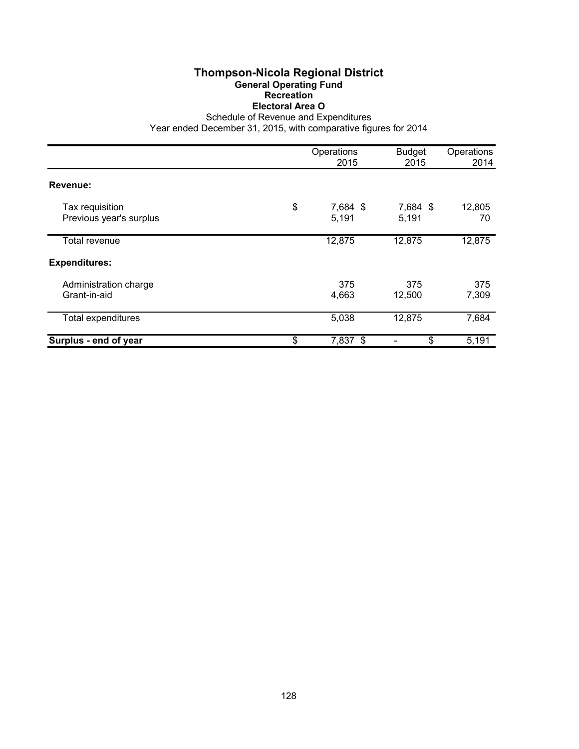# **Thompson-Nicola Regional District General Operating Fund Recreation Electoral Area O**

Schedule of Revenue and Expenditures

|                                            | Operations<br>2015      | <b>Budget</b><br>2015 | Operations<br>2014 |
|--------------------------------------------|-------------------------|-----------------------|--------------------|
| Revenue:                                   |                         |                       |                    |
| Tax requisition<br>Previous year's surplus | \$<br>7,684 \$<br>5,191 | 7,684 \$<br>5,191     | 12,805<br>70       |
| Total revenue                              | 12,875                  | 12,875                | 12,875             |
| <b>Expenditures:</b>                       |                         |                       |                    |
| Administration charge<br>Grant-in-aid      | 375<br>4,663            | 375<br>12,500         | 375<br>7,309       |
| <b>Total expenditures</b>                  | 5,038                   | 12,875                | 7,684              |
| Surplus - end of year                      | \$<br>7,837 \$          | \$                    | 5,191              |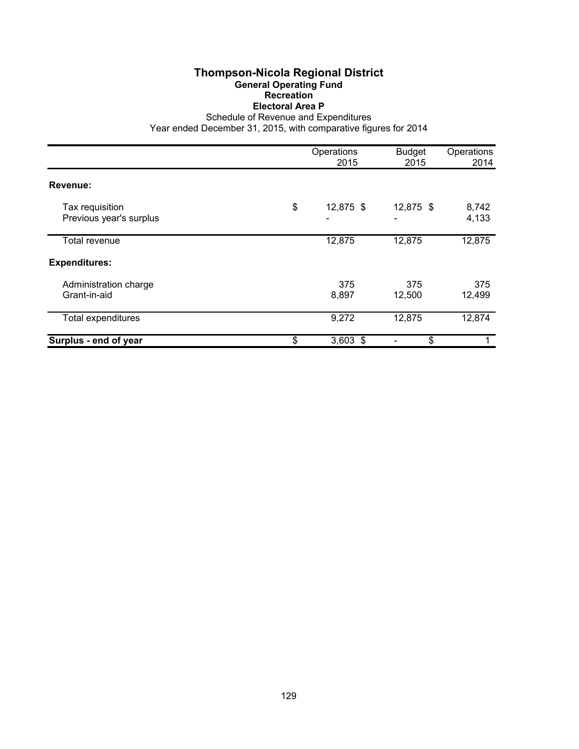# **Thompson-Nicola Regional District General Operating Fund Recreation Electoral Area P**

Schedule of Revenue and Expenditures

|                                            | Operations<br>2015   | <b>Budget</b><br>2015 | Operations<br>2014 |
|--------------------------------------------|----------------------|-----------------------|--------------------|
| Revenue:                                   |                      |                       |                    |
| Tax requisition<br>Previous year's surplus | \$<br>12,875 \$<br>۰ | 12,875 \$             | 8,742<br>4,133     |
| Total revenue                              | 12,875               | 12,875                | 12,875             |
| <b>Expenditures:</b>                       |                      |                       |                    |
| Administration charge<br>Grant-in-aid      | 375<br>8,897         | 375<br>12,500         | 375<br>12,499      |
| Total expenditures                         | 9,272                | 12,875                | 12,874             |
| Surplus - end of year                      | \$<br>$3,603$ \$     | \$                    |                    |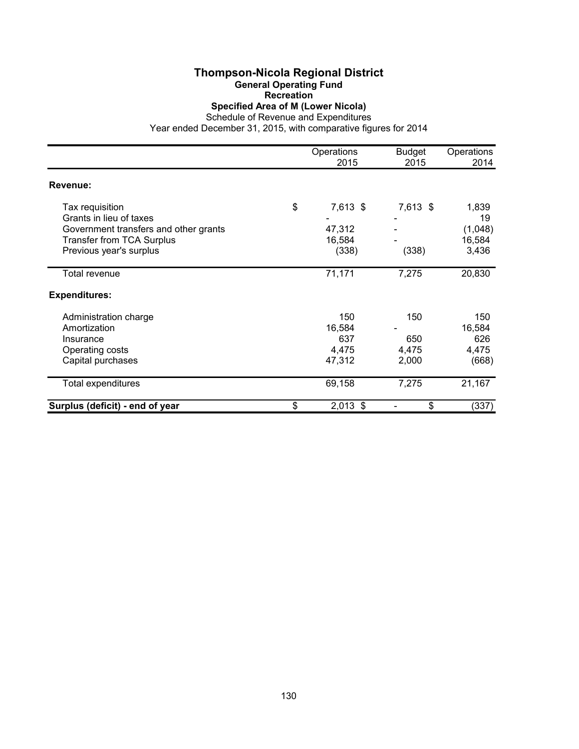## **Thompson-Nicola Regional District General Operating Fund**

**Recreation**

**Specified Area of M (Lower Nicola)**

Schedule of Revenue and Expenditures Year ended December 31, 2015, with comparative figures for 2014

|                                       | Operations<br>2015 | <b>Budget</b><br>2015 | Operations<br>2014 |
|---------------------------------------|--------------------|-----------------------|--------------------|
| Revenue:                              |                    |                       |                    |
| Tax requisition                       | \$<br>7,613 \$     | 7,613 \$              | 1,839              |
| Grants in lieu of taxes               |                    |                       | 19                 |
| Government transfers and other grants | 47,312             |                       | (1,048)            |
| <b>Transfer from TCA Surplus</b>      | 16,584             |                       | 16,584             |
| Previous year's surplus               | (338)              | (338)                 | 3,436              |
| Total revenue                         | 71,171             | 7,275                 | 20,830             |
| <b>Expenditures:</b>                  |                    |                       |                    |
| Administration charge                 | 150                | 150                   | 150                |
| Amortization                          | 16,584             |                       | 16,584             |
| Insurance                             | 637                | 650                   | 626                |
| Operating costs                       | 4,475              | 4,475                 | 4,475              |
| Capital purchases                     | 47,312             | 2,000                 | (668)              |
| Total expenditures                    | 69,158             | 7,275                 | 21,167             |
| Surplus (deficit) - end of year       | \$<br>$2,013$ \$   | \$                    | (337)              |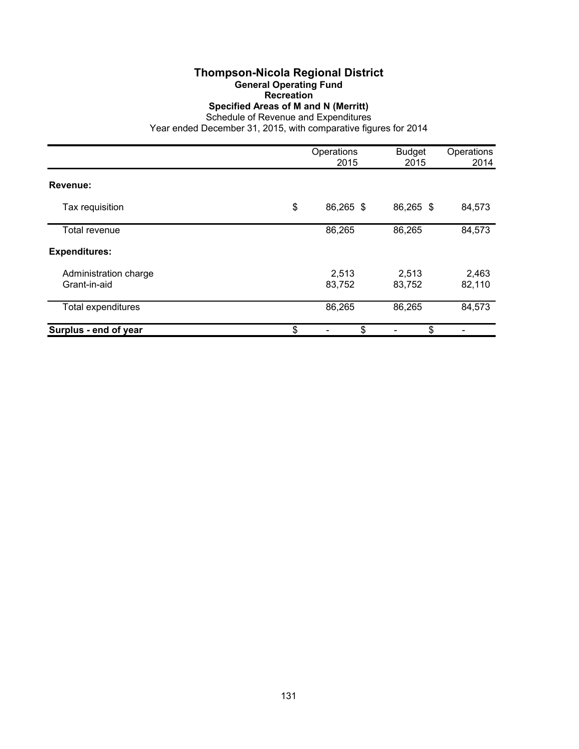# **Thompson-Nicola Regional District General Operating Fund**

**Recreation**

**Specified Areas of M and N (Merritt)**

Schedule of Revenue and Expenditures

|                                       | Operations<br>2015 | <b>Budget</b><br>2015 | Operations<br>2014 |
|---------------------------------------|--------------------|-----------------------|--------------------|
| Revenue:                              |                    |                       |                    |
| Tax requisition                       | \$<br>86,265 \$    | 86,265 \$             | 84,573             |
| Total revenue                         | 86,265             | 86,265                | 84,573             |
| <b>Expenditures:</b>                  |                    |                       |                    |
| Administration charge<br>Grant-in-aid | 2,513<br>83,752    | 2,513<br>83,752       | 2,463<br>82,110    |
| Total expenditures                    | 86,265             | 86,265                | 84,573             |
| Surplus - end of year                 | \$<br>\$           | \$                    |                    |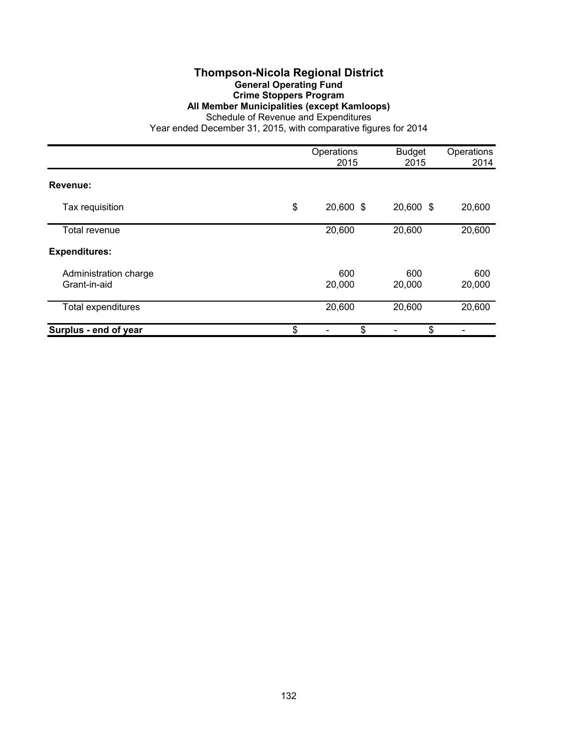### **Thompson-Nicola Regional District General Operating Fund Crime Stoppers Program All Member Municipalities (except Kamloops)**

Schedule of Revenue and Expenditures

|                                       | Operations<br>2015 | <b>Budget</b><br>2015 | Operations<br>2014 |
|---------------------------------------|--------------------|-----------------------|--------------------|
| Revenue:                              |                    |                       |                    |
| Tax requisition                       | \$<br>20,600 \$    | 20,600 \$             | 20,600             |
| Total revenue                         | 20,600             | 20,600                | 20,600             |
| <b>Expenditures:</b>                  |                    |                       |                    |
| Administration charge<br>Grant-in-aid | 600<br>20,000      | 600<br>20,000         | 600<br>20,000      |
| <b>Total expenditures</b>             | 20,600             | 20,600                | 20,600             |
| Surplus - end of year                 | \$<br>\$           | \$                    |                    |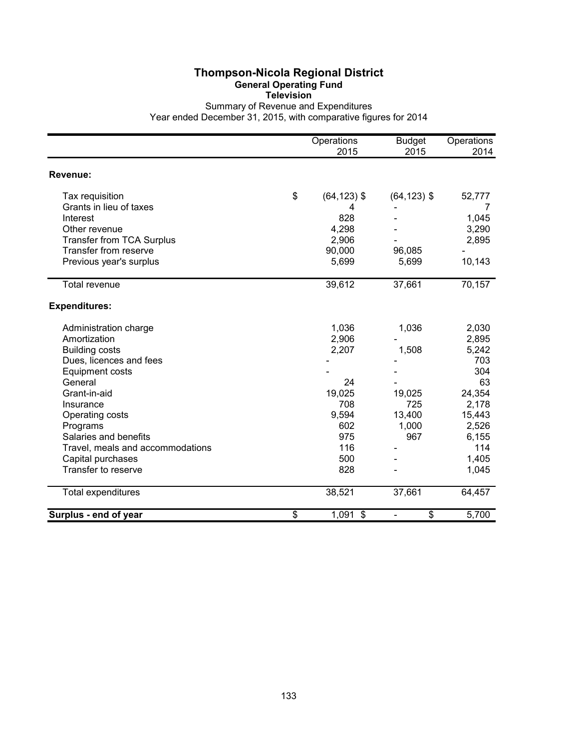# **Thompson-Nicola Regional District General Operating Fund**

**Television**

Summary of Revenue and Expenditures Year ended December 31, 2015, with comparative figures for 2014

|                                  | Operations           | <b>Budget</b>  | Operations |
|----------------------------------|----------------------|----------------|------------|
|                                  | 2015                 | 2015           | 2014       |
| Revenue:                         |                      |                |            |
| Tax requisition                  | \$<br>$(64, 123)$ \$ | $(64, 123)$ \$ | 52,777     |
| Grants in lieu of taxes          | 4                    |                | 7          |
| Interest                         | 828                  |                | 1,045      |
| Other revenue                    | 4,298                |                | 3,290      |
| <b>Transfer from TCA Surplus</b> | 2,906                |                | 2,895      |
| Transfer from reserve            | 90,000               | 96,085         |            |
| Previous year's surplus          | 5,699                | 5,699          | 10,143     |
| Total revenue                    | 39,612               | 37,661         | 70,157     |
| <b>Expenditures:</b>             |                      |                |            |
| Administration charge            | 1,036                | 1,036          | 2,030      |
| Amortization                     | 2,906                |                | 2,895      |
| <b>Building costs</b>            | 2,207                | 1,508          | 5,242      |
| Dues, licences and fees          |                      |                | 703        |
| Equipment costs                  |                      |                | 304        |
| General                          | 24                   |                | 63         |
| Grant-in-aid                     | 19,025               | 19,025         | 24,354     |
| Insurance                        | 708                  | 725            | 2,178      |
| Operating costs                  | 9,594                | 13,400         | 15,443     |
| Programs                         | 602                  | 1,000          | 2,526      |
| Salaries and benefits            | 975                  | 967            | 6,155      |
| Travel, meals and accommodations | 116                  |                | 114        |
| Capital purchases                | 500                  |                | 1,405      |
| Transfer to reserve              | 828                  |                | 1,045      |
| <b>Total expenditures</b>        | 38,521               | 37,661         | 64,457     |
| Surplus - end of year            | \$<br>$1,091$ \$     | \$             | 5,700      |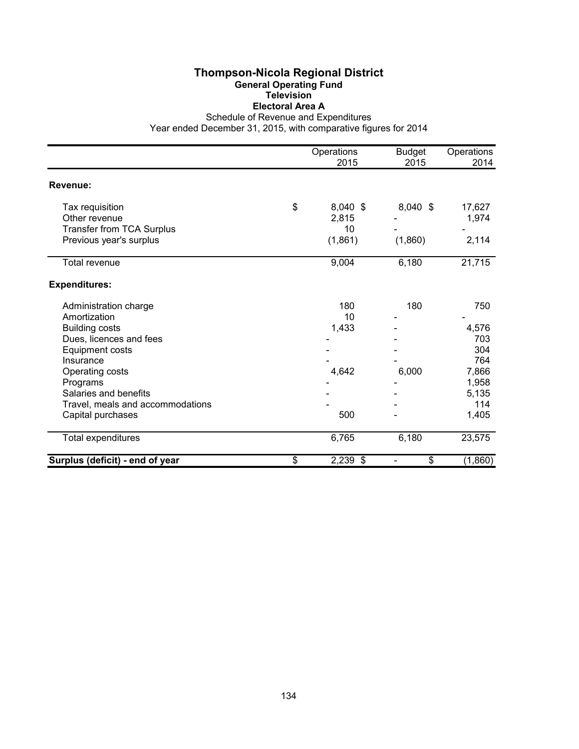#### **Thompson-Nicola Regional District General Operating Fund Television Electoral Area A**

Schedule of Revenue and Expenditures

|                                  | Operations       | <b>Budget</b> | Operations |
|----------------------------------|------------------|---------------|------------|
|                                  | 2015             | 2015          | 2014       |
| Revenue:                         |                  |               |            |
| Tax requisition                  | \$<br>$8,040$ \$ | $8,040$ \$    | 17,627     |
| Other revenue                    | 2,815            |               | 1,974      |
| <b>Transfer from TCA Surplus</b> | 10               |               |            |
| Previous year's surplus          | (1,861)          | (1,860)       | 2,114      |
| Total revenue                    | 9,004            | 6,180         | 21,715     |
| <b>Expenditures:</b>             |                  |               |            |
| Administration charge            | 180              | 180           | 750        |
| Amortization                     | 10               |               |            |
| <b>Building costs</b>            | 1,433            |               | 4,576      |
| Dues, licences and fees          |                  |               | 703        |
| <b>Equipment costs</b>           |                  |               | 304        |
| Insurance                        |                  |               | 764        |
| Operating costs                  | 4,642            | 6,000         | 7,866      |
| Programs                         |                  |               | 1,958      |
| Salaries and benefits            |                  |               | 5,135      |
| Travel, meals and accommodations |                  |               | 114        |
| Capital purchases                | 500              |               | 1,405      |
| Total expenditures               | 6,765            | 6,180         | 23,575     |
| Surplus (deficit) - end of year  | \$<br>2,239 \$   | \$            | (1,860)    |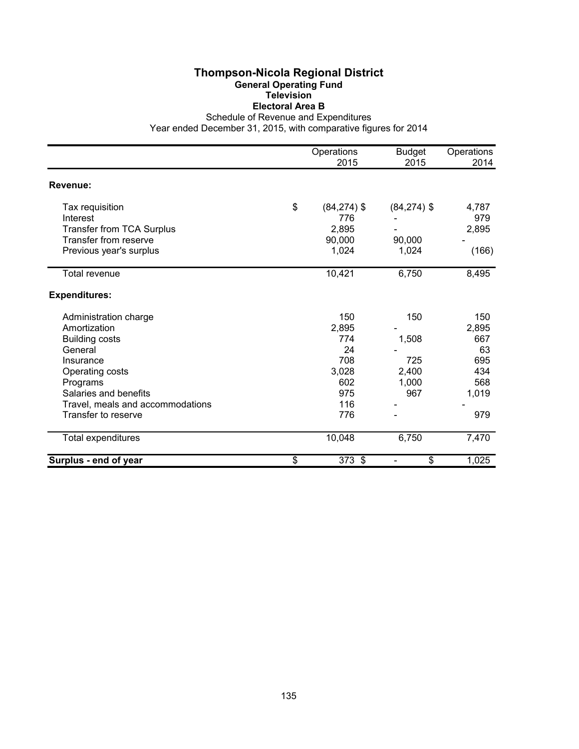#### **Thompson-Nicola Regional District General Operating Fund Television Electoral Area B**

Schedule of Revenue and Expenditures

|                                  | Operations           | <b>Budget</b>                  | Operations |
|----------------------------------|----------------------|--------------------------------|------------|
|                                  | 2015                 | 2015                           | 2014       |
| Revenue:                         |                      |                                |            |
| Tax requisition                  | \$<br>$(84, 274)$ \$ | $(84, 274)$ \$                 | 4,787      |
| Interest                         | 776                  |                                | 979        |
| <b>Transfer from TCA Surplus</b> | 2,895                |                                | 2,895      |
| Transfer from reserve            | 90,000               | 90,000                         |            |
| Previous year's surplus          | 1,024                | 1,024                          | (166)      |
| <b>Total revenue</b>             | 10,421               | 6,750                          | 8,495      |
| <b>Expenditures:</b>             |                      |                                |            |
| Administration charge            | 150                  | 150                            | 150        |
| Amortization                     | 2,895                |                                | 2,895      |
| <b>Building costs</b>            | 774                  | 1,508                          | 667        |
| General                          | 24                   |                                | 63         |
| Insurance                        | 708                  | 725                            | 695        |
| Operating costs                  | 3,028                | 2,400                          | 434        |
| Programs                         | 602                  | 1,000                          | 568        |
| Salaries and benefits            | 975                  | 967                            | 1,019      |
| Travel, meals and accommodations | 116                  |                                |            |
| Transfer to reserve              | 776                  |                                | 979        |
| Total expenditures               | 10,048               | 6,750                          | 7,470      |
| Surplus - end of year            | \$<br>373 \$         | \$<br>$\overline{\phantom{a}}$ | 1,025      |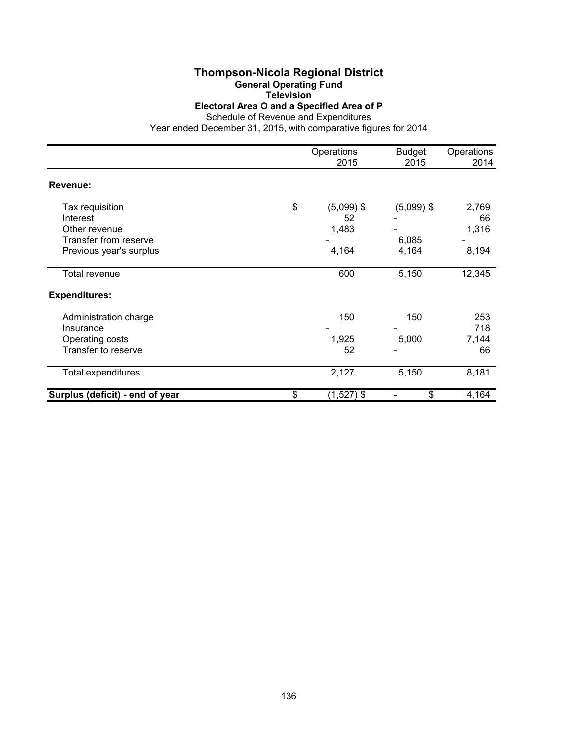# **Thompson-Nicola Regional District**

**General Operating Fund**

**Television**

**Electoral Area O and a Specified Area of P**

Schedule of Revenue and Expenditures Year ended December 31, 2015, with comparative figures for 2014

|                                 | Operations         | <b>Budget</b> | Operations |
|---------------------------------|--------------------|---------------|------------|
|                                 | 2015               | 2015          | 2014       |
| Revenue:                        |                    |               |            |
| Tax requisition                 | \$<br>$(5,099)$ \$ | $(5,099)$ \$  | 2,769      |
| Interest                        | 52                 |               | 66         |
| Other revenue                   | 1,483              |               | 1,316      |
| Transfer from reserve           |                    | 6,085         |            |
| Previous year's surplus         | 4,164              | 4,164         | 8,194      |
| Total revenue                   | 600                | 5,150         | 12,345     |
| <b>Expenditures:</b>            |                    |               |            |
| Administration charge           | 150                | 150           | 253        |
| Insurance                       |                    |               | 718        |
| Operating costs                 | 1,925              | 5,000         | 7,144      |
| Transfer to reserve             | 52                 |               | 66         |
| <b>Total expenditures</b>       | 2,127              | 5,150         | 8,181      |
| Surplus (deficit) - end of year | \$<br>$(1,527)$ \$ | \$            | 4,164      |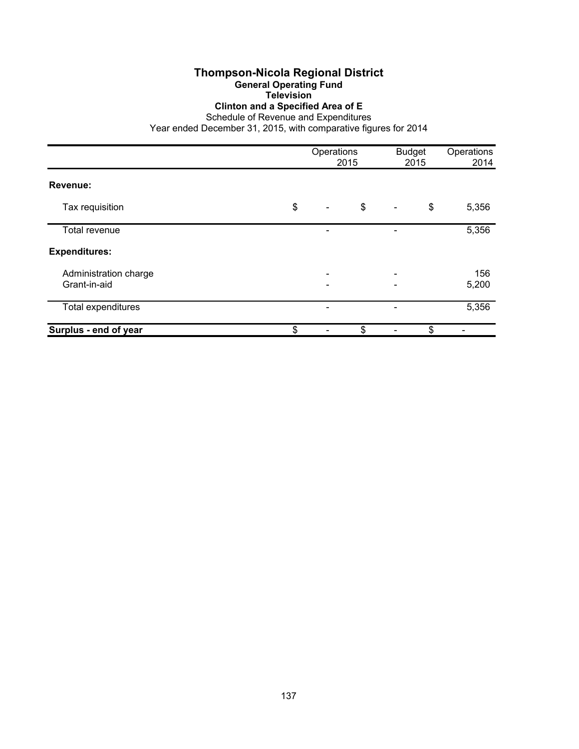## **Thompson-Nicola Regional District General Operating Fund**

**Television Clinton and a Specified Area of E**

Schedule of Revenue and Expenditures

|                                       | Operations                         | 2015 |                          | <b>Budget</b><br>2015 | Operations<br>2014 |
|---------------------------------------|------------------------------------|------|--------------------------|-----------------------|--------------------|
| Revenue:                              |                                    |      |                          |                       |                    |
| Tax requisition                       | \$<br>$\qquad \qquad \blacksquare$ | \$   | $\overline{\phantom{a}}$ | \$                    | 5,356              |
| Total revenue                         |                                    |      |                          |                       | 5,356              |
| <b>Expenditures:</b>                  |                                    |      |                          |                       |                    |
| Administration charge<br>Grant-in-aid | -                                  |      | -                        |                       | 156<br>5,200       |
| <b>Total expenditures</b>             |                                    |      |                          |                       | 5,356              |
| Surplus - end of year                 | \$                                 | \$   |                          | \$                    |                    |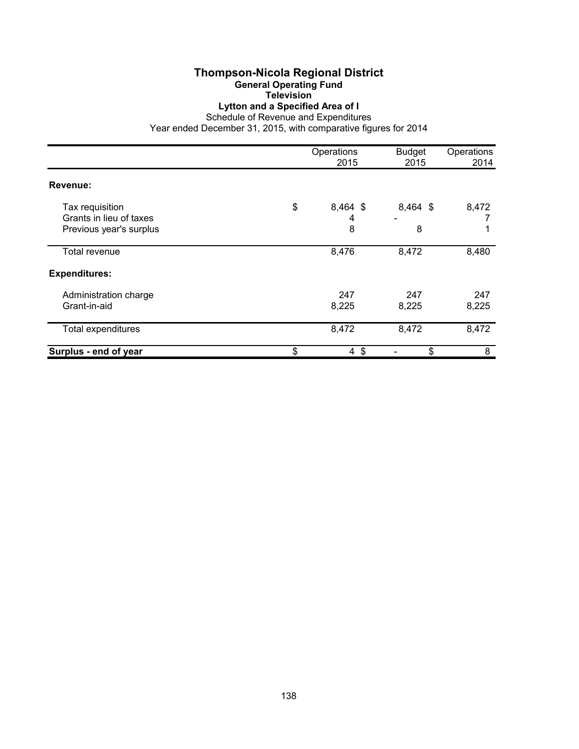#### **Thompson-Nicola Regional District General Operating Fund Television**

# **Lytton and a Specified Area of I**

Schedule of Revenue and Expenditures

|                                                                       | Operations<br>2015       | <b>Budget</b><br>2015 | Operations<br>2014 |
|-----------------------------------------------------------------------|--------------------------|-----------------------|--------------------|
| Revenue:                                                              |                          |                       |                    |
| Tax requisition<br>Grants in lieu of taxes<br>Previous year's surplus | \$<br>8,464 \$<br>4<br>8 | 8,464 \$<br>8         | 8,472              |
| Total revenue                                                         | 8,476                    | 8,472                 | 8,480              |
| <b>Expenditures:</b>                                                  |                          |                       |                    |
| Administration charge<br>Grant-in-aid                                 | 247<br>8,225             | 247<br>8,225          | 247<br>8,225       |
| <b>Total expenditures</b>                                             | 8,472                    | 8,472                 | 8,472              |
| Surplus - end of year                                                 | \$<br>$\sqrt[6]{3}$<br>4 | \$                    | 8                  |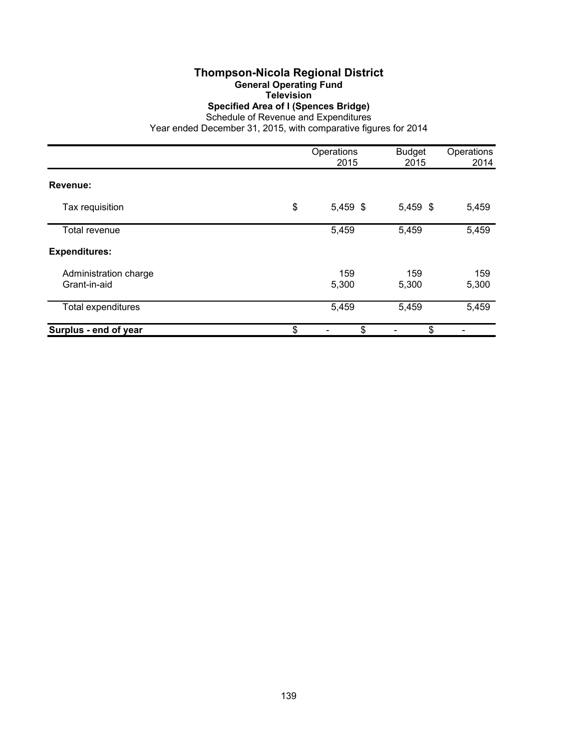#### **Thompson-Nicola Regional District General Operating Fund Television**

**Specified Area of I (Spences Bridge)**

Schedule of Revenue and Expenditures

|                                       | Operations<br>2015 | <b>Budget</b><br>2015 | Operations<br>2014 |
|---------------------------------------|--------------------|-----------------------|--------------------|
| Revenue:                              |                    |                       |                    |
| Tax requisition                       | \$<br>5,459 \$     | 5,459 \$              | 5,459              |
| Total revenue                         | 5,459              | 5,459                 | 5,459              |
| <b>Expenditures:</b>                  |                    |                       |                    |
| Administration charge<br>Grant-in-aid | 159<br>5,300       | 159<br>5,300          | 159<br>5,300       |
| Total expenditures                    | 5,459              | 5,459                 | 5,459              |
| Surplus - end of year                 | \$<br>\$           | \$                    |                    |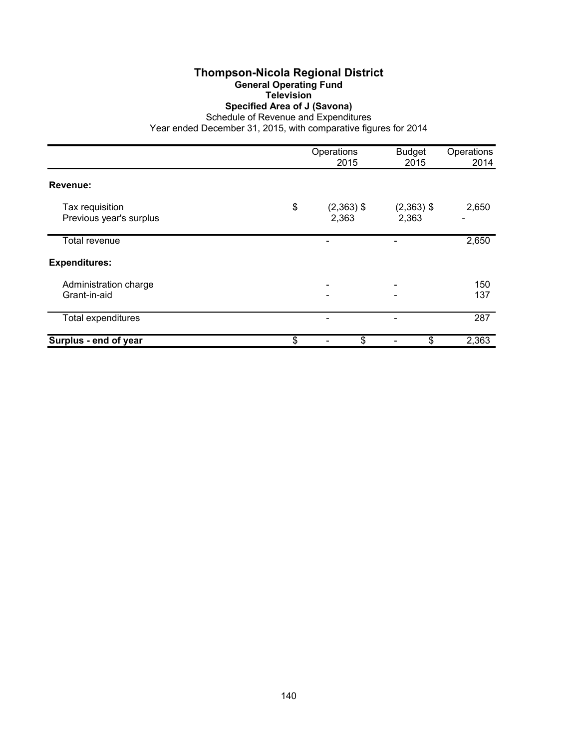## **Thompson-Nicola Regional District General Operating Fund Television**

# **Specified Area of J (Savona)**

Schedule of Revenue and Expenditures

|                                            | Operations<br>2015          | <b>Budget</b><br>2015 | Operations<br>2014 |
|--------------------------------------------|-----------------------------|-----------------------|--------------------|
| Revenue:                                   |                             |                       |                    |
| Tax requisition<br>Previous year's surplus | \$<br>$(2,363)$ \$<br>2,363 | $(2,363)$ \$<br>2,363 | 2,650              |
| Total revenue                              |                             |                       | 2,650              |
| <b>Expenditures:</b>                       |                             |                       |                    |
| Administration charge<br>Grant-in-aid      |                             |                       | 150<br>137         |
| Total expenditures                         |                             |                       | 287                |
| Surplus - end of year                      | \$<br>\$                    | \$                    | 2,363              |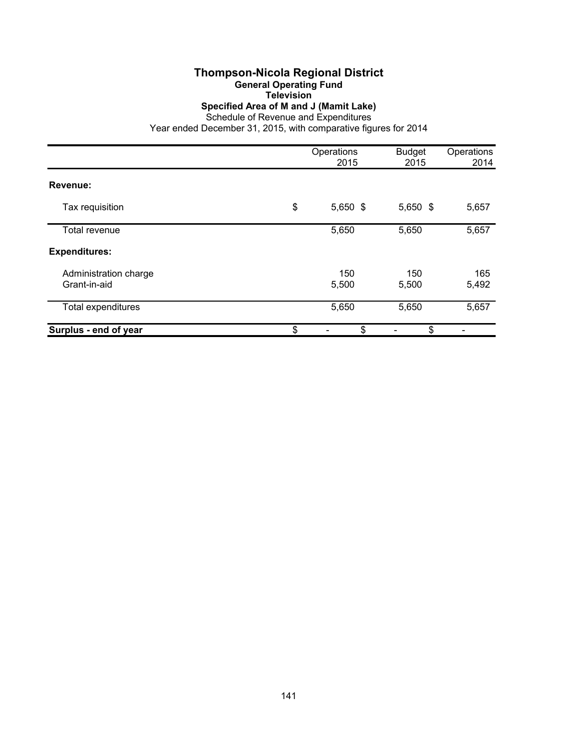## **Thompson-Nicola Regional District General Operating Fund**

**Television**

**Specified Area of M and J (Mamit Lake)**

Schedule of Revenue and Expenditures

|                                       | Operations<br>2015 | <b>Budget</b><br>2015 | Operations<br>2014 |
|---------------------------------------|--------------------|-----------------------|--------------------|
| Revenue:                              |                    |                       |                    |
| Tax requisition                       | \$<br>$5,650$ \$   | 5,650 \$              | 5,657              |
| Total revenue                         | 5,650              | 5,650                 | 5,657              |
| <b>Expenditures:</b>                  |                    |                       |                    |
| Administration charge<br>Grant-in-aid | 150<br>5,500       | 150<br>5,500          | 165<br>5,492       |
| <b>Total expenditures</b>             | 5,650              | 5,650                 | 5,657              |
| Surplus - end of year                 | \$<br>\$           | \$                    |                    |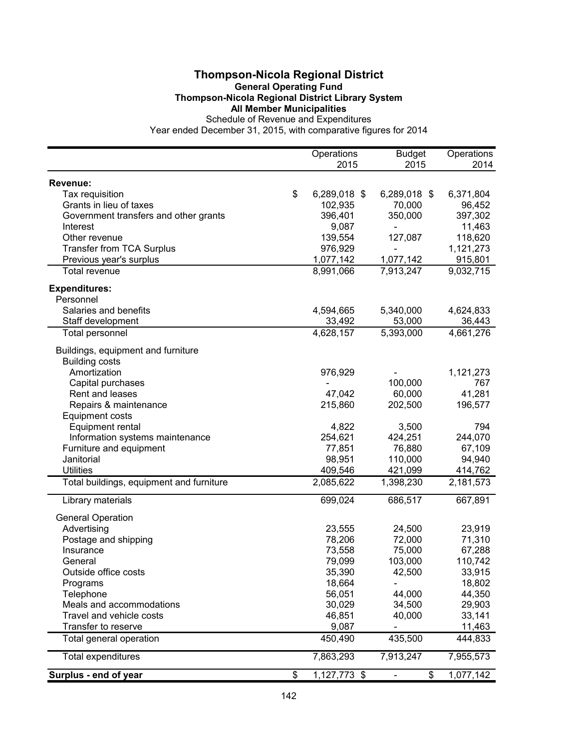## **Thompson-Nicola Regional District General Operating Fund Thompson-Nicola Regional District Library System All Member Municipalities**

|                                          | Operations         | <b>Budget</b>                | Operations |
|------------------------------------------|--------------------|------------------------------|------------|
|                                          | 2015               | 2015                         | 2014       |
| Revenue:                                 |                    |                              |            |
| Tax requisition                          | \$<br>6,289,018 \$ | 6,289,018 \$                 | 6,371,804  |
| Grants in lieu of taxes                  | 102,935            | 70,000                       | 96,452     |
| Government transfers and other grants    | 396,401            | 350,000                      | 397,302    |
| Interest                                 | 9,087              | $\overline{\phantom{a}}$     | 11,463     |
| Other revenue                            | 139,554            | 127,087                      | 118,620    |
| <b>Transfer from TCA Surplus</b>         | 976,929            | $\qquad \qquad \blacksquare$ | 1,121,273  |
| Previous year's surplus                  | 1,077,142          | 1,077,142                    | 915,801    |
| Total revenue                            | 8,991,066          | 7,913,247                    | 9,032,715  |
| <b>Expenditures:</b>                     |                    |                              |            |
| Personnel                                |                    |                              |            |
| Salaries and benefits                    | 4,594,665          | 5,340,000                    | 4,624,833  |
| Staff development                        | 33,492             | 53,000                       | 36,443     |
| Total personnel                          | 4,628,157          | 5,393,000                    | 4,661,276  |
| Buildings, equipment and furniture       |                    |                              |            |
| <b>Building costs</b>                    |                    |                              |            |
| Amortization                             | 976,929            |                              | 1,121,273  |
| Capital purchases                        |                    | 100,000                      | 767        |
| Rent and leases                          | 47,042             | 60,000                       | 41,281     |
| Repairs & maintenance                    | 215,860            | 202,500                      | 196,577    |
| <b>Equipment costs</b>                   |                    |                              |            |
| Equipment rental                         | 4,822              | 3,500                        | 794        |
| Information systems maintenance          | 254,621            | 424,251                      | 244,070    |
| Furniture and equipment                  | 77,851             | 76,880                       | 67,109     |
| Janitorial                               | 98,951             | 110,000                      | 94,940     |
| <b>Utilities</b>                         | 409,546            | 421,099                      | 414,762    |
| Total buildings, equipment and furniture | 2,085,622          | 1,398,230                    | 2,181,573  |
| Library materials                        | 699,024            | 686,517                      | 667,891    |
| <b>General Operation</b>                 |                    |                              |            |
| Advertising                              | 23,555             | 24,500                       | 23,919     |
| Postage and shipping                     | 78,206             | 72,000                       | 71,310     |
| Insurance                                | 73,558             | 75,000                       | 67,288     |
| General                                  | 79,099             | 103,000                      | 110,742    |
| Outside office costs                     | 35,390             | 42,500                       | 33,915     |
| Programs                                 | 18,664             |                              | 18,802     |
| Telephone                                | 56,051             | 44,000                       | 44,350     |
| Meals and accommodations                 | 30,029             | 34,500                       | 29,903     |
| Travel and vehicle costs                 | 46,851             | 40,000                       | 33,141     |
| Transfer to reserve                      | 9,087              |                              | 11,463     |
| Total general operation                  | 450,490            | 435,500                      | 444,833    |
| <b>Total expenditures</b>                | 7,863,293          | 7,913,247                    | 7,955,573  |
| Surplus - end of year                    | \$<br>1,127,773 \$ | \$                           | 1,077,142  |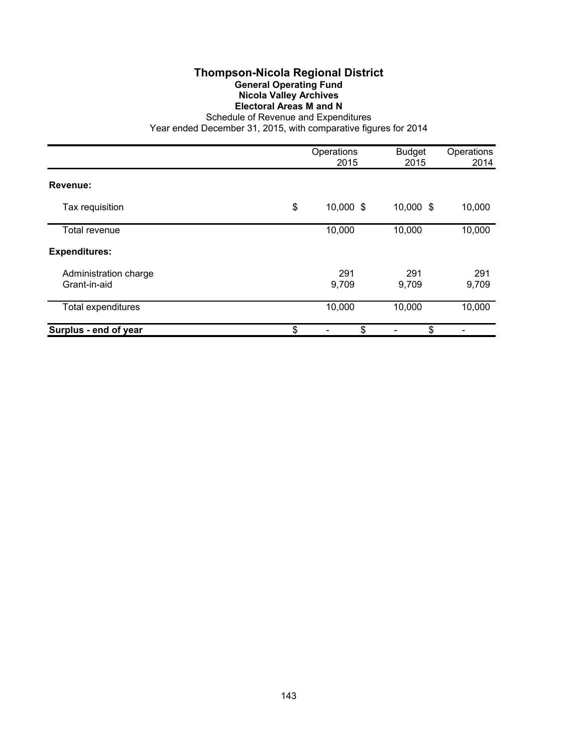# **Thompson-Nicola Regional District General Operating Fund Nicola Valley Archives Electoral Areas M and N**

Schedule of Revenue and Expenditures

|                                       | Operations<br>2015 | <b>Budget</b><br>2015 | Operations<br>2014 |
|---------------------------------------|--------------------|-----------------------|--------------------|
| Revenue:                              |                    |                       |                    |
| Tax requisition                       | \$<br>10,000 \$    | 10,000 \$             | 10,000             |
| Total revenue                         | 10,000             | 10,000                | 10,000             |
| <b>Expenditures:</b>                  |                    |                       |                    |
| Administration charge<br>Grant-in-aid | 291<br>9,709       | 291<br>9,709          | 291<br>9,709       |
| Total expenditures                    | 10,000             | 10,000                | 10,000             |
| Surplus - end of year                 | \$<br>\$           | \$                    |                    |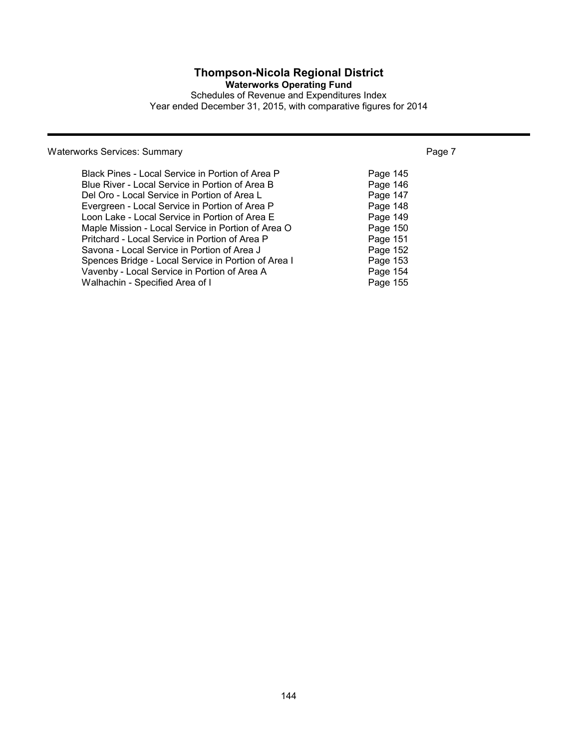# **Thompson-Nicola Regional District**

**Waterworks Operating Fund**

Schedules of Revenue and Expenditures Index Year ended December 31, 2015, with comparative figures for 2014

# Waterworks Services: Summary **Page 7** Number 2014 19:30 Number 2014

| Black Pines - Local Service in Portion of Area P    | Page 145 |
|-----------------------------------------------------|----------|
| Blue River - Local Service in Portion of Area B     | Page 146 |
| Del Oro - Local Service in Portion of Area L        | Page 147 |
| Evergreen - Local Service in Portion of Area P      | Page 148 |
| Loon Lake - Local Service in Portion of Area E      | Page 149 |
| Maple Mission - Local Service in Portion of Area O  | Page 150 |
| Pritchard - Local Service in Portion of Area P      | Page 151 |
| Savona - Local Service in Portion of Area J         | Page 152 |
| Spences Bridge - Local Service in Portion of Area I | Page 153 |
| Vavenby - Local Service in Portion of Area A        | Page 154 |
| Walhachin - Specified Area of I                     | Page 155 |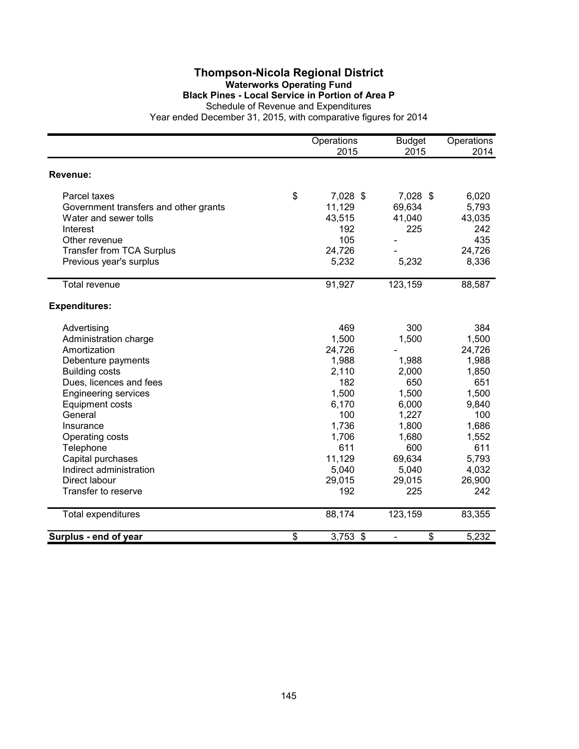## **Thompson-Nicola Regional District Waterworks Operating Fund Black Pines - Local Service in Portion of Area P**

Schedule of Revenue and Expenditures

|                                       | Operations       | <b>Budget</b> | Operations |
|---------------------------------------|------------------|---------------|------------|
|                                       | 2015             | 2015          | 2014       |
| Revenue:                              |                  |               |            |
| Parcel taxes                          | \$<br>7,028 \$   | 7,028 \$      | 6,020      |
| Government transfers and other grants | 11,129           | 69,634        | 5,793      |
| Water and sewer tolls                 | 43,515           | 41,040        | 43,035     |
| Interest                              | 192              | 225           | 242        |
| Other revenue                         | 105              |               | 435        |
| <b>Transfer from TCA Surplus</b>      | 24,726           |               | 24,726     |
| Previous year's surplus               | 5,232            | 5,232         | 8,336      |
| <b>Total revenue</b>                  | 91,927           | 123,159       | 88,587     |
| <b>Expenditures:</b>                  |                  |               |            |
| Advertising                           | 469              | 300           | 384        |
| Administration charge                 | 1,500            | 1,500         | 1,500      |
| Amortization                          | 24,726           |               | 24,726     |
| Debenture payments                    | 1,988            | 1,988         | 1,988      |
| <b>Building costs</b>                 | 2,110            | 2,000         | 1,850      |
| Dues, licences and fees               | 182              | 650           | 651        |
| <b>Engineering services</b>           | 1,500            | 1,500         | 1,500      |
| <b>Equipment costs</b>                | 6,170            | 6,000         | 9,840      |
| General                               | 100              | 1,227         | 100        |
| Insurance                             | 1,736            | 1,800         | 1,686      |
| Operating costs                       | 1,706            | 1,680         | 1,552      |
| Telephone                             | 611              | 600           | 611        |
| Capital purchases                     | 11,129           | 69,634        | 5,793      |
| Indirect administration               | 5,040            | 5,040         | 4,032      |
| Direct labour                         | 29,015           | 29,015        | 26,900     |
| Transfer to reserve                   | 192              | 225           | 242        |
| <b>Total expenditures</b>             | 88,174           | 123,159       | 83,355     |
| Surplus - end of year                 | \$<br>$3,753$ \$ | \$            | 5,232      |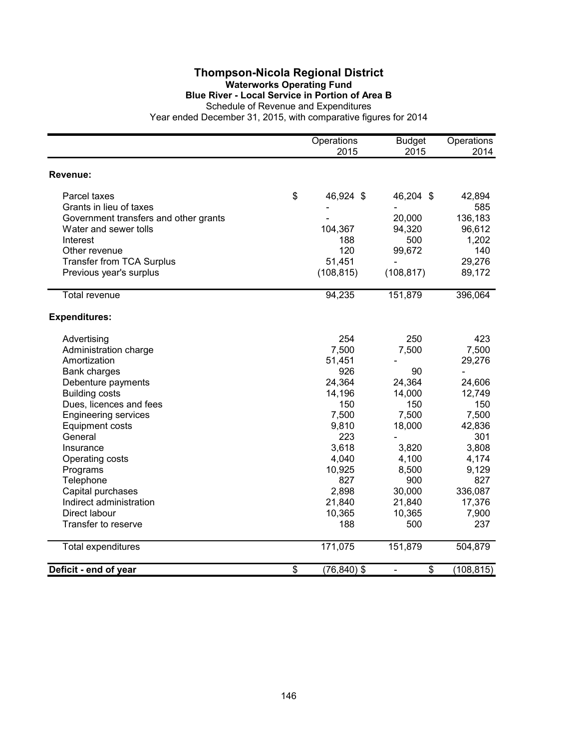## **Thompson-Nicola Regional District Waterworks Operating Fund Blue River - Local Service in Portion of Area B**

Schedule of Revenue and Expenditures

|                                       | Operations<br>2015   | <b>Budget</b><br>2015 | Operations<br>2014       |
|---------------------------------------|----------------------|-----------------------|--------------------------|
|                                       |                      |                       |                          |
| Revenue:                              |                      |                       |                          |
| Parcel taxes                          | \$<br>46,924 \$      | 46,204 \$             | 42,894                   |
| Grants in lieu of taxes               |                      |                       | 585                      |
| Government transfers and other grants |                      | 20,000                | 136,183                  |
| Water and sewer tolls                 | 104,367              | 94,320                | 96,612                   |
| Interest                              | 188                  | 500                   | 1,202                    |
| Other revenue                         | 120                  | 99,672                | 140                      |
| <b>Transfer from TCA Surplus</b>      | 51,451               |                       | 29,276                   |
| Previous year's surplus               | (108, 815)           | (108, 817)            | 89,172                   |
| <b>Total revenue</b>                  | 94,235               | 151,879               | 396,064                  |
| <b>Expenditures:</b>                  |                      |                       |                          |
| Advertising                           | 254                  | 250                   | 423                      |
| Administration charge                 | 7,500                | 7,500                 | 7,500                    |
| Amortization                          | 51,451               |                       | 29,276                   |
| Bank charges                          | 926                  | 90                    | $\overline{\phantom{0}}$ |
| Debenture payments                    | 24,364               | 24,364                | 24,606                   |
| <b>Building costs</b>                 | 14,196               | 14,000                | 12,749                   |
| Dues, licences and fees               | 150                  | 150                   | 150                      |
| <b>Engineering services</b>           | 7,500                | 7,500                 | 7,500                    |
| <b>Equipment costs</b>                | 9,810                | 18,000                | 42,836                   |
| General                               | 223                  |                       | 301                      |
| Insurance                             | 3,618                | 3,820                 | 3,808                    |
| Operating costs                       | 4,040                | 4,100                 | 4,174                    |
| Programs                              | 10,925               | 8,500                 | 9,129                    |
| Telephone                             | 827                  | 900                   | 827                      |
| Capital purchases                     | 2,898                | 30,000                | 336,087                  |
| Indirect administration               | 21,840               | 21,840                | 17,376                   |
| Direct labour                         | 10,365               | 10,365                | 7,900                    |
| Transfer to reserve                   | 188                  | 500                   | 237                      |
| <b>Total expenditures</b>             | 171,075              | 151,879               | 504,879                  |
| Deficit - end of year                 | \$<br>$(76, 840)$ \$ | \$                    | (108, 815)               |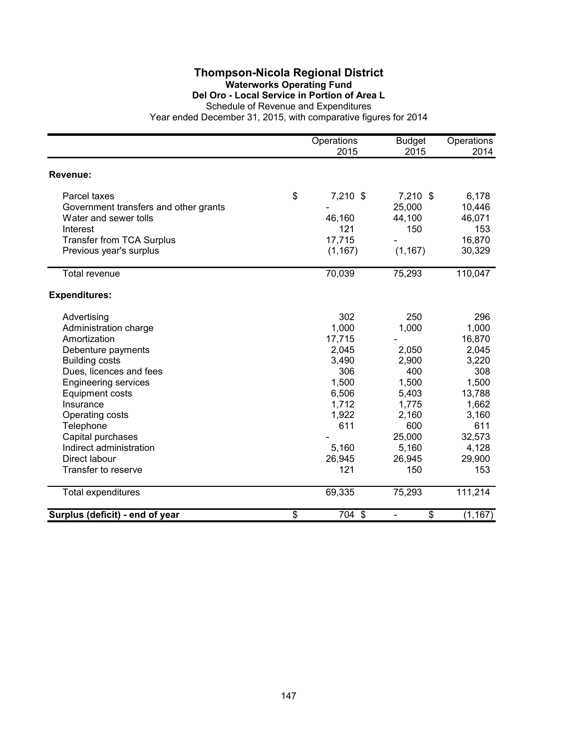## **Thompson-Nicola Regional District Waterworks Operating Fund Del Oro - Local Service in Portion of Area L**

Schedule of Revenue and Expenditures

|                                                                                                                                                                                                                                                                                                                              | Operations<br>2015                                                                                                   | <b>Budget</b><br>2015                                                                                                | Operations<br>2014                                                                                                              |
|------------------------------------------------------------------------------------------------------------------------------------------------------------------------------------------------------------------------------------------------------------------------------------------------------------------------------|----------------------------------------------------------------------------------------------------------------------|----------------------------------------------------------------------------------------------------------------------|---------------------------------------------------------------------------------------------------------------------------------|
| Revenue:                                                                                                                                                                                                                                                                                                                     |                                                                                                                      |                                                                                                                      |                                                                                                                                 |
| Parcel taxes<br>Government transfers and other grants<br>Water and sewer tolls<br>Interest<br><b>Transfer from TCA Surplus</b><br>Previous year's surplus                                                                                                                                                                    | \$<br>7,210 \$<br>46,160<br>121<br>17,715<br>(1, 167)                                                                | $7,210$ \$<br>25,000<br>44,100<br>150<br>(1, 167)                                                                    | 6,178<br>10,446<br>46,071<br>153<br>16,870<br>30,329                                                                            |
| Total revenue                                                                                                                                                                                                                                                                                                                | 70,039                                                                                                               | 75,293                                                                                                               | 110,047                                                                                                                         |
| <b>Expenditures:</b>                                                                                                                                                                                                                                                                                                         |                                                                                                                      |                                                                                                                      |                                                                                                                                 |
| Advertising<br>Administration charge<br>Amortization<br>Debenture payments<br><b>Building costs</b><br>Dues, licences and fees<br><b>Engineering services</b><br><b>Equipment costs</b><br>Insurance<br>Operating costs<br>Telephone<br>Capital purchases<br>Indirect administration<br>Direct labour<br>Transfer to reserve | 302<br>1,000<br>17,715<br>2,045<br>3,490<br>306<br>1,500<br>6,506<br>1,712<br>1,922<br>611<br>5,160<br>26,945<br>121 | 250<br>1,000<br>2,050<br>2,900<br>400<br>1,500<br>5,403<br>1,775<br>2,160<br>600<br>25,000<br>5,160<br>26,945<br>150 | 296<br>1,000<br>16,870<br>2,045<br>3,220<br>308<br>1,500<br>13,788<br>1,662<br>3,160<br>611<br>32,573<br>4,128<br>29,900<br>153 |
| <b>Total expenditures</b>                                                                                                                                                                                                                                                                                                    | 69,335                                                                                                               | 75,293                                                                                                               | 111,214                                                                                                                         |
| Surplus (deficit) - end of year                                                                                                                                                                                                                                                                                              | \$<br>704 \$                                                                                                         | \$<br>$\qquad \qquad \blacksquare$                                                                                   | (1, 167)                                                                                                                        |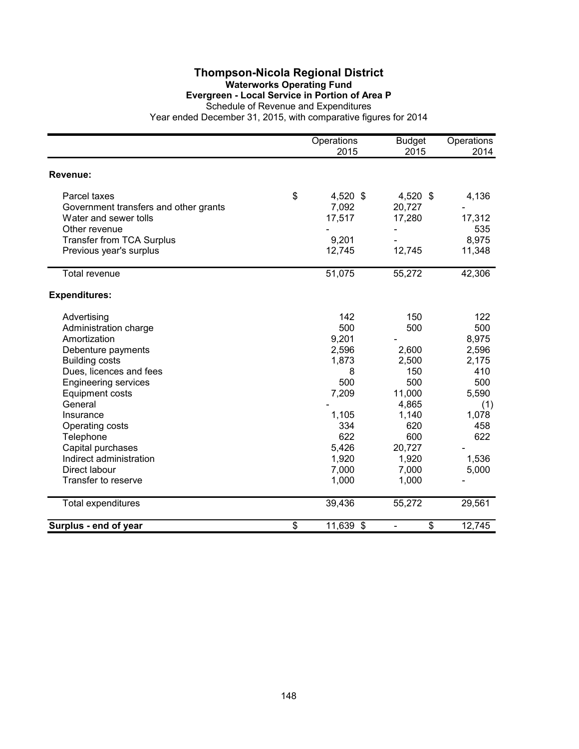### **Thompson-Nicola Regional District Waterworks Operating Fund Evergreen - Local Service in Portion of Area P**

Schedule of Revenue and Expenditures

|                                       | Operations<br>2015 | <b>Budget</b><br>2015          | Operations<br>2014 |
|---------------------------------------|--------------------|--------------------------------|--------------------|
| Revenue:                              |                    |                                |                    |
| Parcel taxes                          | \$<br>4,520 \$     | $4,520$ \$                     | 4,136              |
| Government transfers and other grants | 7,092              | 20,727                         |                    |
| Water and sewer tolls                 | 17,517             | 17,280                         | 17,312             |
| Other revenue                         |                    |                                | 535                |
| <b>Transfer from TCA Surplus</b>      | 9,201              |                                | 8,975              |
| Previous year's surplus               | 12,745             | 12,745                         | 11,348             |
| <b>Total revenue</b>                  | 51,075             | 55,272                         | 42,306             |
| <b>Expenditures:</b>                  |                    |                                |                    |
| Advertising                           | 142                | 150                            | 122                |
| Administration charge                 | 500                | 500                            | 500                |
| Amortization                          | 9,201              |                                | 8,975              |
| Debenture payments                    | 2,596              | 2,600                          | 2,596              |
| <b>Building costs</b>                 | 1,873              | 2,500                          | 2,175              |
| Dues, licences and fees               | 8                  | 150                            | 410                |
| <b>Engineering services</b>           | 500                | 500                            | 500                |
| <b>Equipment costs</b>                | 7,209              | 11,000                         | 5,590              |
| General                               |                    | 4,865                          | (1)                |
| Insurance                             | 1,105              | 1,140                          | 1,078              |
| Operating costs                       | 334                | 620                            | 458                |
| Telephone                             | 622                | 600                            | 622                |
| Capital purchases                     | 5,426              | 20,727                         |                    |
| Indirect administration               | 1,920              | 1,920                          | 1,536              |
| Direct labour                         | 7,000              | 7,000                          | 5,000              |
| Transfer to reserve                   | 1,000              | 1,000                          |                    |
| Total expenditures                    | 39,436             | 55,272                         | 29,561             |
| Surplus - end of year                 | \$<br>$11,639$ \$  | \$<br>$\overline{\phantom{0}}$ | 12,745             |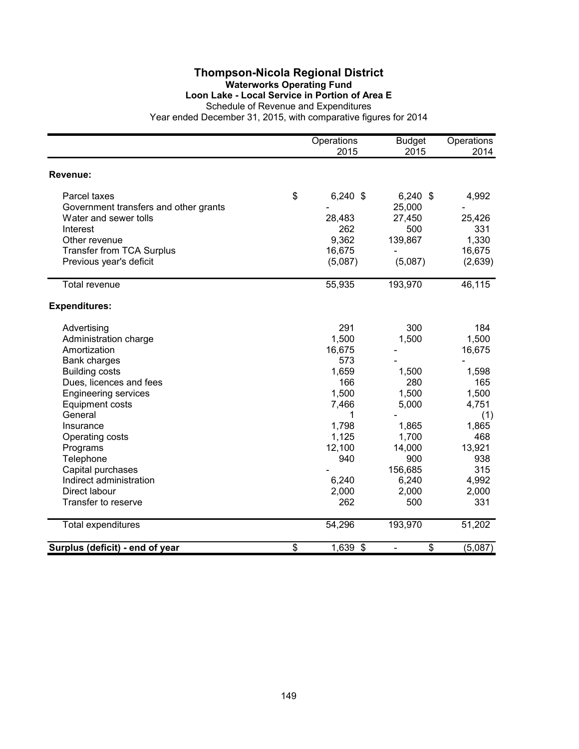### **Thompson-Nicola Regional District Waterworks Operating Fund Loon Lake - Local Service in Portion of Area E**

Schedule of Revenue and Expenditures

|                                       | Operations<br>2015 | <b>Budget</b><br>2015 | Operations<br>2014 |
|---------------------------------------|--------------------|-----------------------|--------------------|
| Revenue:                              |                    |                       |                    |
| Parcel taxes                          | \$<br>$6,240$ \$   | $6,240$ \$            | 4,992              |
| Government transfers and other grants |                    | 25,000                |                    |
| Water and sewer tolls                 | 28,483             | 27,450                | 25,426             |
| Interest                              | 262                | 500                   | 331                |
| Other revenue                         | 9,362              | 139,867               | 1,330              |
| <b>Transfer from TCA Surplus</b>      | 16,675             |                       | 16,675             |
| Previous year's deficit               | (5,087)            | (5,087)               | (2,639)            |
| <b>Total revenue</b>                  | 55,935             | 193,970               | 46,115             |
| <b>Expenditures:</b>                  |                    |                       |                    |
| Advertising                           | 291                | 300                   | 184                |
| Administration charge                 | 1,500              | 1,500                 | 1,500              |
| Amortization                          | 16,675             |                       | 16,675             |
| <b>Bank charges</b>                   | 573                |                       |                    |
| <b>Building costs</b>                 | 1,659              | 1,500                 | 1,598              |
| Dues, licences and fees               | 166                | 280                   | 165                |
| <b>Engineering services</b>           | 1,500              | 1,500                 | 1,500              |
| <b>Equipment costs</b>                | 7,466              | 5,000                 | 4,751              |
| General                               | 1                  |                       | (1)                |
| Insurance                             | 1,798              | 1,865                 | 1,865              |
| Operating costs                       | 1,125              | 1,700                 | 468                |
| Programs                              | 12,100             | 14,000                | 13,921             |
| Telephone                             | 940                | 900                   | 938                |
| Capital purchases                     |                    | 156,685               | 315                |
| Indirect administration               | 6,240              | 6,240                 | 4,992              |
| Direct labour                         | 2,000              | 2,000                 | 2,000              |
| Transfer to reserve                   | 262                | 500                   | 331                |
| Total expenditures                    | 54,296             | 193,970               | 51,202             |
| Surplus (deficit) - end of year       | \$<br>1,639 \$     | \$                    | (5,087)            |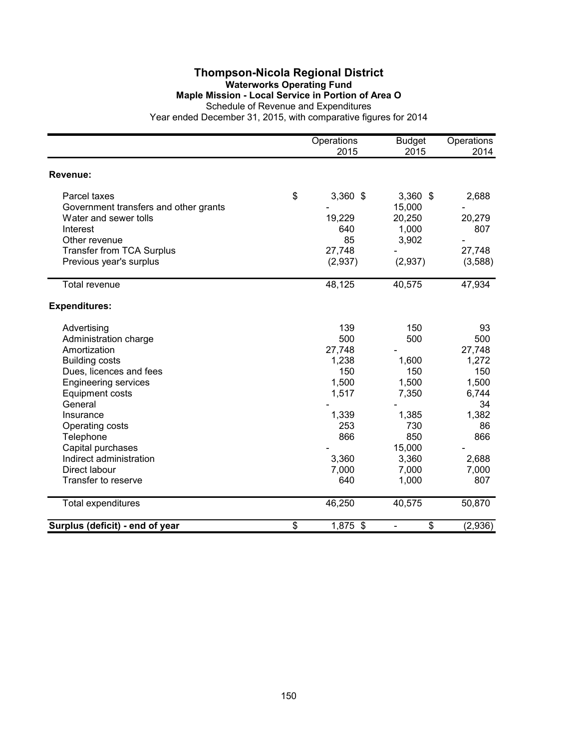#### **Thompson-Nicola Regional District Waterworks Operating Fund Maple Mission - Local Service in Portion of Area O** Schedule of Revenue and Expenditures

|                                       | Operations<br>2015 | <b>Budget</b><br>2015 | Operations<br>2014 |
|---------------------------------------|--------------------|-----------------------|--------------------|
| Revenue:                              |                    |                       |                    |
| Parcel taxes                          | \$<br>3,360 \$     | $3,360$ \$            | 2,688              |
| Government transfers and other grants |                    | 15,000                |                    |
| Water and sewer tolls                 | 19,229             | 20,250                | 20,279             |
| Interest                              | 640                | 1,000                 | 807                |
| Other revenue                         | 85                 | 3,902                 |                    |
| <b>Transfer from TCA Surplus</b>      | 27,748             |                       | 27,748             |
| Previous year's surplus               | (2,937)            | (2,937)               | (3,588)            |
| <b>Total revenue</b>                  | 48,125             | 40,575                | 47,934             |
| <b>Expenditures:</b>                  |                    |                       |                    |
| Advertising                           | 139                | 150                   | 93                 |
| Administration charge                 | 500                | 500                   | 500                |
| Amortization                          | 27,748             |                       | 27,748             |
| <b>Building costs</b>                 | 1,238              | 1,600                 | 1,272              |
| Dues, licences and fees               | 150                | 150                   | 150                |
| <b>Engineering services</b>           | 1,500              | 1,500                 | 1,500              |
| <b>Equipment costs</b>                | 1,517              | 7,350                 | 6,744              |
| General                               |                    |                       | 34                 |
| Insurance                             | 1,339              | 1,385                 | 1,382              |
| Operating costs                       | 253                | 730                   | 86                 |
| Telephone                             | 866                | 850                   | 866                |
| Capital purchases                     |                    | 15,000                |                    |
| Indirect administration               | 3,360              | 3,360                 | 2,688              |
| Direct labour                         | 7,000              | 7,000                 | 7,000              |
| Transfer to reserve                   | 640                | 1,000                 | 807                |
| <b>Total expenditures</b>             | 46,250             | 40,575                | 50,870             |
| Surplus (deficit) - end of year       | \$<br>1,875 \$     | \$                    | (2,936)            |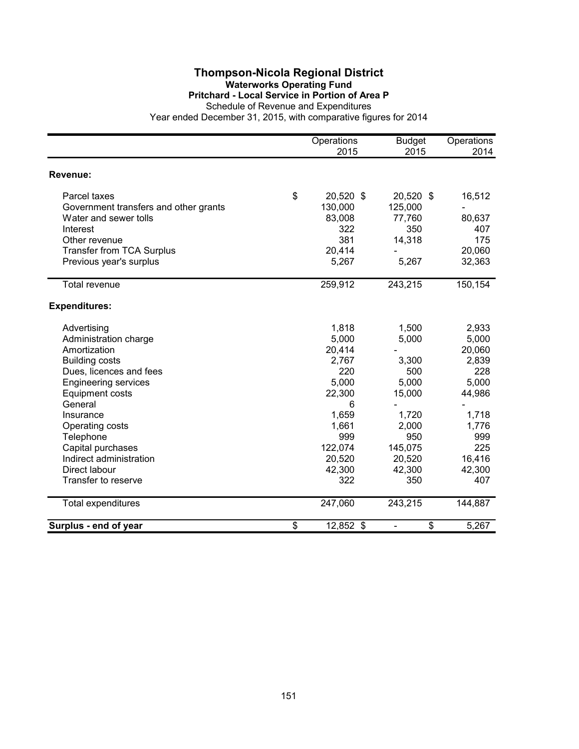### **Thompson-Nicola Regional District Waterworks Operating Fund Pritchard - Local Service in Portion of Area P**

Schedule of Revenue and Expenditures

|                                       | Operations<br>2015 | <b>Budget</b><br>2015 | Operations<br>2014 |
|---------------------------------------|--------------------|-----------------------|--------------------|
| Revenue:                              |                    |                       |                    |
| Parcel taxes                          | \$<br>20,520 \$    | 20,520 \$             | 16,512             |
| Government transfers and other grants | 130,000            | 125,000               |                    |
| Water and sewer tolls                 | 83,008             | 77,760                | 80,637             |
| Interest                              | 322                | 350                   | 407                |
| Other revenue                         | 381                | 14,318                | 175                |
| <b>Transfer from TCA Surplus</b>      | 20,414             |                       | 20,060             |
| Previous year's surplus               | 5,267              | 5,267                 | 32,363             |
| Total revenue                         | 259,912            | 243,215               | 150,154            |
| <b>Expenditures:</b>                  |                    |                       |                    |
| Advertising                           | 1,818              | 1,500                 | 2,933              |
| Administration charge                 | 5,000              | 5,000                 | 5,000              |
| Amortization                          | 20,414             |                       | 20,060             |
| <b>Building costs</b>                 | 2,767              | 3,300                 | 2,839              |
| Dues, licences and fees               | 220                | 500                   | 228                |
| <b>Engineering services</b>           | 5,000              | 5,000                 | 5,000              |
| <b>Equipment costs</b>                | 22,300             | 15,000                | 44,986             |
| General                               | 6                  |                       |                    |
| Insurance                             | 1,659              | 1,720                 | 1,718              |
| Operating costs                       | 1,661              | 2,000                 | 1,776              |
| Telephone                             | 999                | 950                   | 999                |
| Capital purchases                     | 122,074            | 145,075               | 225                |
| Indirect administration               | 20,520             | 20,520                | 16,416             |
| Direct labour                         | 42,300             | 42,300                | 42,300             |
| Transfer to reserve                   | 322                | 350                   | 407                |
| <b>Total expenditures</b>             | 247,060            | 243,215               | 144,887            |
| Surplus - end of year                 | \$<br>12,852 \$    | \$                    | 5,267              |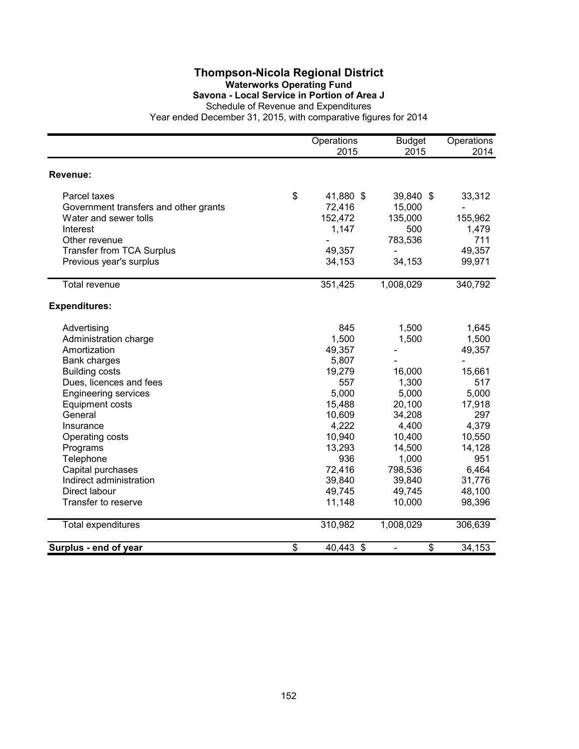## **Thompson-Nicola Regional District Waterworks Operating Fund Savona - Local Service in Portion of Area J**

|                                       | Operations<br>2015 | <b>Budget</b><br>2015 | Operations<br>2014 |
|---------------------------------------|--------------------|-----------------------|--------------------|
| Revenue:                              |                    |                       |                    |
| Parcel taxes                          | \$<br>41,880 \$    | 39,840 \$             | 33,312             |
| Government transfers and other grants | 72,416             | 15,000                |                    |
| Water and sewer tolls                 | 152,472            | 135,000               | 155,962            |
| Interest                              | 1,147              | 500                   | 1,479              |
| Other revenue                         |                    | 783,536               | 711                |
| <b>Transfer from TCA Surplus</b>      | 49,357             |                       | 49,357             |
| Previous year's surplus               | 34,153             | 34,153                | 99,971             |
| <b>Total revenue</b>                  | 351,425            | 1,008,029             | 340,792            |
| <b>Expenditures:</b>                  |                    |                       |                    |
| Advertising                           | 845                | 1,500                 | 1,645              |
| Administration charge                 | 1,500              | 1,500                 | 1,500              |
| Amortization                          | 49,357             |                       | 49,357             |
| <b>Bank charges</b>                   | 5,807              |                       |                    |
| <b>Building costs</b>                 | 19,279             | 16,000                | 15,661             |
| Dues, licences and fees               | 557                | 1,300                 | 517                |
| <b>Engineering services</b>           | 5,000              | 5,000                 | 5,000              |
| <b>Equipment costs</b>                | 15,488             | 20,100                | 17,918             |
| General                               | 10,609             | 34,208                | 297                |
| Insurance                             | 4,222              | 4,400                 | 4,379              |
| Operating costs                       | 10,940             | 10,400                | 10,550             |
| Programs                              | 13,293             | 14,500                | 14,128             |
| Telephone                             | 936                | 1,000                 | 951                |
| Capital purchases                     | 72,416             | 798,536               | 6,464              |
| Indirect administration               | 39,840             | 39,840                | 31,776             |
| Direct labour                         | 49,745             | 49,745                | 48,100             |
| Transfer to reserve                   | 11,148             | 10,000                | 98,396             |
| Total expenditures                    | 310,982            | 1,008,029             | 306,639            |
| Surplus - end of year                 | \$<br>40,443 \$    | \$                    | 34,153             |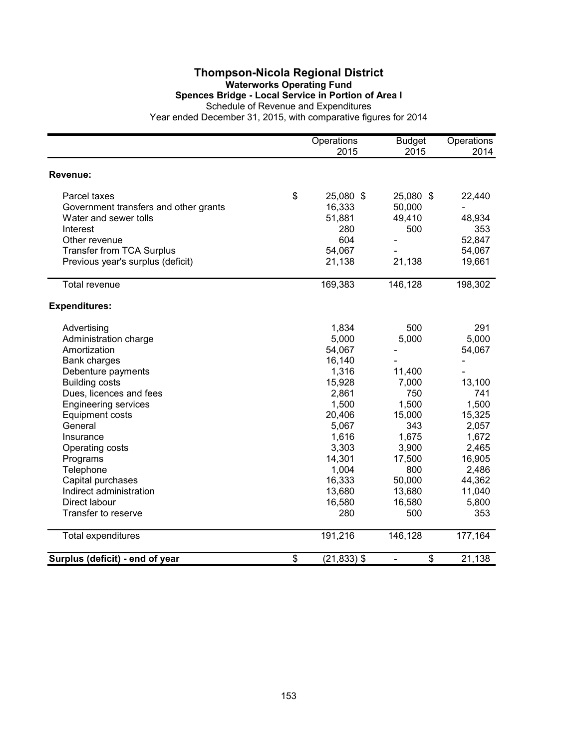### **Thompson-Nicola Regional District Waterworks Operating Fund Spences Bridge - Local Service in Portion of Area I** Schedule of Revenue and Expenditures

|                                       | Operations           | <b>Budget</b> | Operations |
|---------------------------------------|----------------------|---------------|------------|
|                                       | 2015                 | 2015          | 2014       |
| Revenue:                              |                      |               |            |
| Parcel taxes                          | \$<br>25,080 \$      | 25,080 \$     | 22,440     |
| Government transfers and other grants | 16,333               | 50,000        |            |
| Water and sewer tolls                 | 51,881               | 49,410        | 48,934     |
| Interest                              | 280                  | 500           | 353        |
| Other revenue                         | 604                  |               | 52,847     |
| <b>Transfer from TCA Surplus</b>      | 54,067               |               | 54,067     |
| Previous year's surplus (deficit)     | 21,138               | 21,138        | 19,661     |
| <b>Total revenue</b>                  | 169,383              | 146,128       | 198,302    |
| <b>Expenditures:</b>                  |                      |               |            |
| Advertising                           | 1,834                | 500           | 291        |
| Administration charge                 | 5,000                | 5,000         | 5,000      |
| Amortization                          | 54,067               |               | 54,067     |
| <b>Bank charges</b>                   | 16,140               |               |            |
| Debenture payments                    | 1,316                | 11,400        |            |
| <b>Building costs</b>                 | 15,928               | 7,000         | 13,100     |
| Dues, licences and fees               | 2,861                | 750           | 741        |
| <b>Engineering services</b>           | 1,500                | 1,500         | 1,500      |
| <b>Equipment costs</b>                | 20,406               | 15,000        | 15,325     |
| General                               | 5,067                | 343           | 2,057      |
| Insurance                             | 1,616                | 1,675         | 1,672      |
| Operating costs                       | 3,303                | 3,900         | 2,465      |
| Programs                              | 14,301               | 17,500        | 16,905     |
| Telephone                             | 1,004                | 800           | 2,486      |
| Capital purchases                     | 16,333               | 50,000        | 44,362     |
| Indirect administration               | 13,680               | 13,680        | 11,040     |
| Direct labour                         | 16,580               | 16,580        | 5,800      |
| Transfer to reserve                   | 280                  | 500           | 353        |
| <b>Total expenditures</b>             | 191,216              | 146,128       | 177,164    |
| Surplus (deficit) - end of year       | \$<br>$(21, 833)$ \$ | \$            | 21,138     |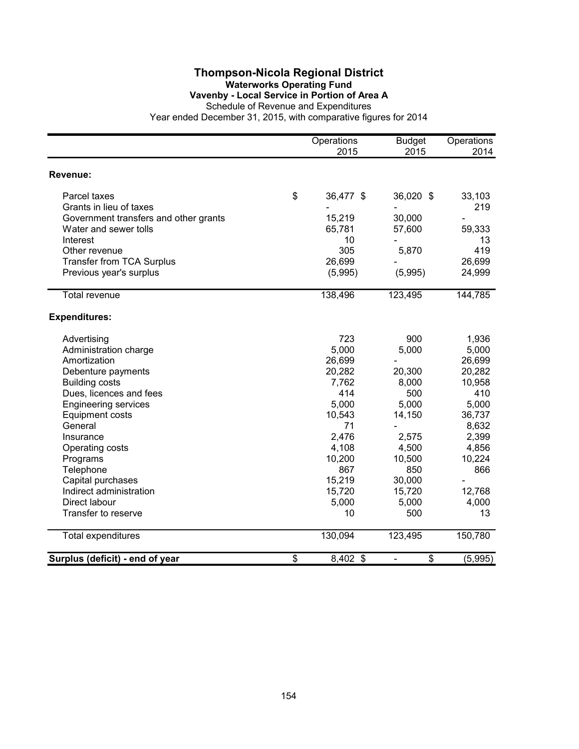### **Thompson-Nicola Regional District Waterworks Operating Fund Vavenby - Local Service in Portion of Area A**

Schedule of Revenue and Expenditures

|                                       |                 | Operations<br>2015 | <b>Budget</b><br>2015          | Operations<br>2014 |
|---------------------------------------|-----------------|--------------------|--------------------------------|--------------------|
| Revenue:                              |                 |                    |                                |                    |
| Parcel taxes                          | \$              | 36,477 \$          | 36,020 \$                      | 33,103             |
| Grants in lieu of taxes               |                 |                    |                                | 219                |
| Government transfers and other grants |                 | 15,219             | 30,000                         |                    |
| Water and sewer tolls                 |                 | 65,781             | 57,600                         | 59,333             |
| Interest                              |                 | 10                 |                                | 13                 |
| Other revenue                         |                 | 305                | 5,870                          | 419                |
| <b>Transfer from TCA Surplus</b>      |                 | 26,699             |                                | 26,699             |
| Previous year's surplus               |                 | (5,995)            | (5,995)                        | 24,999             |
| <b>Total revenue</b>                  |                 | 138,496            | 123,495                        | 144,785            |
| <b>Expenditures:</b>                  |                 |                    |                                |                    |
| Advertising                           |                 | 723                | 900                            | 1,936              |
| Administration charge                 |                 | 5,000              | 5,000                          | 5,000              |
| Amortization                          |                 | 26,699             |                                | 26,699             |
| Debenture payments                    |                 | 20,282             | 20,300                         | 20,282             |
| <b>Building costs</b>                 |                 | 7,762              | 8,000                          | 10,958             |
| Dues, licences and fees               |                 | 414                | 500                            | 410                |
| <b>Engineering services</b>           |                 | 5,000              | 5,000                          | 5,000              |
| <b>Equipment costs</b>                |                 | 10,543             | 14,150                         | 36,737             |
| General                               |                 | 71                 |                                | 8,632              |
| Insurance                             |                 | 2,476              | 2,575                          | 2,399              |
| Operating costs                       |                 | 4,108              | 4,500                          | 4,856              |
| Programs                              |                 | 10,200             | 10,500                         | 10,224             |
| Telephone                             |                 | 867                | 850                            | 866                |
| Capital purchases                     |                 | 15,219             | 30,000                         | $\blacksquare$     |
| Indirect administration               |                 | 15,720             | 15,720                         | 12,768             |
| Direct labour                         |                 | 5,000              | 5,000                          | 4,000              |
| Transfer to reserve                   |                 | 10                 | 500                            | 13                 |
| Total expenditures                    |                 | 130,094            | 123,495                        | 150,780            |
| Surplus (deficit) - end of year       | $\overline{\$}$ | 8,402 \$           | \$<br>$\overline{\phantom{0}}$ | (5,995)            |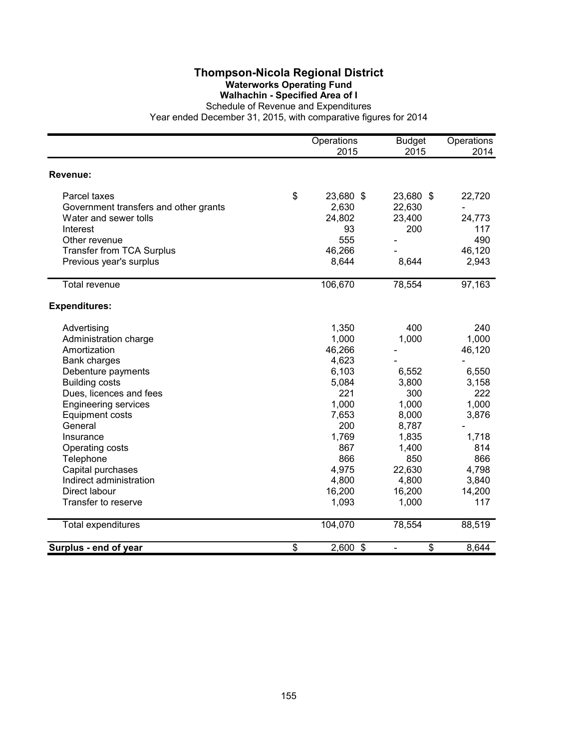## **Thompson-Nicola Regional District Waterworks Operating Fund Walhachin - Specified Area of I**

|                                       | Operations<br>2015 | <b>Budget</b><br>2015 | Operations<br>2014 |
|---------------------------------------|--------------------|-----------------------|--------------------|
| Revenue:                              |                    |                       |                    |
| Parcel taxes                          | \$<br>23,680 \$    | 23,680 \$             | 22,720             |
| Government transfers and other grants | 2,630              | 22,630                |                    |
| Water and sewer tolls                 | 24,802             | 23,400                | 24,773             |
| Interest                              | 93                 | 200                   | 117                |
| Other revenue                         | 555                |                       | 490                |
| Transfer from TCA Surplus             | 46,266             |                       | 46,120             |
| Previous year's surplus               | 8,644              | 8,644                 | 2,943              |
| <b>Total revenue</b>                  | 106,670            | 78,554                | 97,163             |
| <b>Expenditures:</b>                  |                    |                       |                    |
| Advertising                           | 1,350              | 400                   | 240                |
| Administration charge                 | 1,000              | 1,000                 | 1,000              |
| Amortization                          | 46,266             |                       | 46,120             |
| <b>Bank charges</b>                   | 4,623              |                       |                    |
| Debenture payments                    | 6,103              | 6,552                 | 6,550              |
| <b>Building costs</b>                 | 5,084              | 3,800                 | 3,158              |
| Dues, licences and fees               | 221                | 300                   | 222                |
| <b>Engineering services</b>           | 1,000              | 1,000                 | 1,000              |
| <b>Equipment costs</b>                | 7,653              | 8,000                 | 3,876              |
| General                               | 200                | 8,787                 |                    |
| Insurance                             | 1,769              | 1,835                 | 1,718              |
| Operating costs                       | 867                | 1,400                 | 814                |
| Telephone                             | 866                | 850                   | 866                |
| Capital purchases                     | 4,975              | 22,630                | 4,798              |
| Indirect administration               | 4,800              | 4,800                 | 3,840              |
| Direct labour                         | 16,200             | 16,200                | 14,200             |
| Transfer to reserve                   | 1,093              | 1,000                 | 117                |
| Total expenditures                    | 104,070            | 78,554                | 88,519             |
| Surplus - end of year                 | \$<br>2,600 \$     | \$                    | 8,644              |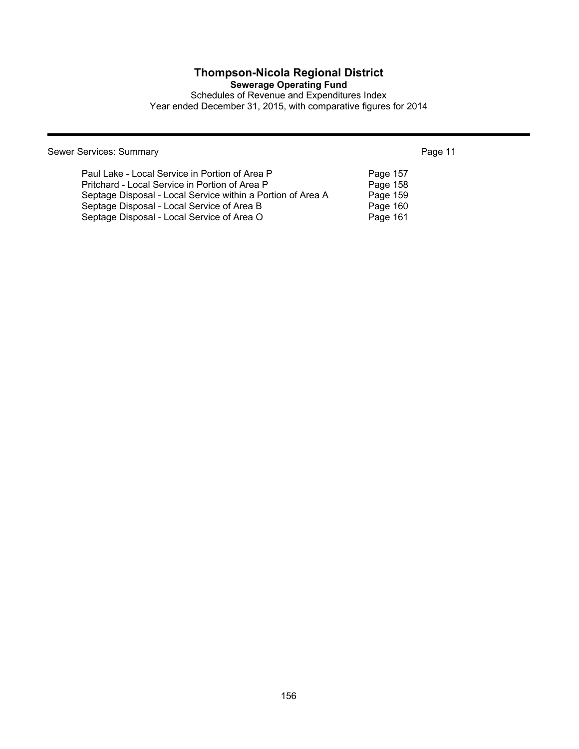# **Thompson-Nicola Regional District**

**Sewerage Operating Fund**

Schedules of Revenue and Expenditures Index Year ended December 31, 2015, with comparative figures for 2014

Sewer Services: Summary **Page 11** 

| Paul Lake - Local Service in Portion of Area P              | Page 157 |
|-------------------------------------------------------------|----------|
| Pritchard - Local Service in Portion of Area P              | Page 158 |
| Septage Disposal - Local Service within a Portion of Area A | Page 159 |
| Septage Disposal - Local Service of Area B                  | Page 160 |
| Septage Disposal - Local Service of Area O                  | Page 161 |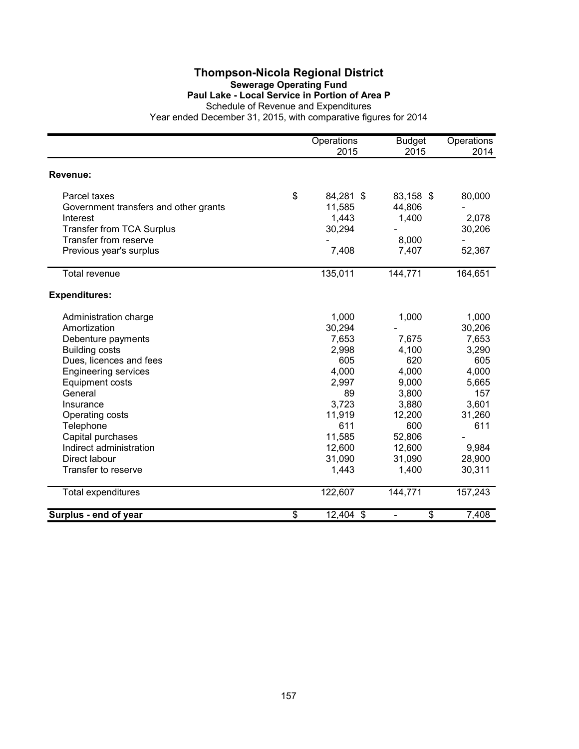### **Thompson-Nicola Regional District Sewerage Operating Fund Paul Lake - Local Service in Portion of Area P**

Schedule of Revenue and Expenditures

|                                       | Operations<br>2015 | <b>Budget</b><br>2015          | Operations<br>2014 |
|---------------------------------------|--------------------|--------------------------------|--------------------|
| Revenue:                              |                    |                                |                    |
| Parcel taxes                          | \$<br>84,281 \$    | 83,158 \$                      | 80,000             |
| Government transfers and other grants | 11,585             | 44,806                         |                    |
| Interest                              | 1,443              | 1,400                          | 2,078              |
| <b>Transfer from TCA Surplus</b>      | 30,294             |                                | 30,206             |
| Transfer from reserve                 |                    | 8,000                          |                    |
| Previous year's surplus               | 7,408              | 7,407                          | 52,367             |
| <b>Total revenue</b>                  | 135,011            | 144,771                        | 164,651            |
| <b>Expenditures:</b>                  |                    |                                |                    |
| Administration charge                 | 1,000              | 1,000                          | 1,000              |
| Amortization                          | 30,294             |                                | 30,206             |
| Debenture payments                    | 7,653              | 7,675                          | 7,653              |
| <b>Building costs</b>                 | 2,998              | 4,100                          | 3,290              |
| Dues, licences and fees               | 605                | 620                            | 605                |
| <b>Engineering services</b>           | 4,000              | 4,000                          | 4,000              |
| <b>Equipment costs</b>                | 2,997              | 9,000                          | 5,665              |
| General                               | 89                 | 3,800                          | 157                |
| Insurance                             | 3,723              | 3,880                          | 3,601              |
| Operating costs                       | 11,919             | 12,200                         | 31,260             |
| Telephone                             | 611                | 600                            | 611                |
| Capital purchases                     | 11,585             | 52,806                         |                    |
| Indirect administration               | 12,600             | 12,600                         | 9,984              |
| Direct labour                         | 31,090             | 31,090                         | 28,900             |
| Transfer to reserve                   | 1,443              | 1,400                          | 30,311             |
| <b>Total expenditures</b>             | 122,607            | 144,771                        | 157,243            |
| Surplus - end of year                 | \$<br>12,404 \$    | \$<br>$\overline{\phantom{0}}$ | 7,408              |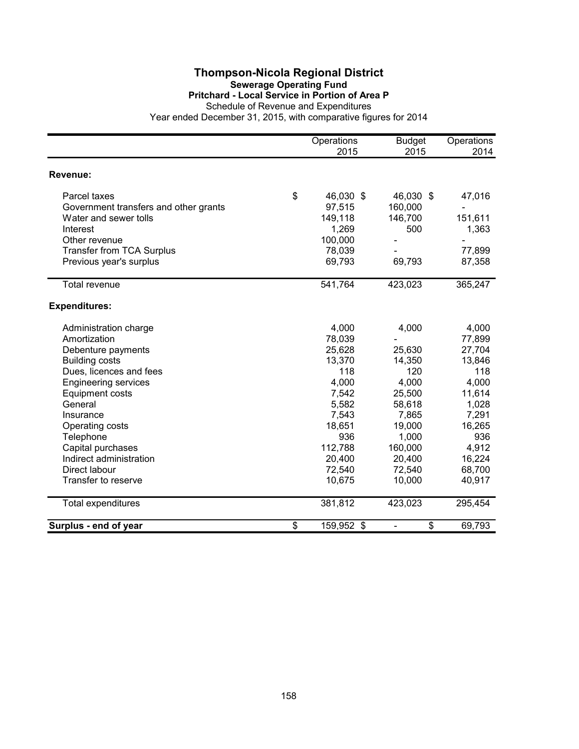### **Thompson-Nicola Regional District Sewerage Operating Fund Pritchard - Local Service in Portion of Area P**

Schedule of Revenue and Expenditures

|                                       | Operations<br>2015 | <b>Budget</b><br>2015 | Operations<br>2014 |
|---------------------------------------|--------------------|-----------------------|--------------------|
| Revenue:                              |                    |                       |                    |
| Parcel taxes                          | \$<br>46,030 \$    | 46,030 \$             | 47,016             |
| Government transfers and other grants | 97,515             | 160,000               |                    |
| Water and sewer tolls                 | 149,118            | 146,700               | 151,611            |
| Interest                              | 1,269              | 500                   | 1,363              |
| Other revenue                         | 100,000            |                       |                    |
| <b>Transfer from TCA Surplus</b>      | 78,039             |                       | 77,899             |
| Previous year's surplus               | 69,793             | 69,793                | 87,358             |
| Total revenue                         | 541,764            | 423,023               | 365,247            |
| <b>Expenditures:</b>                  |                    |                       |                    |
| Administration charge                 | 4,000              | 4,000                 | 4,000              |
| Amortization                          | 78,039             |                       | 77,899             |
| Debenture payments                    | 25,628             | 25,630                | 27,704             |
| <b>Building costs</b>                 | 13,370             | 14,350                | 13,846             |
| Dues, licences and fees               | 118                | 120                   | 118                |
| <b>Engineering services</b>           | 4,000              | 4,000                 | 4,000              |
| <b>Equipment costs</b>                | 7,542              | 25,500                | 11,614             |
| General                               | 5,582              | 58,618                | 1,028              |
| Insurance                             | 7,543              | 7,865                 | 7,291              |
| Operating costs                       | 18,651             | 19,000                | 16,265             |
| Telephone                             | 936                | 1,000                 | 936                |
| Capital purchases                     | 112,788            | 160,000               | 4,912              |
| Indirect administration               | 20,400             | 20,400                | 16,224             |
| Direct labour                         | 72,540             | 72,540                | 68,700             |
| Transfer to reserve                   | 10,675             | 10,000                | 40,917             |
| Total expenditures                    | 381,812            | 423,023               | 295,454            |
| Surplus - end of year                 | \$<br>159,952 \$   | \$                    | 69,793             |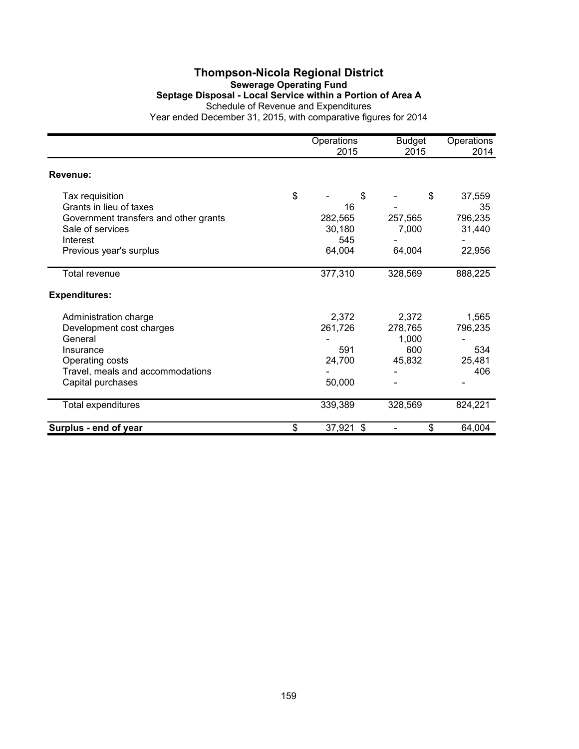## **Thompson-Nicola Regional District Sewerage Operating Fund Septage Disposal - Local Service within a Portion of Area A** Schedule of Revenue and Expenditures

|                                       | Operations<br>2015  | <b>Budget</b><br>2015 | Operations<br>2014 |
|---------------------------------------|---------------------|-----------------------|--------------------|
| Revenue:                              |                     |                       |                    |
| Tax requisition                       | \$<br>\$            | \$                    | 37,559             |
| Grants in lieu of taxes               | 16                  |                       | 35                 |
| Government transfers and other grants | 282,565             | 257,565               | 796,235            |
| Sale of services                      | 30,180              | 7,000                 | 31,440             |
| Interest                              | 545                 |                       |                    |
| Previous year's surplus               | 64,004              | 64,004                | 22,956             |
| Total revenue                         | 377,310             | 328,569               | 888,225            |
| <b>Expenditures:</b>                  |                     |                       |                    |
| Administration charge                 | 2,372               | 2,372                 | 1,565              |
| Development cost charges              | 261,726             | 278,765               | 796,235            |
| General                               |                     | 1,000                 |                    |
| Insurance                             | 591                 | 600                   | 534                |
| Operating costs                       | 24,700              | 45,832                | 25,481             |
| Travel, meals and accommodations      |                     |                       | 406                |
| Capital purchases                     | 50,000              |                       |                    |
| Total expenditures                    | 339,389             | 328,569               | 824,221            |
| Surplus - end of year                 | \$<br>37,921<br>-\$ | \$                    | 64,004             |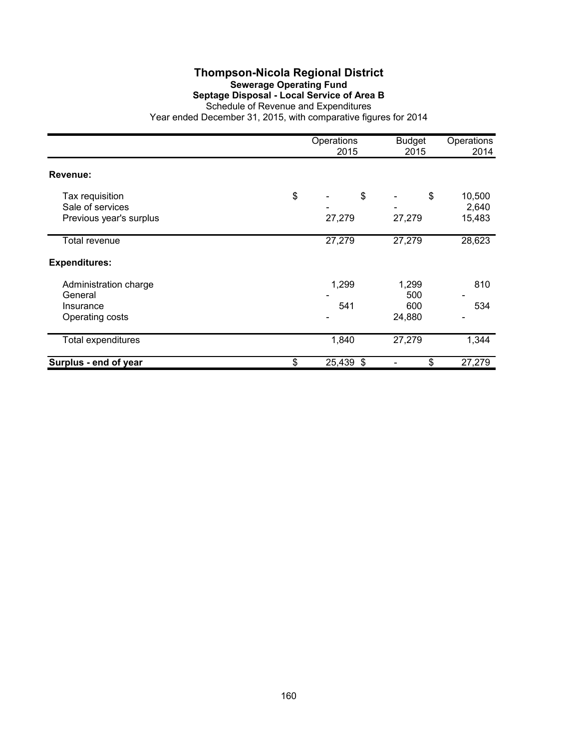# **Thompson-Nicola Regional District Sewerage Operating Fund Septage Disposal - Local Service of Area B**

|                         | Operations<br>2015 | <b>Budget</b><br>2015 | Operations<br>2014       |
|-------------------------|--------------------|-----------------------|--------------------------|
| Revenue:                |                    |                       |                          |
| Tax requisition         | \$<br>\$           | \$                    | 10,500                   |
| Sale of services        |                    |                       | 2,640                    |
| Previous year's surplus | 27,279             | 27,279                | 15,483                   |
| Total revenue           | 27,279             | 27,279                | 28,623                   |
| <b>Expenditures:</b>    |                    |                       |                          |
| Administration charge   | 1,299              | 1,299                 | 810                      |
| General                 |                    | 500                   |                          |
| Insurance               | 541                | 600                   | 534                      |
| Operating costs         |                    | 24,880                | $\overline{\phantom{a}}$ |
| Total expenditures      | 1,840              | 27,279                | 1,344                    |
| Surplus - end of year   | \$<br>25,439 \$    | \$                    | 27,279                   |